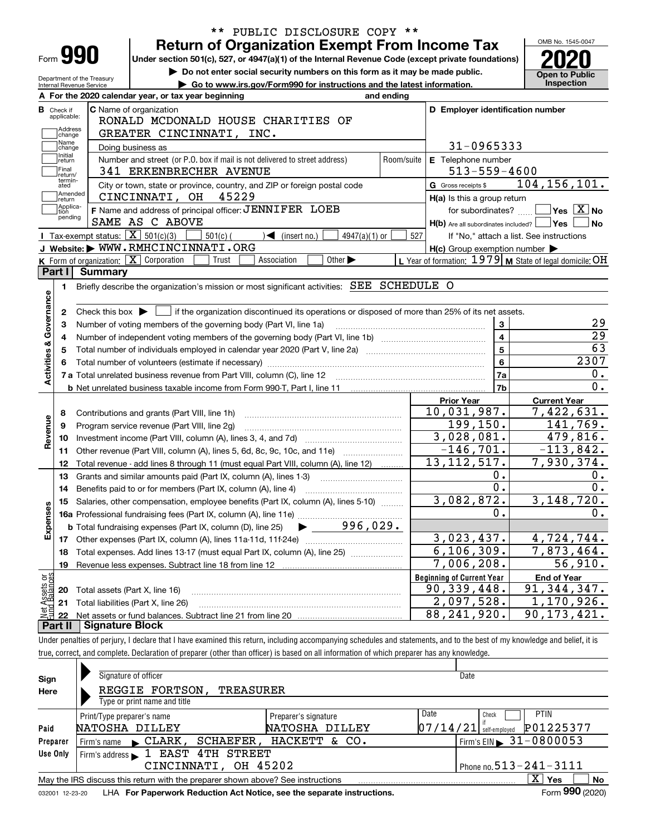|                                                        | <b>Return of Organization Exempt From Income Tax</b>                                                                                                                                                             |                |                                                           | OMB No. 1545-0047                                    |
|--------------------------------------------------------|------------------------------------------------------------------------------------------------------------------------------------------------------------------------------------------------------------------|----------------|-----------------------------------------------------------|------------------------------------------------------|
| Form <b>990</b>                                        | Under section 501(c), 527, or 4947(a)(1) of the Internal Revenue Code (except private foundations)                                                                                                               |                |                                                           |                                                      |
|                                                        | Do not enter social security numbers on this form as it may be made public.                                                                                                                                      |                |                                                           | <b>Open to Public</b>                                |
| Department of the Treasury<br>Internal Revenue Service | Go to www.irs.gov/Form990 for instructions and the latest information.                                                                                                                                           |                |                                                           | Inspection                                           |
|                                                        | A For the 2020 calendar year, or tax year beginning                                                                                                                                                              | and ending     |                                                           |                                                      |
| <b>B</b> Check if<br>applicable:                       | C Name of organization                                                                                                                                                                                           |                | D Employer identification number                          |                                                      |
|                                                        | RONALD MCDONALD HOUSE CHARITIES OF                                                                                                                                                                               |                |                                                           |                                                      |
| Address<br>change                                      | GREATER CINCINNATI, INC.                                                                                                                                                                                         |                |                                                           |                                                      |
| Name<br>change                                         | Doing business as                                                                                                                                                                                                |                | 31-0965333                                                |                                                      |
| Initial<br>return                                      | Number and street (or P.O. box if mail is not delivered to street address)                                                                                                                                       | Room/suite     | E Telephone number                                        |                                                      |
| Final<br>return/                                       | 341 ERKENBRECHER AVENUE                                                                                                                                                                                          |                | $513 - 559 - 4600$                                        |                                                      |
| termin-<br>ated                                        | City or town, state or province, country, and ZIP or foreign postal code                                                                                                                                         |                | G Gross receipts \$                                       | 104, 156, 101.                                       |
| Amended<br> return                                     | CINCINNATI, OH 45229                                                                                                                                                                                             |                | H(a) Is this a group return                               |                                                      |
| Applica-<br>tion                                       | F Name and address of principal officer: JENNIFER LOEB                                                                                                                                                           |                | for subordinates?                                         | $\overline{\mathsf{Yes}}$ $\overline{\mathsf{X}}$ No |
| pending                                                | SAME AS C ABOVE                                                                                                                                                                                                  |                | $H(b)$ Are all subordinates included? $\Box$ Yes          |                                                      |
|                                                        | <b>I</b> Tax-exempt status: $\boxed{\mathbf{X}}$ 501(c)(3)<br>$501(c)$ (<br>$\sqrt{\frac{1}{1}}$ (insert no.)<br>$4947(a)(1)$ or                                                                                 | 527            | If "No," attach a list. See instructions                  |                                                      |
|                                                        | J Website: WWW.RMHCINCINNATI.ORG                                                                                                                                                                                 |                | $H(c)$ Group exemption number $\blacktriangleright$       |                                                      |
|                                                        | K Form of organization: $\boxed{\mathbf{X}}$ Corporation<br>Trust<br>Association<br>Other $\blacktriangleright$                                                                                                  |                | L Year of formation: $1979$ M State of legal domicile: OH |                                                      |
| Part I                                                 | <b>Summary</b>                                                                                                                                                                                                   |                |                                                           |                                                      |
| 1.                                                     | Briefly describe the organization's mission or most significant activities: SEE SCHEDULE O                                                                                                                       |                |                                                           |                                                      |
| Activities & Governance<br>2<br>з                      | Check this box $\blacktriangleright$ $\Box$ if the organization discontinued its operations or disposed of more than 25% of its net assets.<br>Number of voting members of the governing body (Part VI, line 1a) | 3              |                                                           |                                                      |
|                                                        |                                                                                                                                                                                                                  |                | $\overline{4}$                                            |                                                      |
|                                                        | Total number of individuals employed in calendar year 2020 (Part V, line 2a) manufacture controller to intervent                                                                                                 | $\overline{5}$ |                                                           |                                                      |
|                                                        |                                                                                                                                                                                                                  |                | $6\phantom{a}$                                            | 2307                                                 |
|                                                        |                                                                                                                                                                                                                  |                | 7a                                                        |                                                      |
|                                                        |                                                                                                                                                                                                                  |                | 7b                                                        |                                                      |
|                                                        |                                                                                                                                                                                                                  |                | <b>Prior Year</b>                                         | <b>Current Year</b>                                  |
| 8<br>Revenue                                           | Contributions and grants (Part VIII, line 1h)                                                                                                                                                                    |                | 10,031,987.                                               | 7,422,631.                                           |
| 9                                                      | Program service revenue (Part VIII, line 2g)                                                                                                                                                                     |                | 199, 150.                                                 | 141, 769.                                            |
| 10                                                     |                                                                                                                                                                                                                  |                | 3,028,081.                                                | 479,816.                                             |
| 11                                                     |                                                                                                                                                                                                                  |                | $-146,701.$                                               | $-113,842.$                                          |
| 12                                                     | Total revenue - add lines 8 through 11 (must equal Part VIII, column (A), line 12)                                                                                                                               |                | 13, 112, 517.                                             | 7,930,374.                                           |
| 13                                                     | Grants and similar amounts paid (Part IX, column (A), lines 1-3)                                                                                                                                                 |                | 0.                                                        |                                                      |
| 14                                                     | Benefits paid to or for members (Part IX, column (A), line 4)                                                                                                                                                    |                | $\overline{0}$ .                                          |                                                      |
|                                                        | 15 Salaries, other compensation, employee benefits (Part IX, column (A), lines 5-10)                                                                                                                             |                | 3,082,872.                                                | 3,148,720.                                           |
|                                                        |                                                                                                                                                                                                                  |                | 0.                                                        |                                                      |
| Expenses                                               |                                                                                                                                                                                                                  |                |                                                           |                                                      |
|                                                        |                                                                                                                                                                                                                  |                | 3,023,437.                                                | 4,724,744.                                           |
|                                                        | Total expenses. Add lines 13-17 (must equal Part IX, column (A), line 25)                                                                                                                                        |                | 6, 106, 309.                                              | 7,873,464.                                           |
| 18                                                     |                                                                                                                                                                                                                  |                | $\overline{7}$ ,006,208.                                  | 56,910.                                              |
| 19                                                     |                                                                                                                                                                                                                  |                | <b>Beginning of Current Year</b>                          | <b>End of Year</b>                                   |
|                                                        |                                                                                                                                                                                                                  |                | 90, 339, 448.                                             | 91,344,347.                                          |
| 20                                                     | Total assets (Part X, line 16)                                                                                                                                                                                   |                |                                                           |                                                      |
| 21                                                     | Total liabilities (Part X, line 26)                                                                                                                                                                              |                | 2,097,528.                                                | 1,170,926.                                           |
| Net Assets or<br>Eund Balances<br>22                   |                                                                                                                                                                                                                  |                | 88, 241, 920.                                             | 90, 173, 421.                                        |

| Sign            | Signature of officer                                                                                     |               | Date                                   |  |  |  |  |  |  |  |  |  |
|-----------------|----------------------------------------------------------------------------------------------------------|---------------|----------------------------------------|--|--|--|--|--|--|--|--|--|
| Here            | REGGIE FORTSON,<br><b>TREASURER</b>                                                                      |               |                                        |  |  |  |  |  |  |  |  |  |
|                 | Type or print name and title                                                                             |               |                                        |  |  |  |  |  |  |  |  |  |
|                 | Date<br><b>PTIN</b><br>Check<br>Print/Type preparer's name<br>Preparer's signature                       |               |                                        |  |  |  |  |  |  |  |  |  |
| Paid            | P01225377<br> 07/14/21 <br>NATOSHA DILLEY<br>NATOSHA<br>DILLEY<br>self-emploved                          |               |                                        |  |  |  |  |  |  |  |  |  |
| Preparer        | SCHAEFER ,<br>Firm's name $\blacktriangleright$ CLARK,                                                   | HACKETT & CO. | Firm's EIN $\triangleright$ 31-0800053 |  |  |  |  |  |  |  |  |  |
| Use Only        | Firm's address 1 EAST 4TH STREET                                                                         |               |                                        |  |  |  |  |  |  |  |  |  |
|                 | Phone no. $513 - 241 - 3111$<br>CINCINNATI, OH 45202                                                     |               |                                        |  |  |  |  |  |  |  |  |  |
|                 | x<br><b>No</b><br>Yes<br>May the IRS discuss this return with the preparer shown above? See instructions |               |                                        |  |  |  |  |  |  |  |  |  |
| 032001 12-23-20 | LHA For Paperwork Reduction Act Notice, see the separate instructions.                                   |               | Form 990 (2020)                        |  |  |  |  |  |  |  |  |  |

032001 12-23-20 LHA **For Paperwork Reduction Act Notice, see the separate instructions.**<br>032001 12-23-20 LHA **For Paperwork Reduction Act Notice, see the separate instructions.**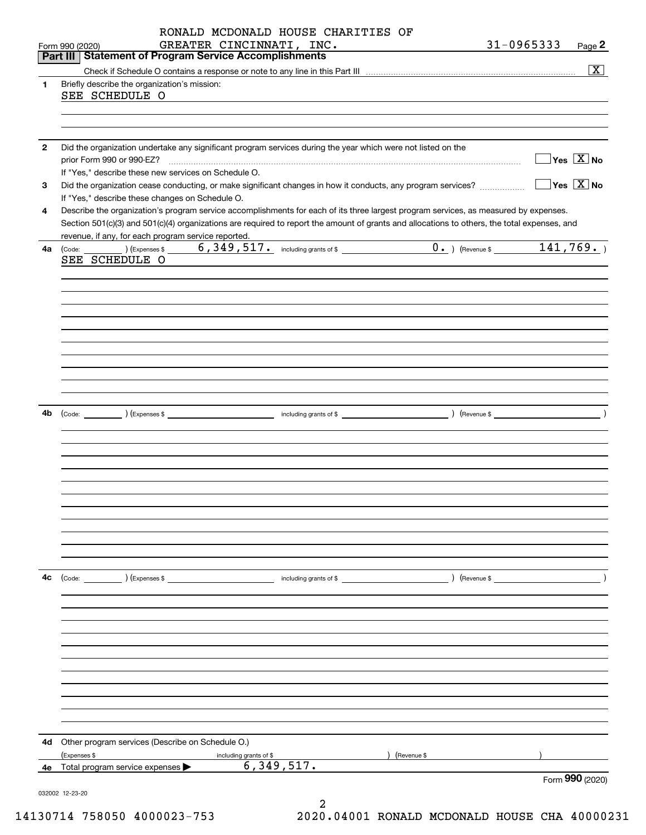|              |                                                                                      | RONALD MCDONALD HOUSE CHARITIES OF<br>GREATER CINCINNATI, INC.                                                                                                                                                                                                                       |                                                    | 31-0965333<br>Page 2                            |
|--------------|--------------------------------------------------------------------------------------|--------------------------------------------------------------------------------------------------------------------------------------------------------------------------------------------------------------------------------------------------------------------------------------|----------------------------------------------------|-------------------------------------------------|
|              | Form 990 (2020)<br><b>Statement of Program Service Accomplishments</b><br>Part III I |                                                                                                                                                                                                                                                                                      |                                                    |                                                 |
|              |                                                                                      |                                                                                                                                                                                                                                                                                      |                                                    | $\boxed{\textbf{X}}$                            |
| 1.           | Briefly describe the organization's mission:                                         |                                                                                                                                                                                                                                                                                      |                                                    |                                                 |
|              | SEE SCHEDULE O                                                                       |                                                                                                                                                                                                                                                                                      |                                                    |                                                 |
|              |                                                                                      |                                                                                                                                                                                                                                                                                      |                                                    |                                                 |
|              |                                                                                      |                                                                                                                                                                                                                                                                                      |                                                    |                                                 |
|              |                                                                                      |                                                                                                                                                                                                                                                                                      |                                                    |                                                 |
| $\mathbf{2}$ |                                                                                      | Did the organization undertake any significant program services during the year which were not listed on the                                                                                                                                                                         |                                                    |                                                 |
|              | prior Form 990 or 990-EZ?                                                            |                                                                                                                                                                                                                                                                                      |                                                    | $\sqrt{Y}$ es $\boxed{X}$ No                    |
|              | If "Yes," describe these new services on Schedule O.                                 |                                                                                                                                                                                                                                                                                      |                                                    | $\boxed{\phantom{1}}$ Yes $\boxed{\text{X}}$ No |
| 3            |                                                                                      | Did the organization cease conducting, or make significant changes in how it conducts, any program services?                                                                                                                                                                         |                                                    |                                                 |
|              | If "Yes," describe these changes on Schedule O.                                      |                                                                                                                                                                                                                                                                                      |                                                    |                                                 |
| 4            |                                                                                      | Describe the organization's program service accomplishments for each of its three largest program services, as measured by expenses.<br>Section 501(c)(3) and 501(c)(4) organizations are required to report the amount of grants and allocations to others, the total expenses, and |                                                    |                                                 |
|              | revenue, if any, for each program service reported.                                  |                                                                                                                                                                                                                                                                                      |                                                    |                                                 |
| 4a l         | (Code:                                                                               | $(141, 769)$ (Expenses \$ $=$ 6,349,517. including grants of \$ $=$ 0. ) (Revenue \$ $=$ 141,769. )                                                                                                                                                                                  | <u> 1989 - Johann Barn, amerikansk politiker (</u> |                                                 |
|              | SEE SCHEDULE O                                                                       |                                                                                                                                                                                                                                                                                      |                                                    |                                                 |
|              |                                                                                      |                                                                                                                                                                                                                                                                                      |                                                    |                                                 |
|              |                                                                                      |                                                                                                                                                                                                                                                                                      |                                                    |                                                 |
|              |                                                                                      |                                                                                                                                                                                                                                                                                      |                                                    |                                                 |
|              |                                                                                      |                                                                                                                                                                                                                                                                                      |                                                    |                                                 |
|              |                                                                                      |                                                                                                                                                                                                                                                                                      |                                                    |                                                 |
|              |                                                                                      |                                                                                                                                                                                                                                                                                      |                                                    |                                                 |
|              |                                                                                      |                                                                                                                                                                                                                                                                                      |                                                    |                                                 |
|              |                                                                                      |                                                                                                                                                                                                                                                                                      |                                                    |                                                 |
|              |                                                                                      |                                                                                                                                                                                                                                                                                      |                                                    |                                                 |
|              |                                                                                      |                                                                                                                                                                                                                                                                                      |                                                    |                                                 |
|              |                                                                                      |                                                                                                                                                                                                                                                                                      |                                                    |                                                 |
| 4b           |                                                                                      |                                                                                                                                                                                                                                                                                      |                                                    |                                                 |
|              |                                                                                      |                                                                                                                                                                                                                                                                                      |                                                    |                                                 |
|              |                                                                                      |                                                                                                                                                                                                                                                                                      |                                                    |                                                 |
|              |                                                                                      |                                                                                                                                                                                                                                                                                      |                                                    |                                                 |
|              |                                                                                      |                                                                                                                                                                                                                                                                                      |                                                    |                                                 |
|              |                                                                                      |                                                                                                                                                                                                                                                                                      |                                                    |                                                 |
|              |                                                                                      |                                                                                                                                                                                                                                                                                      |                                                    |                                                 |
|              |                                                                                      |                                                                                                                                                                                                                                                                                      |                                                    |                                                 |
|              |                                                                                      |                                                                                                                                                                                                                                                                                      |                                                    |                                                 |
|              |                                                                                      |                                                                                                                                                                                                                                                                                      |                                                    |                                                 |
|              |                                                                                      |                                                                                                                                                                                                                                                                                      |                                                    |                                                 |
|              |                                                                                      |                                                                                                                                                                                                                                                                                      |                                                    |                                                 |
|              |                                                                                      |                                                                                                                                                                                                                                                                                      |                                                    |                                                 |
| 4c           | (Code: ) (Expenses \$                                                                | including grants of \$                                                                                                                                                                                                                                                               | ) (Revenue \$                                      |                                                 |
|              |                                                                                      |                                                                                                                                                                                                                                                                                      |                                                    |                                                 |
|              |                                                                                      |                                                                                                                                                                                                                                                                                      |                                                    |                                                 |
|              |                                                                                      |                                                                                                                                                                                                                                                                                      |                                                    |                                                 |
|              |                                                                                      |                                                                                                                                                                                                                                                                                      |                                                    |                                                 |
|              |                                                                                      |                                                                                                                                                                                                                                                                                      |                                                    |                                                 |
|              |                                                                                      |                                                                                                                                                                                                                                                                                      |                                                    |                                                 |
|              |                                                                                      |                                                                                                                                                                                                                                                                                      |                                                    |                                                 |
|              |                                                                                      |                                                                                                                                                                                                                                                                                      |                                                    |                                                 |
|              |                                                                                      |                                                                                                                                                                                                                                                                                      |                                                    |                                                 |
|              |                                                                                      |                                                                                                                                                                                                                                                                                      |                                                    |                                                 |
|              |                                                                                      |                                                                                                                                                                                                                                                                                      |                                                    |                                                 |
| 4d -         | Other program services (Describe on Schedule O.)                                     |                                                                                                                                                                                                                                                                                      |                                                    |                                                 |
|              | (Expenses \$                                                                         | including grants of \$                                                                                                                                                                                                                                                               | (Revenue \$                                        |                                                 |
| 4e <b>1</b>  | Total program service expenses                                                       | 6, 349, 517.                                                                                                                                                                                                                                                                         |                                                    |                                                 |
|              |                                                                                      |                                                                                                                                                                                                                                                                                      |                                                    | Form 990 (2020)                                 |
|              | 032002 12-23-20                                                                      |                                                                                                                                                                                                                                                                                      |                                                    |                                                 |
|              |                                                                                      |                                                                                                                                                                                                                                                                                      |                                                    |                                                 |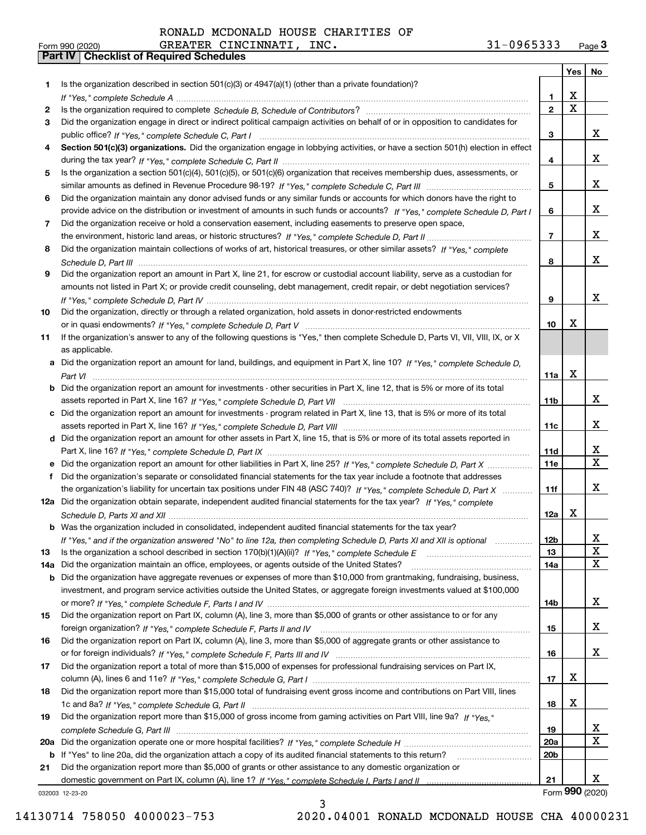|     |                                                                                                                                  |                 | Yes                     | No          |
|-----|----------------------------------------------------------------------------------------------------------------------------------|-----------------|-------------------------|-------------|
|     | Is the organization described in section $501(c)(3)$ or $4947(a)(1)$ (other than a private foundation)?                          |                 |                         |             |
|     |                                                                                                                                  | 1.              | х                       |             |
| 2   |                                                                                                                                  | $\overline{2}$  | $\overline{\mathbf{x}}$ |             |
| 3   | Did the organization engage in direct or indirect political campaign activities on behalf of or in opposition to candidates for  |                 |                         |             |
|     |                                                                                                                                  | 3               |                         | X.          |
| 4   | Section 501(c)(3) organizations. Did the organization engage in lobbying activities, or have a section 501(h) election in effect |                 |                         |             |
|     |                                                                                                                                  | 4               |                         | x           |
| 5   | Is the organization a section 501(c)(4), 501(c)(5), or 501(c)(6) organization that receives membership dues, assessments, or     |                 |                         |             |
|     |                                                                                                                                  | 5               |                         | X.          |
| 6   | Did the organization maintain any donor advised funds or any similar funds or accounts for which donors have the right to        |                 |                         |             |
|     | provide advice on the distribution or investment of amounts in such funds or accounts? If "Yes," complete Schedule D, Part I     | 6               |                         | X.          |
| 7   | Did the organization receive or hold a conservation easement, including easements to preserve open space,                        |                 |                         |             |
|     |                                                                                                                                  | $\overline{7}$  |                         | X.          |
| 8   | Did the organization maintain collections of works of art, historical treasures, or other similar assets? If "Yes," complete     |                 |                         |             |
|     |                                                                                                                                  | 8               |                         | X.          |
| 9   | Did the organization report an amount in Part X, line 21, for escrow or custodial account liability, serve as a custodian for    |                 |                         |             |
|     | amounts not listed in Part X; or provide credit counseling, debt management, credit repair, or debt negotiation services?        |                 |                         |             |
|     |                                                                                                                                  | 9               |                         | x           |
| 10  | Did the organization, directly or through a related organization, hold assets in donor-restricted endowments                     |                 |                         |             |
|     |                                                                                                                                  | 10              | x                       |             |
| 11  | If the organization's answer to any of the following questions is "Yes," then complete Schedule D, Parts VI, VII, VIII, IX, or X |                 |                         |             |
|     | as applicable.                                                                                                                   |                 |                         |             |
|     | a Did the organization report an amount for land, buildings, and equipment in Part X, line 10? If "Yes," complete Schedule D,    |                 | X                       |             |
|     |                                                                                                                                  | 11a             |                         |             |
|     | Did the organization report an amount for investments - other securities in Part X, line 12, that is 5% or more of its total     | 11b             |                         | x           |
| c   | Did the organization report an amount for investments - program related in Part X, line 13, that is 5% or more of its total      |                 |                         |             |
|     |                                                                                                                                  | 11c             |                         | x           |
|     | d Did the organization report an amount for other assets in Part X, line 15, that is 5% or more of its total assets reported in  |                 |                         |             |
|     |                                                                                                                                  | 11d             |                         | x           |
|     |                                                                                                                                  | 11e             |                         | $\mathbf X$ |
| f   | Did the organization's separate or consolidated financial statements for the tax year include a footnote that addresses          |                 |                         |             |
|     | the organization's liability for uncertain tax positions under FIN 48 (ASC 740)? If "Yes," complete Schedule D, Part X           | 11f             |                         | X.          |
|     | 12a Did the organization obtain separate, independent audited financial statements for the tax year? If "Yes," complete          |                 |                         |             |
|     |                                                                                                                                  | 12a             | x                       |             |
|     | <b>b</b> Was the organization included in consolidated, independent audited financial statements for the tax year?               |                 |                         |             |
|     | If "Yes," and if the organization answered "No" to line 12a, then completing Schedule D, Parts XI and XII is optional manum      | 12b             |                         | A           |
| 13  |                                                                                                                                  | 13              |                         | X           |
| 14a | Did the organization maintain an office, employees, or agents outside of the United States?                                      | 14a             |                         | x           |
| b   | Did the organization have aggregate revenues or expenses of more than \$10,000 from grantmaking, fundraising, business,          |                 |                         |             |
|     | investment, and program service activities outside the United States, or aggregate foreign investments valued at \$100,000       |                 |                         |             |
|     |                                                                                                                                  | 14b             |                         | X.          |
| 15  | Did the organization report on Part IX, column (A), line 3, more than \$5,000 of grants or other assistance to or for any        |                 |                         |             |
|     |                                                                                                                                  | 15              |                         | X.          |
| 16  | Did the organization report on Part IX, column (A), line 3, more than \$5,000 of aggregate grants or other assistance to         |                 |                         |             |
|     |                                                                                                                                  | 16              |                         | x           |
| 17  | Did the organization report a total of more than \$15,000 of expenses for professional fundraising services on Part IX,          |                 |                         |             |
|     |                                                                                                                                  | 17              | x                       |             |
| 18  | Did the organization report more than \$15,000 total of fundraising event gross income and contributions on Part VIII, lines     |                 |                         |             |
|     |                                                                                                                                  | 18              | х                       |             |
| 19  | Did the organization report more than \$15,000 of gross income from gaming activities on Part VIII, line 9a? If "Yes."           |                 |                         |             |
|     |                                                                                                                                  | 19              |                         | X           |
| 20a |                                                                                                                                  | <b>20a</b>      |                         | x           |
| b   | If "Yes" to line 20a, did the organization attach a copy of its audited financial statements to this return?                     | 20 <sub>b</sub> |                         |             |
| 21  | Did the organization report more than \$5,000 of grants or other assistance to any domestic organization or                      |                 |                         |             |
|     |                                                                                                                                  | 21              |                         | x           |
|     | 032003 12-23-20                                                                                                                  |                 | Form 990 (2020)         |             |

032003 12-23-20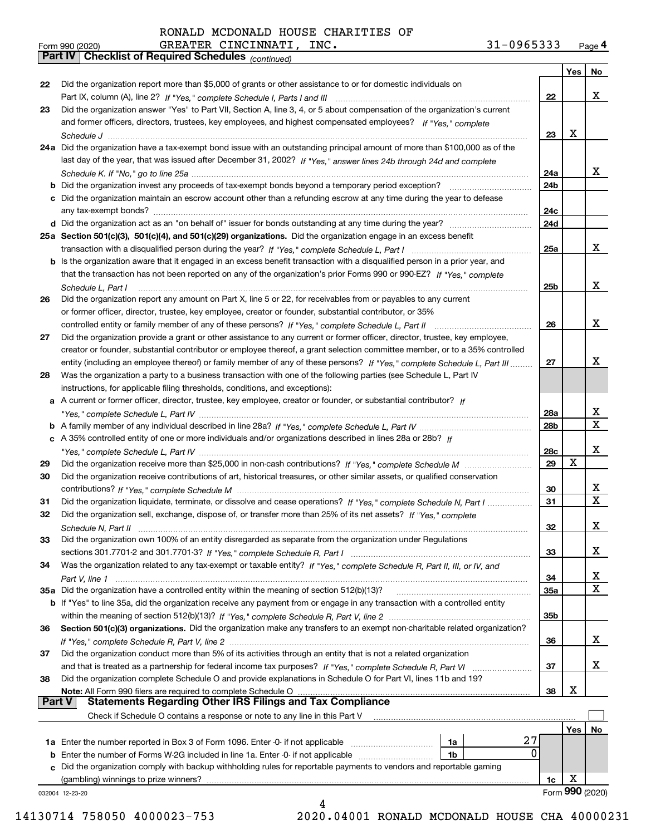|               | 31-0965333<br>GREATER CINCINNATI, INC.<br>Form 990 (2020)                                                                                                                                                                                    |            |                 | Page 4           |
|---------------|----------------------------------------------------------------------------------------------------------------------------------------------------------------------------------------------------------------------------------------------|------------|-----------------|------------------|
|               | Part IV   Checklist of Required Schedules (continued)                                                                                                                                                                                        |            |                 |                  |
| 22            | Did the organization report more than \$5,000 of grants or other assistance to or for domestic individuals on                                                                                                                                |            | Yes             | No               |
|               |                                                                                                                                                                                                                                              | 22         |                 | х                |
| 23            | Did the organization answer "Yes" to Part VII, Section A, line 3, 4, or 5 about compensation of the organization's current                                                                                                                   |            |                 |                  |
|               | and former officers, directors, trustees, key employees, and highest compensated employees? If "Yes," complete                                                                                                                               |            |                 |                  |
|               |                                                                                                                                                                                                                                              | 23         | Х               |                  |
|               | 24a Did the organization have a tax-exempt bond issue with an outstanding principal amount of more than \$100,000 as of the                                                                                                                  |            |                 |                  |
|               | last day of the year, that was issued after December 31, 2002? If "Yes," answer lines 24b through 24d and complete                                                                                                                           |            |                 | X                |
|               |                                                                                                                                                                                                                                              | 24a<br>24b |                 |                  |
|               | c Did the organization maintain an escrow account other than a refunding escrow at any time during the year to defease                                                                                                                       |            |                 |                  |
|               |                                                                                                                                                                                                                                              | 24c        |                 |                  |
|               |                                                                                                                                                                                                                                              | 24d        |                 |                  |
|               | 25a Section 501(c)(3), 501(c)(4), and 501(c)(29) organizations. Did the organization engage in an excess benefit                                                                                                                             |            |                 |                  |
|               | transaction with a disqualified person during the year? If "Yes," complete Schedule L, Part I manufaction with a disqualified person during the year? If "Yes," complete Schedule L, Part I                                                  | 25a        |                 | x                |
|               | b Is the organization aware that it engaged in an excess benefit transaction with a disqualified person in a prior year, and                                                                                                                 |            |                 |                  |
|               | that the transaction has not been reported on any of the organization's prior Forms 990 or 990-EZ? If "Yes," complete                                                                                                                        | 25b        |                 | x                |
| 26            | Schedule L. Part I<br>Did the organization report any amount on Part X, line 5 or 22, for receivables from or payables to any current                                                                                                        |            |                 |                  |
|               | or former officer, director, trustee, key employee, creator or founder, substantial contributor, or 35%                                                                                                                                      |            |                 |                  |
|               |                                                                                                                                                                                                                                              | 26         |                 | x                |
| 27            | Did the organization provide a grant or other assistance to any current or former officer, director, trustee, key employee,                                                                                                                  |            |                 |                  |
|               | creator or founder, substantial contributor or employee thereof, a grant selection committee member, or to a 35% controlled                                                                                                                  |            |                 |                  |
|               | entity (including an employee thereof) or family member of any of these persons? If "Yes," complete Schedule L, Part III                                                                                                                     | 27         |                 | x                |
| 28            | Was the organization a party to a business transaction with one of the following parties (see Schedule L, Part IV                                                                                                                            |            |                 |                  |
|               | instructions, for applicable filing thresholds, conditions, and exceptions):<br>a A current or former officer, director, trustee, key employee, creator or founder, or substantial contributor? If                                           |            |                 |                  |
|               |                                                                                                                                                                                                                                              | 28a        |                 | X                |
|               |                                                                                                                                                                                                                                              | 28b        |                 | $\mathbf{x}$     |
|               | c A 35% controlled entity of one or more individuals and/or organizations described in lines 28a or 28b? If                                                                                                                                  |            |                 |                  |
|               |                                                                                                                                                                                                                                              | 28c        |                 | х                |
| 29            |                                                                                                                                                                                                                                              | 29         | X               |                  |
| 30            | Did the organization receive contributions of art, historical treasures, or other similar assets, or qualified conservation                                                                                                                  |            |                 |                  |
|               |                                                                                                                                                                                                                                              | 30<br>31   |                 | x<br>$\mathbf X$ |
| 31<br>32      | Did the organization liquidate, terminate, or dissolve and cease operations? If "Yes," complete Schedule N, Part I<br>Did the organization sell, exchange, dispose of, or transfer more than 25% of its net assets? If "Yes," complete       |            |                 |                  |
|               | Schedule N. Part II <u>www.marrow.com and contract and contract and contract and contract and contract and contract and contract and contract and contract and contract and contract and contract and contract and contract and </u>         | 32         |                 | х                |
| 33            | Did the organization own 100% of an entity disregarded as separate from the organization under Regulations                                                                                                                                   |            |                 |                  |
|               |                                                                                                                                                                                                                                              | 33         |                 | x                |
| 34            | Was the organization related to any tax-exempt or taxable entity? If "Yes," complete Schedule R, Part II, III, or IV, and                                                                                                                    |            |                 |                  |
|               |                                                                                                                                                                                                                                              | 34         |                 | х                |
|               | 35a Did the organization have a controlled entity within the meaning of section 512(b)(13)?                                                                                                                                                  | <b>35a</b> |                 | X                |
|               | b If "Yes" to line 35a, did the organization receive any payment from or engage in any transaction with a controlled entity                                                                                                                  |            |                 |                  |
| 36            | Section 501(c)(3) organizations. Did the organization make any transfers to an exempt non-charitable related organization?                                                                                                                   | 35b        |                 |                  |
|               |                                                                                                                                                                                                                                              | 36         |                 | х                |
| 37            | Did the organization conduct more than 5% of its activities through an entity that is not a related organization                                                                                                                             |            |                 |                  |
|               |                                                                                                                                                                                                                                              | 37         |                 | х                |
| 38            | Did the organization complete Schedule O and provide explanations in Schedule O for Part VI, lines 11b and 19?                                                                                                                               |            |                 |                  |
|               | Note: All Form 990 filers are required to complete Schedule O<br>المصري المسابق المستوى المسابق المستوى المستوى المستوى المستوى المستوى المستوى المستوى المستوى المستوى المستوى<br>Statements Regarding Other IRS Filings and Tax Compliance | 38         | х               |                  |
| <b>Part V</b> | Check if Schedule O contains a response or note to any line in this Part V                                                                                                                                                                   |            |                 |                  |
|               |                                                                                                                                                                                                                                              |            | Yes $ $         | No               |
|               | 27<br><b>1a</b> Enter the number reported in Box 3 of Form 1096. Enter -0- if not applicable <i>manumumumum</i><br>1a                                                                                                                        |            |                 |                  |
|               | <b>b</b> Enter the number of Forms W-2G included in line 1a. Enter -0- if not applicable<br>1b                                                                                                                                               | 0          |                 |                  |
|               | c Did the organization comply with backup withholding rules for reportable payments to vendors and reportable gaming                                                                                                                         |            |                 |                  |
|               | (gambling) winnings to prize winners?                                                                                                                                                                                                        | 1c         | х               |                  |
|               | 032004 12-23-20<br>Δ                                                                                                                                                                                                                         |            | Form 990 (2020) |                  |
|               |                                                                                                                                                                                                                                              |            |                 |                  |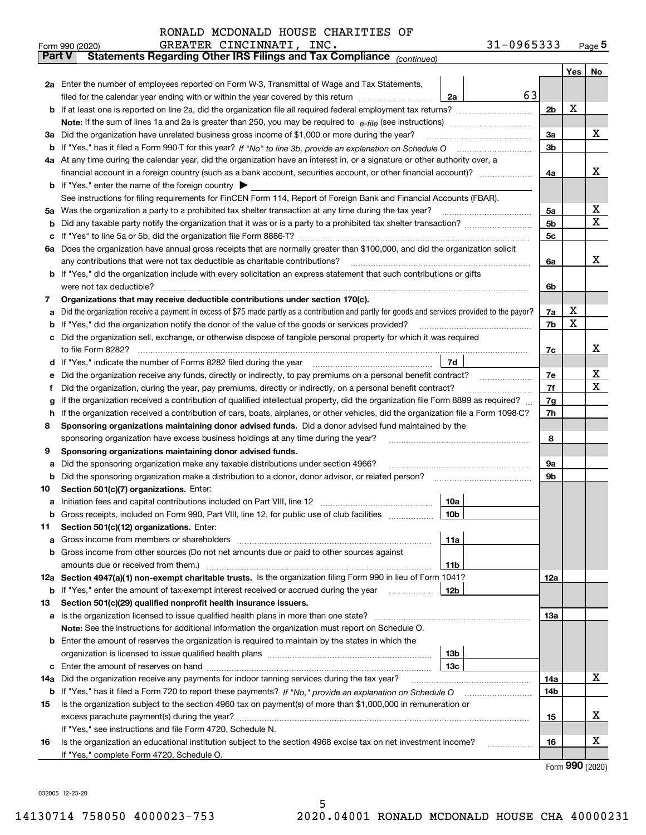|               | $31 - 0965333$<br>GREATER CINCINNATI,<br>INC.<br>Form 990 (2020)                                                                                |                |         | <u>Page</u> 5 |  |  |  |  |  |  |
|---------------|-------------------------------------------------------------------------------------------------------------------------------------------------|----------------|---------|---------------|--|--|--|--|--|--|
| <b>Part V</b> | Statements Regarding Other IRS Filings and Tax Compliance (continued)                                                                           |                |         |               |  |  |  |  |  |  |
|               |                                                                                                                                                 |                | Yes $ $ | No            |  |  |  |  |  |  |
|               | 2a Enter the number of employees reported on Form W-3, Transmittal of Wage and Tax Statements,                                                  |                |         |               |  |  |  |  |  |  |
|               | 63<br>filed for the calendar year ending with or within the year covered by this return <i>manumumumum</i><br>2a                                |                |         |               |  |  |  |  |  |  |
|               |                                                                                                                                                 | 2 <sub>b</sub> | X       |               |  |  |  |  |  |  |
|               |                                                                                                                                                 |                |         |               |  |  |  |  |  |  |
|               | 3a Did the organization have unrelated business gross income of \$1,000 or more during the year?                                                | 3a             |         | х             |  |  |  |  |  |  |
|               |                                                                                                                                                 |                |         |               |  |  |  |  |  |  |
|               | 4a At any time during the calendar year, did the organization have an interest in, or a signature or other authority over, a                    |                |         |               |  |  |  |  |  |  |
|               |                                                                                                                                                 | 4a             |         | х             |  |  |  |  |  |  |
|               | <b>b</b> If "Yes," enter the name of the foreign country $\blacktriangleright$                                                                  |                |         |               |  |  |  |  |  |  |
|               | See instructions for filing requirements for FinCEN Form 114, Report of Foreign Bank and Financial Accounts (FBAR).                             |                |         |               |  |  |  |  |  |  |
|               | 5a Was the organization a party to a prohibited tax shelter transaction at any time during the tax year?                                        | 5a             |         | х             |  |  |  |  |  |  |
| b             |                                                                                                                                                 | 5 <sub>b</sub> |         | х             |  |  |  |  |  |  |
|               |                                                                                                                                                 | 5с             |         |               |  |  |  |  |  |  |
|               | 6a Does the organization have annual gross receipts that are normally greater than \$100,000, and did the organization solicit                  |                |         |               |  |  |  |  |  |  |
|               |                                                                                                                                                 | 6a             |         | х             |  |  |  |  |  |  |
|               | <b>b</b> If "Yes," did the organization include with every solicitation an express statement that such contributions or gifts                   |                |         |               |  |  |  |  |  |  |
|               | were not tax deductible?                                                                                                                        | 6b             |         |               |  |  |  |  |  |  |
| 7             | Organizations that may receive deductible contributions under section 170(c).                                                                   |                |         |               |  |  |  |  |  |  |
| а             | Did the organization receive a payment in excess of \$75 made partly as a contribution and partly for goods and services provided to the payor? | 7a             | х       |               |  |  |  |  |  |  |
|               | <b>b</b> If "Yes," did the organization notify the donor of the value of the goods or services provided?                                        | 7b             | X       |               |  |  |  |  |  |  |
|               | c Did the organization sell, exchange, or otherwise dispose of tangible personal property for which it was required                             |                |         |               |  |  |  |  |  |  |
|               |                                                                                                                                                 | 7с             |         | х             |  |  |  |  |  |  |
|               | 7d                                                                                                                                              |                |         |               |  |  |  |  |  |  |
| е             |                                                                                                                                                 | 7e             |         | х             |  |  |  |  |  |  |
| f             | Did the organization, during the year, pay premiums, directly or indirectly, on a personal benefit contract?                                    | 7f             |         | x             |  |  |  |  |  |  |
| g             | If the organization received a contribution of qualified intellectual property, did the organization file Form 8899 as required?                | 7g             |         |               |  |  |  |  |  |  |
| h.            | If the organization received a contribution of cars, boats, airplanes, or other vehicles, did the organization file a Form 1098-C?              | 7h             |         |               |  |  |  |  |  |  |
| 8             | Sponsoring organizations maintaining donor advised funds. Did a donor advised fund maintained by the                                            |                |         |               |  |  |  |  |  |  |
|               | sponsoring organization have excess business holdings at any time during the year?                                                              | 8              |         |               |  |  |  |  |  |  |
| 9             | Sponsoring organizations maintaining donor advised funds.                                                                                       |                |         |               |  |  |  |  |  |  |
| а             | Did the sponsoring organization make any taxable distributions under section 4966?                                                              | 9а             |         |               |  |  |  |  |  |  |
|               | <b>b</b> Did the sponsoring organization make a distribution to a donor, donor advisor, or related person?                                      | 9b             |         |               |  |  |  |  |  |  |
| 10            | Section 501(c)(7) organizations. Enter:                                                                                                         |                |         |               |  |  |  |  |  |  |
|               | 10a                                                                                                                                             |                |         |               |  |  |  |  |  |  |
|               | 10b <br>Gross receipts, included on Form 990, Part VIII, line 12, for public use of club facilities                                             |                |         |               |  |  |  |  |  |  |
| 11            | Section 501(c)(12) organizations. Enter:                                                                                                        |                |         |               |  |  |  |  |  |  |
|               | 11a                                                                                                                                             |                |         |               |  |  |  |  |  |  |
|               | b Gross income from other sources (Do not net amounts due or paid to other sources against                                                      |                |         |               |  |  |  |  |  |  |
|               | 11b<br>12a Section 4947(a)(1) non-exempt charitable trusts. Is the organization filing Form 990 in lieu of Form 1041?                           | 12a            |         |               |  |  |  |  |  |  |
|               | 12b<br><b>b</b> If "Yes," enter the amount of tax-exempt interest received or accrued during the year <i>manument</i>                           |                |         |               |  |  |  |  |  |  |
| 13            | Section 501(c)(29) qualified nonprofit health insurance issuers.                                                                                |                |         |               |  |  |  |  |  |  |
|               | a Is the organization licensed to issue qualified health plans in more than one state?                                                          | 13а            |         |               |  |  |  |  |  |  |
|               | Note: See the instructions for additional information the organization must report on Schedule O.                                               |                |         |               |  |  |  |  |  |  |
|               | <b>b</b> Enter the amount of reserves the organization is required to maintain by the states in which the                                       |                |         |               |  |  |  |  |  |  |
|               | 13b                                                                                                                                             |                |         |               |  |  |  |  |  |  |
|               | 13с                                                                                                                                             |                |         |               |  |  |  |  |  |  |
| 14a           | Did the organization receive any payments for indoor tanning services during the tax year?                                                      | 14a            |         | x             |  |  |  |  |  |  |
|               | <b>b</b> If "Yes," has it filed a Form 720 to report these payments? If "No," provide an explanation on Schedule O                              | 14b            |         |               |  |  |  |  |  |  |
| 15            | Is the organization subject to the section 4960 tax on payment(s) of more than \$1,000,000 in remuneration or                                   |                |         |               |  |  |  |  |  |  |
|               |                                                                                                                                                 | 15             |         | x             |  |  |  |  |  |  |
|               | If "Yes," see instructions and file Form 4720, Schedule N.                                                                                      |                |         |               |  |  |  |  |  |  |
| 16            | Is the organization an educational institution subject to the section 4968 excise tax on net investment income?                                 | 16             |         | х             |  |  |  |  |  |  |
|               | If "Yes," complete Form 4720, Schedule O.                                                                                                       |                |         |               |  |  |  |  |  |  |

Form (2020) **990**

032005 12-23-20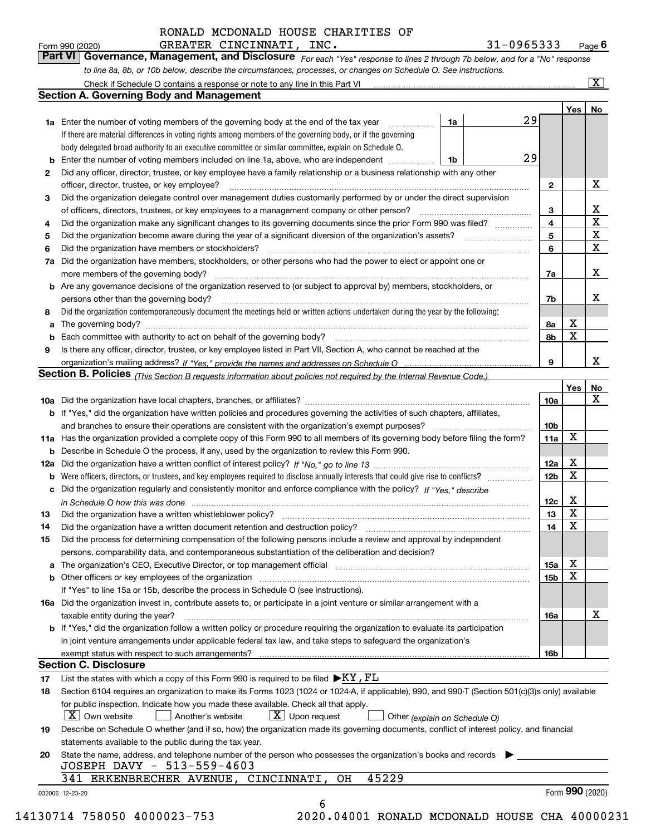|    | GREATER CINCINNATI, INC.<br>Form 990 (2020)                                                                                                                                                                                                                                                                                                                                 |    | 31-0965333 |                         |             | Page $6$                |  |  |  |  |  |
|----|-----------------------------------------------------------------------------------------------------------------------------------------------------------------------------------------------------------------------------------------------------------------------------------------------------------------------------------------------------------------------------|----|------------|-------------------------|-------------|-------------------------|--|--|--|--|--|
|    | Part VI   Governance, Management, and Disclosure For each "Yes" response to lines 2 through 7b below, and for a "No" response                                                                                                                                                                                                                                               |    |            |                         |             |                         |  |  |  |  |  |
|    | to line 8a, 8b, or 10b below, describe the circumstances, processes, or changes on Schedule O. See instructions.                                                                                                                                                                                                                                                            |    |            |                         |             |                         |  |  |  |  |  |
|    | Check if Schedule O contains a response or note to any line in this Part VI [11] [12] Check if Schedule O contains a response or note to any line in this Part VI                                                                                                                                                                                                           |    |            |                         |             | $\overline{\mathbf{x}}$ |  |  |  |  |  |
|    | <b>Section A. Governing Body and Management</b>                                                                                                                                                                                                                                                                                                                             |    |            |                         |             |                         |  |  |  |  |  |
|    |                                                                                                                                                                                                                                                                                                                                                                             |    |            |                         | Yes         | No                      |  |  |  |  |  |
|    | <b>1a</b> Enter the number of voting members of the governing body at the end of the tax year                                                                                                                                                                                                                                                                               | 1a | 29         |                         |             |                         |  |  |  |  |  |
|    | If there are material differences in voting rights among members of the governing body, or if the governing                                                                                                                                                                                                                                                                 |    |            |                         |             |                         |  |  |  |  |  |
|    | body delegated broad authority to an executive committee or similar committee, explain on Schedule O.                                                                                                                                                                                                                                                                       |    |            |                         |             |                         |  |  |  |  |  |
| b  | 29<br>Enter the number of voting members included on line 1a, above, who are independent<br>1b                                                                                                                                                                                                                                                                              |    |            |                         |             |                         |  |  |  |  |  |
| 2  | Did any officer, director, trustee, or key employee have a family relationship or a business relationship with any other                                                                                                                                                                                                                                                    |    |            |                         |             |                         |  |  |  |  |  |
|    | officer, director, trustee, or key employee?                                                                                                                                                                                                                                                                                                                                |    |            |                         |             |                         |  |  |  |  |  |
| з  | Did the organization delegate control over management duties customarily performed by or under the direct supervision                                                                                                                                                                                                                                                       |    |            |                         |             |                         |  |  |  |  |  |
|    | of officers, directors, trustees, or key employees to a management company or other person?                                                                                                                                                                                                                                                                                 |    |            | 3                       |             | х                       |  |  |  |  |  |
| 4  | Did the organization make any significant changes to its governing documents since the prior Form 990 was filed?                                                                                                                                                                                                                                                            |    |            | $\overline{\mathbf{4}}$ |             | $\mathbf X$             |  |  |  |  |  |
| 5  |                                                                                                                                                                                                                                                                                                                                                                             |    |            | 5                       |             | X                       |  |  |  |  |  |
| 6  | Did the organization have members or stockholders?                                                                                                                                                                                                                                                                                                                          |    |            | 6                       |             | X                       |  |  |  |  |  |
| 7a | Did the organization have members, stockholders, or other persons who had the power to elect or appoint one or                                                                                                                                                                                                                                                              |    |            |                         |             |                         |  |  |  |  |  |
|    | $\begin{bmatrix} \begin{bmatrix} 0 & 0 & 0 & 0 \\ 0 & 0 & 0 & 0 \\ 0 & 0 & 0 & 0 \\ 0 & 0 & 0 & 0 \\ 0 & 0 & 0 & 0 \\ 0 & 0 & 0 & 0 & 0 \\ 0 & 0 & 0 & 0 & 0 \\ 0 & 0 & 0 & 0 & 0 \\ 0 & 0 & 0 & 0 & 0 \\ 0 & 0 & 0 & 0 & 0 \\ 0 & 0 & 0 & 0 & 0 \\ 0 & 0 & 0 & 0 & 0 \\ 0 & 0 & 0 & 0 & 0 & 0 \\ 0 & 0 & 0 & 0 & 0 & 0 \\ 0 & 0 & $<br>more members of the governing body? |    |            | 7a                      |             | х                       |  |  |  |  |  |
|    | <b>b</b> Are any governance decisions of the organization reserved to (or subject to approval by) members, stockholders, or                                                                                                                                                                                                                                                 |    |            |                         |             |                         |  |  |  |  |  |
|    | persons other than the governing body?                                                                                                                                                                                                                                                                                                                                      |    |            | 7b                      |             | х                       |  |  |  |  |  |
| 8  | Did the organization contemporaneously document the meetings held or written actions undertaken during the year by the following:                                                                                                                                                                                                                                           |    |            |                         |             |                         |  |  |  |  |  |
| a  |                                                                                                                                                                                                                                                                                                                                                                             |    |            | 8а                      | х           |                         |  |  |  |  |  |
| b  | Each committee with authority to act on behalf of the governing body?                                                                                                                                                                                                                                                                                                       |    |            | 8b                      | х           |                         |  |  |  |  |  |
| 9  | Is there any officer, director, trustee, or key employee listed in Part VII, Section A, who cannot be reached at the                                                                                                                                                                                                                                                        |    |            |                         |             |                         |  |  |  |  |  |
|    |                                                                                                                                                                                                                                                                                                                                                                             |    |            | 9                       |             | x                       |  |  |  |  |  |
|    | Section B. Policies (This Section B requests information about policies not required by the Internal Revenue Code.)                                                                                                                                                                                                                                                         |    |            |                         |             |                         |  |  |  |  |  |
|    |                                                                                                                                                                                                                                                                                                                                                                             |    |            |                         | Yes         | No<br>х                 |  |  |  |  |  |
|    |                                                                                                                                                                                                                                                                                                                                                                             |    |            | 10a                     |             |                         |  |  |  |  |  |
|    | b If "Yes," did the organization have written policies and procedures governing the activities of such chapters, affiliates,<br>and branches to ensure their operations are consistent with the organization's exempt purposes?                                                                                                                                             |    |            | 10 <sub>b</sub>         |             |                         |  |  |  |  |  |
|    | 11a Has the organization provided a complete copy of this Form 990 to all members of its governing body before filing the form?                                                                                                                                                                                                                                             |    |            | 11a                     | X           |                         |  |  |  |  |  |
|    | <b>b</b> Describe in Schedule O the process, if any, used by the organization to review this Form 990.                                                                                                                                                                                                                                                                      |    |            |                         |             |                         |  |  |  |  |  |
|    |                                                                                                                                                                                                                                                                                                                                                                             |    |            | 12a                     | х           |                         |  |  |  |  |  |
|    |                                                                                                                                                                                                                                                                                                                                                                             |    |            | 12 <sub>b</sub>         | X           |                         |  |  |  |  |  |
|    | c Did the organization regularly and consistently monitor and enforce compliance with the policy? If "Yes," describe                                                                                                                                                                                                                                                        |    |            |                         |             |                         |  |  |  |  |  |
|    | in Schedule O how this was done <i>maching and content of the content of the state of the schedule O how this was</i>                                                                                                                                                                                                                                                       |    |            | 12c                     | х           |                         |  |  |  |  |  |
|    |                                                                                                                                                                                                                                                                                                                                                                             |    |            | 13                      | $\mathbf X$ |                         |  |  |  |  |  |
| 14 | Did the organization have a written document retention and destruction policy?                                                                                                                                                                                                                                                                                              |    |            | 14                      | X           |                         |  |  |  |  |  |
| 15 | Did the process for determining compensation of the following persons include a review and approval by independent                                                                                                                                                                                                                                                          |    |            |                         |             |                         |  |  |  |  |  |
|    | persons, comparability data, and contemporaneous substantiation of the deliberation and decision?                                                                                                                                                                                                                                                                           |    |            |                         |             |                         |  |  |  |  |  |
| a  | The organization's CEO, Executive Director, or top management official manufactured content content of the organization's CEO, Executive Director, or top management official manufactured content of the original manufacture                                                                                                                                              |    |            | 15a                     | х           |                         |  |  |  |  |  |
|    | <b>b</b> Other officers or key employees of the organization                                                                                                                                                                                                                                                                                                                |    |            | 15 <sub>b</sub>         | х           |                         |  |  |  |  |  |
|    | If "Yes" to line 15a or 15b, describe the process in Schedule O (see instructions).                                                                                                                                                                                                                                                                                         |    |            |                         |             |                         |  |  |  |  |  |
|    | 16a Did the organization invest in, contribute assets to, or participate in a joint venture or similar arrangement with a                                                                                                                                                                                                                                                   |    |            |                         |             |                         |  |  |  |  |  |
|    | taxable entity during the year?                                                                                                                                                                                                                                                                                                                                             |    |            | 16a                     |             | х                       |  |  |  |  |  |
|    | b If "Yes," did the organization follow a written policy or procedure requiring the organization to evaluate its participation                                                                                                                                                                                                                                              |    |            |                         |             |                         |  |  |  |  |  |
|    | in joint venture arrangements under applicable federal tax law, and take steps to safeguard the organization's                                                                                                                                                                                                                                                              |    |            |                         |             |                         |  |  |  |  |  |
|    | exempt status with respect to such arrangements?                                                                                                                                                                                                                                                                                                                            |    |            | 16b                     |             |                         |  |  |  |  |  |
|    | <b>Section C. Disclosure</b>                                                                                                                                                                                                                                                                                                                                                |    |            |                         |             |                         |  |  |  |  |  |
| 17 | List the states with which a copy of this Form 990 is required to be filed $\blacktriangleright$ KY, FL                                                                                                                                                                                                                                                                     |    |            |                         |             |                         |  |  |  |  |  |
| 18 | Section 6104 requires an organization to make its Forms 1023 (1024 or 1024-A, if applicable), 990, and 990-T (Section 501(c)(3)s only) available                                                                                                                                                                                                                            |    |            |                         |             |                         |  |  |  |  |  |
|    | for public inspection. Indicate how you made these available. Check all that apply.                                                                                                                                                                                                                                                                                         |    |            |                         |             |                         |  |  |  |  |  |
|    | $\lfloor x \rfloor$ Own website<br>$X$ Upon request<br>Another's website<br>Other (explain on Schedule O)                                                                                                                                                                                                                                                                   |    |            |                         |             |                         |  |  |  |  |  |
| 19 | Describe on Schedule O whether (and if so, how) the organization made its governing documents, conflict of interest policy, and financial                                                                                                                                                                                                                                   |    |            |                         |             |                         |  |  |  |  |  |
|    | statements available to the public during the tax year.                                                                                                                                                                                                                                                                                                                     |    |            |                         |             |                         |  |  |  |  |  |
| 20 | State the name, address, and telephone number of the person who possesses the organization's books and records<br>JOSEPH DAVY - 513-559-4603                                                                                                                                                                                                                                |    |            |                         |             |                         |  |  |  |  |  |
|    |                                                                                                                                                                                                                                                                                                                                                                             |    |            |                         |             |                         |  |  |  |  |  |

6

|  |  | 341 ERKENBRECHER AVENUE, |  | CINCINNATI, |  | 45229 |
|--|--|--------------------------|--|-------------|--|-------|
|--|--|--------------------------|--|-------------|--|-------|

032006 12-23-20

14130714 758050 4000023-753 2020.04001 RONALD MCDONALD HOUSE CHA 40000231

Form (2020) **990**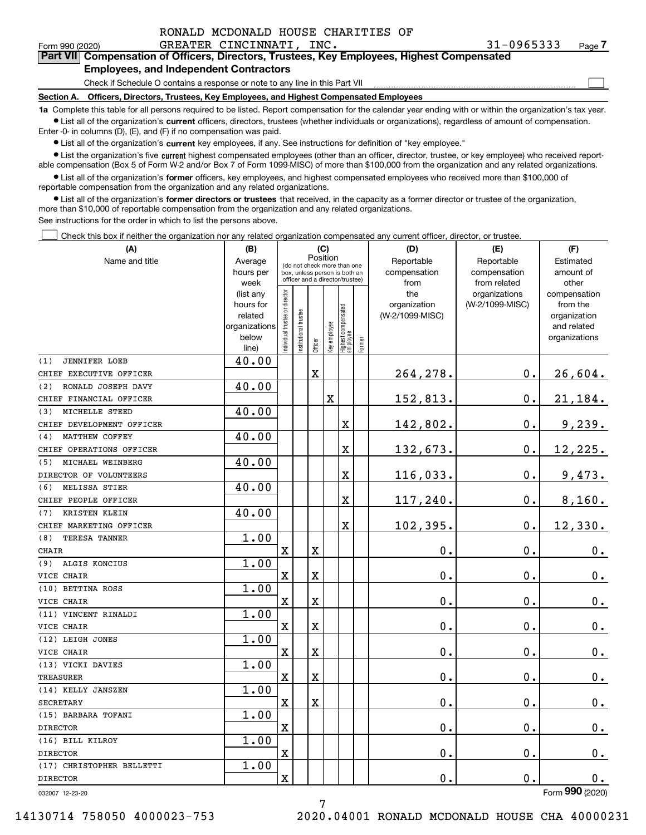$\mathcal{L}^{\text{max}}$ 

### Form 990 (2020) GREATER CINCINNATI, INC.  $31-0965333$  Page **7Part VII Compensation of Officers, Directors, Trustees, Key Employees, Highest Compensated Employees, and Independent Contractors**

Check if Schedule O contains a response or note to any line in this Part VII

**Section A. Officers, Directors, Trustees, Key Employees, and Highest Compensated Employees**

**1a**  Complete this table for all persons required to be listed. Report compensation for the calendar year ending with or within the organization's tax year. **•** List all of the organization's current officers, directors, trustees (whether individuals or organizations), regardless of amount of compensation.

Enter -0- in columns (D), (E), and (F) if no compensation was paid.

 $\bullet$  List all of the organization's  $\,$ current key employees, if any. See instructions for definition of "key employee."

• List the organization's five current highest compensated employees (other than an officer, director, trustee, or key employee) who received report-■ List the organization's five current highest compensated employees (other than an officer, director, trustee, or key employee) who received report-<br>able compensation (Box 5 of Form W-2 and/or Box 7 of Form 1099-MISC) of

**•** List all of the organization's former officers, key employees, and highest compensated employees who received more than \$100,000 of reportable compensation from the organization and any related organizations.

**former directors or trustees**  ¥ List all of the organization's that received, in the capacity as a former director or trustee of the organization, more than \$10,000 of reportable compensation from the organization and any related organizations.

See instructions for the order in which to list the persons above.

Check this box if neither the organization nor any related organization compensated any current officer, director, or trustee.  $\mathcal{L}^{\text{max}}$ 

| (A)                                    | (B)            |                                                              |                                 |             | (C)          |                                 |        | (D)             | (E)             | (F)             |
|----------------------------------------|----------------|--------------------------------------------------------------|---------------------------------|-------------|--------------|---------------------------------|--------|-----------------|-----------------|-----------------|
| Name and title                         | Average        | Position                                                     |                                 |             |              |                                 |        | Reportable      | Reportable      | Estimated       |
|                                        | hours per      | (do not check more than one<br>box, unless person is both an |                                 |             |              |                                 |        | compensation    | compensation    | amount of       |
|                                        | week           |                                                              | officer and a director/trustee) |             |              |                                 |        | from            | from related    | other           |
|                                        | (list any      |                                                              |                                 |             |              |                                 |        | the             | organizations   | compensation    |
|                                        | hours for      |                                                              |                                 |             |              |                                 |        | organization    | (W-2/1099-MISC) | from the        |
|                                        | related        |                                                              |                                 |             |              |                                 |        | (W-2/1099-MISC) |                 | organization    |
|                                        | organizations  |                                                              |                                 |             |              |                                 |        |                 |                 | and related     |
|                                        | below<br>line) | Individual trustee or director                               | Institutional trustee           | Officer     | Key employee | Highest compensated<br>employee | Former |                 |                 | organizations   |
| <b>JENNIFER LOEB</b><br>(1)            | 40.00          |                                                              |                                 |             |              |                                 |        |                 |                 |                 |
| CHIEF EXECUTIVE OFFICER                |                |                                                              |                                 | $\mathbf X$ |              |                                 |        | 264, 278.       | $\mathbf 0$ .   | 26,604.         |
| RONALD JOSEPH DAVY<br>(2)              | 40.00          |                                                              |                                 |             |              |                                 |        |                 |                 |                 |
| CHIEF FINANCIAL OFFICER                |                |                                                              |                                 |             | X            |                                 |        | 152,813.        | $\mathbf 0$ .   | 21, 184.        |
| MICHELLE STEED<br>(3)                  | 40.00          |                                                              |                                 |             |              |                                 |        |                 |                 |                 |
| CHIEF DEVELOPMENT OFFICER              |                |                                                              |                                 |             |              | X                               |        | 142,802.        | $\mathbf 0$ .   | 9,239.          |
| MATTHEW COFFEY<br>(4)                  | 40.00          |                                                              |                                 |             |              |                                 |        |                 |                 |                 |
| CHIEF OPERATIONS OFFICER               |                |                                                              |                                 |             |              | X                               |        | 132,673.        | $\mathbf 0$ .   | 12,225.         |
| MICHAEL WEINBERG<br>(5)                | 40.00          |                                                              |                                 |             |              |                                 |        |                 |                 |                 |
| DIRECTOR OF VOLUNTEERS                 |                |                                                              |                                 |             |              | X                               |        | 116,033.        | $\mathbf 0$ .   | 9,473.          |
| MELISSA STIER<br>(6)                   | 40.00          |                                                              |                                 |             |              |                                 |        |                 |                 |                 |
| CHIEF PEOPLE OFFICER                   |                |                                                              |                                 |             |              | X                               |        | 117,240.        | $\mathbf 0$ .   | 8,160.          |
| KRISTEN KLEIN<br>(7)                   | 40.00          |                                                              |                                 |             |              |                                 |        |                 |                 |                 |
| CHIEF MARKETING OFFICER                |                |                                                              |                                 |             |              | X                               |        | 102,395.        | $\mathbf 0$ .   | 12,330.         |
| (8)<br>TERESA TANNER                   | 1.00           |                                                              |                                 |             |              |                                 |        |                 |                 |                 |
| <b>CHAIR</b>                           |                | X                                                            |                                 | X           |              |                                 |        | 0.              | 0.              | $0_{\cdot}$     |
| ALGIS KONCIUS<br>(9)                   | 1.00           |                                                              |                                 |             |              |                                 |        |                 |                 |                 |
| VICE CHAIR                             |                | $\mathbf X$                                                  |                                 | X           |              |                                 |        | 0.              | 0.              | 0.              |
| (10) BETTINA ROSS                      | 1.00           |                                                              |                                 |             |              |                                 |        |                 |                 |                 |
| VICE CHAIR                             |                | $\mathbf X$                                                  |                                 | X           |              |                                 |        | 0.              | 0.              | 0.              |
| (11) VINCENT RINALDI                   | 1.00           |                                                              |                                 |             |              |                                 |        |                 |                 |                 |
| VICE CHAIR                             |                | $\mathbf X$                                                  |                                 | X           |              |                                 |        | 0.              | 0.              | 0.              |
| (12) LEIGH JONES                       | 1.00           |                                                              |                                 |             |              |                                 |        |                 |                 |                 |
| VICE CHAIR                             |                | $\mathbf X$                                                  |                                 | X           |              |                                 |        | 0.              | 0.              | 0.              |
| (13) VICKI DAVIES                      | 1.00           |                                                              |                                 |             |              |                                 |        |                 |                 |                 |
| <b>TREASURER</b><br>(14) KELLY JANSZEN |                | $\mathbf X$                                                  |                                 | X           |              |                                 |        | 0.              | 0.              | 0.              |
| <b>SECRETARY</b>                       | 1.00           | X                                                            |                                 | X           |              |                                 |        | 0.              | 0.              | $0_{.}$         |
| (15) BARBARA TOFANI                    | 1.00           |                                                              |                                 |             |              |                                 |        |                 |                 |                 |
| <b>DIRECTOR</b>                        |                | X                                                            |                                 |             |              |                                 |        | $\mathbf 0$ .   | $\mathbf 0$ .   | 0.              |
| (16) BILL KILROY                       | 1.00           |                                                              |                                 |             |              |                                 |        |                 |                 |                 |
| <b>DIRECTOR</b>                        |                | X                                                            |                                 |             |              |                                 |        | $\mathbf 0$ .   | 0.              | $0_{.}$         |
| (17) CHRISTOPHER BELLETTI              | 1.00           |                                                              |                                 |             |              |                                 |        |                 |                 |                 |
| <b>DIRECTOR</b>                        |                | X                                                            |                                 |             |              |                                 |        | $\mathbf 0$ .   | 0.              | 0.              |
| 032007 12-23-20                        |                |                                                              |                                 |             |              |                                 |        |                 |                 | Form 990 (2020) |
|                                        |                |                                                              |                                 | 7           |              |                                 |        |                 |                 |                 |

7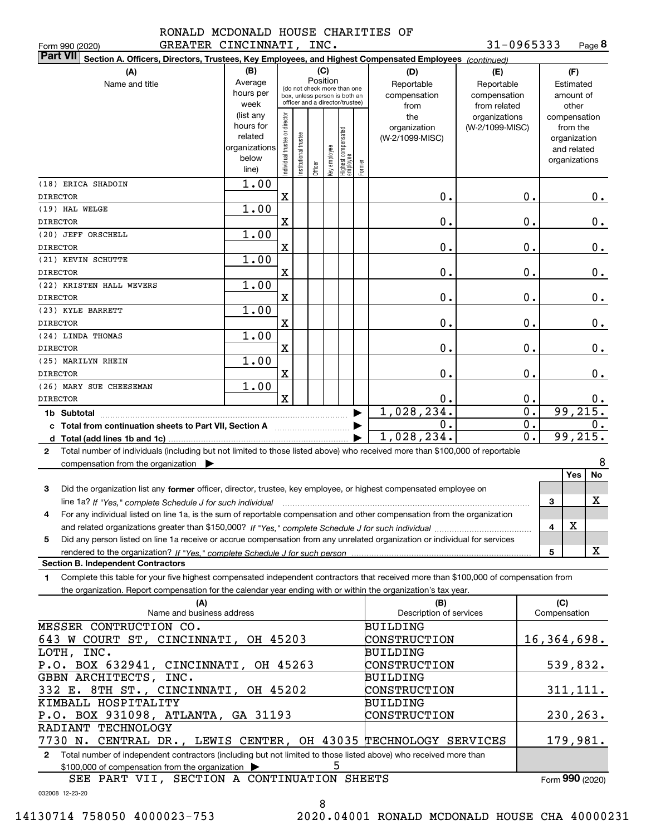|                                                                                                                                              | RUNALD MCDONALD HOUSE CHARIIIES OF<br>31-0965333<br>GREATER CINCINNATI, INC.                                                                            |                                                                      |                                                                                                                                                         |                      |         |              |                                   |        |                                        |                                                   |              | Page 8                                                   |               |
|----------------------------------------------------------------------------------------------------------------------------------------------|---------------------------------------------------------------------------------------------------------------------------------------------------------|----------------------------------------------------------------------|---------------------------------------------------------------------------------------------------------------------------------------------------------|----------------------|---------|--------------|-----------------------------------|--------|----------------------------------------|---------------------------------------------------|--------------|----------------------------------------------------------|---------------|
|                                                                                                                                              | Form 990 (2020)<br><b>Part VII</b>                                                                                                                      |                                                                      |                                                                                                                                                         |                      |         |              |                                   |        |                                        |                                                   |              |                                                          |               |
| Section A. Officers, Directors, Trustees, Key Employees, and Highest Compensated Employees (continued)<br>(B)                                |                                                                                                                                                         |                                                                      |                                                                                                                                                         |                      |         |              |                                   |        |                                        |                                                   |              |                                                          |               |
|                                                                                                                                              | (A)<br>Name and title                                                                                                                                   | Average<br>hours per<br>week                                         | (C)<br>(D)<br>Position<br>Reportable<br>(do not check more than one<br>compensation<br>box, unless person is both an<br>officer and a director/trustee) |                      |         |              |                                   |        | from                                   | (E)<br>Reportable<br>compensation<br>from related |              | (F)<br>Estimated<br>amount of<br>other                   |               |
|                                                                                                                                              |                                                                                                                                                         | (list any<br>hours for<br>related<br>organizations<br>below<br>line) | ndividual trustee or director                                                                                                                           | nstitutional trustee | Officer | key employee | Highest compensated<br>  employee | Former | the<br>organization<br>(W-2/1099-MISC) | organizations<br>(W-2/1099-MISC)                  | compensation | from the<br>organization<br>and related<br>organizations |               |
|                                                                                                                                              | (18) ERICA SHADOIN                                                                                                                                      | 1.00                                                                 |                                                                                                                                                         |                      |         |              |                                   |        |                                        |                                                   |              |                                                          |               |
| <b>DIRECTOR</b>                                                                                                                              |                                                                                                                                                         |                                                                      | $\rm X$                                                                                                                                                 |                      |         |              |                                   |        | 0.                                     | 0.                                                |              |                                                          | $\mathbf 0$ . |
|                                                                                                                                              | (19) HAL WELGE                                                                                                                                          | 1.00                                                                 |                                                                                                                                                         |                      |         |              |                                   |        |                                        |                                                   |              |                                                          |               |
| <b>DIRECTOR</b>                                                                                                                              |                                                                                                                                                         |                                                                      | $\mathbf X$                                                                                                                                             |                      |         |              |                                   |        | 0.                                     | $\mathbf 0$ .                                     |              |                                                          | $\mathbf 0$ . |
| <b>DIRECTOR</b>                                                                                                                              | (20) JEFF ORSCHELL                                                                                                                                      | 1.00                                                                 | $\mathbf X$                                                                                                                                             |                      |         |              |                                   |        | 0.                                     | 0.                                                |              |                                                          | $\mathbf 0$ . |
|                                                                                                                                              | (21) KEVIN SCHUTTE                                                                                                                                      | 1.00                                                                 |                                                                                                                                                         |                      |         |              |                                   |        |                                        |                                                   |              |                                                          |               |
| <b>DIRECTOR</b>                                                                                                                              |                                                                                                                                                         |                                                                      | $\mathbf X$                                                                                                                                             |                      |         |              |                                   |        | 0.                                     | 0.                                                |              |                                                          | $\mathbf 0$ . |
| <b>DIRECTOR</b>                                                                                                                              | (22) KRISTEN HALL WEVERS                                                                                                                                | 1.00                                                                 | X                                                                                                                                                       |                      |         |              |                                   |        | 0.                                     | 0.                                                |              |                                                          | $\mathbf 0$ . |
|                                                                                                                                              | (23) KYLE BARRETT                                                                                                                                       | 1.00                                                                 |                                                                                                                                                         |                      |         |              |                                   |        |                                        |                                                   |              |                                                          |               |
| <b>DIRECTOR</b>                                                                                                                              |                                                                                                                                                         |                                                                      | X                                                                                                                                                       |                      |         |              |                                   |        | 0.                                     | $\mathbf 0$ .                                     |              |                                                          | 0.            |
|                                                                                                                                              | (24) LINDA THOMAS                                                                                                                                       | 1.00                                                                 |                                                                                                                                                         |                      |         |              |                                   |        |                                        |                                                   |              |                                                          |               |
| <b>DIRECTOR</b>                                                                                                                              |                                                                                                                                                         |                                                                      | X                                                                                                                                                       |                      |         |              |                                   |        | 0.                                     | 0.                                                |              |                                                          | $0$ .         |
|                                                                                                                                              | (25) MARILYN RHEIN                                                                                                                                      | 1.00                                                                 |                                                                                                                                                         |                      |         |              |                                   |        |                                        |                                                   |              |                                                          |               |
| <b>DIRECTOR</b>                                                                                                                              |                                                                                                                                                         |                                                                      | $\mathbf X$                                                                                                                                             |                      |         |              |                                   |        | 0.                                     | $\mathbf 0$ .                                     |              |                                                          | $\mathbf 0$ . |
|                                                                                                                                              | (26) MARY SUE CHEESEMAN                                                                                                                                 | 1.00                                                                 |                                                                                                                                                         |                      |         |              |                                   |        |                                        |                                                   |              |                                                          |               |
| <b>DIRECTOR</b>                                                                                                                              |                                                                                                                                                         |                                                                      | $\mathbf x$                                                                                                                                             |                      |         |              |                                   |        | 0.                                     | 0.                                                |              |                                                          | О.            |
|                                                                                                                                              |                                                                                                                                                         |                                                                      |                                                                                                                                                         |                      |         |              |                                   |        | 1,028,234.                             | $\overline{0}$ .                                  |              | 99, 215.                                                 |               |
|                                                                                                                                              |                                                                                                                                                         |                                                                      |                                                                                                                                                         |                      |         |              |                                   |        | 0.                                     | $\mathbf 0$ .                                     |              |                                                          | 0.            |
|                                                                                                                                              | 1,028,234.<br>0.                                                                                                                                        |                                                                      |                                                                                                                                                         |                      |         |              |                                   |        |                                        |                                                   |              | 99, 215.                                                 |               |
| Total number of individuals (including but not limited to those listed above) who received more than \$100,000 of reportable<br>$\mathbf{2}$ |                                                                                                                                                         |                                                                      |                                                                                                                                                         |                      |         |              |                                   |        |                                        |                                                   |              |                                                          |               |
| compensation from the organization $\blacktriangleright$                                                                                     |                                                                                                                                                         |                                                                      |                                                                                                                                                         |                      |         |              |                                   |        |                                        | 8                                                 |              |                                                          |               |
| 3                                                                                                                                            | Did the organization list any former officer, director, trustee, key employee, or highest compensated employee on                                       |                                                                      |                                                                                                                                                         |                      |         |              |                                   |        |                                        | Yes                                               | <b>No</b>    |                                                          |               |
|                                                                                                                                              | line 1a? If "Yes," complete Schedule J for such individual material content content to the content of the content of the Schedule J for such individual |                                                                      |                                                                                                                                                         |                      |         |              |                                   |        |                                        | 3                                                 |              | х                                                        |               |
| 4                                                                                                                                            | For any individual listed on line 1a, is the sum of reportable compensation and other compensation from the organization                                |                                                                      |                                                                                                                                                         |                      |         |              |                                   |        |                                        |                                                   |              |                                                          |               |
|                                                                                                                                              |                                                                                                                                                         |                                                                      |                                                                                                                                                         |                      |         |              |                                   |        |                                        |                                                   | 4            | X                                                        |               |
| 5                                                                                                                                            | Did any person listed on line 1a receive or accrue compensation from any unrelated organization or individual for services                              |                                                                      |                                                                                                                                                         |                      |         |              |                                   |        |                                        |                                                   |              |                                                          |               |
|                                                                                                                                              |                                                                                                                                                         |                                                                      |                                                                                                                                                         |                      |         |              |                                   |        |                                        |                                                   | 5            |                                                          | x             |
|                                                                                                                                              | <b>Section B. Independent Contractors</b>                                                                                                               |                                                                      |                                                                                                                                                         |                      |         |              |                                   |        |                                        |                                                   |              |                                                          |               |

**1**Complete this table for your five highest compensated independent contractors that received more than \$100,000 of compensation from the organization. Report compensation for the calendar year ending with or within the organization's tax year.

| (A)                                                                                                                              | (B)                     | (C)             |
|----------------------------------------------------------------------------------------------------------------------------------|-------------------------|-----------------|
| Name and business address                                                                                                        | Description of services | Compensation    |
| MESSER CONTRUCTION CO.                                                                                                           | <b>BUILDING</b>         |                 |
| 643 W COURT ST, CINCINNATI, OH 45203                                                                                             | <b>CONSTRUCTION</b>     | 16,364,698.     |
| LOTH, INC.                                                                                                                       | <b>BUILDING</b>         |                 |
| P.O. BOX 632941, CINCINNATI, OH 45263                                                                                            | CONSTRUCTION            | 539,832.        |
| GBBN ARCHITECTS, INC.                                                                                                            | <b>BUILDING</b>         |                 |
| 332 E. 8TH ST., CINCINNATI, OH 45202                                                                                             | CONSTRUCTION            | 311, 111.       |
| KIMBALL HOSPITALITY                                                                                                              | <b>BUILDING</b>         |                 |
| P.O. BOX 931098, ATLANTA, GA 31193                                                                                               | CONSTRUCTION            | 230, 263.       |
| RADIANT TECHNOLOGY                                                                                                               |                         |                 |
| 7730 N. CENTRAL DR., LEWIS CENTER, OH 43035 TECHNOLOGY SERVICES                                                                  |                         | 179,981.        |
| Total number of independent contractors (including but not limited to those listed above) who received more than<br>$\mathbf{2}$ |                         |                 |
| \$100,000 of compensation from the organization >                                                                                |                         |                 |
| SEE PART VII, SECTION A CONTINUATION SHEETS                                                                                      |                         | Form 990 (2020) |
| 000000 40.00.00                                                                                                                  |                         |                 |

032008 12-23-20

8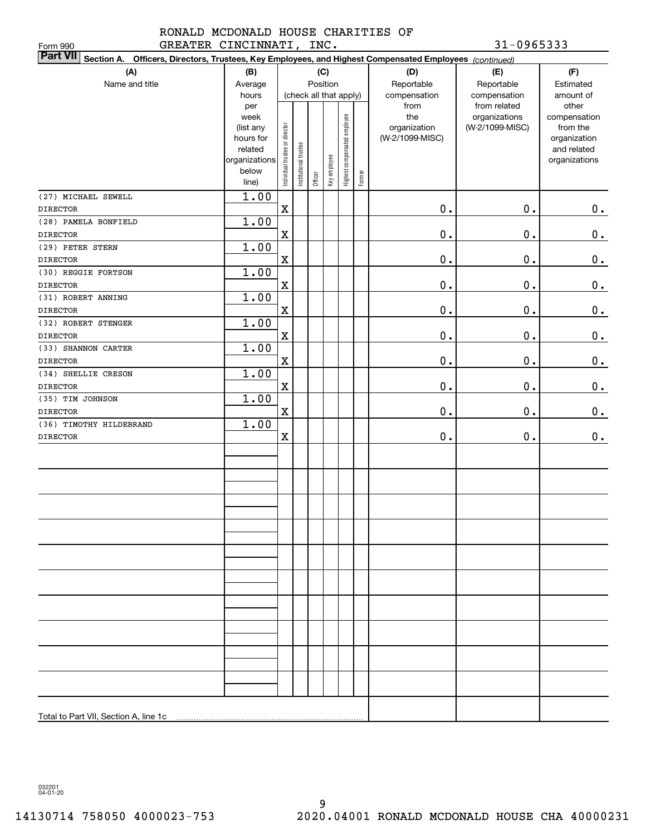### RONALD MCDONALD HOUSE CHARITIES OF GREATER CINCINNATI, INC. 31-0965333

|                                       | Part VII Section A. Officers, Directors, Trustees, Key Employees, and Highest Compensated Employees (continued) |                                |                        |         |              |                              |        |                     |                                  |                          |
|---------------------------------------|-----------------------------------------------------------------------------------------------------------------|--------------------------------|------------------------|---------|--------------|------------------------------|--------|---------------------|----------------------------------|--------------------------|
| (A)                                   | (B)                                                                                                             |                                |                        | (C)     |              |                              |        | (D)                 | (E)                              | (F)                      |
| Name and title                        | Average                                                                                                         | Position                       |                        |         |              |                              |        | Reportable          | Reportable                       | Estimated                |
|                                       | hours                                                                                                           |                                | (check all that apply) |         |              |                              |        | compensation        | compensation                     | amount of                |
|                                       | per                                                                                                             |                                |                        |         |              |                              |        | from                | from related                     | other                    |
|                                       | week<br>(list any                                                                                               |                                |                        |         |              |                              |        | the<br>organization | organizations<br>(W-2/1099-MISC) | compensation<br>from the |
|                                       | hours for                                                                                                       |                                |                        |         |              |                              |        | (W-2/1099-MISC)     |                                  | organization             |
|                                       | related                                                                                                         |                                |                        |         |              |                              |        |                     |                                  | and related              |
|                                       | organizations                                                                                                   |                                |                        |         |              |                              |        |                     |                                  | organizations            |
|                                       | below<br>line)                                                                                                  | Individual trustee or director | Institutional trustee  | Officer | Key employee | Highest compensated employee | Former |                     |                                  |                          |
| (27) MICHAEL SEWELL                   | 1.00                                                                                                            |                                |                        |         |              |                              |        |                     |                                  |                          |
| <b>DIRECTOR</b>                       |                                                                                                                 | $\mathbf X$                    |                        |         |              |                              |        | $0$ .               | $0$ .                            | 0.                       |
| (28) PAMELA BONFIELD                  | 1.00                                                                                                            |                                |                        |         |              |                              |        |                     |                                  |                          |
| <b>DIRECTOR</b>                       |                                                                                                                 | $\mathbf X$                    |                        |         |              |                              |        | $0$ .               | 0.                               | $\mathbf 0$ .            |
| (29) PETER STERN                      | 1.00                                                                                                            |                                |                        |         |              |                              |        |                     |                                  |                          |
| <b>DIRECTOR</b>                       |                                                                                                                 | $\mathbf X$                    |                        |         |              |                              |        | $0$ .               | 0.                               | $\mathbf 0$ .            |
| (30) REGGIE FORTSON                   | 1.00                                                                                                            |                                |                        |         |              |                              |        |                     |                                  |                          |
| <b>DIRECTOR</b>                       |                                                                                                                 | $\mathbf X$                    |                        |         |              |                              |        | $0$ .               | 0.                               | $\mathbf 0$ .            |
| (31) ROBERT ANNING                    | 1.00                                                                                                            |                                |                        |         |              |                              |        |                     |                                  |                          |
| <b>DIRECTOR</b>                       |                                                                                                                 | $\mathbf X$                    |                        |         |              |                              |        | $0$ .               | 0.                               | 0.                       |
| (32) ROBERT STENGER                   | 1.00                                                                                                            |                                |                        |         |              |                              |        |                     |                                  |                          |
| <b>DIRECTOR</b>                       |                                                                                                                 | $\mathbf X$                    |                        |         |              |                              |        | $0$ .               | 0.                               | 0.                       |
| (33) SHANNON CARTER                   | 1.00                                                                                                            |                                |                        |         |              |                              |        |                     |                                  |                          |
| <b>DIRECTOR</b>                       |                                                                                                                 | $\mathbf X$                    |                        |         |              |                              |        | $0$ .               | 0.                               | $\mathbf 0$ .            |
| (34) SHELLIE CRESON                   | 1.00                                                                                                            |                                |                        |         |              |                              |        |                     |                                  |                          |
| <b>DIRECTOR</b>                       |                                                                                                                 | $\mathbf X$                    |                        |         |              |                              |        | $0$ .               | 0.                               | $\mathbf 0$ .            |
| (35) TIM JOHNSON                      | 1.00                                                                                                            |                                |                        |         |              |                              |        |                     |                                  |                          |
| <b>DIRECTOR</b>                       |                                                                                                                 | $\mathbf X$                    |                        |         |              |                              |        | $\mathbf 0$ .       | 0.                               | $0_{.}$                  |
| (36) TIMOTHY HILDEBRAND               | 1.00                                                                                                            |                                |                        |         |              |                              |        |                     |                                  |                          |
| <b>DIRECTOR</b>                       |                                                                                                                 | $\mathbf X$                    |                        |         |              |                              |        | $\mathbf 0$ .       | 0.                               | 0.                       |
|                                       |                                                                                                                 |                                |                        |         |              |                              |        |                     |                                  |                          |
|                                       |                                                                                                                 |                                |                        |         |              |                              |        |                     |                                  |                          |
|                                       |                                                                                                                 |                                |                        |         |              |                              |        |                     |                                  |                          |
|                                       |                                                                                                                 |                                |                        |         |              |                              |        |                     |                                  |                          |
|                                       |                                                                                                                 |                                |                        |         |              |                              |        |                     |                                  |                          |
|                                       |                                                                                                                 |                                |                        |         |              |                              |        |                     |                                  |                          |
|                                       |                                                                                                                 |                                |                        |         |              |                              |        |                     |                                  |                          |
|                                       |                                                                                                                 |                                |                        |         |              |                              |        |                     |                                  |                          |
|                                       |                                                                                                                 |                                |                        |         |              |                              |        |                     |                                  |                          |
|                                       |                                                                                                                 |                                |                        |         |              |                              |        |                     |                                  |                          |
|                                       |                                                                                                                 |                                |                        |         |              |                              |        |                     |                                  |                          |
|                                       |                                                                                                                 |                                |                        |         |              |                              |        |                     |                                  |                          |
|                                       |                                                                                                                 |                                |                        |         |              |                              |        |                     |                                  |                          |
|                                       |                                                                                                                 |                                |                        |         |              |                              |        |                     |                                  |                          |
|                                       |                                                                                                                 |                                |                        |         |              |                              |        |                     |                                  |                          |
|                                       |                                                                                                                 |                                |                        |         |              |                              |        |                     |                                  |                          |
|                                       |                                                                                                                 |                                |                        |         |              |                              |        |                     |                                  |                          |
|                                       |                                                                                                                 |                                |                        |         |              |                              |        |                     |                                  |                          |
| Total to Part VII, Section A, line 1c |                                                                                                                 |                                |                        |         |              |                              |        |                     |                                  |                          |
|                                       |                                                                                                                 |                                |                        |         |              |                              |        |                     |                                  |                          |

032201 04-01-20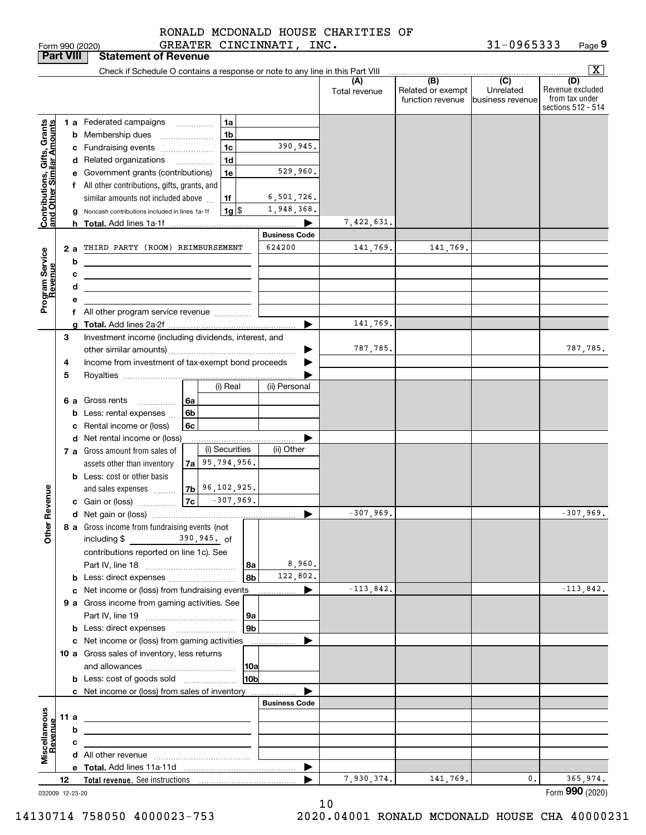|                                                            | <b>Part VIII</b> | <b>Statement of Revenue</b>                                                                                            |                      |                      |                                              |                                                   |                                                                 |
|------------------------------------------------------------|------------------|------------------------------------------------------------------------------------------------------------------------|----------------------|----------------------|----------------------------------------------|---------------------------------------------------|-----------------------------------------------------------------|
|                                                            |                  | Check if Schedule O contains a response or note to any line in this Part VIII                                          |                      |                      |                                              |                                                   | $\overline{\mathbf{x}}$                                         |
|                                                            |                  |                                                                                                                        |                      | (A)<br>Total revenue | (B)<br>Related or exempt<br>function revenue | $\overline{(C)}$<br>Unrelated<br>business revenue | (D)<br>Revenue excluded<br>from tax under<br>sections 512 - 514 |
|                                                            |                  | 1 a Federated campaigns<br>1a                                                                                          |                      |                      |                                              |                                                   |                                                                 |
|                                                            |                  | <b>b</b> Membership dues<br>1b                                                                                         |                      |                      |                                              |                                                   |                                                                 |
|                                                            |                  | 1c<br>c Fundraising events                                                                                             | 390,945.             |                      |                                              |                                                   |                                                                 |
| Contributions, Gifts, Grants<br>Iand Other Similar Amounts |                  | d Related organizations<br>1d                                                                                          |                      |                      |                                              |                                                   |                                                                 |
|                                                            |                  | e Government grants (contributions)<br>1e                                                                              | 529,960.             |                      |                                              |                                                   |                                                                 |
|                                                            |                  | f All other contributions, gifts, grants, and                                                                          |                      |                      |                                              |                                                   |                                                                 |
|                                                            |                  | similar amounts not included above<br>1f                                                                               | 6,501,726.           |                      |                                              |                                                   |                                                                 |
|                                                            |                  | g Noncash contributions included in lines 1a-1f<br>1g S                                                                | 1,948,368.           |                      |                                              |                                                   |                                                                 |
|                                                            |                  |                                                                                                                        |                      | 7,422,631.           |                                              |                                                   |                                                                 |
|                                                            |                  |                                                                                                                        | <b>Business Code</b> |                      |                                              |                                                   |                                                                 |
|                                                            | 2a               | THIRD PARTY (ROOM) REIMBURSEMENT                                                                                       | 624200               | 141,769.             | 141,769.                                     |                                                   |                                                                 |
| Program Service<br>Revenue                                 | b                |                                                                                                                        |                      |                      |                                              |                                                   |                                                                 |
|                                                            | с                | <u> 1989 - Johann Stein, marwolaethau a bhann an t-Albann an t-Albann an t-Albann an t-Albann an t-Albann an t-Alb</u> |                      |                      |                                              |                                                   |                                                                 |
|                                                            | d                | <u> 1980 - Johann Barbara, martxa alemaniar amerikan a</u>                                                             |                      |                      |                                              |                                                   |                                                                 |
|                                                            | е                |                                                                                                                        |                      |                      |                                              |                                                   |                                                                 |
|                                                            |                  | f All other program service revenue                                                                                    |                      |                      |                                              |                                                   |                                                                 |
|                                                            | a                |                                                                                                                        |                      | 141,769.             |                                              |                                                   |                                                                 |
|                                                            | 3                | Investment income (including dividends, interest, and                                                                  |                      |                      |                                              |                                                   |                                                                 |
|                                                            |                  |                                                                                                                        |                      | 787,785.             |                                              |                                                   | 787,785.                                                        |
|                                                            | 4                | Income from investment of tax-exempt bond proceeds                                                                     |                      |                      |                                              |                                                   |                                                                 |
|                                                            | 5                | (i) Real                                                                                                               | (ii) Personal        |                      |                                              |                                                   |                                                                 |
|                                                            |                  | 6 a Gross rents<br>6a                                                                                                  |                      |                      |                                              |                                                   |                                                                 |
|                                                            |                  | $\ldots \ldots \ldots$<br>6b<br><b>b</b> Less: rental expenses                                                         |                      |                      |                                              |                                                   |                                                                 |
|                                                            |                  | 6c<br>c Rental income or (loss)                                                                                        |                      |                      |                                              |                                                   |                                                                 |
|                                                            |                  | d Net rental income or (loss)                                                                                          |                      |                      |                                              |                                                   |                                                                 |
|                                                            |                  | (i) Securities<br>7 a Gross amount from sales of                                                                       | (ii) Other           |                      |                                              |                                                   |                                                                 |
|                                                            |                  | $7a$   95, 794, 956.<br>assets other than inventory                                                                    |                      |                      |                                              |                                                   |                                                                 |
|                                                            |                  | <b>b</b> Less: cost or other basis                                                                                     |                      |                      |                                              |                                                   |                                                                 |
|                                                            |                  | $7b$ 96, 102, 925.<br>and sales expenses                                                                               |                      |                      |                                              |                                                   |                                                                 |
| Revenue                                                    |                  | $ 7c $ -307,969.<br>c Gain or (loss)                                                                                   |                      |                      |                                              |                                                   |                                                                 |
|                                                            |                  |                                                                                                                        | ▶                    | $-307,969.$          |                                              |                                                   | $-307,969.$                                                     |
| 늦<br><b>Other</b>                                          |                  | 8 a Gross income from fundraising events (not                                                                          |                      |                      |                                              |                                                   |                                                                 |
|                                                            |                  | $390,945.$ of<br>including \$                                                                                          |                      |                      |                                              |                                                   |                                                                 |
|                                                            |                  | contributions reported on line 1c). See                                                                                |                      |                      |                                              |                                                   |                                                                 |
|                                                            |                  | 8a                                                                                                                     | 8,960.               |                      |                                              |                                                   |                                                                 |
|                                                            |                  | 8b<br><b>b</b> Less: direct expenses                                                                                   | 122,802.             |                      |                                              |                                                   |                                                                 |
|                                                            |                  | c Net income or (loss) from fundraising events                                                                         | ▶                    | $-113,842.$          |                                              |                                                   | $-113,842.$                                                     |
|                                                            |                  | 9 a Gross income from gaming activities. See                                                                           |                      |                      |                                              |                                                   |                                                                 |
|                                                            |                  | 9a<br>9b<br><b>b</b> Less: direct expenses <b>manually</b>                                                             |                      |                      |                                              |                                                   |                                                                 |
|                                                            |                  | c Net income or (loss) from gaming activities                                                                          | .                    |                      |                                              |                                                   |                                                                 |
|                                                            |                  | 10 a Gross sales of inventory, less returns                                                                            |                      |                      |                                              |                                                   |                                                                 |
|                                                            |                  | 10a                                                                                                                    |                      |                      |                                              |                                                   |                                                                 |
|                                                            |                  | 10b<br><b>b</b> Less: cost of goods sold                                                                               |                      |                      |                                              |                                                   |                                                                 |
|                                                            |                  | c Net income or (loss) from sales of inventory                                                                         |                      |                      |                                              |                                                   |                                                                 |
|                                                            |                  |                                                                                                                        | <b>Business Code</b> |                      |                                              |                                                   |                                                                 |
|                                                            | 11 a             |                                                                                                                        |                      |                      |                                              |                                                   |                                                                 |
|                                                            | b                |                                                                                                                        |                      |                      |                                              |                                                   |                                                                 |
|                                                            | с                |                                                                                                                        |                      |                      |                                              |                                                   |                                                                 |
| Miscellaneous<br>Revenue                                   |                  |                                                                                                                        |                      |                      |                                              |                                                   |                                                                 |
|                                                            |                  |                                                                                                                        | ▶                    |                      |                                              |                                                   |                                                                 |
|                                                            | 12               |                                                                                                                        |                      | 7,930,374.           | 141,769.                                     | 0.                                                | 365,974.<br>$000 \; \text{const}$                               |

032009 12-23-20

10

Form (2020) **990**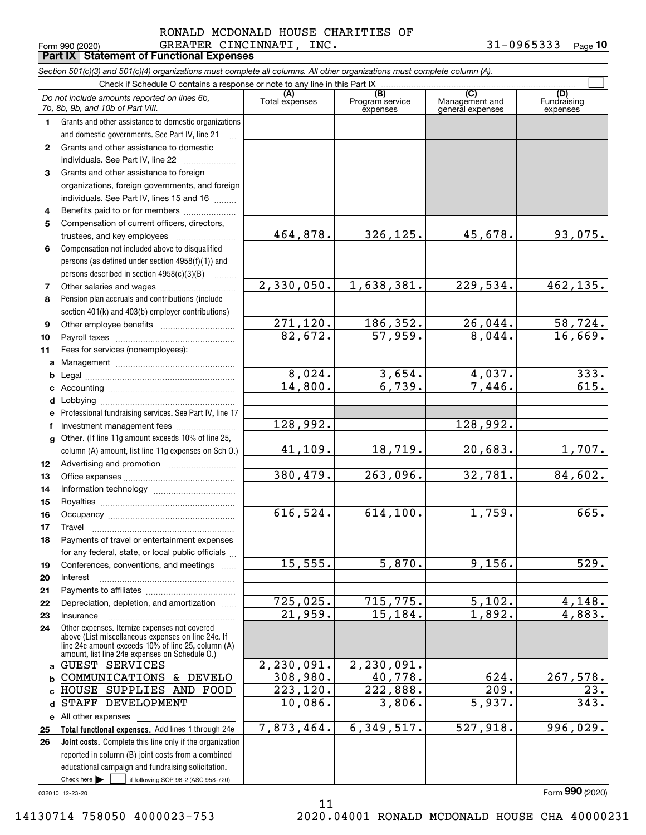### Form 990 (2020) GREATER CINCINNATI,INC. 3 $1\text{--}$  0 9 6 5 3 3 3  $\,$  Page **Part IX Statement of Functional Expenses** RONALD MCDONALD HOUSE CHARITIES OF

**10**

|              | Section 501(c)(3) and 501(c)(4) organizations must complete all columns. All other organizations must complete column (A).                                                                                                                                          |                |                                    |                                           |                                |
|--------------|---------------------------------------------------------------------------------------------------------------------------------------------------------------------------------------------------------------------------------------------------------------------|----------------|------------------------------------|-------------------------------------------|--------------------------------|
|              | Check if Schedule O contains a response or note to any line in this Part IX                                                                                                                                                                                         |                |                                    |                                           |                                |
|              | Do not include amounts reported on lines 6b,<br>7b, 8b, 9b, and 10b of Part VIII.                                                                                                                                                                                   | Total expenses | (B)<br>Program service<br>expenses | (C)<br>Management and<br>general expenses | (D)<br>Fundraising<br>expenses |
| 1.           | Grants and other assistance to domestic organizations                                                                                                                                                                                                               |                |                                    |                                           |                                |
|              | and domestic governments. See Part IV, line 21                                                                                                                                                                                                                      |                |                                    |                                           |                                |
| $\mathbf{2}$ | Grants and other assistance to domestic                                                                                                                                                                                                                             |                |                                    |                                           |                                |
|              | individuals. See Part IV, line 22<br>and a complete the complete state of the state of the state of the state of the state of the state of the state of the state of the state of the state of the state of the state of the state of the state of the state of the |                |                                    |                                           |                                |
| 3            | Grants and other assistance to foreign                                                                                                                                                                                                                              |                |                                    |                                           |                                |
|              | organizations, foreign governments, and foreign                                                                                                                                                                                                                     |                |                                    |                                           |                                |
|              | individuals. See Part IV, lines 15 and 16                                                                                                                                                                                                                           |                |                                    |                                           |                                |
| 4            | Benefits paid to or for members                                                                                                                                                                                                                                     |                |                                    |                                           |                                |
| 5            | Compensation of current officers, directors,                                                                                                                                                                                                                        |                |                                    |                                           |                                |
|              |                                                                                                                                                                                                                                                                     | 464,878.       | 326, 125.                          | 45,678.                                   | 93,075.                        |
| 6            | Compensation not included above to disqualified                                                                                                                                                                                                                     |                |                                    |                                           |                                |
|              | persons (as defined under section 4958(f)(1)) and                                                                                                                                                                                                                   |                |                                    |                                           |                                |
|              | persons described in section 4958(c)(3)(B)                                                                                                                                                                                                                          |                |                                    |                                           |                                |
| 7            |                                                                                                                                                                                                                                                                     | 2,330,050.     | 1,638,381.                         | 229,534.                                  | 462, 135.                      |
| 8            | Pension plan accruals and contributions (include                                                                                                                                                                                                                    |                |                                    |                                           |                                |
|              | section 401(k) and 403(b) employer contributions)                                                                                                                                                                                                                   |                |                                    |                                           |                                |
| 9            |                                                                                                                                                                                                                                                                     | 271, 120.      | 186,352.                           | 26,044.                                   | 58,724.                        |
| 10           |                                                                                                                                                                                                                                                                     | 82,672.        | $\overline{57,959}$ .              | 8,044.                                    | 16,669.                        |
| 11           | Fees for services (nonemployees):                                                                                                                                                                                                                                   |                |                                    |                                           |                                |
| a            |                                                                                                                                                                                                                                                                     |                |                                    |                                           |                                |
| b            |                                                                                                                                                                                                                                                                     | 8,024.         | 3,654.<br>6,739.                   | $\frac{4,037.}{7,446.}$                   | 333.                           |
| c            |                                                                                                                                                                                                                                                                     | 14,800.        |                                    |                                           | $\overline{615}$ .             |
| d            |                                                                                                                                                                                                                                                                     |                |                                    |                                           |                                |
|              | Professional fundraising services. See Part IV, line 17                                                                                                                                                                                                             | 128,992.       |                                    | 128,992.                                  |                                |
| f            | Investment management fees                                                                                                                                                                                                                                          |                |                                    |                                           |                                |
| g            | Other. (If line 11g amount exceeds 10% of line 25,<br>column (A) amount, list line 11g expenses on Sch O.)                                                                                                                                                          | 41,109.        | 18,719.                            | 20,683.                                   | 1,707.                         |
| 12           |                                                                                                                                                                                                                                                                     |                |                                    |                                           |                                |
| 13           |                                                                                                                                                                                                                                                                     | 380, 479.      | 263,096.                           | 32,781.                                   | 84,602.                        |
| 14           |                                                                                                                                                                                                                                                                     |                |                                    |                                           |                                |
| 15           |                                                                                                                                                                                                                                                                     |                |                                    |                                           |                                |
| 16           |                                                                                                                                                                                                                                                                     | 616, 524.      | 614, 100.                          | 1,759.                                    | 665.                           |
| 17           |                                                                                                                                                                                                                                                                     |                |                                    |                                           |                                |
| 18           | Payments of travel or entertainment expenses                                                                                                                                                                                                                        |                |                                    |                                           |                                |
|              | for any federal, state, or local public officials                                                                                                                                                                                                                   |                |                                    |                                           |                                |
| 19           | Conferences, conventions, and meetings                                                                                                                                                                                                                              | 15,555.        | 5,870.                             | 9,156.                                    | 529.                           |
| 20           | Interest                                                                                                                                                                                                                                                            |                |                                    |                                           |                                |
| 21           |                                                                                                                                                                                                                                                                     |                |                                    |                                           |                                |
| 22           | Depreciation, depletion, and amortization                                                                                                                                                                                                                           | 725,025.       | 715,775.                           | 5,102.                                    | 4,148.                         |
| 23           | Insurance                                                                                                                                                                                                                                                           | 21,959.        | 15,184.                            | 1,892.                                    | 4,883.                         |
| 24           | Other expenses. Itemize expenses not covered<br>above (List miscellaneous expenses on line 24e. If<br>line 24e amount exceeds 10% of line 25, column (A)<br>amount, list line 24e expenses on Schedule O.)                                                          |                |                                    |                                           |                                |
| a            | <b>GUEST SERVICES</b>                                                                                                                                                                                                                                               | 2,230,091.     | 2, 230, 091.                       |                                           |                                |
| b            | COMMUNICATIONS<br>& DEVELO                                                                                                                                                                                                                                          | 308,980.       | 40,778.                            | 624.                                      | 267,578.                       |
| C            | HOUSE SUPPLIES AND FOOD                                                                                                                                                                                                                                             | 223, 120.      | 222,888.                           | 209.                                      | 23.                            |
| d            | STAFF DEVELOPMENT                                                                                                                                                                                                                                                   | 10,086.        | 3,806.                             | 5,937.                                    | 343.                           |
|              | e All other expenses                                                                                                                                                                                                                                                |                |                                    |                                           |                                |
| 25           | Total functional expenses. Add lines 1 through 24e                                                                                                                                                                                                                  | 7,873,464.     | 6, 349, 517.                       | 527,918.                                  | 996,029.                       |
| 26           | Joint costs. Complete this line only if the organization                                                                                                                                                                                                            |                |                                    |                                           |                                |
|              | reported in column (B) joint costs from a combined                                                                                                                                                                                                                  |                |                                    |                                           |                                |
|              | educational campaign and fundraising solicitation.                                                                                                                                                                                                                  |                |                                    |                                           |                                |
|              | Check here $\blacktriangleright$<br>if following SOP 98-2 (ASC 958-720)                                                                                                                                                                                             |                |                                    |                                           |                                |

11

032010 12-23-20

Form (2020) **990**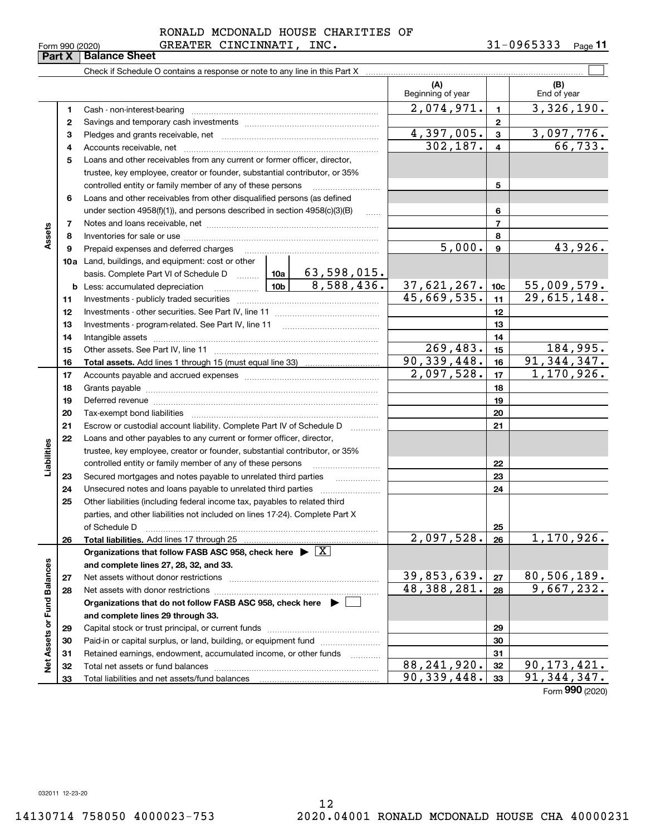|  | Form 990 (2020) |
|--|-----------------|
|  |                 |

Form 990 (2020) GREATER CINCINNATI,INC. 3 $1\text{--}$  0 9 6 5 3 3 3  $\,$  Page **11**

|                             | Part X   | <b>Balance Sheet</b>                                                                                                                                                                                                           |            |           |                           |                 |                    |  |
|-----------------------------|----------|--------------------------------------------------------------------------------------------------------------------------------------------------------------------------------------------------------------------------------|------------|-----------|---------------------------|-----------------|--------------------|--|
|                             |          |                                                                                                                                                                                                                                |            |           |                           |                 |                    |  |
|                             |          |                                                                                                                                                                                                                                |            |           | (A)<br>Beginning of year  |                 | (B)<br>End of year |  |
|                             | 1        |                                                                                                                                                                                                                                |            |           | 2,074,971.                | $\mathbf{1}$    | 3,326,190.         |  |
|                             | 2        |                                                                                                                                                                                                                                |            |           |                           | $\mathbf{2}$    |                    |  |
|                             | 3        |                                                                                                                                                                                                                                |            |           | 4,397,005.                | 3               | 3,097,776.         |  |
|                             | 4        |                                                                                                                                                                                                                                |            | 302, 187. | $\overline{4}$            | 66,733.         |                    |  |
|                             | 5        | Loans and other receivables from any current or former officer, director,                                                                                                                                                      |            |           |                           |                 |                    |  |
|                             |          | trustee, key employee, creator or founder, substantial contributor, or 35%                                                                                                                                                     |            |           |                           |                 |                    |  |
|                             |          | controlled entity or family member of any of these persons <i>manufolder in the controlled</i>                                                                                                                                 |            |           |                           | 5               |                    |  |
|                             | 6        | Loans and other receivables from other disqualified persons (as defined                                                                                                                                                        |            |           |                           |                 |                    |  |
|                             |          | under section $4958(f)(1)$ , and persons described in section $4958(c)(3)(B)$                                                                                                                                                  |            | $\ldots$  |                           | 6               |                    |  |
|                             | 7        |                                                                                                                                                                                                                                |            |           | $\overline{7}$            |                 |                    |  |
| Assets                      | 8        |                                                                                                                                                                                                                                |            |           |                           | 8               |                    |  |
|                             | 9        | Prepaid expenses and deferred charges                                                                                                                                                                                          |            |           | 5,000.                    | 9               | 43,926.            |  |
|                             |          | <b>10a</b> Land, buildings, and equipment: cost or other                                                                                                                                                                       |            |           |                           |                 |                    |  |
|                             |          | basis. Complete Part VI of Schedule D  10a   63, 598, 015.                                                                                                                                                                     |            |           | 37,621,267.               | 10 <sub>c</sub> | 55,009,579.        |  |
|                             |          |                                                                                                                                                                                                                                | 8,588,436. |           |                           |                 |                    |  |
|                             | 11       |                                                                                                                                                                                                                                |            |           | 45,669,535.               | 11              | 29,615,148.        |  |
|                             | 12       |                                                                                                                                                                                                                                |            | 12        |                           |                 |                    |  |
|                             | 13       |                                                                                                                                                                                                                                |            |           |                           | 13              |                    |  |
|                             | 14       |                                                                                                                                                                                                                                |            |           |                           | 14              |                    |  |
|                             | 15       |                                                                                                                                                                                                                                |            |           | 269,483.                  | 15              | 184,995.           |  |
|                             | 16       |                                                                                                                                                                                                                                |            |           | 90, 339, 448.             | 16              | 91, 344, 347.      |  |
|                             | 17       |                                                                                                                                                                                                                                |            |           | 2,097,528.                | 17              | 1,170,926.         |  |
|                             | 18       |                                                                                                                                                                                                                                |            |           | 18                        |                 |                    |  |
|                             | 19       | Deferred revenue manual contracts and contracts are contracted and contract and contract are contracted and contract are contracted and contract are contracted and contract are contracted and contract are contracted and co |            | 19        |                           |                 |                    |  |
|                             | 20       |                                                                                                                                                                                                                                |            |           | 20                        |                 |                    |  |
|                             | 21       | Escrow or custodial account liability. Complete Part IV of Schedule D                                                                                                                                                          |            |           |                           | 21              |                    |  |
|                             | 22       | Loans and other payables to any current or former officer, director,                                                                                                                                                           |            |           |                           |                 |                    |  |
| Liabilities                 |          | trustee, key employee, creator or founder, substantial contributor, or 35%                                                                                                                                                     |            |           |                           |                 |                    |  |
|                             |          | controlled entity or family member of any of these persons                                                                                                                                                                     |            |           |                           | 22              |                    |  |
|                             | 23       | Secured mortgages and notes payable to unrelated third parties                                                                                                                                                                 |            |           |                           | 23              |                    |  |
|                             | 24<br>25 |                                                                                                                                                                                                                                |            |           |                           | 24              |                    |  |
|                             |          | Other liabilities (including federal income tax, payables to related third<br>parties, and other liabilities not included on lines 17-24). Complete Part X                                                                     |            |           |                           |                 |                    |  |
|                             |          | of Schedule D                                                                                                                                                                                                                  |            |           |                           | 25              |                    |  |
|                             | 26       | Total liabilities. Add lines 17 through 25                                                                                                                                                                                     |            |           | 2,097,528.                | 26              | 1,170,926.         |  |
|                             |          | Organizations that follow FASB ASC 958, check here $\blacktriangleright \boxed{X}$                                                                                                                                             |            |           |                           |                 |                    |  |
|                             |          | and complete lines 27, 28, 32, and 33.                                                                                                                                                                                         |            |           |                           |                 |                    |  |
|                             | 27       |                                                                                                                                                                                                                                |            |           | 39,853,639.               | 27              | 80,506,189.        |  |
|                             | 28       |                                                                                                                                                                                                                                |            |           | $\overline{48,388,281}$ . | 28              | 9,667,232.         |  |
|                             |          | Organizations that do not follow FASB ASC 958, check here ▶ □                                                                                                                                                                  |            |           |                           |                 |                    |  |
|                             |          | and complete lines 29 through 33.                                                                                                                                                                                              |            |           |                           |                 |                    |  |
|                             | 29       |                                                                                                                                                                                                                                |            |           |                           | 29              |                    |  |
|                             | 30       | Paid-in or capital surplus, or land, building, or equipment fund                                                                                                                                                               |            |           |                           | 30              |                    |  |
|                             | 31       | Retained earnings, endowment, accumulated income, or other funds                                                                                                                                                               |            |           |                           | 31              |                    |  |
| Net Assets or Fund Balances | 32       |                                                                                                                                                                                                                                |            |           | 88, 241, 920.             | 32              | 90, 173, 421.      |  |
|                             | 33       |                                                                                                                                                                                                                                |            |           | 90,339,448.               | 33              | 91, 344, 347.      |  |
|                             |          |                                                                                                                                                                                                                                |            |           |                           |                 | Form 990 (2020)    |  |

032011 12-23-20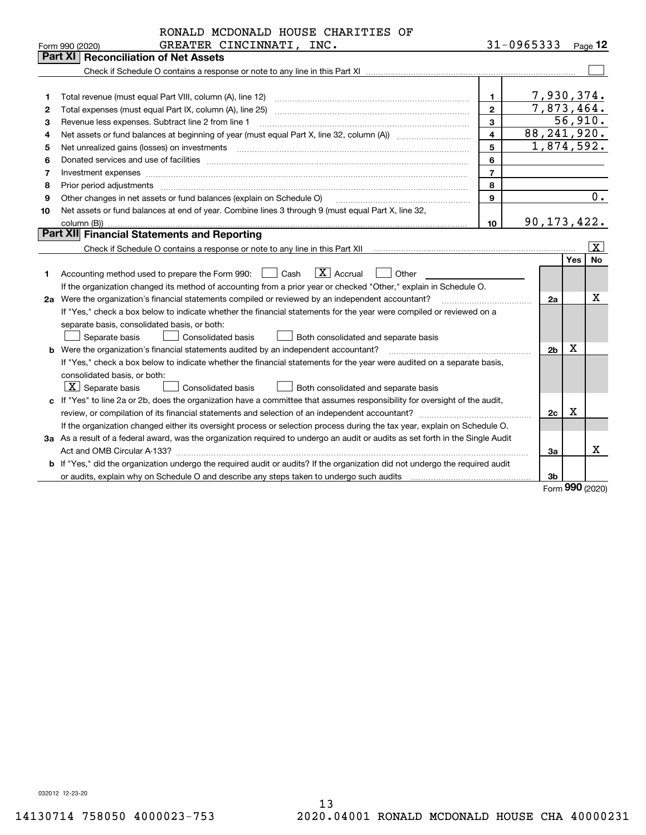| 31-0965333<br>GREATER CINCINNATI, INC.<br>Page 12<br>Form 990 (2020)<br><b>Reconciliation of Net Assets</b><br>Part XI<br>7,930,374.<br>Total revenue (must equal Part VIII, column (A), line 12)<br>$\mathbf{1}$<br>1<br>7,873,464.<br>Total expenses (must equal Part IX, column (A), line 25)<br>$\overline{2}$<br>2<br>56,910.<br>3<br>з<br>Revenue less expenses. Subtract line 2 from line 1<br>88, 241, 920.<br>4<br>4<br>1,874,592.<br>5<br>Net unrealized gains (losses) on investments<br>5<br>6<br>6<br>$\overline{7}$<br>7<br>Investment expenses www.communication.com/www.communication.com/www.communication.com/www.com<br>8<br>Prior period adjustments<br>8<br>$\overline{0}$ .<br>Other changes in net assets or fund balances (explain on Schedule O)<br>$\mathbf{Q}$<br>9<br>Net assets or fund balances at end of year. Combine lines 3 through 9 (must equal Part X, line 32,<br>10<br>90, 173, 422.<br>10<br>column (B))<br>Part XII Financial Statements and Reporting<br>X<br><b>No</b><br>Yes<br>$\boxed{\mathbf{X}}$ Accrual<br>Accounting method used to prepare the Form 990: <u>I</u> Cash<br>Other<br>1 | RONALD MCDONALD HOUSE CHARITIES OF                                                                                |  |  |
|-----------------------------------------------------------------------------------------------------------------------------------------------------------------------------------------------------------------------------------------------------------------------------------------------------------------------------------------------------------------------------------------------------------------------------------------------------------------------------------------------------------------------------------------------------------------------------------------------------------------------------------------------------------------------------------------------------------------------------------------------------------------------------------------------------------------------------------------------------------------------------------------------------------------------------------------------------------------------------------------------------------------------------------------------------------------------------------------------------------------------------------------|-------------------------------------------------------------------------------------------------------------------|--|--|
|                                                                                                                                                                                                                                                                                                                                                                                                                                                                                                                                                                                                                                                                                                                                                                                                                                                                                                                                                                                                                                                                                                                                         |                                                                                                                   |  |  |
|                                                                                                                                                                                                                                                                                                                                                                                                                                                                                                                                                                                                                                                                                                                                                                                                                                                                                                                                                                                                                                                                                                                                         |                                                                                                                   |  |  |
|                                                                                                                                                                                                                                                                                                                                                                                                                                                                                                                                                                                                                                                                                                                                                                                                                                                                                                                                                                                                                                                                                                                                         |                                                                                                                   |  |  |
|                                                                                                                                                                                                                                                                                                                                                                                                                                                                                                                                                                                                                                                                                                                                                                                                                                                                                                                                                                                                                                                                                                                                         |                                                                                                                   |  |  |
|                                                                                                                                                                                                                                                                                                                                                                                                                                                                                                                                                                                                                                                                                                                                                                                                                                                                                                                                                                                                                                                                                                                                         |                                                                                                                   |  |  |
|                                                                                                                                                                                                                                                                                                                                                                                                                                                                                                                                                                                                                                                                                                                                                                                                                                                                                                                                                                                                                                                                                                                                         |                                                                                                                   |  |  |
|                                                                                                                                                                                                                                                                                                                                                                                                                                                                                                                                                                                                                                                                                                                                                                                                                                                                                                                                                                                                                                                                                                                                         |                                                                                                                   |  |  |
|                                                                                                                                                                                                                                                                                                                                                                                                                                                                                                                                                                                                                                                                                                                                                                                                                                                                                                                                                                                                                                                                                                                                         |                                                                                                                   |  |  |
|                                                                                                                                                                                                                                                                                                                                                                                                                                                                                                                                                                                                                                                                                                                                                                                                                                                                                                                                                                                                                                                                                                                                         |                                                                                                                   |  |  |
|                                                                                                                                                                                                                                                                                                                                                                                                                                                                                                                                                                                                                                                                                                                                                                                                                                                                                                                                                                                                                                                                                                                                         |                                                                                                                   |  |  |
|                                                                                                                                                                                                                                                                                                                                                                                                                                                                                                                                                                                                                                                                                                                                                                                                                                                                                                                                                                                                                                                                                                                                         |                                                                                                                   |  |  |
|                                                                                                                                                                                                                                                                                                                                                                                                                                                                                                                                                                                                                                                                                                                                                                                                                                                                                                                                                                                                                                                                                                                                         |                                                                                                                   |  |  |
|                                                                                                                                                                                                                                                                                                                                                                                                                                                                                                                                                                                                                                                                                                                                                                                                                                                                                                                                                                                                                                                                                                                                         |                                                                                                                   |  |  |
|                                                                                                                                                                                                                                                                                                                                                                                                                                                                                                                                                                                                                                                                                                                                                                                                                                                                                                                                                                                                                                                                                                                                         |                                                                                                                   |  |  |
|                                                                                                                                                                                                                                                                                                                                                                                                                                                                                                                                                                                                                                                                                                                                                                                                                                                                                                                                                                                                                                                                                                                                         |                                                                                                                   |  |  |
|                                                                                                                                                                                                                                                                                                                                                                                                                                                                                                                                                                                                                                                                                                                                                                                                                                                                                                                                                                                                                                                                                                                                         |                                                                                                                   |  |  |
|                                                                                                                                                                                                                                                                                                                                                                                                                                                                                                                                                                                                                                                                                                                                                                                                                                                                                                                                                                                                                                                                                                                                         |                                                                                                                   |  |  |
|                                                                                                                                                                                                                                                                                                                                                                                                                                                                                                                                                                                                                                                                                                                                                                                                                                                                                                                                                                                                                                                                                                                                         |                                                                                                                   |  |  |
|                                                                                                                                                                                                                                                                                                                                                                                                                                                                                                                                                                                                                                                                                                                                                                                                                                                                                                                                                                                                                                                                                                                                         |                                                                                                                   |  |  |
|                                                                                                                                                                                                                                                                                                                                                                                                                                                                                                                                                                                                                                                                                                                                                                                                                                                                                                                                                                                                                                                                                                                                         | If the organization changed its method of accounting from a prior year or checked "Other," explain in Schedule O. |  |  |
| x<br>2a Were the organization's financial statements compiled or reviewed by an independent accountant?<br>2a                                                                                                                                                                                                                                                                                                                                                                                                                                                                                                                                                                                                                                                                                                                                                                                                                                                                                                                                                                                                                           |                                                                                                                   |  |  |
| If "Yes," check a box below to indicate whether the financial statements for the year were compiled or reviewed on a                                                                                                                                                                                                                                                                                                                                                                                                                                                                                                                                                                                                                                                                                                                                                                                                                                                                                                                                                                                                                    |                                                                                                                   |  |  |
| separate basis, consolidated basis, or both:                                                                                                                                                                                                                                                                                                                                                                                                                                                                                                                                                                                                                                                                                                                                                                                                                                                                                                                                                                                                                                                                                            |                                                                                                                   |  |  |
| Separate basis<br><b>Consolidated basis</b><br>Both consolidated and separate basis                                                                                                                                                                                                                                                                                                                                                                                                                                                                                                                                                                                                                                                                                                                                                                                                                                                                                                                                                                                                                                                     |                                                                                                                   |  |  |
| х<br><b>b</b> Were the organization's financial statements audited by an independent accountant?<br>2 <sub>b</sub>                                                                                                                                                                                                                                                                                                                                                                                                                                                                                                                                                                                                                                                                                                                                                                                                                                                                                                                                                                                                                      |                                                                                                                   |  |  |
| If "Yes," check a box below to indicate whether the financial statements for the year were audited on a separate basis,                                                                                                                                                                                                                                                                                                                                                                                                                                                                                                                                                                                                                                                                                                                                                                                                                                                                                                                                                                                                                 |                                                                                                                   |  |  |
| consolidated basis, or both:                                                                                                                                                                                                                                                                                                                                                                                                                                                                                                                                                                                                                                                                                                                                                                                                                                                                                                                                                                                                                                                                                                            |                                                                                                                   |  |  |
| $\vert$ X $\vert$ Separate basis<br><b>Consolidated basis</b><br>Both consolidated and separate basis                                                                                                                                                                                                                                                                                                                                                                                                                                                                                                                                                                                                                                                                                                                                                                                                                                                                                                                                                                                                                                   |                                                                                                                   |  |  |
| c If "Yes" to line 2a or 2b, does the organization have a committee that assumes responsibility for oversight of the audit,                                                                                                                                                                                                                                                                                                                                                                                                                                                                                                                                                                                                                                                                                                                                                                                                                                                                                                                                                                                                             |                                                                                                                   |  |  |
| x<br>2c                                                                                                                                                                                                                                                                                                                                                                                                                                                                                                                                                                                                                                                                                                                                                                                                                                                                                                                                                                                                                                                                                                                                 |                                                                                                                   |  |  |
| If the organization changed either its oversight process or selection process during the tax year, explain on Schedule O.                                                                                                                                                                                                                                                                                                                                                                                                                                                                                                                                                                                                                                                                                                                                                                                                                                                                                                                                                                                                               |                                                                                                                   |  |  |
| 3a As a result of a federal award, was the organization required to undergo an audit or audits as set forth in the Single Audit                                                                                                                                                                                                                                                                                                                                                                                                                                                                                                                                                                                                                                                                                                                                                                                                                                                                                                                                                                                                         |                                                                                                                   |  |  |
| x<br>За                                                                                                                                                                                                                                                                                                                                                                                                                                                                                                                                                                                                                                                                                                                                                                                                                                                                                                                                                                                                                                                                                                                                 |                                                                                                                   |  |  |
| b If "Yes," did the organization undergo the required audit or audits? If the organization did not undergo the required audit                                                                                                                                                                                                                                                                                                                                                                                                                                                                                                                                                                                                                                                                                                                                                                                                                                                                                                                                                                                                           |                                                                                                                   |  |  |
| 3b<br>$000 \text{$                                                                                                                                                                                                                                                                                                                                                                                                                                                                                                                                                                                                                                                                                                                                                                                                                                                                                                                                                                                                                                                                                                                      |                                                                                                                   |  |  |

Form (2020) **990**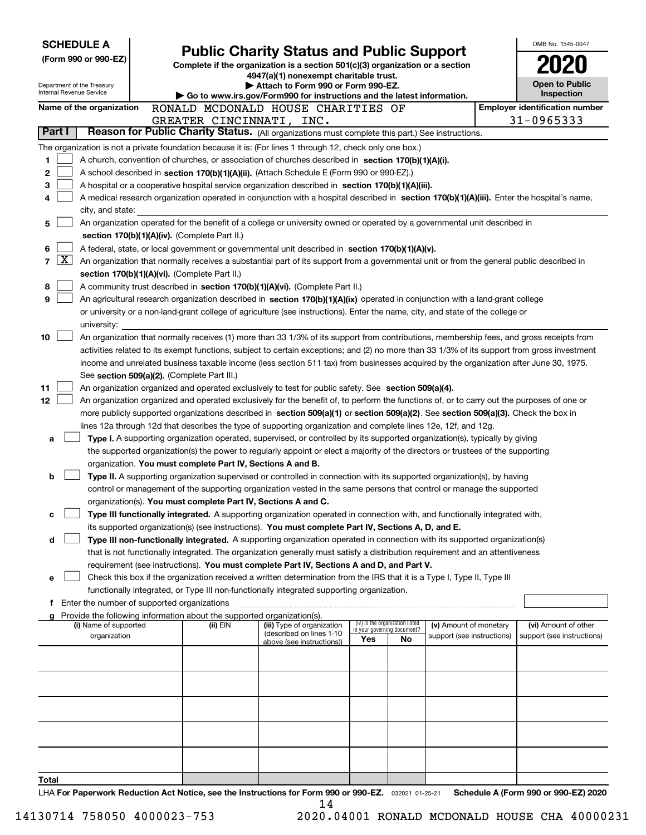| <b>SCHEDULE A</b> |                                                                                                                                              |                                                                                                                                       |  |                                                                        | <b>Public Charity Status and Public Support</b>                                                                                                                                                                                               |                                                                |     |                            |  | OMB No. 1545-0047                     |  |  |
|-------------------|----------------------------------------------------------------------------------------------------------------------------------------------|---------------------------------------------------------------------------------------------------------------------------------------|--|------------------------------------------------------------------------|-----------------------------------------------------------------------------------------------------------------------------------------------------------------------------------------------------------------------------------------------|----------------------------------------------------------------|-----|----------------------------|--|---------------------------------------|--|--|
|                   |                                                                                                                                              | (Form 990 or 990-EZ)                                                                                                                  |  |                                                                        | Complete if the organization is a section 501(c)(3) organization or a section                                                                                                                                                                 |                                                                |     |                            |  |                                       |  |  |
|                   |                                                                                                                                              |                                                                                                                                       |  |                                                                        | 4947(a)(1) nonexempt charitable trust.                                                                                                                                                                                                        |                                                                |     |                            |  |                                       |  |  |
|                   |                                                                                                                                              | Department of the Treasury<br>Internal Revenue Service                                                                                |  |                                                                        | Attach to Form 990 or Form 990-EZ.                                                                                                                                                                                                            |                                                                |     |                            |  | <b>Open to Public</b>                 |  |  |
|                   |                                                                                                                                              |                                                                                                                                       |  |                                                                        | Go to www.irs.gov/Form990 for instructions and the latest information.                                                                                                                                                                        |                                                                |     |                            |  | Inspection                            |  |  |
|                   |                                                                                                                                              | Name of the organization                                                                                                              |  |                                                                        | RONALD MCDONALD HOUSE CHARITIES OF                                                                                                                                                                                                            |                                                                |     |                            |  | <b>Employer identification number</b> |  |  |
|                   |                                                                                                                                              |                                                                                                                                       |  | GREATER CINCINNATI, INC.                                               |                                                                                                                                                                                                                                               |                                                                |     |                            |  | 31-0965333                            |  |  |
| Part I            |                                                                                                                                              |                                                                                                                                       |  |                                                                        | Reason for Public Charity Status. (All organizations must complete this part.) See instructions.                                                                                                                                              |                                                                |     |                            |  |                                       |  |  |
|                   |                                                                                                                                              |                                                                                                                                       |  |                                                                        | The organization is not a private foundation because it is: (For lines 1 through 12, check only one box.)                                                                                                                                     |                                                                |     |                            |  |                                       |  |  |
| 1                 |                                                                                                                                              |                                                                                                                                       |  |                                                                        | A church, convention of churches, or association of churches described in section 170(b)(1)(A)(i).                                                                                                                                            |                                                                |     |                            |  |                                       |  |  |
| 2                 |                                                                                                                                              |                                                                                                                                       |  |                                                                        | A school described in section 170(b)(1)(A)(ii). (Attach Schedule E (Form 990 or 990-EZ).)                                                                                                                                                     |                                                                |     |                            |  |                                       |  |  |
| 3                 |                                                                                                                                              |                                                                                                                                       |  |                                                                        | A hospital or a cooperative hospital service organization described in section 170(b)(1)(A)(iii).                                                                                                                                             |                                                                |     |                            |  |                                       |  |  |
| 4                 |                                                                                                                                              |                                                                                                                                       |  |                                                                        | A medical research organization operated in conjunction with a hospital described in section 170(b)(1)(A)(iii). Enter the hospital's name,                                                                                                    |                                                                |     |                            |  |                                       |  |  |
|                   |                                                                                                                                              | city, and state:                                                                                                                      |  |                                                                        |                                                                                                                                                                                                                                               |                                                                |     |                            |  |                                       |  |  |
| 5                 |                                                                                                                                              |                                                                                                                                       |  |                                                                        | An organization operated for the benefit of a college or university owned or operated by a governmental unit described in                                                                                                                     |                                                                |     |                            |  |                                       |  |  |
|                   |                                                                                                                                              |                                                                                                                                       |  | section 170(b)(1)(A)(iv). (Complete Part II.)                          |                                                                                                                                                                                                                                               |                                                                |     |                            |  |                                       |  |  |
| 6<br>7            | $\mathbf{X}$                                                                                                                                 |                                                                                                                                       |  |                                                                        | A federal, state, or local government or governmental unit described in section 170(b)(1)(A)(v).<br>An organization that normally receives a substantial part of its support from a governmental unit or from the general public described in |                                                                |     |                            |  |                                       |  |  |
|                   |                                                                                                                                              |                                                                                                                                       |  | section 170(b)(1)(A)(vi). (Complete Part II.)                          |                                                                                                                                                                                                                                               |                                                                |     |                            |  |                                       |  |  |
| 8                 |                                                                                                                                              |                                                                                                                                       |  |                                                                        | A community trust described in section 170(b)(1)(A)(vi). (Complete Part II.)                                                                                                                                                                  |                                                                |     |                            |  |                                       |  |  |
| 9                 |                                                                                                                                              |                                                                                                                                       |  |                                                                        | An agricultural research organization described in section 170(b)(1)(A)(ix) operated in conjunction with a land-grant college                                                                                                                 |                                                                |     |                            |  |                                       |  |  |
|                   |                                                                                                                                              |                                                                                                                                       |  |                                                                        | or university or a non-land-grant college of agriculture (see instructions). Enter the name, city, and state of the college or                                                                                                                |                                                                |     |                            |  |                                       |  |  |
|                   |                                                                                                                                              | university:                                                                                                                           |  |                                                                        |                                                                                                                                                                                                                                               |                                                                |     |                            |  |                                       |  |  |
| 10                | An organization that normally receives (1) more than 33 1/3% of its support from contributions, membership fees, and gross receipts from     |                                                                                                                                       |  |                                                                        |                                                                                                                                                                                                                                               |                                                                |     |                            |  |                                       |  |  |
|                   | activities related to its exempt functions, subject to certain exceptions; and (2) no more than 33 1/3% of its support from gross investment |                                                                                                                                       |  |                                                                        |                                                                                                                                                                                                                                               |                                                                |     |                            |  |                                       |  |  |
|                   |                                                                                                                                              | income and unrelated business taxable income (less section 511 tax) from businesses acquired by the organization after June 30, 1975. |  |                                                                        |                                                                                                                                                                                                                                               |                                                                |     |                            |  |                                       |  |  |
|                   |                                                                                                                                              |                                                                                                                                       |  | See section 509(a)(2). (Complete Part III.)                            |                                                                                                                                                                                                                                               |                                                                |     |                            |  |                                       |  |  |
| 11                |                                                                                                                                              |                                                                                                                                       |  |                                                                        | An organization organized and operated exclusively to test for public safety. See section 509(a)(4).                                                                                                                                          |                                                                |     |                            |  |                                       |  |  |
| 12                |                                                                                                                                              |                                                                                                                                       |  |                                                                        | An organization organized and operated exclusively for the benefit of, to perform the functions of, or to carry out the purposes of one or                                                                                                    |                                                                |     |                            |  |                                       |  |  |
|                   |                                                                                                                                              |                                                                                                                                       |  |                                                                        | more publicly supported organizations described in section 509(a)(1) or section 509(a)(2). See section 509(a)(3). Check the box in                                                                                                            |                                                                |     |                            |  |                                       |  |  |
|                   |                                                                                                                                              |                                                                                                                                       |  |                                                                        | lines 12a through 12d that describes the type of supporting organization and complete lines 12e, 12f, and 12g.                                                                                                                                |                                                                |     |                            |  |                                       |  |  |
| a                 |                                                                                                                                              |                                                                                                                                       |  |                                                                        | Type I. A supporting organization operated, supervised, or controlled by its supported organization(s), typically by giving                                                                                                                   |                                                                |     |                            |  |                                       |  |  |
|                   |                                                                                                                                              |                                                                                                                                       |  |                                                                        | the supported organization(s) the power to regularly appoint or elect a majority of the directors or trustees of the supporting                                                                                                               |                                                                |     |                            |  |                                       |  |  |
|                   |                                                                                                                                              |                                                                                                                                       |  | organization. You must complete Part IV, Sections A and B.             |                                                                                                                                                                                                                                               |                                                                |     |                            |  |                                       |  |  |
| b                 |                                                                                                                                              |                                                                                                                                       |  |                                                                        | Type II. A supporting organization supervised or controlled in connection with its supported organization(s), by having                                                                                                                       |                                                                |     |                            |  |                                       |  |  |
|                   |                                                                                                                                              |                                                                                                                                       |  |                                                                        | control or management of the supporting organization vested in the same persons that control or manage the supported                                                                                                                          |                                                                |     |                            |  |                                       |  |  |
|                   |                                                                                                                                              |                                                                                                                                       |  | organization(s). You must complete Part IV, Sections A and C.          |                                                                                                                                                                                                                                               |                                                                |     |                            |  |                                       |  |  |
| с                 |                                                                                                                                              |                                                                                                                                       |  |                                                                        | Type III functionally integrated. A supporting organization operated in connection with, and functionally integrated with,                                                                                                                    |                                                                |     |                            |  |                                       |  |  |
|                   |                                                                                                                                              |                                                                                                                                       |  |                                                                        | its supported organization(s) (see instructions). You must complete Part IV, Sections A, D, and E.                                                                                                                                            |                                                                |     |                            |  |                                       |  |  |
| d                 |                                                                                                                                              |                                                                                                                                       |  |                                                                        | Type III non-functionally integrated. A supporting organization operated in connection with its supported organization(s)                                                                                                                     |                                                                |     |                            |  |                                       |  |  |
|                   |                                                                                                                                              |                                                                                                                                       |  |                                                                        | that is not functionally integrated. The organization generally must satisfy a distribution requirement and an attentiveness                                                                                                                  |                                                                |     |                            |  |                                       |  |  |
|                   |                                                                                                                                              |                                                                                                                                       |  |                                                                        | requirement (see instructions). You must complete Part IV, Sections A and D, and Part V.                                                                                                                                                      |                                                                |     |                            |  |                                       |  |  |
| е                 |                                                                                                                                              |                                                                                                                                       |  |                                                                        | Check this box if the organization received a written determination from the IRS that it is a Type I, Type II, Type III                                                                                                                       |                                                                |     |                            |  |                                       |  |  |
|                   |                                                                                                                                              | f Enter the number of supported organizations                                                                                         |  |                                                                        | functionally integrated, or Type III non-functionally integrated supporting organization.                                                                                                                                                     |                                                                |     |                            |  |                                       |  |  |
|                   |                                                                                                                                              |                                                                                                                                       |  | Provide the following information about the supported organization(s). |                                                                                                                                                                                                                                               |                                                                |     |                            |  |                                       |  |  |
|                   |                                                                                                                                              | (i) Name of supported                                                                                                                 |  | (ii) EIN                                                               | (iii) Type of organization                                                                                                                                                                                                                    | (iv) Is the organization listed<br>in your governing document? |     | (v) Amount of monetary     |  | (vi) Amount of other                  |  |  |
|                   |                                                                                                                                              | organization                                                                                                                          |  |                                                                        | (described on lines 1-10<br>above (see instructions))                                                                                                                                                                                         | Yes                                                            | No. | support (see instructions) |  | support (see instructions)            |  |  |
|                   |                                                                                                                                              |                                                                                                                                       |  |                                                                        |                                                                                                                                                                                                                                               |                                                                |     |                            |  |                                       |  |  |
|                   |                                                                                                                                              |                                                                                                                                       |  |                                                                        |                                                                                                                                                                                                                                               |                                                                |     |                            |  |                                       |  |  |
|                   |                                                                                                                                              |                                                                                                                                       |  |                                                                        |                                                                                                                                                                                                                                               |                                                                |     |                            |  |                                       |  |  |
|                   |                                                                                                                                              |                                                                                                                                       |  |                                                                        |                                                                                                                                                                                                                                               |                                                                |     |                            |  |                                       |  |  |
|                   |                                                                                                                                              |                                                                                                                                       |  |                                                                        |                                                                                                                                                                                                                                               |                                                                |     |                            |  |                                       |  |  |
|                   |                                                                                                                                              |                                                                                                                                       |  |                                                                        |                                                                                                                                                                                                                                               |                                                                |     |                            |  |                                       |  |  |
|                   |                                                                                                                                              |                                                                                                                                       |  |                                                                        |                                                                                                                                                                                                                                               |                                                                |     |                            |  |                                       |  |  |
|                   |                                                                                                                                              |                                                                                                                                       |  |                                                                        |                                                                                                                                                                                                                                               |                                                                |     |                            |  |                                       |  |  |
|                   |                                                                                                                                              |                                                                                                                                       |  |                                                                        |                                                                                                                                                                                                                                               |                                                                |     |                            |  |                                       |  |  |
|                   |                                                                                                                                              |                                                                                                                                       |  |                                                                        |                                                                                                                                                                                                                                               |                                                                |     |                            |  |                                       |  |  |
| Total             |                                                                                                                                              |                                                                                                                                       |  |                                                                        |                                                                                                                                                                                                                                               |                                                                |     |                            |  |                                       |  |  |
|                   |                                                                                                                                              |                                                                                                                                       |  |                                                                        | LHA For Paperwork Reduction Act Notice, see the Instructions for Form 990 or 990-EZ. 032021 01-25-21<br>1 <sub>1</sub>                                                                                                                        |                                                                |     |                            |  | Schedule A (Form 990 or 990-EZ) 2020  |  |  |

14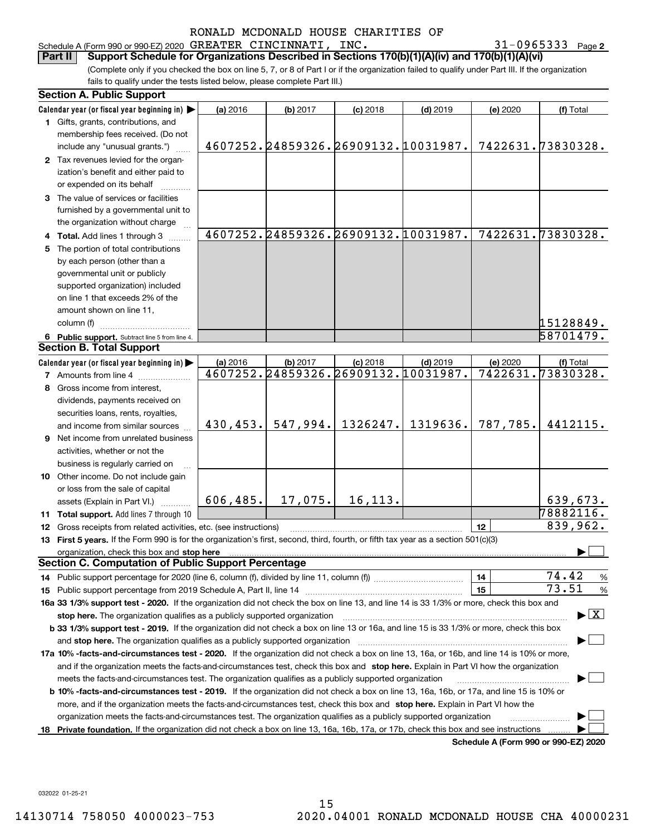Schedule A (Form 990 or 990-EZ) 2020 Page GREATER CINCINNATI, INC. 31-0965333

31-0965333 Page 2

(Complete only if you checked the box on line 5, 7, or 8 of Part I or if the organization failed to qualify under Part III. If the organization fails to qualify under the tests listed below, please complete Part III.) **Part II Support Schedule for Organizations Described in Sections 170(b)(1)(A)(iv) and 170(b)(1)(A)(vi)**

|    | <b>Section A. Public Support</b>                                                                                                               |           |          |                                     |            |                                      |                                          |
|----|------------------------------------------------------------------------------------------------------------------------------------------------|-----------|----------|-------------------------------------|------------|--------------------------------------|------------------------------------------|
|    | Calendar year (or fiscal year beginning in)                                                                                                    | (a) 2016  | (b) 2017 | $(c)$ 2018                          | $(d)$ 2019 | (e) 2020                             | (f) Total                                |
|    | 1 Gifts, grants, contributions, and                                                                                                            |           |          |                                     |            |                                      |                                          |
|    | membership fees received. (Do not                                                                                                              |           |          |                                     |            |                                      |                                          |
|    | include any "unusual grants.")                                                                                                                 |           |          | 4607252.24859326.26909132.10031987. |            |                                      | 7422631.73830328.                        |
|    | 2 Tax revenues levied for the organ-                                                                                                           |           |          |                                     |            |                                      |                                          |
|    | ization's benefit and either paid to                                                                                                           |           |          |                                     |            |                                      |                                          |
|    | or expended on its behalf                                                                                                                      |           |          |                                     |            |                                      |                                          |
|    | 3 The value of services or facilities                                                                                                          |           |          |                                     |            |                                      |                                          |
|    | furnished by a governmental unit to                                                                                                            |           |          |                                     |            |                                      |                                          |
|    | the organization without charge                                                                                                                |           |          |                                     |            |                                      |                                          |
|    | 4 Total. Add lines 1 through 3                                                                                                                 |           |          | 4607252.24859326.26909132.10031987. |            |                                      | 7422631.73830328.                        |
|    | 5 The portion of total contributions                                                                                                           |           |          |                                     |            |                                      |                                          |
|    | by each person (other than a                                                                                                                   |           |          |                                     |            |                                      |                                          |
|    | governmental unit or publicly                                                                                                                  |           |          |                                     |            |                                      |                                          |
|    | supported organization) included                                                                                                               |           |          |                                     |            |                                      |                                          |
|    | on line 1 that exceeds 2% of the                                                                                                               |           |          |                                     |            |                                      |                                          |
|    | amount shown on line 11,                                                                                                                       |           |          |                                     |            |                                      |                                          |
|    | column (f)                                                                                                                                     |           |          |                                     |            |                                      | 15128849.                                |
|    | 6 Public support. Subtract line 5 from line 4.                                                                                                 |           |          |                                     |            |                                      | 58701479.                                |
|    | <b>Section B. Total Support</b>                                                                                                                |           |          |                                     |            |                                      |                                          |
|    | Calendar year (or fiscal year beginning in)                                                                                                    | (a) 2016  | (b) 2017 | $(c)$ 2018                          | $(d)$ 2019 | (e) 2020                             | (f) Total                                |
|    | <b>7</b> Amounts from line 4                                                                                                                   |           |          | 4607252.24859326.26909132.10031987. |            |                                      | 7422631.73830328.                        |
|    | 8 Gross income from interest,                                                                                                                  |           |          |                                     |            |                                      |                                          |
|    | dividends, payments received on                                                                                                                |           |          |                                     |            |                                      |                                          |
|    | securities loans, rents, royalties,                                                                                                            |           |          |                                     |            |                                      |                                          |
|    | and income from similar sources                                                                                                                | 430, 453. | 547,994. | 1326247.                            | 1319636.   | 787,785.                             | 4412115.                                 |
|    | 9 Net income from unrelated business                                                                                                           |           |          |                                     |            |                                      |                                          |
|    | activities, whether or not the                                                                                                                 |           |          |                                     |            |                                      |                                          |
|    | business is regularly carried on                                                                                                               |           |          |                                     |            |                                      |                                          |
|    | 10 Other income. Do not include gain                                                                                                           |           |          |                                     |            |                                      |                                          |
|    | or loss from the sale of capital                                                                                                               |           |          |                                     |            |                                      |                                          |
|    | assets (Explain in Part VI.)                                                                                                                   | 606, 485. | 17,075.  | 16, 113.                            |            |                                      | 639,673.                                 |
|    | 11 Total support. Add lines 7 through 10                                                                                                       |           |          |                                     |            |                                      | 78882116.                                |
|    | 12 Gross receipts from related activities, etc. (see instructions)                                                                             |           |          |                                     |            | 12                                   | 839,962.                                 |
|    | 13 First 5 years. If the Form 990 is for the organization's first, second, third, fourth, or fifth tax year as a section 501(c)(3)             |           |          |                                     |            |                                      |                                          |
|    | organization, check this box and stop here                                                                                                     |           |          |                                     |            |                                      |                                          |
|    | <b>Section C. Computation of Public Support Percentage</b>                                                                                     |           |          |                                     |            |                                      |                                          |
|    |                                                                                                                                                |           |          |                                     |            | 14                                   | 74.42<br>%                               |
|    |                                                                                                                                                |           |          |                                     |            | 15                                   | 73.51<br>$\%$                            |
|    | 16a 33 1/3% support test - 2020. If the organization did not check the box on line 13, and line 14 is 33 1/3% or more, check this box and      |           |          |                                     |            |                                      |                                          |
|    | stop here. The organization qualifies as a publicly supported organization                                                                     |           |          |                                     |            |                                      | $\blacktriangleright$ $\boxed{\text{X}}$ |
|    | b 33 1/3% support test - 2019. If the organization did not check a box on line 13 or 16a, and line 15 is 33 1/3% or more, check this box       |           |          |                                     |            |                                      |                                          |
|    | and stop here. The organization qualifies as a publicly supported organization                                                                 |           |          |                                     |            |                                      |                                          |
|    | 17a 10% -facts-and-circumstances test - 2020. If the organization did not check a box on line 13, 16a, or 16b, and line 14 is 10% or more,     |           |          |                                     |            |                                      |                                          |
|    | and if the organization meets the facts-and-circumstances test, check this box and stop here. Explain in Part VI how the organization          |           |          |                                     |            |                                      |                                          |
|    | meets the facts-and-circumstances test. The organization qualifies as a publicly supported organization                                        |           |          |                                     |            |                                      |                                          |
|    | <b>b 10% -facts-and-circumstances test - 2019.</b> If the organization did not check a box on line 13, 16a, 16b, or 17a, and line 15 is 10% or |           |          |                                     |            |                                      |                                          |
|    | more, and if the organization meets the facts-and-circumstances test, check this box and stop here. Explain in Part VI how the                 |           |          |                                     |            |                                      |                                          |
|    | organization meets the facts-and-circumstances test. The organization qualifies as a publicly supported organization                           |           |          |                                     |            |                                      |                                          |
| 18 | Private foundation. If the organization did not check a box on line 13, 16a, 16b, 17a, or 17b, check this box and see instructions             |           |          |                                     |            |                                      |                                          |
|    |                                                                                                                                                |           |          |                                     |            | Schedule A (Form 990 or 990-F7) 2020 |                                          |

**Schedule A (Form 990 or 990-EZ) 2020**

032022 01-25-21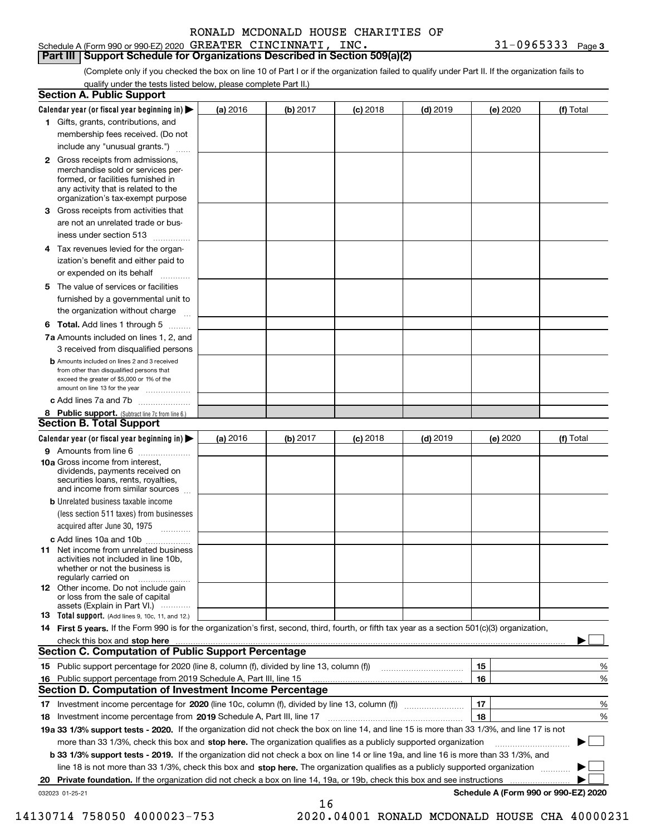### Schedule A (Form 990 or 990-EZ) 2020 Page GREATER CINCINNATI, INC. 31-0965333 **Part III** | Support Schedule for Organizations Described in Section 509(a)(2)

(Complete only if you checked the box on line 10 of Part I or if the organization failed to qualify under Part II. If the organization fails to qualify under the tests listed below, please complete Part II.)

|     | <b>Section A. Public Support</b>                                                                                                                                                                                                                          |          |          |            |            |          |                                      |
|-----|-----------------------------------------------------------------------------------------------------------------------------------------------------------------------------------------------------------------------------------------------------------|----------|----------|------------|------------|----------|--------------------------------------|
|     | Calendar year (or fiscal year beginning in) $\blacktriangleright$                                                                                                                                                                                         | (a) 2016 | (b) 2017 | $(c)$ 2018 | $(d)$ 2019 | (e) 2020 | (f) Total                            |
|     | 1 Gifts, grants, contributions, and                                                                                                                                                                                                                       |          |          |            |            |          |                                      |
|     | membership fees received. (Do not                                                                                                                                                                                                                         |          |          |            |            |          |                                      |
|     | include any "unusual grants.")                                                                                                                                                                                                                            |          |          |            |            |          |                                      |
|     | <b>2</b> Gross receipts from admissions,<br>merchandise sold or services per-<br>formed, or facilities furnished in<br>any activity that is related to the<br>organization's tax-exempt purpose                                                           |          |          |            |            |          |                                      |
|     | 3 Gross receipts from activities that<br>are not an unrelated trade or bus-                                                                                                                                                                               |          |          |            |            |          |                                      |
|     | iness under section 513                                                                                                                                                                                                                                   |          |          |            |            |          |                                      |
|     | 4 Tax revenues levied for the organ-<br>ization's benefit and either paid to                                                                                                                                                                              |          |          |            |            |          |                                      |
|     | or expended on its behalf<br>.                                                                                                                                                                                                                            |          |          |            |            |          |                                      |
|     | 5 The value of services or facilities<br>furnished by a governmental unit to<br>the organization without charge                                                                                                                                           |          |          |            |            |          |                                      |
|     | <b>6 Total.</b> Add lines 1 through 5                                                                                                                                                                                                                     |          |          |            |            |          |                                      |
|     | 7a Amounts included on lines 1, 2, and<br>3 received from disqualified persons                                                                                                                                                                            |          |          |            |            |          |                                      |
|     | <b>b</b> Amounts included on lines 2 and 3 received<br>from other than disqualified persons that<br>exceed the greater of \$5,000 or 1% of the<br>amount on line 13 for the year                                                                          |          |          |            |            |          |                                      |
|     | c Add lines 7a and 7b                                                                                                                                                                                                                                     |          |          |            |            |          |                                      |
|     | 8 Public support. (Subtract line 7c from line 6.)<br><b>Section B. Total Support</b>                                                                                                                                                                      |          |          |            |            |          |                                      |
|     | Calendar year (or fiscal year beginning in) $\blacktriangleright$                                                                                                                                                                                         | (a) 2016 | (b) 2017 | $(c)$ 2018 | $(d)$ 2019 | (e) 2020 | (f) Total                            |
|     | 9 Amounts from line 6                                                                                                                                                                                                                                     |          |          |            |            |          |                                      |
|     | 10a Gross income from interest,<br>dividends, payments received on<br>securities loans, rents, royalties,<br>and income from similar sources                                                                                                              |          |          |            |            |          |                                      |
|     | <b>b</b> Unrelated business taxable income<br>(less section 511 taxes) from businesses                                                                                                                                                                    |          |          |            |            |          |                                      |
|     | acquired after June 30, 1975                                                                                                                                                                                                                              |          |          |            |            |          |                                      |
|     | c Add lines 10a and 10b<br>11 Net income from unrelated business<br>activities not included in line 10b,<br>whether or not the business is<br>regularly carried on                                                                                        |          |          |            |            |          |                                      |
|     | <b>12</b> Other income. Do not include gain<br>or loss from the sale of capital<br>assets (Explain in Part VI.)                                                                                                                                           |          |          |            |            |          |                                      |
|     | 13 Total support. (Add lines 9, 10c, 11, and 12.)                                                                                                                                                                                                         |          |          |            |            |          |                                      |
|     | 14 First 5 years. If the Form 990 is for the organization's first, second, third, fourth, or fifth tax year as a section 501(c)(3) organization,                                                                                                          |          |          |            |            |          |                                      |
|     | check this box and stop here measurements are constructed as the state of the state of the state of the state o                                                                                                                                           |          |          |            |            |          |                                      |
|     | <b>Section C. Computation of Public Support Percentage</b>                                                                                                                                                                                                |          |          |            |            |          |                                      |
|     |                                                                                                                                                                                                                                                           |          |          |            |            | 15       | %                                    |
| 16. | Public support percentage from 2019 Schedule A, Part III, line 15                                                                                                                                                                                         |          |          |            |            | 16       | %                                    |
|     | <b>Section D. Computation of Investment Income Percentage</b>                                                                                                                                                                                             |          |          |            |            |          |                                      |
|     | 17 Investment income percentage for 2020 (line 10c, column (f), divided by line 13, column (f))                                                                                                                                                           |          |          |            |            | 17<br>18 | %<br>%                               |
|     | 18 Investment income percentage from 2019 Schedule A, Part III, line 17<br>19a 33 1/3% support tests - 2020. If the organization did not check the box on line 14, and line 15 is more than 33 1/3%, and line 17 is not                                   |          |          |            |            |          |                                      |
|     |                                                                                                                                                                                                                                                           |          |          |            |            |          |                                      |
|     | more than 33 1/3%, check this box and stop here. The organization qualifies as a publicly supported organization<br>b 33 1/3% support tests - 2019. If the organization did not check a box on line 14 or line 19a, and line 16 is more than 33 1/3%, and |          |          |            |            |          |                                      |
|     | line 18 is not more than 33 1/3%, check this box and stop here. The organization qualifies as a publicly supported organization                                                                                                                           |          |          |            |            |          |                                      |
|     | 20 Private foundation. If the organization did not check a box on line 14, 19a, or 19b, check this box and see instructions                                                                                                                               |          |          |            |            |          | .                                    |
|     | 032023 01-25-21                                                                                                                                                                                                                                           |          |          |            |            |          | Schedule A (Form 990 or 990-EZ) 2020 |
|     |                                                                                                                                                                                                                                                           |          | 16       |            |            |          |                                      |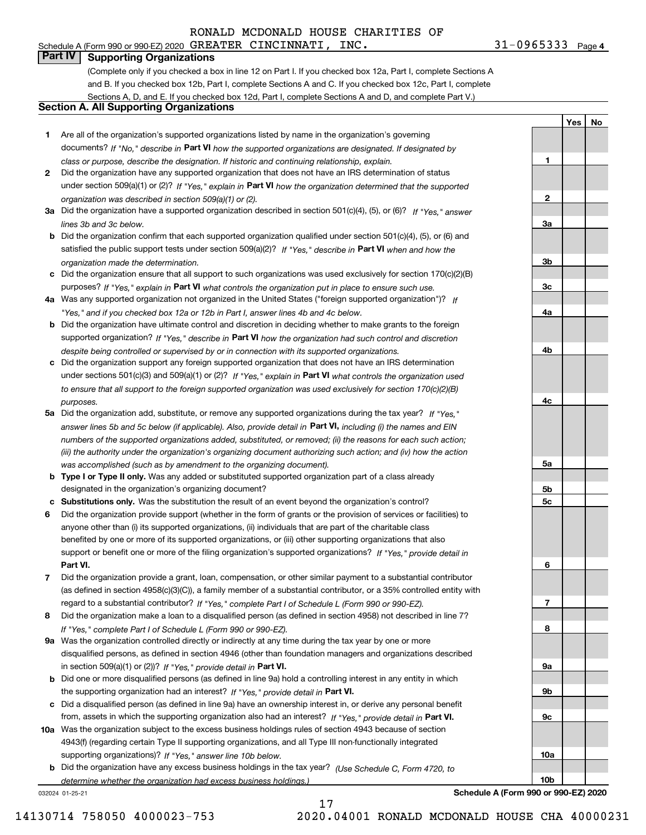## Schedule A (Form 990 or 990-EZ) 2020 Page GREATER CINCINNATI, INC. 31-0965333

**Part IV Supporting Organizations**

(Complete only if you checked a box in line 12 on Part I. If you checked box 12a, Part I, complete Sections A and B. If you checked box 12b, Part I, complete Sections A and C. If you checked box 12c, Part I, complete Sections A, D, and E. If you checked box 12d, Part I, complete Sections A and D, and complete Part V.)

### **Section A. All Supporting Organizations**

- **1** Are all of the organization's supported organizations listed by name in the organization's governing documents? If "No," describe in **Part VI** how the supported organizations are designated. If designated by *class or purpose, describe the designation. If historic and continuing relationship, explain.*
- **2** Did the organization have any supported organization that does not have an IRS determination of status under section 509(a)(1) or (2)? If "Yes," explain in Part VI how the organization determined that the supported *organization was described in section 509(a)(1) or (2).*
- **3a** Did the organization have a supported organization described in section 501(c)(4), (5), or (6)? If "Yes," answer *lines 3b and 3c below.*
- **b** Did the organization confirm that each supported organization qualified under section 501(c)(4), (5), or (6) and satisfied the public support tests under section 509(a)(2)? If "Yes," describe in **Part VI** when and how the *organization made the determination.*
- **c**Did the organization ensure that all support to such organizations was used exclusively for section 170(c)(2)(B) purposes? If "Yes," explain in **Part VI** what controls the organization put in place to ensure such use.
- **4a***If* Was any supported organization not organized in the United States ("foreign supported organization")? *"Yes," and if you checked box 12a or 12b in Part I, answer lines 4b and 4c below.*
- **b** Did the organization have ultimate control and discretion in deciding whether to make grants to the foreign supported organization? If "Yes," describe in **Part VI** how the organization had such control and discretion *despite being controlled or supervised by or in connection with its supported organizations.*
- **c** Did the organization support any foreign supported organization that does not have an IRS determination under sections 501(c)(3) and 509(a)(1) or (2)? If "Yes," explain in **Part VI** what controls the organization used *to ensure that all support to the foreign supported organization was used exclusively for section 170(c)(2)(B) purposes.*
- **5a** Did the organization add, substitute, or remove any supported organizations during the tax year? If "Yes," answer lines 5b and 5c below (if applicable). Also, provide detail in **Part VI,** including (i) the names and EIN *numbers of the supported organizations added, substituted, or removed; (ii) the reasons for each such action; (iii) the authority under the organization's organizing document authorizing such action; and (iv) how the action was accomplished (such as by amendment to the organizing document).*
- **b** Type I or Type II only. Was any added or substituted supported organization part of a class already designated in the organization's organizing document?
- **cSubstitutions only.**  Was the substitution the result of an event beyond the organization's control?
- **6** Did the organization provide support (whether in the form of grants or the provision of services or facilities) to **Part VI.** *If "Yes," provide detail in* support or benefit one or more of the filing organization's supported organizations? anyone other than (i) its supported organizations, (ii) individuals that are part of the charitable class benefited by one or more of its supported organizations, or (iii) other supporting organizations that also
- **7**Did the organization provide a grant, loan, compensation, or other similar payment to a substantial contributor *If "Yes," complete Part I of Schedule L (Form 990 or 990-EZ).* regard to a substantial contributor? (as defined in section 4958(c)(3)(C)), a family member of a substantial contributor, or a 35% controlled entity with
- **8** Did the organization make a loan to a disqualified person (as defined in section 4958) not described in line 7? *If "Yes," complete Part I of Schedule L (Form 990 or 990-EZ).*
- **9a** Was the organization controlled directly or indirectly at any time during the tax year by one or more in section 509(a)(1) or (2))? If "Yes," *provide detail in* <code>Part VI.</code> disqualified persons, as defined in section 4946 (other than foundation managers and organizations described
- **b** Did one or more disqualified persons (as defined in line 9a) hold a controlling interest in any entity in which the supporting organization had an interest? If "Yes," provide detail in P**art VI**.
- **c**Did a disqualified person (as defined in line 9a) have an ownership interest in, or derive any personal benefit from, assets in which the supporting organization also had an interest? If "Yes," provide detail in P**art VI.**
- **10a** Was the organization subject to the excess business holdings rules of section 4943 because of section supporting organizations)? If "Yes," answer line 10b below. 4943(f) (regarding certain Type II supporting organizations, and all Type III non-functionally integrated
- **b** Did the organization have any excess business holdings in the tax year? (Use Schedule C, Form 4720, to *determine whether the organization had excess business holdings.)*

17

032024 01-25-21

**Schedule A (Form 990 or 990-EZ) 2020**

**1**

**2**

**3a**

**3b**

**3c**

**4a**

**4b**

**4c**

**5a**

**5b5c**

**6**

**7**

**8**

**9a**

**9b**

**9c**

**10a**

**10b**

**Yes No**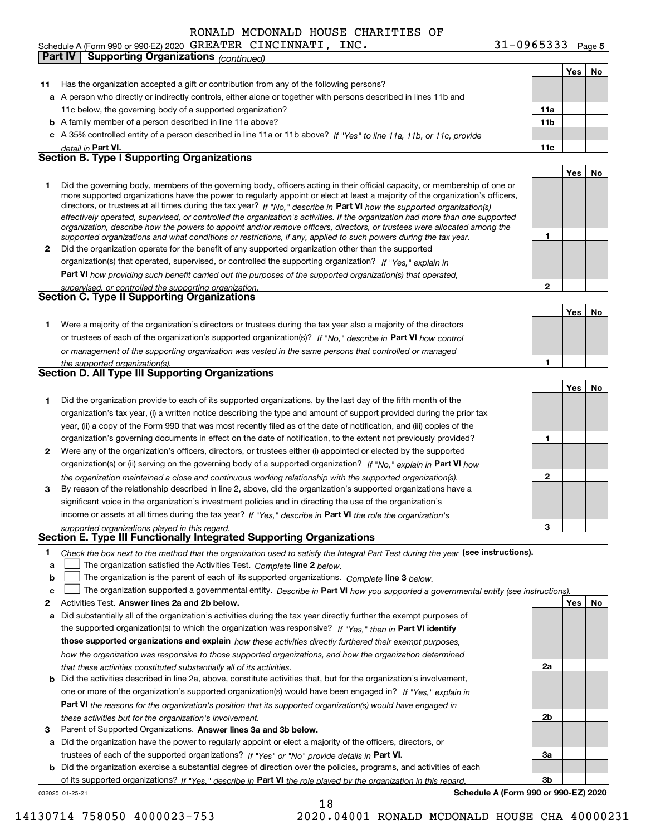### **Yes No 11** Has the organization accepted a gift or contribution from any of the following persons? **a**A person who directly or indirectly controls, either alone or together with persons described in lines 11b and **b** A family member of a person described in line 11a above? **c** A 35% controlled entity of a person described in line 11a or 11b above? If "Yes" to line 11a, 11b, or 11c, provide **11a11bPart VI. 11c Yes No 12** Did the organization operate for the benefit of any supported organization other than the supported directors, or trustees at all times during the tax year? If "No," describe in **Part VI** how the supported organization(s) **12Part VI**  *how providing such benefit carried out the purposes of the supported organization(s) that operated,* **Yes No 1** Were a majority of the organization's directors or trustees during the tax year also a majority of the directors or trustees of each of the organization's supported organization(s)? If "No," describe in **Part VI** how control **1Yes No 1** Did the organization provide to each of its supported organizations, by the last day of the fifth month of the **2** Were any of the organization's officers, directors, or trustees either (i) appointed or elected by the supported **3123**organization(s) or (ii) serving on the governing body of a supported organization? If "No," explain in **Part VI** how income or assets at all times during the tax year? If "Yes," describe in **Part VI** the role the organization's **12**Activities Test. Check the box next to the method that the organization used to satisfy the Integral Part Test during the year (see instructions). **abclinupy** The organization satisfied the Activities Test. Complete line 2 below. The organization is the parent of each of its supported organizations. *Complete* line 3 below.<br>The state of the state of the state of the state of the state of the state of the state of the state of the state of the state The organization supported a governmental entity. *Describe in* Part **VI** *how you supported a governmental entity (see instruction<u>s).</u>* **Activities Test. Answer lines 2a and 2b below.**<br>**a** Did substantially all of the organization's activities during the tax year directly further the exempt purposes of **b** Did the activities described in line 2a, above, constitute activities that, but for the organization's involvement, the supported organization(s) to which the organization was responsive? If "Yes," then in **Part VI identify those supported organizations and explain**  *how these activities directly furthered their exempt purposes,* **2a Part VI**  *the reasons for the organization's position that its supported organization(s) would have engaged in detail in effectively operated, supervised, or controlled the organization's activities. If the organization had more than one supported organization, describe how the powers to appoint and/or remove officers, directors, or trustees were allocated among the supported organizations and what conditions or restrictions, if any, applied to such powers during the tax year. If "Yes," explain in* organization(s) that operated, supervised, or controlled the supporting organization? *supervised, or controlled the supporting organization. or management of the supporting organization was vested in the same persons that controlled or managed the supported organization(s). the organization maintained a close and continuous working relationship with the supported organization(s). supported organizations played in this regard. how the organization was responsive to those supported organizations, and how the organization determined that these activities constituted substantially all of its activities.* one or more of the organization's supported organization(s) would have been engaged in? If "Yes," e*xplain in* 11c below, the governing body of a supported organization? Did the governing body, members of the governing body, officers acting in their official capacity, or membership of one or more supported organizations have the power to regularly appoint or elect at least a majority of the organization's officers, organization's tax year, (i) a written notice describing the type and amount of support provided during the prior tax year, (ii) a copy of the Form 990 that was most recently filed as of the date of notification, and (iii) copies of the organization's governing documents in effect on the date of notification, to the extent not previously provided? By reason of the relationship described in line 2, above, did the organization's supported organizations have a significant voice in the organization's investment policies and in directing the use of the organization's **Part IV Supporting Organizations** *(continued)* **Section B. Type I Supporting Organizations Section C. Type II Supporting Organizations Section D. All Type III Supporting Organizations Section E. Type III Functionally Integrated Supporting Organizations**  $\mathcal{L}^{\text{max}}$  $\mathcal{L}^{\text{max}}$

- *these activities but for the organization's involvement.*
- **3** Parent of Supported Organizations. Answer lines 3a and 3b below.

**a** Did the organization have the power to regularly appoint or elect a majority of the officers, directors, or trustees of each of the supported organizations? If "Yes" or "No" provide details in **Part VI.** 

032025 01-25-21 **b** Did the organization exercise a substantial degree of direction over the policies, programs, and activities of each **Part VI**  *If "Yes," describe in the role played by the organization in this regard.* of its supported organizations?

18

### **Schedule A (Form 990 or 990-EZ) 2020**

**2b**

**3a**

**3b**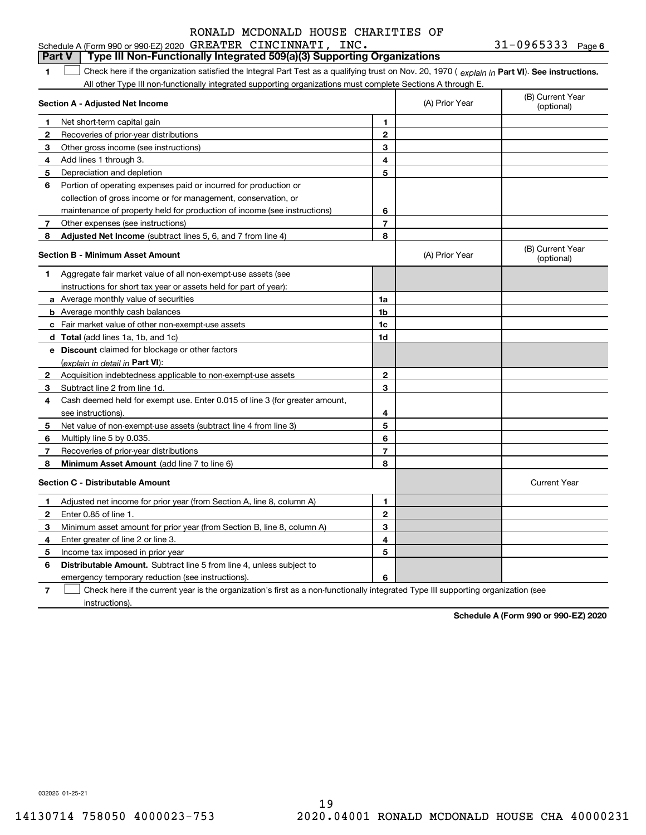| Schedule A (Form 990 or 990-EZ) 2020 $\,$ GREATER $\,$ CINCINNATI , $\,$ |  |  | INC. | $31 - 0965333$ Page 6 |  |
|--------------------------------------------------------------------------|--|--|------|-----------------------|--|
|--------------------------------------------------------------------------|--|--|------|-----------------------|--|

### **1Part VI** Check here if the organization satisfied the Integral Part Test as a qualifying trust on Nov. 20, 1970 ( *explain in* Part **VI**). See instructions. **Section A - Adjusted Net Income 123** Other gross income (see instructions) **456** Portion of operating expenses paid or incurred for production or **7** Other expenses (see instructions) **8** Adjusted Net Income (subtract lines 5, 6, and 7 from line 4) **8 8 1234567Section B - Minimum Asset Amount 1**Aggregate fair market value of all non-exempt-use assets (see **2**Acquisition indebtedness applicable to non-exempt-use assets **3** Subtract line 2 from line 1d. **4**Cash deemed held for exempt use. Enter 0.015 of line 3 (for greater amount, **5** Net value of non-exempt-use assets (subtract line 4 from line 3) **678a** Average monthly value of securities **b** Average monthly cash balances **c**Fair market value of other non-exempt-use assets **dTotal**  (add lines 1a, 1b, and 1c) **eDiscount** claimed for blockage or other factors **1a1b1c1d2345678**<u>(explain in detail in **Part VI**):</u> **Minimum Asset Amount**  (add line 7 to line 6) **Section C - Distributable Amount 12**Enter 0.85 of line 1. **3456123456Distributable Amount.** Subtract line 5 from line 4, unless subject to All other Type III non-functionally integrated supporting organizations must complete Sections A through E. (B) Current Year (optional)(A) Prior Year Net short-term capital gain Recoveries of prior-year distributions Add lines 1 through 3. Depreciation and depletion collection of gross income or for management, conservation, or maintenance of property held for production of income (see instructions) (B) Current Year (optional)(A) Prior Year instructions for short tax year or assets held for part of year): see instructions). Multiply line 5 by 0.035. Recoveries of prior-year distributions Current Year Adjusted net income for prior year (from Section A, line 8, column A) Minimum asset amount for prior year (from Section B, line 8, column A) Enter greater of line 2 or line 3. Income tax imposed in prior year emergency temporary reduction (see instructions). **Part V** Type III Non-Functionally Integrated 509(a)(3) Supporting Organizations  $\mathcal{L}^{\text{max}}$

**7**Check here if the current year is the organization's first as a non-functionally integrated Type III supporting organization (see instructions). $\mathcal{L}^{\text{max}}$ 

**Schedule A (Form 990 or 990-EZ) 2020**

032026 01-25-21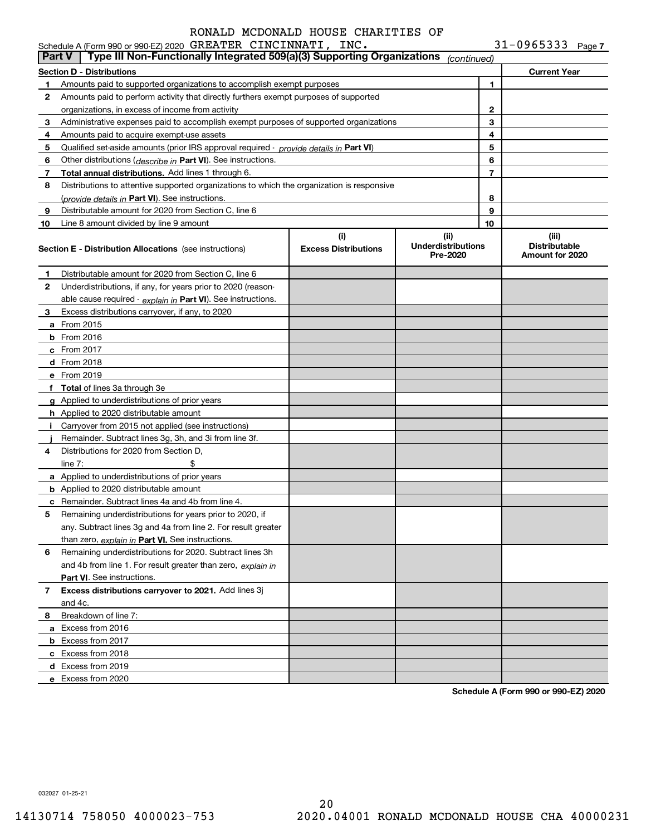|               | Schedule A (Form 990 or 990-EZ) 2020 GREATER CINCINNATI, INC.                                 |                                               |             |                                                  | $31 - 0965333$ Page 7 |  |
|---------------|-----------------------------------------------------------------------------------------------|-----------------------------------------------|-------------|--------------------------------------------------|-----------------------|--|
| <b>Part V</b> | Type III Non-Functionally Integrated 509(a)(3) Supporting Organizations                       |                                               | (continued) |                                                  |                       |  |
|               | <b>Section D - Distributions</b>                                                              |                                               |             |                                                  | <b>Current Year</b>   |  |
| 1.            | Amounts paid to supported organizations to accomplish exempt purposes                         |                                               |             | 1                                                |                       |  |
| 2             | Amounts paid to perform activity that directly furthers exempt purposes of supported          |                                               |             |                                                  |                       |  |
|               | organizations, in excess of income from activity                                              |                                               |             | 2                                                |                       |  |
| 3             | Administrative expenses paid to accomplish exempt purposes of supported organizations         |                                               |             | 3                                                |                       |  |
| 4             | Amounts paid to acquire exempt-use assets                                                     |                                               |             | 4                                                |                       |  |
| 5             | Qualified set-aside amounts (prior IRS approval required - <i>provide details in</i> Part VI) |                                               |             | 5                                                |                       |  |
| 6             | Other distributions ( <i>describe in</i> Part VI). See instructions.                          |                                               |             | 6                                                |                       |  |
| 7             | Total annual distributions. Add lines 1 through 6.                                            |                                               |             | 7                                                |                       |  |
| 8             | Distributions to attentive supported organizations to which the organization is responsive    |                                               |             |                                                  |                       |  |
|               | (provide details in Part VI). See instructions.                                               |                                               |             | 8                                                |                       |  |
| 9             | Distributable amount for 2020 from Section C, line 6                                          |                                               |             | 9                                                |                       |  |
| 10            | Line 8 amount divided by line 9 amount                                                        | (i)                                           |             | 10                                               |                       |  |
|               | <b>Section E - Distribution Allocations</b> (see instructions)                                | (ii)<br><b>Underdistributions</b><br>Pre-2020 |             | (iii)<br><b>Distributable</b><br>Amount for 2020 |                       |  |
| 1             | Distributable amount for 2020 from Section C, line 6                                          |                                               |             |                                                  |                       |  |
| 2             | Underdistributions, if any, for years prior to 2020 (reason-                                  |                                               |             |                                                  |                       |  |
|               | able cause required $\cdot$ explain in Part VI). See instructions.                            |                                               |             |                                                  |                       |  |
| 3             | Excess distributions carryover, if any, to 2020                                               |                                               |             |                                                  |                       |  |
|               | <b>a</b> From 2015                                                                            |                                               |             |                                                  |                       |  |
|               | <b>b</b> From 2016                                                                            |                                               |             |                                                  |                       |  |
|               | c From 2017                                                                                   |                                               |             |                                                  |                       |  |
|               | d From 2018                                                                                   |                                               |             |                                                  |                       |  |
|               | e From 2019                                                                                   |                                               |             |                                                  |                       |  |
|               | f Total of lines 3a through 3e                                                                |                                               |             |                                                  |                       |  |
|               | g Applied to underdistributions of prior years                                                |                                               |             |                                                  |                       |  |
|               | <b>h</b> Applied to 2020 distributable amount                                                 |                                               |             |                                                  |                       |  |
|               | Carryover from 2015 not applied (see instructions)                                            |                                               |             |                                                  |                       |  |
|               | Remainder. Subtract lines 3g, 3h, and 3i from line 3f.                                        |                                               |             |                                                  |                       |  |
| 4             | Distributions for 2020 from Section D,                                                        |                                               |             |                                                  |                       |  |
|               | \$<br>line $7:$                                                                               |                                               |             |                                                  |                       |  |
|               | a Applied to underdistributions of prior years                                                |                                               |             |                                                  |                       |  |
|               | <b>b</b> Applied to 2020 distributable amount                                                 |                                               |             |                                                  |                       |  |
|               | <b>c</b> Remainder. Subtract lines 4a and 4b from line 4.                                     |                                               |             |                                                  |                       |  |
|               | Remaining underdistributions for years prior to 2020, if                                      |                                               |             |                                                  |                       |  |
|               | any. Subtract lines 3g and 4a from line 2. For result greater                                 |                                               |             |                                                  |                       |  |
|               | than zero, explain in Part VI. See instructions.                                              |                                               |             |                                                  |                       |  |
| 6             | Remaining underdistributions for 2020. Subtract lines 3h                                      |                                               |             |                                                  |                       |  |
|               | and 4b from line 1. For result greater than zero, explain in                                  |                                               |             |                                                  |                       |  |
|               | Part VI. See instructions.                                                                    |                                               |             |                                                  |                       |  |
| $7^{\circ}$   | Excess distributions carryover to 2021. Add lines 3j                                          |                                               |             |                                                  |                       |  |
|               | and 4c.                                                                                       |                                               |             |                                                  |                       |  |
| 8             | Breakdown of line 7:                                                                          |                                               |             |                                                  |                       |  |
|               | a Excess from 2016                                                                            |                                               |             |                                                  |                       |  |
|               | <b>b</b> Excess from 2017                                                                     |                                               |             |                                                  |                       |  |
|               | c Excess from 2018                                                                            |                                               |             |                                                  |                       |  |
|               | d Excess from 2019                                                                            |                                               |             |                                                  |                       |  |
|               | e Excess from 2020                                                                            |                                               |             |                                                  |                       |  |

**Schedule A (Form 990 or 990-EZ) 2020**

032027 01-25-21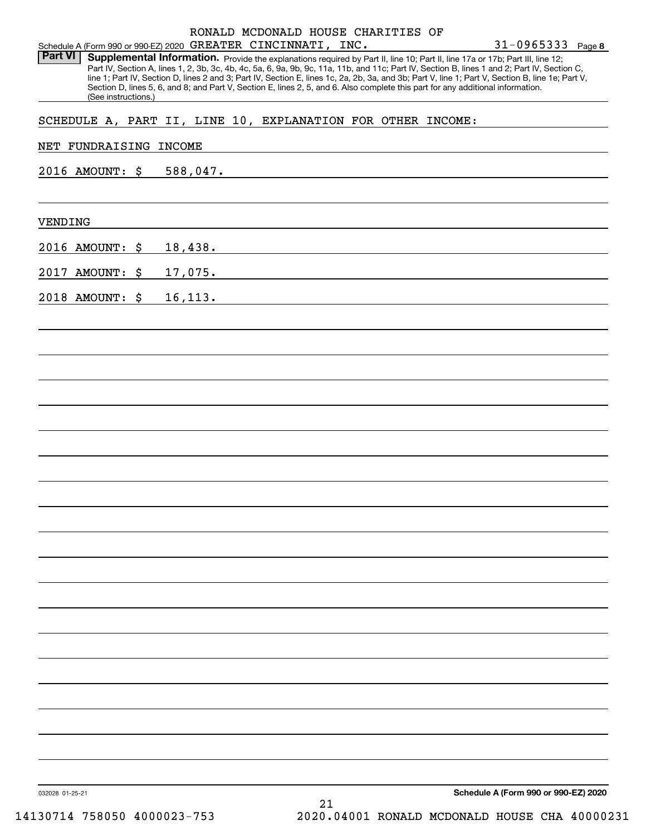|  |                                     | RONALD MCDONALD HOUSE CHARITIES OF |  |
|--|-------------------------------------|------------------------------------|--|
|  | $_{\rm 0}$ GREATER CINCINNATI, INC. |                                    |  |

Schedule A (Form 990 or 990-EZ) 202 Part VI | Supplemental Information. Provide the explanations required by Part II, line 10; Part II, line 17a or 17b; Part III, line 12; Part IV, Section A, lines 1, 2, 3b, 3c, 4b, 4c, 5a, 6, 9a, 9b, 9c, 11a, 11b, and 11c; Part IV, Section B, lines 1 and 2; Part IV, Section C, line 1; Part IV, Section D, lines 2 and 3; Part IV, Section E, lines 1c, 2a, 2b, 3a, and 3b; Part V, line 1; Part V, Section B, line 1e; Part V, Section D, lines 5, 6, and 8; and Part V, Section E, lines 2, 5, and 6. Also complete this part for any additional information. (See instructions.)

SCHEDULE A, PART II, LINE 10, EXPLANATION FOR OTHER INCOME:

### NET FUNDRAISING INCOME

2016 AMOUNT: \$ 588,047.

### VENDING

2016 AMOUNT: \$ 18,438.

2017 AMOUNT: \$ 17,075.

2018 AMOUNT: \$ 16,113.

**Schedule A (Form 990 or 990-EZ) 2020**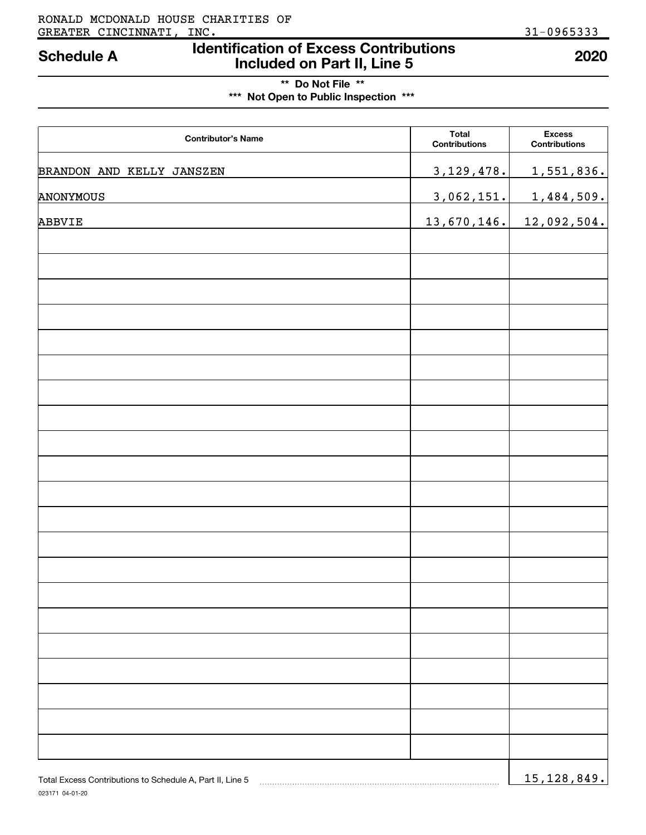### GREATER CINCINNATI, INC. 31-0965333 RONALD MCDONALD HOUSE CHARITIES OF

## **Identification of Excess Contributions Included on Part II, Line 5 Schedule A 2020**

## **\*\* Do Not File \*\* \*\*\* Not Open to Public Inspection \*\*\***

| <b>Contributor's Name</b> | <b>Total</b><br>Contributions | <b>Excess</b><br><b>Contributions</b> |
|---------------------------|-------------------------------|---------------------------------------|
| BRANDON AND KELLY JANSZEN | 3, 129, 478.                  | 1,551,836.                            |
| ANONYMOUS                 | 3,062,151.                    | 1,484,509.                            |
| ABBVIE                    | 13,670,146.                   | 12,092,504.                           |
|                           |                               |                                       |
|                           |                               |                                       |
|                           |                               |                                       |
|                           |                               |                                       |
|                           |                               |                                       |
|                           |                               |                                       |
|                           |                               |                                       |
|                           |                               |                                       |
|                           |                               |                                       |
|                           |                               |                                       |
|                           |                               |                                       |
|                           |                               |                                       |
|                           |                               |                                       |
|                           |                               |                                       |
|                           |                               |                                       |
|                           |                               |                                       |
|                           |                               |                                       |
|                           |                               |                                       |
|                           |                               |                                       |
|                           |                               |                                       |
|                           |                               | $\sim$<br>$\sim$ 1 $\sim$             |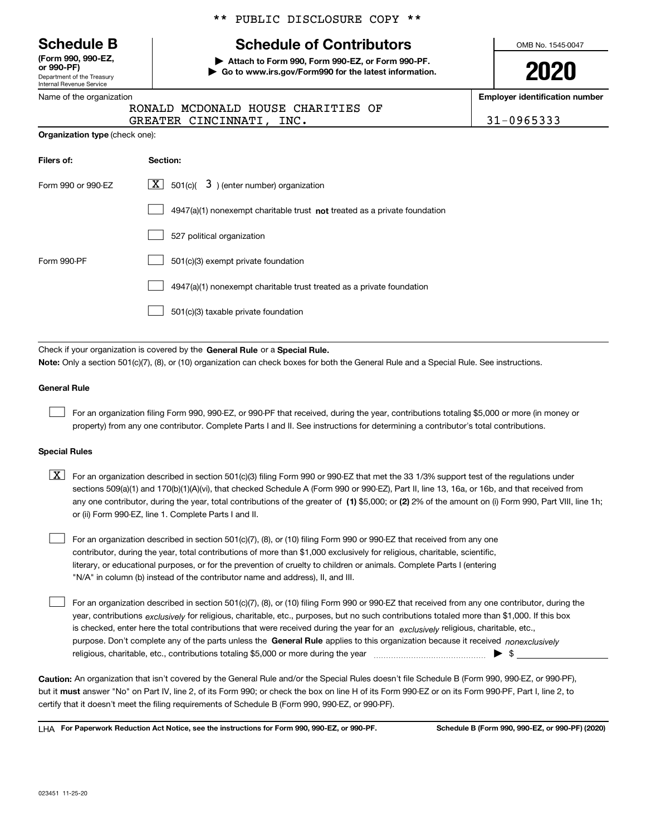Department of the Treasury Internal Revenue Service **(Form 990, 990-EZ, or 990-PF)**

### Name of the organization

**Organization type** (check one):

### \*\* PUBLIC DISCLOSURE COPY \*\*

## **Schedule B Schedule of Contributors**

**| Attach to Form 990, Form 990-EZ, or Form 990-PF. | Go to www.irs.gov/Form990 for the latest information.** OMB No. 1545-0047

**2020**

**Employer identification number**

|                                    | ________________________ |
|------------------------------------|--------------------------|
| RONALD MCDONALD HOUSE CHARITIES OF |                          |
| GREATER CINCINNATI, INC.           | 31-0965333               |

| Filers of:         | Section:                                                                    |
|--------------------|-----------------------------------------------------------------------------|
| Form 990 or 990-FZ | $ \mathbf{X} $ 501(c)( 3) (enter number) organization                       |
|                    | $4947(a)(1)$ nonexempt charitable trust not treated as a private foundation |
|                    | 527 political organization                                                  |
| Form 990-PF        | 501(c)(3) exempt private foundation                                         |
|                    | 4947(a)(1) nonexempt charitable trust treated as a private foundation       |
|                    | 501(c)(3) taxable private foundation                                        |

Check if your organization is covered by the **General Rule** or a **Special Rule.**<br>Nota: Only a section 501(c)(7), (8), or (10) erganization can chock boxes for be **Note:**  Only a section 501(c)(7), (8), or (10) organization can check boxes for both the General Rule and a Special Rule. See instructions.

### **General Rule**

 $\mathcal{L}^{\text{max}}$ 

For an organization filing Form 990, 990-EZ, or 990-PF that received, during the year, contributions totaling \$5,000 or more (in money or property) from any one contributor. Complete Parts I and II. See instructions for determining a contributor's total contributions.

### **Special Rules**

any one contributor, during the year, total contributions of the greater of  $\,$  (1) \$5,000; or **(2)** 2% of the amount on (i) Form 990, Part VIII, line 1h;  $\boxed{\textbf{X}}$  For an organization described in section 501(c)(3) filing Form 990 or 990-EZ that met the 33 1/3% support test of the regulations under sections 509(a)(1) and 170(b)(1)(A)(vi), that checked Schedule A (Form 990 or 990-EZ), Part II, line 13, 16a, or 16b, and that received from or (ii) Form 990-EZ, line 1. Complete Parts I and II.

For an organization described in section 501(c)(7), (8), or (10) filing Form 990 or 990-EZ that received from any one contributor, during the year, total contributions of more than \$1,000 exclusively for religious, charitable, scientific, literary, or educational purposes, or for the prevention of cruelty to children or animals. Complete Parts I (entering "N/A" in column (b) instead of the contributor name and address), II, and III.  $\mathcal{L}^{\text{max}}$ 

purpose. Don't complete any of the parts unless the **General Rule** applies to this organization because it received *nonexclusively* year, contributions <sub>exclusively</sub> for religious, charitable, etc., purposes, but no such contributions totaled more than \$1,000. If this box is checked, enter here the total contributions that were received during the year for an  $\;$ exclusively religious, charitable, etc., For an organization described in section 501(c)(7), (8), or (10) filing Form 990 or 990-EZ that received from any one contributor, during the religious, charitable, etc., contributions totaling \$5,000 or more during the year  $\Box$ — $\Box$   $\Box$  $\mathcal{L}^{\text{max}}$ 

**Caution:**  An organization that isn't covered by the General Rule and/or the Special Rules doesn't file Schedule B (Form 990, 990-EZ, or 990-PF), but it **must** answer "No" on Part IV, line 2, of its Form 990; or check the box on line H of its Form 990-EZ or on its Form 990-PF, Part I, line 2, to<br>cortify that it doesn't meet the filipe requirements of Schodule B (Fer certify that it doesn't meet the filing requirements of Schedule B (Form 990, 990-EZ, or 990-PF).

**For Paperwork Reduction Act Notice, see the instructions for Form 990, 990-EZ, or 990-PF. Schedule B (Form 990, 990-EZ, or 990-PF) (2020)** LHA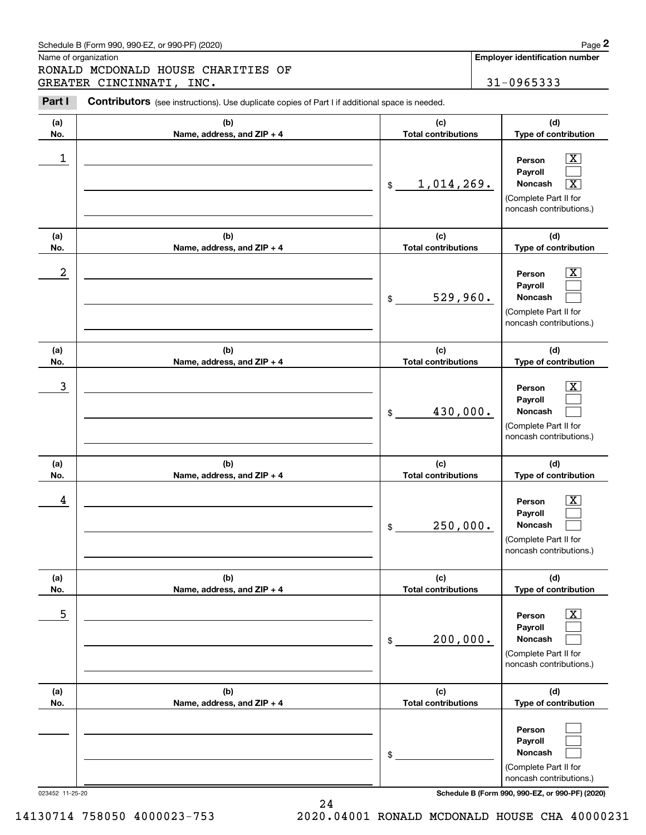|            | Schedule B (Form 990, 990-EZ, or 990-PF) (2020)                                                |                                   | Page 2                                                                                                                                   |
|------------|------------------------------------------------------------------------------------------------|-----------------------------------|------------------------------------------------------------------------------------------------------------------------------------------|
|            | Name of organization<br>RONALD MCDONALD HOUSE CHARITIES OF<br>GREATER CINCINNATI,<br>INC.      |                                   | Employer identification number<br>31-0965333                                                                                             |
| Part I     | Contributors (see instructions). Use duplicate copies of Part I if additional space is needed. |                                   |                                                                                                                                          |
| (a)<br>No. | (b)<br>Name, address, and ZIP + 4                                                              | (c)<br><b>Total contributions</b> | (d)<br>Type of contribution                                                                                                              |
| 1          |                                                                                                | 1,014,269.<br>$$\mathbb{S}$$      | $\boxed{\text{X}}$<br>Person<br>Payroll<br>$\overline{\mathbf{x}}$<br><b>Noncash</b><br>(Complete Part II for<br>noncash contributions.) |
| (a)<br>No. | (b)<br>Name, address, and ZIP + 4                                                              | (c)<br><b>Total contributions</b> | (d)<br>Type of contribution                                                                                                              |
| 2          |                                                                                                | 529,960.<br>\$                    | $\overline{\mathbf{X}}$<br>Person<br>Payroll<br>Noncash<br>(Complete Part II for<br>noncash contributions.)                              |
| (a)<br>No. | (b)<br>Name, address, and ZIP + 4                                                              | (c)<br><b>Total contributions</b> | (d)<br>Type of contribution                                                                                                              |
| 3          |                                                                                                | 430,000.<br>\$                    | $\overline{\mathbf{X}}$<br>Person<br>Payroll<br>Noncash<br>(Complete Part II for<br>noncash contributions.)                              |
| (a)<br>No. | (b)<br>Name, address, and ZIP + 4                                                              | (c)<br><b>Total contributions</b> | (d)<br>Type of contribution                                                                                                              |
| 4          |                                                                                                | 250,000.<br>\$                    | $\mathbf{X}$<br>Person<br>Payroll<br>Noncash<br>(Complete Part II for<br>noncash contributions.)                                         |
| (a)<br>No. | (b)<br>Name, address, and ZIP + 4                                                              | (c)<br><b>Total contributions</b> | (d)<br>Type of contribution                                                                                                              |
| 5          |                                                                                                | 200,000.<br>\$                    | $\boxed{\text{X}}$<br>Person<br>Payroll<br>Noncash<br>(Complete Part II for<br>noncash contributions.)                                   |
| (a)<br>No. | (b)<br>Name, address, and ZIP + 4                                                              | (c)<br><b>Total contributions</b> | (d)<br>Type of contribution                                                                                                              |
|            |                                                                                                | \$                                | Person<br>Payroll<br>Noncash<br>(Complete Part II for<br>noncash contributions.)                                                         |

023452 11-25-20 **Schedule B (Form 990, 990-EZ, or 990-PF) (2020)**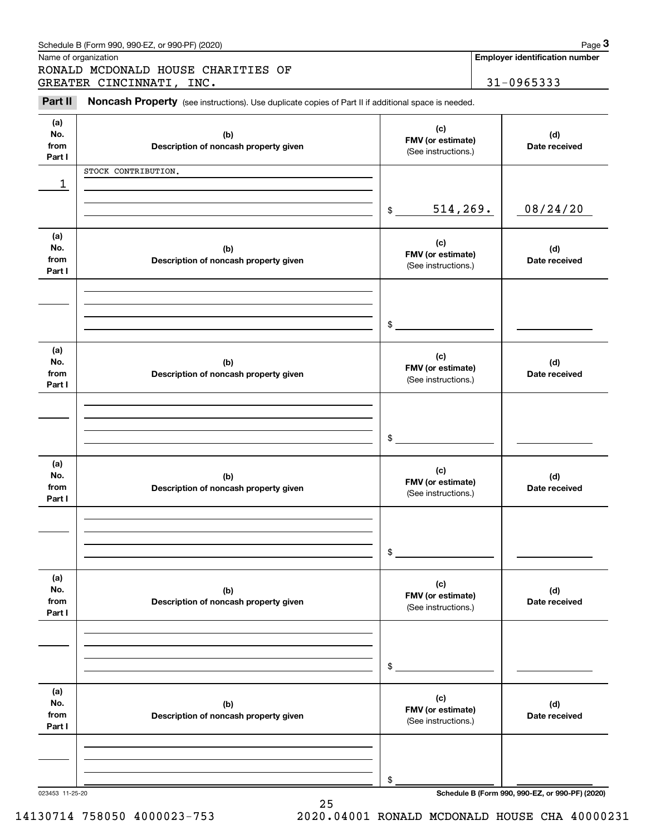|                      | Schedule B (Form 990, 990-EZ, or 990-PF) (2020)                                                     |                                          | Page 3                                          |
|----------------------|-----------------------------------------------------------------------------------------------------|------------------------------------------|-------------------------------------------------|
| Name of organization |                                                                                                     |                                          | <b>Employer identification number</b>           |
|                      | RONALD MCDONALD HOUSE CHARITIES OF<br>GREATER CINCINNATI, INC.                                      |                                          | 31-0965333                                      |
|                      |                                                                                                     |                                          |                                                 |
| Part II              | Noncash Property (see instructions). Use duplicate copies of Part II if additional space is needed. |                                          |                                                 |
| (a)                  |                                                                                                     | (c)                                      |                                                 |
| No.<br>from          | (b)                                                                                                 | FMV (or estimate)                        | (d)                                             |
| Part I               | Description of noncash property given                                                               | (See instructions.)                      | Date received                                   |
|                      | STOCK CONTRIBUTION.                                                                                 |                                          |                                                 |
| 1                    |                                                                                                     |                                          |                                                 |
|                      |                                                                                                     |                                          |                                                 |
|                      |                                                                                                     | 514, 269.<br>$$\circ$$                   | 08/24/20                                        |
| (a)                  |                                                                                                     |                                          |                                                 |
| No.                  | (b)                                                                                                 | (c)                                      | (d)                                             |
| from                 | Description of noncash property given                                                               | FMV (or estimate)<br>(See instructions.) | Date received                                   |
| Part I               |                                                                                                     |                                          |                                                 |
|                      |                                                                                                     |                                          |                                                 |
|                      |                                                                                                     |                                          |                                                 |
|                      |                                                                                                     | $\frac{1}{2}$                            |                                                 |
|                      |                                                                                                     |                                          |                                                 |
| (a)                  |                                                                                                     | (c)                                      |                                                 |
| No.<br>from          | (b)<br>Description of noncash property given                                                        | FMV (or estimate)                        | (d)<br>Date received                            |
| Part I               |                                                                                                     | (See instructions.)                      |                                                 |
|                      |                                                                                                     |                                          |                                                 |
|                      |                                                                                                     |                                          |                                                 |
|                      |                                                                                                     |                                          |                                                 |
|                      |                                                                                                     | \$                                       |                                                 |
| (a)                  |                                                                                                     |                                          |                                                 |
| No.                  | (b)                                                                                                 | (c)<br>FMV (or estimate)                 | (d)                                             |
| from                 | Description of noncash property given                                                               | (See instructions.)                      | Date received                                   |
| Part I               |                                                                                                     |                                          |                                                 |
|                      |                                                                                                     |                                          |                                                 |
|                      |                                                                                                     |                                          |                                                 |
|                      |                                                                                                     | \$                                       |                                                 |
|                      |                                                                                                     |                                          |                                                 |
| (a)<br>No.           |                                                                                                     | (c)                                      |                                                 |
| from                 | (b)<br>Description of noncash property given                                                        | FMV (or estimate)                        | (d)<br>Date received                            |
| Part I               |                                                                                                     | (See instructions.)                      |                                                 |
|                      |                                                                                                     |                                          |                                                 |
|                      |                                                                                                     |                                          |                                                 |
|                      |                                                                                                     | \$                                       |                                                 |
|                      |                                                                                                     |                                          |                                                 |
| (a)                  |                                                                                                     |                                          |                                                 |
| No.                  | (b)                                                                                                 | (c)<br>FMV (or estimate)                 | (d)                                             |
| from<br>Part I       | Description of noncash property given                                                               | (See instructions.)                      | Date received                                   |
|                      |                                                                                                     |                                          |                                                 |
|                      |                                                                                                     |                                          |                                                 |
|                      |                                                                                                     |                                          |                                                 |
|                      |                                                                                                     | \$                                       |                                                 |
| 023453 11-25-20      |                                                                                                     |                                          | Schedule B (Form 990, 990-EZ, or 990-PF) (2020) |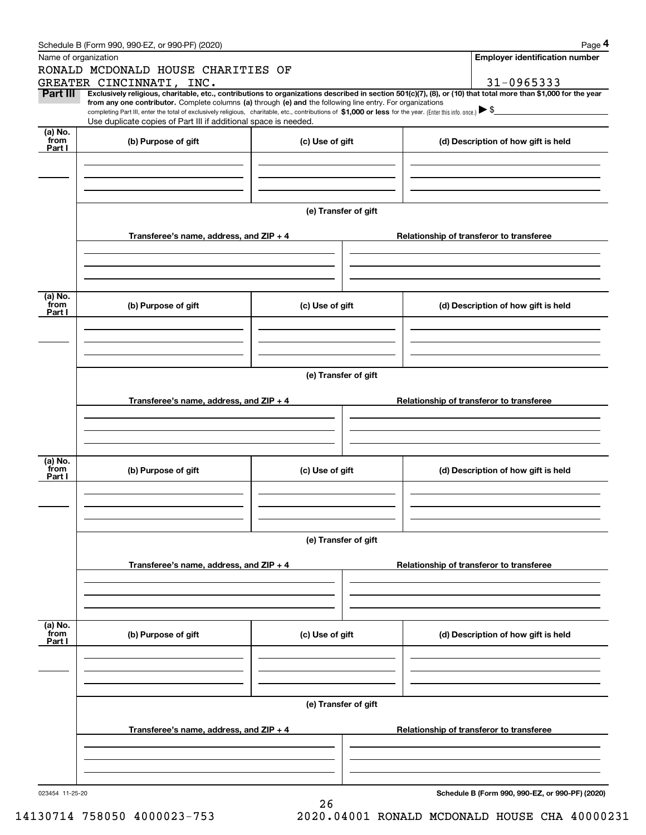|                      | Schedule B (Form 990, 990-EZ, or 990-PF) (2020)                                                                                                                                   |                                          | Page 4                                                                                                                                                         |  |  |  |  |
|----------------------|-----------------------------------------------------------------------------------------------------------------------------------------------------------------------------------|------------------------------------------|----------------------------------------------------------------------------------------------------------------------------------------------------------------|--|--|--|--|
| Name of organization |                                                                                                                                                                                   |                                          | <b>Employer identification number</b>                                                                                                                          |  |  |  |  |
|                      | RONALD MCDONALD HOUSE CHARITIES OF                                                                                                                                                |                                          |                                                                                                                                                                |  |  |  |  |
|                      | GREATER CINCINNATI, INC.                                                                                                                                                          |                                          | 31-0965333                                                                                                                                                     |  |  |  |  |
| Part III             | from any one contributor. Complete columns (a) through (e) and the following line entry. For organizations                                                                        |                                          | Exclusively religious, charitable, etc., contributions to organizations described in section 501(c)(7), (8), or (10) that total more than \$1,000 for the year |  |  |  |  |
|                      | completing Part III, enter the total of exclusively religious, charitable, etc., contributions of \$1,000 or less for the year. (Enter this info. once.) $\blacktriangleright$ \$ |                                          |                                                                                                                                                                |  |  |  |  |
|                      | Use duplicate copies of Part III if additional space is needed.                                                                                                                   |                                          |                                                                                                                                                                |  |  |  |  |
| (a) No.<br>from      |                                                                                                                                                                                   |                                          |                                                                                                                                                                |  |  |  |  |
| Part I               | (b) Purpose of gift                                                                                                                                                               | (c) Use of gift                          | (d) Description of how gift is held                                                                                                                            |  |  |  |  |
|                      |                                                                                                                                                                                   |                                          |                                                                                                                                                                |  |  |  |  |
|                      |                                                                                                                                                                                   |                                          |                                                                                                                                                                |  |  |  |  |
|                      |                                                                                                                                                                                   |                                          |                                                                                                                                                                |  |  |  |  |
|                      |                                                                                                                                                                                   |                                          |                                                                                                                                                                |  |  |  |  |
|                      |                                                                                                                                                                                   | (e) Transfer of gift                     |                                                                                                                                                                |  |  |  |  |
|                      |                                                                                                                                                                                   |                                          |                                                                                                                                                                |  |  |  |  |
|                      | Transferee's name, address, and ZIP + 4                                                                                                                                           |                                          | Relationship of transferor to transferee                                                                                                                       |  |  |  |  |
|                      |                                                                                                                                                                                   |                                          |                                                                                                                                                                |  |  |  |  |
|                      |                                                                                                                                                                                   |                                          |                                                                                                                                                                |  |  |  |  |
|                      |                                                                                                                                                                                   |                                          |                                                                                                                                                                |  |  |  |  |
| (a) No.              |                                                                                                                                                                                   |                                          |                                                                                                                                                                |  |  |  |  |
| from                 | (b) Purpose of gift                                                                                                                                                               | (c) Use of gift                          | (d) Description of how gift is held                                                                                                                            |  |  |  |  |
| Part I               |                                                                                                                                                                                   |                                          |                                                                                                                                                                |  |  |  |  |
|                      |                                                                                                                                                                                   |                                          |                                                                                                                                                                |  |  |  |  |
|                      |                                                                                                                                                                                   |                                          |                                                                                                                                                                |  |  |  |  |
|                      |                                                                                                                                                                                   |                                          |                                                                                                                                                                |  |  |  |  |
|                      | (e) Transfer of gift                                                                                                                                                              |                                          |                                                                                                                                                                |  |  |  |  |
|                      |                                                                                                                                                                                   |                                          |                                                                                                                                                                |  |  |  |  |
|                      | Transferee's name, address, and ZIP + 4                                                                                                                                           | Relationship of transferor to transferee |                                                                                                                                                                |  |  |  |  |
|                      |                                                                                                                                                                                   |                                          |                                                                                                                                                                |  |  |  |  |
|                      |                                                                                                                                                                                   |                                          |                                                                                                                                                                |  |  |  |  |
|                      |                                                                                                                                                                                   |                                          |                                                                                                                                                                |  |  |  |  |
| (a) No.              |                                                                                                                                                                                   |                                          |                                                                                                                                                                |  |  |  |  |
| from                 | (b) Purpose of gift                                                                                                                                                               | (c) Use of gift                          | (d) Description of how gift is held                                                                                                                            |  |  |  |  |
| Part I               |                                                                                                                                                                                   |                                          |                                                                                                                                                                |  |  |  |  |
|                      |                                                                                                                                                                                   |                                          |                                                                                                                                                                |  |  |  |  |
|                      |                                                                                                                                                                                   |                                          |                                                                                                                                                                |  |  |  |  |
|                      |                                                                                                                                                                                   |                                          |                                                                                                                                                                |  |  |  |  |
|                      |                                                                                                                                                                                   | (e) Transfer of gift                     |                                                                                                                                                                |  |  |  |  |
|                      |                                                                                                                                                                                   |                                          |                                                                                                                                                                |  |  |  |  |
|                      | Transferee's name, address, and ZIP + 4                                                                                                                                           |                                          | Relationship of transferor to transferee                                                                                                                       |  |  |  |  |
|                      |                                                                                                                                                                                   |                                          |                                                                                                                                                                |  |  |  |  |
|                      |                                                                                                                                                                                   |                                          |                                                                                                                                                                |  |  |  |  |
|                      |                                                                                                                                                                                   |                                          |                                                                                                                                                                |  |  |  |  |
|                      |                                                                                                                                                                                   |                                          |                                                                                                                                                                |  |  |  |  |
| (a) No.<br>from      | (b) Purpose of gift                                                                                                                                                               | (c) Use of gift                          | (d) Description of how gift is held                                                                                                                            |  |  |  |  |
| Part I               |                                                                                                                                                                                   |                                          |                                                                                                                                                                |  |  |  |  |
|                      |                                                                                                                                                                                   |                                          |                                                                                                                                                                |  |  |  |  |
|                      |                                                                                                                                                                                   |                                          |                                                                                                                                                                |  |  |  |  |
|                      |                                                                                                                                                                                   |                                          |                                                                                                                                                                |  |  |  |  |
|                      |                                                                                                                                                                                   | (e) Transfer of gift                     |                                                                                                                                                                |  |  |  |  |
|                      |                                                                                                                                                                                   |                                          |                                                                                                                                                                |  |  |  |  |
|                      | Transferee's name, address, and $ZIP + 4$                                                                                                                                         |                                          | Relationship of transferor to transferee                                                                                                                       |  |  |  |  |
|                      |                                                                                                                                                                                   |                                          |                                                                                                                                                                |  |  |  |  |
|                      |                                                                                                                                                                                   |                                          |                                                                                                                                                                |  |  |  |  |
|                      |                                                                                                                                                                                   |                                          |                                                                                                                                                                |  |  |  |  |
| 023454 11-25-20      |                                                                                                                                                                                   |                                          | Schedule B (Form 990, 990-F7, or 990-DE) (2020)                                                                                                                |  |  |  |  |

023454 11-25-20

orm 990, 990-EZ, or 990-PF) (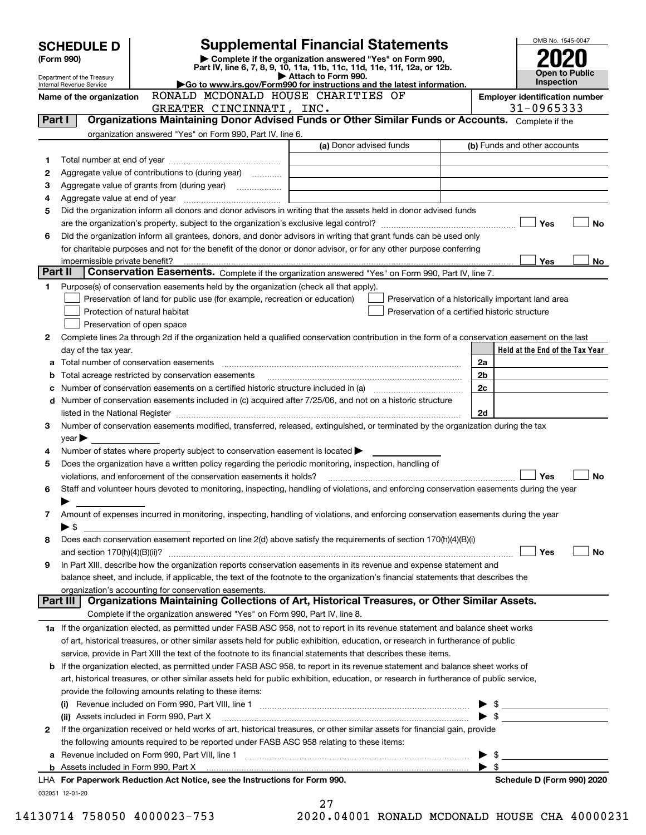| <b>SCHEDULE D</b>          |                                                                                                                                                                                                                                                                                 |                                                                                                        | <b>Supplemental Financial Statements</b>                                                                                                       |                          | OMB No. 1545-0047               |  |  |  |
|----------------------------|---------------------------------------------------------------------------------------------------------------------------------------------------------------------------------------------------------------------------------------------------------------------------------|--------------------------------------------------------------------------------------------------------|------------------------------------------------------------------------------------------------------------------------------------------------|--------------------------|---------------------------------|--|--|--|
| (Form 990)                 |                                                                                                                                                                                                                                                                                 |                                                                                                        | Complete if the organization answered "Yes" on Form 990,                                                                                       |                          |                                 |  |  |  |
| Department of the Treasury |                                                                                                                                                                                                                                                                                 |                                                                                                        | Part IV, line 6, 7, 8, 9, 10, 11a, 11b, 11c, 11d, 11e, 11f, 12a, or 12b.<br>Attach to Form 990.                                                |                          |                                 |  |  |  |
|                            | Internal Revenue Service                                                                                                                                                                                                                                                        | Go to www.irs.gov/Form990 for instructions and the latest information.                                 | Inspection                                                                                                                                     |                          |                                 |  |  |  |
|                            | Name of the organization                                                                                                                                                                                                                                                        |                                                                                                        | <b>Employer identification number</b>                                                                                                          |                          |                                 |  |  |  |
|                            | 31-0965333<br>GREATER CINCINNATI, INC.<br>Organizations Maintaining Donor Advised Funds or Other Similar Funds or Accounts. Complete if the                                                                                                                                     |                                                                                                        |                                                                                                                                                |                          |                                 |  |  |  |
| Part I                     |                                                                                                                                                                                                                                                                                 |                                                                                                        |                                                                                                                                                |                          |                                 |  |  |  |
|                            |                                                                                                                                                                                                                                                                                 | organization answered "Yes" on Form 990, Part IV, line 6.                                              |                                                                                                                                                |                          |                                 |  |  |  |
|                            |                                                                                                                                                                                                                                                                                 |                                                                                                        | (a) Donor advised funds                                                                                                                        |                          | (b) Funds and other accounts    |  |  |  |
| 1                          |                                                                                                                                                                                                                                                                                 |                                                                                                        |                                                                                                                                                |                          |                                 |  |  |  |
| 2                          |                                                                                                                                                                                                                                                                                 | Aggregate value of contributions to (during year)                                                      |                                                                                                                                                |                          |                                 |  |  |  |
| 3                          |                                                                                                                                                                                                                                                                                 |                                                                                                        |                                                                                                                                                |                          |                                 |  |  |  |
| 4                          |                                                                                                                                                                                                                                                                                 |                                                                                                        |                                                                                                                                                |                          |                                 |  |  |  |
| 5                          |                                                                                                                                                                                                                                                                                 |                                                                                                        | Did the organization inform all donors and donor advisors in writing that the assets held in donor advised funds                               |                          | Yes<br>No                       |  |  |  |
| 6                          |                                                                                                                                                                                                                                                                                 |                                                                                                        | Did the organization inform all grantees, donors, and donor advisors in writing that grant funds can be used only                              |                          |                                 |  |  |  |
|                            |                                                                                                                                                                                                                                                                                 |                                                                                                        | for charitable purposes and not for the benefit of the donor or donor advisor, or for any other purpose conferring                             |                          |                                 |  |  |  |
|                            |                                                                                                                                                                                                                                                                                 |                                                                                                        |                                                                                                                                                |                          | Yes<br>No                       |  |  |  |
| Part II                    |                                                                                                                                                                                                                                                                                 |                                                                                                        | Conservation Easements. Complete if the organization answered "Yes" on Form 990, Part IV, line 7.                                              |                          |                                 |  |  |  |
| 1                          |                                                                                                                                                                                                                                                                                 | Purpose(s) of conservation easements held by the organization (check all that apply).                  |                                                                                                                                                |                          |                                 |  |  |  |
|                            |                                                                                                                                                                                                                                                                                 | Preservation of land for public use (for example, recreation or education)                             | Preservation of a historically important land area                                                                                             |                          |                                 |  |  |  |
|                            |                                                                                                                                                                                                                                                                                 | Protection of natural habitat                                                                          | Preservation of a certified historic structure                                                                                                 |                          |                                 |  |  |  |
|                            |                                                                                                                                                                                                                                                                                 | Preservation of open space                                                                             |                                                                                                                                                |                          |                                 |  |  |  |
| 2                          |                                                                                                                                                                                                                                                                                 |                                                                                                        | Complete lines 2a through 2d if the organization held a qualified conservation contribution in the form of a conservation easement on the last |                          |                                 |  |  |  |
|                            | day of the tax year.                                                                                                                                                                                                                                                            |                                                                                                        |                                                                                                                                                |                          | Held at the End of the Tax Year |  |  |  |
| а                          |                                                                                                                                                                                                                                                                                 |                                                                                                        |                                                                                                                                                | 2a                       |                                 |  |  |  |
| b                          |                                                                                                                                                                                                                                                                                 | Total acreage restricted by conservation easements                                                     |                                                                                                                                                | 2b                       |                                 |  |  |  |
| с                          |                                                                                                                                                                                                                                                                                 |                                                                                                        |                                                                                                                                                | 2c                       |                                 |  |  |  |
|                            |                                                                                                                                                                                                                                                                                 |                                                                                                        | d Number of conservation easements included in (c) acquired after 7/25/06, and not on a historic structure                                     |                          |                                 |  |  |  |
|                            |                                                                                                                                                                                                                                                                                 |                                                                                                        |                                                                                                                                                | 2d                       |                                 |  |  |  |
| 3                          |                                                                                                                                                                                                                                                                                 |                                                                                                        | Number of conservation easements modified, transferred, released, extinguished, or terminated by the organization during the tax               |                          |                                 |  |  |  |
|                            | $\gamma$ ear                                                                                                                                                                                                                                                                    |                                                                                                        |                                                                                                                                                |                          |                                 |  |  |  |
| 4                          |                                                                                                                                                                                                                                                                                 | Number of states where property subject to conservation easement is located $\blacktriangleright$      |                                                                                                                                                |                          |                                 |  |  |  |
| 5                          |                                                                                                                                                                                                                                                                                 | Does the organization have a written policy regarding the periodic monitoring, inspection, handling of |                                                                                                                                                |                          |                                 |  |  |  |
|                            |                                                                                                                                                                                                                                                                                 | violations, and enforcement of the conservation easements it holds?                                    |                                                                                                                                                |                          | <b>Yes</b><br>No                |  |  |  |
| 6                          |                                                                                                                                                                                                                                                                                 |                                                                                                        | Staff and volunteer hours devoted to monitoring, inspecting, handling of violations, and enforcing conservation easements during the year      |                          |                                 |  |  |  |
|                            | ▶                                                                                                                                                                                                                                                                               |                                                                                                        |                                                                                                                                                |                          |                                 |  |  |  |
| 7                          |                                                                                                                                                                                                                                                                                 |                                                                                                        | Amount of expenses incurred in monitoring, inspecting, handling of violations, and enforcing conservation easements during the year            |                          |                                 |  |  |  |
|                            | $\blacktriangleright$ \$                                                                                                                                                                                                                                                        |                                                                                                        |                                                                                                                                                |                          |                                 |  |  |  |
| 8                          |                                                                                                                                                                                                                                                                                 |                                                                                                        | Does each conservation easement reported on line 2(d) above satisfy the requirements of section 170(h)(4)(B)(i)                                |                          |                                 |  |  |  |
|                            |                                                                                                                                                                                                                                                                                 |                                                                                                        |                                                                                                                                                |                          | Yes<br>No                       |  |  |  |
| 9                          |                                                                                                                                                                                                                                                                                 |                                                                                                        | In Part XIII, describe how the organization reports conservation easements in its revenue and expense statement and                            |                          |                                 |  |  |  |
|                            |                                                                                                                                                                                                                                                                                 |                                                                                                        | balance sheet, and include, if applicable, the text of the footnote to the organization's financial statements that describes the              |                          |                                 |  |  |  |
|                            | Part III                                                                                                                                                                                                                                                                        | organization's accounting for conservation easements.                                                  | Organizations Maintaining Collections of Art, Historical Treasures, or Other Similar Assets.                                                   |                          |                                 |  |  |  |
|                            |                                                                                                                                                                                                                                                                                 | Complete if the organization answered "Yes" on Form 990, Part IV, line 8.                              |                                                                                                                                                |                          |                                 |  |  |  |
|                            |                                                                                                                                                                                                                                                                                 |                                                                                                        |                                                                                                                                                |                          |                                 |  |  |  |
|                            |                                                                                                                                                                                                                                                                                 |                                                                                                        | 1a If the organization elected, as permitted under FASB ASC 958, not to report in its revenue statement and balance sheet works                |                          |                                 |  |  |  |
|                            |                                                                                                                                                                                                                                                                                 |                                                                                                        | of art, historical treasures, or other similar assets held for public exhibition, education, or research in furtherance of public              |                          |                                 |  |  |  |
|                            |                                                                                                                                                                                                                                                                                 |                                                                                                        | service, provide in Part XIII the text of the footnote to its financial statements that describes these items.                                 |                          |                                 |  |  |  |
|                            | <b>b</b> If the organization elected, as permitted under FASB ASC 958, to report in its revenue statement and balance sheet works of<br>art, historical treasures, or other similar assets held for public exhibition, education, or research in furtherance of public service, |                                                                                                        |                                                                                                                                                |                          |                                 |  |  |  |
|                            |                                                                                                                                                                                                                                                                                 |                                                                                                        |                                                                                                                                                |                          |                                 |  |  |  |
|                            |                                                                                                                                                                                                                                                                                 | provide the following amounts relating to these items:                                                 |                                                                                                                                                | - \$                     |                                 |  |  |  |
|                            |                                                                                                                                                                                                                                                                                 | (ii) Assets included in Form 990, Part X                                                               |                                                                                                                                                | $\blacktriangleright$ \$ |                                 |  |  |  |
| 2                          |                                                                                                                                                                                                                                                                                 |                                                                                                        |                                                                                                                                                |                          |                                 |  |  |  |
|                            | If the organization received or held works of art, historical treasures, or other similar assets for financial gain, provide<br>the following amounts required to be reported under FASB ASC 958 relating to these items:                                                       |                                                                                                        |                                                                                                                                                |                          |                                 |  |  |  |
| а                          |                                                                                                                                                                                                                                                                                 |                                                                                                        |                                                                                                                                                | - \$                     |                                 |  |  |  |
|                            |                                                                                                                                                                                                                                                                                 |                                                                                                        |                                                                                                                                                | $\blacktriangleright$ \$ |                                 |  |  |  |
|                            |                                                                                                                                                                                                                                                                                 | LHA For Paperwork Reduction Act Notice, see the Instructions for Form 990.                             |                                                                                                                                                |                          | Schedule D (Form 990) 2020      |  |  |  |
|                            | 032051 12-01-20                                                                                                                                                                                                                                                                 |                                                                                                        |                                                                                                                                                |                          |                                 |  |  |  |
|                            |                                                                                                                                                                                                                                                                                 |                                                                                                        | 27                                                                                                                                             |                          |                                 |  |  |  |

<sup>14130714001</sup> RONALD MCDONALD HOUSE CHA 40000231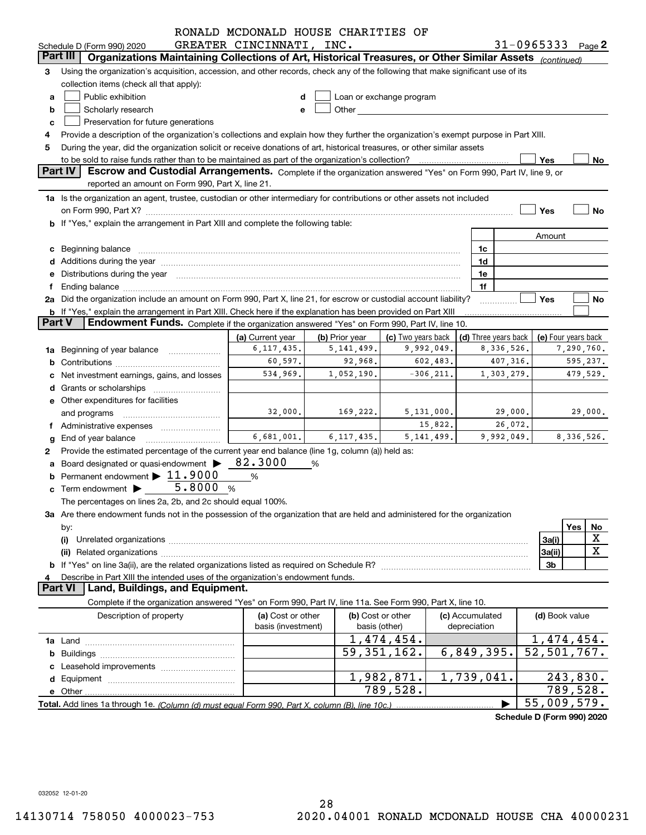| GREATER CINCINNATI, INC.<br>31-0965333 $_{Page}$ 2<br>Schedule D (Form 990) 2020<br>Organizations Maintaining Collections of Art, Historical Treasures, or Other Similar Assets (continued)<br><b>Part III</b><br>Using the organization's acquisition, accession, and other records, check any of the following that make significant use of its<br>3<br>collection items (check all that apply):<br>Public exhibition<br>Loan or exchange program<br>a<br>Other and the control of the control of the control of the control of the control of the control of the control of the control of the control of the control of the control of the control of the control of the control of th<br>Scholarly research<br>b<br>е<br>Preservation for future generations<br>c<br>Provide a description of the organization's collections and explain how they further the organization's exempt purpose in Part XIII.<br>4<br>During the year, did the organization solicit or receive donations of art, historical treasures, or other similar assets<br>5<br>to be sold to raise funds rather than to be maintained as part of the organization's collection?<br>Yes<br>No<br>Part IV<br>Escrow and Custodial Arrangements. Complete if the organization answered "Yes" on Form 990, Part IV, line 9, or<br>reported an amount on Form 990, Part X, line 21.<br>1a Is the organization an agent, trustee, custodian or other intermediary for contributions or other assets not included<br>Yes<br>No<br>on Form 990, Part X? [11] matter contracts and contracts and contracts are contracted and contracts are contracted and contract of the set of the set of the set of the set of the set of the set of the set of the set of the<br>b If "Yes," explain the arrangement in Part XIII and complete the following table:<br>Amount<br>c Beginning balance<br>1c<br>1d<br>e Distributions during the year manufactured and a control of the year manufactured and a Distributions during the year<br>1e<br>1f<br>Ending balance manufactured and contract the contract of the contract of the contract of the contract of the contract of the contract of the contract of the contract of the contract of the contract of the contract of the c<br>2a Did the organization include an amount on Form 990, Part X, line 21, for escrow or custodial account liability?<br>Yes<br>No<br><b>b</b> If "Yes," explain the arrangement in Part XIII. Check here if the explanation has been provided on Part XIII<br>Endowment Funds. Complete if the organization answered "Yes" on Form 990, Part IV, line 10.<br><b>Part V</b><br>(a) Current year<br>(b) Prior year<br>(c) Two years back<br>(d) Three years back<br>(e) Four years back<br>9,992,049.<br>6, 117, 435.<br>5, 141, 499.<br>8,336,526.<br>7,290,760.<br>1a Beginning of year balance<br>60,597.<br>92,968.<br>602,483.<br>595,237.<br>407,316.<br>b<br>534,969.<br>1,052,190.<br>$-306, 211.$<br>1,303,279.<br>479,529.<br>Net investment earnings, gains, and losses<br>e Other expenditures for facilities<br>32,000.<br>169,222.<br>5,131,000.<br>29,000.<br>29,000.<br>and programs<br>26,072.<br>15,822.<br>6,681,001.<br>5, 141, 499.<br>9,992,049.<br>8,336,526.<br>6, 117, 435.<br>End of year balance<br>g<br>Provide the estimated percentage of the current year end balance (line 1g, column (a)) held as:<br>2<br>82.3000<br>Board designated or quasi-endowment ><br>%<br>Permanent endowment > 11.9000<br>$\%$<br>c Term endowment > 5.8000<br>%<br>The percentages on lines 2a, 2b, and 2c should equal 100%.<br>3a Are there endowment funds not in the possession of the organization that are held and administered for the organization<br>Yes<br>No<br>by:<br>X<br>3a(i)<br>(i)<br>$\mathbf X$<br>3a(ii)<br>(ii)<br>3b<br>Describe in Part XIII the intended uses of the organization's endowment funds.<br>4<br>Land, Buildings, and Equipment.<br><b>Part VI</b><br>Complete if the organization answered "Yes" on Form 990, Part IV, line 11a. See Form 990, Part X, line 10.<br>Description of property<br>(a) Cost or other<br>(b) Cost or other<br>(c) Accumulated<br>(d) Book value<br>basis (investment)<br>depreciation<br>basis (other)<br>1,474,454.<br>1,474,454.<br>$\overline{52, 501, 767}$ .<br>59, 351, 162.<br>6,849,395.<br>243,830.<br>1,982,871.<br>1,739,041.<br>789,528.<br>$\overline{7}89, 5\underline{28.}$<br>$\overline{55}$ , 009, 579.<br>Schedule D (Form 990) 2020 |  | RONALD MCDONALD HOUSE CHARITIES OF |  |  |  |  |  |  |  |
|------------------------------------------------------------------------------------------------------------------------------------------------------------------------------------------------------------------------------------------------------------------------------------------------------------------------------------------------------------------------------------------------------------------------------------------------------------------------------------------------------------------------------------------------------------------------------------------------------------------------------------------------------------------------------------------------------------------------------------------------------------------------------------------------------------------------------------------------------------------------------------------------------------------------------------------------------------------------------------------------------------------------------------------------------------------------------------------------------------------------------------------------------------------------------------------------------------------------------------------------------------------------------------------------------------------------------------------------------------------------------------------------------------------------------------------------------------------------------------------------------------------------------------------------------------------------------------------------------------------------------------------------------------------------------------------------------------------------------------------------------------------------------------------------------------------------------------------------------------------------------------------------------------------------------------------------------------------------------------------------------------------------------------------------------------------------------------------------------------------------------------------------------------------------------------------------------------------------------------------------------------------------------------------------------------------------------------------------------------------------------------------------------------------------------------------------------------------------------------------------------------------------------------------------------------------------------------------------------------------------------------------------------------------------------------------------------------------------------------------------------------------------------------------------------------------------------------------------------------------------------------------------------------------------------------------------------------------------------------------------------------------------------------------------------------------------------------------------------------------------------------------------------------------------------------------------------------------------------------------------------------------------------------------------------------------------------------------------------------------------------------------------------------------------------------------------------------------------------------------------------------------------------------------------------------------------------------------------------------------------------------------------------------------------------------------------------------------------------------------------------------------------------------------------------------------------------------------------------------------------------------------------------------------------------------------------------------------------------------------------------------------------------------------------------------------------------------------------------------------------------------------------------------------------------------------------------------------------------------------------------------------------------------------------------------------------------------------------------------------------------------------------------------------------------------------------------------------------------------|--|------------------------------------|--|--|--|--|--|--|--|
|                                                                                                                                                                                                                                                                                                                                                                                                                                                                                                                                                                                                                                                                                                                                                                                                                                                                                                                                                                                                                                                                                                                                                                                                                                                                                                                                                                                                                                                                                                                                                                                                                                                                                                                                                                                                                                                                                                                                                                                                                                                                                                                                                                                                                                                                                                                                                                                                                                                                                                                                                                                                                                                                                                                                                                                                                                                                                                                                                                                                                                                                                                                                                                                                                                                                                                                                                                                                                                                                                                                                                                                                                                                                                                                                                                                                                                                                                                                                                                                                                                                                                                                                                                                                                                                                                                                                                                                                                                                                                    |  |                                    |  |  |  |  |  |  |  |
|                                                                                                                                                                                                                                                                                                                                                                                                                                                                                                                                                                                                                                                                                                                                                                                                                                                                                                                                                                                                                                                                                                                                                                                                                                                                                                                                                                                                                                                                                                                                                                                                                                                                                                                                                                                                                                                                                                                                                                                                                                                                                                                                                                                                                                                                                                                                                                                                                                                                                                                                                                                                                                                                                                                                                                                                                                                                                                                                                                                                                                                                                                                                                                                                                                                                                                                                                                                                                                                                                                                                                                                                                                                                                                                                                                                                                                                                                                                                                                                                                                                                                                                                                                                                                                                                                                                                                                                                                                                                                    |  |                                    |  |  |  |  |  |  |  |
|                                                                                                                                                                                                                                                                                                                                                                                                                                                                                                                                                                                                                                                                                                                                                                                                                                                                                                                                                                                                                                                                                                                                                                                                                                                                                                                                                                                                                                                                                                                                                                                                                                                                                                                                                                                                                                                                                                                                                                                                                                                                                                                                                                                                                                                                                                                                                                                                                                                                                                                                                                                                                                                                                                                                                                                                                                                                                                                                                                                                                                                                                                                                                                                                                                                                                                                                                                                                                                                                                                                                                                                                                                                                                                                                                                                                                                                                                                                                                                                                                                                                                                                                                                                                                                                                                                                                                                                                                                                                                    |  |                                    |  |  |  |  |  |  |  |
|                                                                                                                                                                                                                                                                                                                                                                                                                                                                                                                                                                                                                                                                                                                                                                                                                                                                                                                                                                                                                                                                                                                                                                                                                                                                                                                                                                                                                                                                                                                                                                                                                                                                                                                                                                                                                                                                                                                                                                                                                                                                                                                                                                                                                                                                                                                                                                                                                                                                                                                                                                                                                                                                                                                                                                                                                                                                                                                                                                                                                                                                                                                                                                                                                                                                                                                                                                                                                                                                                                                                                                                                                                                                                                                                                                                                                                                                                                                                                                                                                                                                                                                                                                                                                                                                                                                                                                                                                                                                                    |  |                                    |  |  |  |  |  |  |  |
|                                                                                                                                                                                                                                                                                                                                                                                                                                                                                                                                                                                                                                                                                                                                                                                                                                                                                                                                                                                                                                                                                                                                                                                                                                                                                                                                                                                                                                                                                                                                                                                                                                                                                                                                                                                                                                                                                                                                                                                                                                                                                                                                                                                                                                                                                                                                                                                                                                                                                                                                                                                                                                                                                                                                                                                                                                                                                                                                                                                                                                                                                                                                                                                                                                                                                                                                                                                                                                                                                                                                                                                                                                                                                                                                                                                                                                                                                                                                                                                                                                                                                                                                                                                                                                                                                                                                                                                                                                                                                    |  |                                    |  |  |  |  |  |  |  |
|                                                                                                                                                                                                                                                                                                                                                                                                                                                                                                                                                                                                                                                                                                                                                                                                                                                                                                                                                                                                                                                                                                                                                                                                                                                                                                                                                                                                                                                                                                                                                                                                                                                                                                                                                                                                                                                                                                                                                                                                                                                                                                                                                                                                                                                                                                                                                                                                                                                                                                                                                                                                                                                                                                                                                                                                                                                                                                                                                                                                                                                                                                                                                                                                                                                                                                                                                                                                                                                                                                                                                                                                                                                                                                                                                                                                                                                                                                                                                                                                                                                                                                                                                                                                                                                                                                                                                                                                                                                                                    |  |                                    |  |  |  |  |  |  |  |
|                                                                                                                                                                                                                                                                                                                                                                                                                                                                                                                                                                                                                                                                                                                                                                                                                                                                                                                                                                                                                                                                                                                                                                                                                                                                                                                                                                                                                                                                                                                                                                                                                                                                                                                                                                                                                                                                                                                                                                                                                                                                                                                                                                                                                                                                                                                                                                                                                                                                                                                                                                                                                                                                                                                                                                                                                                                                                                                                                                                                                                                                                                                                                                                                                                                                                                                                                                                                                                                                                                                                                                                                                                                                                                                                                                                                                                                                                                                                                                                                                                                                                                                                                                                                                                                                                                                                                                                                                                                                                    |  |                                    |  |  |  |  |  |  |  |
|                                                                                                                                                                                                                                                                                                                                                                                                                                                                                                                                                                                                                                                                                                                                                                                                                                                                                                                                                                                                                                                                                                                                                                                                                                                                                                                                                                                                                                                                                                                                                                                                                                                                                                                                                                                                                                                                                                                                                                                                                                                                                                                                                                                                                                                                                                                                                                                                                                                                                                                                                                                                                                                                                                                                                                                                                                                                                                                                                                                                                                                                                                                                                                                                                                                                                                                                                                                                                                                                                                                                                                                                                                                                                                                                                                                                                                                                                                                                                                                                                                                                                                                                                                                                                                                                                                                                                                                                                                                                                    |  |                                    |  |  |  |  |  |  |  |
|                                                                                                                                                                                                                                                                                                                                                                                                                                                                                                                                                                                                                                                                                                                                                                                                                                                                                                                                                                                                                                                                                                                                                                                                                                                                                                                                                                                                                                                                                                                                                                                                                                                                                                                                                                                                                                                                                                                                                                                                                                                                                                                                                                                                                                                                                                                                                                                                                                                                                                                                                                                                                                                                                                                                                                                                                                                                                                                                                                                                                                                                                                                                                                                                                                                                                                                                                                                                                                                                                                                                                                                                                                                                                                                                                                                                                                                                                                                                                                                                                                                                                                                                                                                                                                                                                                                                                                                                                                                                                    |  |                                    |  |  |  |  |  |  |  |
|                                                                                                                                                                                                                                                                                                                                                                                                                                                                                                                                                                                                                                                                                                                                                                                                                                                                                                                                                                                                                                                                                                                                                                                                                                                                                                                                                                                                                                                                                                                                                                                                                                                                                                                                                                                                                                                                                                                                                                                                                                                                                                                                                                                                                                                                                                                                                                                                                                                                                                                                                                                                                                                                                                                                                                                                                                                                                                                                                                                                                                                                                                                                                                                                                                                                                                                                                                                                                                                                                                                                                                                                                                                                                                                                                                                                                                                                                                                                                                                                                                                                                                                                                                                                                                                                                                                                                                                                                                                                                    |  |                                    |  |  |  |  |  |  |  |
|                                                                                                                                                                                                                                                                                                                                                                                                                                                                                                                                                                                                                                                                                                                                                                                                                                                                                                                                                                                                                                                                                                                                                                                                                                                                                                                                                                                                                                                                                                                                                                                                                                                                                                                                                                                                                                                                                                                                                                                                                                                                                                                                                                                                                                                                                                                                                                                                                                                                                                                                                                                                                                                                                                                                                                                                                                                                                                                                                                                                                                                                                                                                                                                                                                                                                                                                                                                                                                                                                                                                                                                                                                                                                                                                                                                                                                                                                                                                                                                                                                                                                                                                                                                                                                                                                                                                                                                                                                                                                    |  |                                    |  |  |  |  |  |  |  |
|                                                                                                                                                                                                                                                                                                                                                                                                                                                                                                                                                                                                                                                                                                                                                                                                                                                                                                                                                                                                                                                                                                                                                                                                                                                                                                                                                                                                                                                                                                                                                                                                                                                                                                                                                                                                                                                                                                                                                                                                                                                                                                                                                                                                                                                                                                                                                                                                                                                                                                                                                                                                                                                                                                                                                                                                                                                                                                                                                                                                                                                                                                                                                                                                                                                                                                                                                                                                                                                                                                                                                                                                                                                                                                                                                                                                                                                                                                                                                                                                                                                                                                                                                                                                                                                                                                                                                                                                                                                                                    |  |                                    |  |  |  |  |  |  |  |
|                                                                                                                                                                                                                                                                                                                                                                                                                                                                                                                                                                                                                                                                                                                                                                                                                                                                                                                                                                                                                                                                                                                                                                                                                                                                                                                                                                                                                                                                                                                                                                                                                                                                                                                                                                                                                                                                                                                                                                                                                                                                                                                                                                                                                                                                                                                                                                                                                                                                                                                                                                                                                                                                                                                                                                                                                                                                                                                                                                                                                                                                                                                                                                                                                                                                                                                                                                                                                                                                                                                                                                                                                                                                                                                                                                                                                                                                                                                                                                                                                                                                                                                                                                                                                                                                                                                                                                                                                                                                                    |  |                                    |  |  |  |  |  |  |  |
|                                                                                                                                                                                                                                                                                                                                                                                                                                                                                                                                                                                                                                                                                                                                                                                                                                                                                                                                                                                                                                                                                                                                                                                                                                                                                                                                                                                                                                                                                                                                                                                                                                                                                                                                                                                                                                                                                                                                                                                                                                                                                                                                                                                                                                                                                                                                                                                                                                                                                                                                                                                                                                                                                                                                                                                                                                                                                                                                                                                                                                                                                                                                                                                                                                                                                                                                                                                                                                                                                                                                                                                                                                                                                                                                                                                                                                                                                                                                                                                                                                                                                                                                                                                                                                                                                                                                                                                                                                                                                    |  |                                    |  |  |  |  |  |  |  |
|                                                                                                                                                                                                                                                                                                                                                                                                                                                                                                                                                                                                                                                                                                                                                                                                                                                                                                                                                                                                                                                                                                                                                                                                                                                                                                                                                                                                                                                                                                                                                                                                                                                                                                                                                                                                                                                                                                                                                                                                                                                                                                                                                                                                                                                                                                                                                                                                                                                                                                                                                                                                                                                                                                                                                                                                                                                                                                                                                                                                                                                                                                                                                                                                                                                                                                                                                                                                                                                                                                                                                                                                                                                                                                                                                                                                                                                                                                                                                                                                                                                                                                                                                                                                                                                                                                                                                                                                                                                                                    |  |                                    |  |  |  |  |  |  |  |
|                                                                                                                                                                                                                                                                                                                                                                                                                                                                                                                                                                                                                                                                                                                                                                                                                                                                                                                                                                                                                                                                                                                                                                                                                                                                                                                                                                                                                                                                                                                                                                                                                                                                                                                                                                                                                                                                                                                                                                                                                                                                                                                                                                                                                                                                                                                                                                                                                                                                                                                                                                                                                                                                                                                                                                                                                                                                                                                                                                                                                                                                                                                                                                                                                                                                                                                                                                                                                                                                                                                                                                                                                                                                                                                                                                                                                                                                                                                                                                                                                                                                                                                                                                                                                                                                                                                                                                                                                                                                                    |  |                                    |  |  |  |  |  |  |  |
|                                                                                                                                                                                                                                                                                                                                                                                                                                                                                                                                                                                                                                                                                                                                                                                                                                                                                                                                                                                                                                                                                                                                                                                                                                                                                                                                                                                                                                                                                                                                                                                                                                                                                                                                                                                                                                                                                                                                                                                                                                                                                                                                                                                                                                                                                                                                                                                                                                                                                                                                                                                                                                                                                                                                                                                                                                                                                                                                                                                                                                                                                                                                                                                                                                                                                                                                                                                                                                                                                                                                                                                                                                                                                                                                                                                                                                                                                                                                                                                                                                                                                                                                                                                                                                                                                                                                                                                                                                                                                    |  |                                    |  |  |  |  |  |  |  |
|                                                                                                                                                                                                                                                                                                                                                                                                                                                                                                                                                                                                                                                                                                                                                                                                                                                                                                                                                                                                                                                                                                                                                                                                                                                                                                                                                                                                                                                                                                                                                                                                                                                                                                                                                                                                                                                                                                                                                                                                                                                                                                                                                                                                                                                                                                                                                                                                                                                                                                                                                                                                                                                                                                                                                                                                                                                                                                                                                                                                                                                                                                                                                                                                                                                                                                                                                                                                                                                                                                                                                                                                                                                                                                                                                                                                                                                                                                                                                                                                                                                                                                                                                                                                                                                                                                                                                                                                                                                                                    |  |                                    |  |  |  |  |  |  |  |
|                                                                                                                                                                                                                                                                                                                                                                                                                                                                                                                                                                                                                                                                                                                                                                                                                                                                                                                                                                                                                                                                                                                                                                                                                                                                                                                                                                                                                                                                                                                                                                                                                                                                                                                                                                                                                                                                                                                                                                                                                                                                                                                                                                                                                                                                                                                                                                                                                                                                                                                                                                                                                                                                                                                                                                                                                                                                                                                                                                                                                                                                                                                                                                                                                                                                                                                                                                                                                                                                                                                                                                                                                                                                                                                                                                                                                                                                                                                                                                                                                                                                                                                                                                                                                                                                                                                                                                                                                                                                                    |  |                                    |  |  |  |  |  |  |  |
|                                                                                                                                                                                                                                                                                                                                                                                                                                                                                                                                                                                                                                                                                                                                                                                                                                                                                                                                                                                                                                                                                                                                                                                                                                                                                                                                                                                                                                                                                                                                                                                                                                                                                                                                                                                                                                                                                                                                                                                                                                                                                                                                                                                                                                                                                                                                                                                                                                                                                                                                                                                                                                                                                                                                                                                                                                                                                                                                                                                                                                                                                                                                                                                                                                                                                                                                                                                                                                                                                                                                                                                                                                                                                                                                                                                                                                                                                                                                                                                                                                                                                                                                                                                                                                                                                                                                                                                                                                                                                    |  |                                    |  |  |  |  |  |  |  |
|                                                                                                                                                                                                                                                                                                                                                                                                                                                                                                                                                                                                                                                                                                                                                                                                                                                                                                                                                                                                                                                                                                                                                                                                                                                                                                                                                                                                                                                                                                                                                                                                                                                                                                                                                                                                                                                                                                                                                                                                                                                                                                                                                                                                                                                                                                                                                                                                                                                                                                                                                                                                                                                                                                                                                                                                                                                                                                                                                                                                                                                                                                                                                                                                                                                                                                                                                                                                                                                                                                                                                                                                                                                                                                                                                                                                                                                                                                                                                                                                                                                                                                                                                                                                                                                                                                                                                                                                                                                                                    |  |                                    |  |  |  |  |  |  |  |
|                                                                                                                                                                                                                                                                                                                                                                                                                                                                                                                                                                                                                                                                                                                                                                                                                                                                                                                                                                                                                                                                                                                                                                                                                                                                                                                                                                                                                                                                                                                                                                                                                                                                                                                                                                                                                                                                                                                                                                                                                                                                                                                                                                                                                                                                                                                                                                                                                                                                                                                                                                                                                                                                                                                                                                                                                                                                                                                                                                                                                                                                                                                                                                                                                                                                                                                                                                                                                                                                                                                                                                                                                                                                                                                                                                                                                                                                                                                                                                                                                                                                                                                                                                                                                                                                                                                                                                                                                                                                                    |  |                                    |  |  |  |  |  |  |  |
|                                                                                                                                                                                                                                                                                                                                                                                                                                                                                                                                                                                                                                                                                                                                                                                                                                                                                                                                                                                                                                                                                                                                                                                                                                                                                                                                                                                                                                                                                                                                                                                                                                                                                                                                                                                                                                                                                                                                                                                                                                                                                                                                                                                                                                                                                                                                                                                                                                                                                                                                                                                                                                                                                                                                                                                                                                                                                                                                                                                                                                                                                                                                                                                                                                                                                                                                                                                                                                                                                                                                                                                                                                                                                                                                                                                                                                                                                                                                                                                                                                                                                                                                                                                                                                                                                                                                                                                                                                                                                    |  |                                    |  |  |  |  |  |  |  |
|                                                                                                                                                                                                                                                                                                                                                                                                                                                                                                                                                                                                                                                                                                                                                                                                                                                                                                                                                                                                                                                                                                                                                                                                                                                                                                                                                                                                                                                                                                                                                                                                                                                                                                                                                                                                                                                                                                                                                                                                                                                                                                                                                                                                                                                                                                                                                                                                                                                                                                                                                                                                                                                                                                                                                                                                                                                                                                                                                                                                                                                                                                                                                                                                                                                                                                                                                                                                                                                                                                                                                                                                                                                                                                                                                                                                                                                                                                                                                                                                                                                                                                                                                                                                                                                                                                                                                                                                                                                                                    |  |                                    |  |  |  |  |  |  |  |
|                                                                                                                                                                                                                                                                                                                                                                                                                                                                                                                                                                                                                                                                                                                                                                                                                                                                                                                                                                                                                                                                                                                                                                                                                                                                                                                                                                                                                                                                                                                                                                                                                                                                                                                                                                                                                                                                                                                                                                                                                                                                                                                                                                                                                                                                                                                                                                                                                                                                                                                                                                                                                                                                                                                                                                                                                                                                                                                                                                                                                                                                                                                                                                                                                                                                                                                                                                                                                                                                                                                                                                                                                                                                                                                                                                                                                                                                                                                                                                                                                                                                                                                                                                                                                                                                                                                                                                                                                                                                                    |  |                                    |  |  |  |  |  |  |  |
|                                                                                                                                                                                                                                                                                                                                                                                                                                                                                                                                                                                                                                                                                                                                                                                                                                                                                                                                                                                                                                                                                                                                                                                                                                                                                                                                                                                                                                                                                                                                                                                                                                                                                                                                                                                                                                                                                                                                                                                                                                                                                                                                                                                                                                                                                                                                                                                                                                                                                                                                                                                                                                                                                                                                                                                                                                                                                                                                                                                                                                                                                                                                                                                                                                                                                                                                                                                                                                                                                                                                                                                                                                                                                                                                                                                                                                                                                                                                                                                                                                                                                                                                                                                                                                                                                                                                                                                                                                                                                    |  |                                    |  |  |  |  |  |  |  |
|                                                                                                                                                                                                                                                                                                                                                                                                                                                                                                                                                                                                                                                                                                                                                                                                                                                                                                                                                                                                                                                                                                                                                                                                                                                                                                                                                                                                                                                                                                                                                                                                                                                                                                                                                                                                                                                                                                                                                                                                                                                                                                                                                                                                                                                                                                                                                                                                                                                                                                                                                                                                                                                                                                                                                                                                                                                                                                                                                                                                                                                                                                                                                                                                                                                                                                                                                                                                                                                                                                                                                                                                                                                                                                                                                                                                                                                                                                                                                                                                                                                                                                                                                                                                                                                                                                                                                                                                                                                                                    |  |                                    |  |  |  |  |  |  |  |
|                                                                                                                                                                                                                                                                                                                                                                                                                                                                                                                                                                                                                                                                                                                                                                                                                                                                                                                                                                                                                                                                                                                                                                                                                                                                                                                                                                                                                                                                                                                                                                                                                                                                                                                                                                                                                                                                                                                                                                                                                                                                                                                                                                                                                                                                                                                                                                                                                                                                                                                                                                                                                                                                                                                                                                                                                                                                                                                                                                                                                                                                                                                                                                                                                                                                                                                                                                                                                                                                                                                                                                                                                                                                                                                                                                                                                                                                                                                                                                                                                                                                                                                                                                                                                                                                                                                                                                                                                                                                                    |  |                                    |  |  |  |  |  |  |  |
|                                                                                                                                                                                                                                                                                                                                                                                                                                                                                                                                                                                                                                                                                                                                                                                                                                                                                                                                                                                                                                                                                                                                                                                                                                                                                                                                                                                                                                                                                                                                                                                                                                                                                                                                                                                                                                                                                                                                                                                                                                                                                                                                                                                                                                                                                                                                                                                                                                                                                                                                                                                                                                                                                                                                                                                                                                                                                                                                                                                                                                                                                                                                                                                                                                                                                                                                                                                                                                                                                                                                                                                                                                                                                                                                                                                                                                                                                                                                                                                                                                                                                                                                                                                                                                                                                                                                                                                                                                                                                    |  |                                    |  |  |  |  |  |  |  |
|                                                                                                                                                                                                                                                                                                                                                                                                                                                                                                                                                                                                                                                                                                                                                                                                                                                                                                                                                                                                                                                                                                                                                                                                                                                                                                                                                                                                                                                                                                                                                                                                                                                                                                                                                                                                                                                                                                                                                                                                                                                                                                                                                                                                                                                                                                                                                                                                                                                                                                                                                                                                                                                                                                                                                                                                                                                                                                                                                                                                                                                                                                                                                                                                                                                                                                                                                                                                                                                                                                                                                                                                                                                                                                                                                                                                                                                                                                                                                                                                                                                                                                                                                                                                                                                                                                                                                                                                                                                                                    |  |                                    |  |  |  |  |  |  |  |
|                                                                                                                                                                                                                                                                                                                                                                                                                                                                                                                                                                                                                                                                                                                                                                                                                                                                                                                                                                                                                                                                                                                                                                                                                                                                                                                                                                                                                                                                                                                                                                                                                                                                                                                                                                                                                                                                                                                                                                                                                                                                                                                                                                                                                                                                                                                                                                                                                                                                                                                                                                                                                                                                                                                                                                                                                                                                                                                                                                                                                                                                                                                                                                                                                                                                                                                                                                                                                                                                                                                                                                                                                                                                                                                                                                                                                                                                                                                                                                                                                                                                                                                                                                                                                                                                                                                                                                                                                                                                                    |  |                                    |  |  |  |  |  |  |  |
|                                                                                                                                                                                                                                                                                                                                                                                                                                                                                                                                                                                                                                                                                                                                                                                                                                                                                                                                                                                                                                                                                                                                                                                                                                                                                                                                                                                                                                                                                                                                                                                                                                                                                                                                                                                                                                                                                                                                                                                                                                                                                                                                                                                                                                                                                                                                                                                                                                                                                                                                                                                                                                                                                                                                                                                                                                                                                                                                                                                                                                                                                                                                                                                                                                                                                                                                                                                                                                                                                                                                                                                                                                                                                                                                                                                                                                                                                                                                                                                                                                                                                                                                                                                                                                                                                                                                                                                                                                                                                    |  |                                    |  |  |  |  |  |  |  |
|                                                                                                                                                                                                                                                                                                                                                                                                                                                                                                                                                                                                                                                                                                                                                                                                                                                                                                                                                                                                                                                                                                                                                                                                                                                                                                                                                                                                                                                                                                                                                                                                                                                                                                                                                                                                                                                                                                                                                                                                                                                                                                                                                                                                                                                                                                                                                                                                                                                                                                                                                                                                                                                                                                                                                                                                                                                                                                                                                                                                                                                                                                                                                                                                                                                                                                                                                                                                                                                                                                                                                                                                                                                                                                                                                                                                                                                                                                                                                                                                                                                                                                                                                                                                                                                                                                                                                                                                                                                                                    |  |                                    |  |  |  |  |  |  |  |
|                                                                                                                                                                                                                                                                                                                                                                                                                                                                                                                                                                                                                                                                                                                                                                                                                                                                                                                                                                                                                                                                                                                                                                                                                                                                                                                                                                                                                                                                                                                                                                                                                                                                                                                                                                                                                                                                                                                                                                                                                                                                                                                                                                                                                                                                                                                                                                                                                                                                                                                                                                                                                                                                                                                                                                                                                                                                                                                                                                                                                                                                                                                                                                                                                                                                                                                                                                                                                                                                                                                                                                                                                                                                                                                                                                                                                                                                                                                                                                                                                                                                                                                                                                                                                                                                                                                                                                                                                                                                                    |  |                                    |  |  |  |  |  |  |  |
|                                                                                                                                                                                                                                                                                                                                                                                                                                                                                                                                                                                                                                                                                                                                                                                                                                                                                                                                                                                                                                                                                                                                                                                                                                                                                                                                                                                                                                                                                                                                                                                                                                                                                                                                                                                                                                                                                                                                                                                                                                                                                                                                                                                                                                                                                                                                                                                                                                                                                                                                                                                                                                                                                                                                                                                                                                                                                                                                                                                                                                                                                                                                                                                                                                                                                                                                                                                                                                                                                                                                                                                                                                                                                                                                                                                                                                                                                                                                                                                                                                                                                                                                                                                                                                                                                                                                                                                                                                                                                    |  |                                    |  |  |  |  |  |  |  |
|                                                                                                                                                                                                                                                                                                                                                                                                                                                                                                                                                                                                                                                                                                                                                                                                                                                                                                                                                                                                                                                                                                                                                                                                                                                                                                                                                                                                                                                                                                                                                                                                                                                                                                                                                                                                                                                                                                                                                                                                                                                                                                                                                                                                                                                                                                                                                                                                                                                                                                                                                                                                                                                                                                                                                                                                                                                                                                                                                                                                                                                                                                                                                                                                                                                                                                                                                                                                                                                                                                                                                                                                                                                                                                                                                                                                                                                                                                                                                                                                                                                                                                                                                                                                                                                                                                                                                                                                                                                                                    |  |                                    |  |  |  |  |  |  |  |
|                                                                                                                                                                                                                                                                                                                                                                                                                                                                                                                                                                                                                                                                                                                                                                                                                                                                                                                                                                                                                                                                                                                                                                                                                                                                                                                                                                                                                                                                                                                                                                                                                                                                                                                                                                                                                                                                                                                                                                                                                                                                                                                                                                                                                                                                                                                                                                                                                                                                                                                                                                                                                                                                                                                                                                                                                                                                                                                                                                                                                                                                                                                                                                                                                                                                                                                                                                                                                                                                                                                                                                                                                                                                                                                                                                                                                                                                                                                                                                                                                                                                                                                                                                                                                                                                                                                                                                                                                                                                                    |  |                                    |  |  |  |  |  |  |  |
|                                                                                                                                                                                                                                                                                                                                                                                                                                                                                                                                                                                                                                                                                                                                                                                                                                                                                                                                                                                                                                                                                                                                                                                                                                                                                                                                                                                                                                                                                                                                                                                                                                                                                                                                                                                                                                                                                                                                                                                                                                                                                                                                                                                                                                                                                                                                                                                                                                                                                                                                                                                                                                                                                                                                                                                                                                                                                                                                                                                                                                                                                                                                                                                                                                                                                                                                                                                                                                                                                                                                                                                                                                                                                                                                                                                                                                                                                                                                                                                                                                                                                                                                                                                                                                                                                                                                                                                                                                                                                    |  |                                    |  |  |  |  |  |  |  |
|                                                                                                                                                                                                                                                                                                                                                                                                                                                                                                                                                                                                                                                                                                                                                                                                                                                                                                                                                                                                                                                                                                                                                                                                                                                                                                                                                                                                                                                                                                                                                                                                                                                                                                                                                                                                                                                                                                                                                                                                                                                                                                                                                                                                                                                                                                                                                                                                                                                                                                                                                                                                                                                                                                                                                                                                                                                                                                                                                                                                                                                                                                                                                                                                                                                                                                                                                                                                                                                                                                                                                                                                                                                                                                                                                                                                                                                                                                                                                                                                                                                                                                                                                                                                                                                                                                                                                                                                                                                                                    |  |                                    |  |  |  |  |  |  |  |
|                                                                                                                                                                                                                                                                                                                                                                                                                                                                                                                                                                                                                                                                                                                                                                                                                                                                                                                                                                                                                                                                                                                                                                                                                                                                                                                                                                                                                                                                                                                                                                                                                                                                                                                                                                                                                                                                                                                                                                                                                                                                                                                                                                                                                                                                                                                                                                                                                                                                                                                                                                                                                                                                                                                                                                                                                                                                                                                                                                                                                                                                                                                                                                                                                                                                                                                                                                                                                                                                                                                                                                                                                                                                                                                                                                                                                                                                                                                                                                                                                                                                                                                                                                                                                                                                                                                                                                                                                                                                                    |  |                                    |  |  |  |  |  |  |  |
|                                                                                                                                                                                                                                                                                                                                                                                                                                                                                                                                                                                                                                                                                                                                                                                                                                                                                                                                                                                                                                                                                                                                                                                                                                                                                                                                                                                                                                                                                                                                                                                                                                                                                                                                                                                                                                                                                                                                                                                                                                                                                                                                                                                                                                                                                                                                                                                                                                                                                                                                                                                                                                                                                                                                                                                                                                                                                                                                                                                                                                                                                                                                                                                                                                                                                                                                                                                                                                                                                                                                                                                                                                                                                                                                                                                                                                                                                                                                                                                                                                                                                                                                                                                                                                                                                                                                                                                                                                                                                    |  |                                    |  |  |  |  |  |  |  |
|                                                                                                                                                                                                                                                                                                                                                                                                                                                                                                                                                                                                                                                                                                                                                                                                                                                                                                                                                                                                                                                                                                                                                                                                                                                                                                                                                                                                                                                                                                                                                                                                                                                                                                                                                                                                                                                                                                                                                                                                                                                                                                                                                                                                                                                                                                                                                                                                                                                                                                                                                                                                                                                                                                                                                                                                                                                                                                                                                                                                                                                                                                                                                                                                                                                                                                                                                                                                                                                                                                                                                                                                                                                                                                                                                                                                                                                                                                                                                                                                                                                                                                                                                                                                                                                                                                                                                                                                                                                                                    |  |                                    |  |  |  |  |  |  |  |
|                                                                                                                                                                                                                                                                                                                                                                                                                                                                                                                                                                                                                                                                                                                                                                                                                                                                                                                                                                                                                                                                                                                                                                                                                                                                                                                                                                                                                                                                                                                                                                                                                                                                                                                                                                                                                                                                                                                                                                                                                                                                                                                                                                                                                                                                                                                                                                                                                                                                                                                                                                                                                                                                                                                                                                                                                                                                                                                                                                                                                                                                                                                                                                                                                                                                                                                                                                                                                                                                                                                                                                                                                                                                                                                                                                                                                                                                                                                                                                                                                                                                                                                                                                                                                                                                                                                                                                                                                                                                                    |  |                                    |  |  |  |  |  |  |  |
|                                                                                                                                                                                                                                                                                                                                                                                                                                                                                                                                                                                                                                                                                                                                                                                                                                                                                                                                                                                                                                                                                                                                                                                                                                                                                                                                                                                                                                                                                                                                                                                                                                                                                                                                                                                                                                                                                                                                                                                                                                                                                                                                                                                                                                                                                                                                                                                                                                                                                                                                                                                                                                                                                                                                                                                                                                                                                                                                                                                                                                                                                                                                                                                                                                                                                                                                                                                                                                                                                                                                                                                                                                                                                                                                                                                                                                                                                                                                                                                                                                                                                                                                                                                                                                                                                                                                                                                                                                                                                    |  |                                    |  |  |  |  |  |  |  |
|                                                                                                                                                                                                                                                                                                                                                                                                                                                                                                                                                                                                                                                                                                                                                                                                                                                                                                                                                                                                                                                                                                                                                                                                                                                                                                                                                                                                                                                                                                                                                                                                                                                                                                                                                                                                                                                                                                                                                                                                                                                                                                                                                                                                                                                                                                                                                                                                                                                                                                                                                                                                                                                                                                                                                                                                                                                                                                                                                                                                                                                                                                                                                                                                                                                                                                                                                                                                                                                                                                                                                                                                                                                                                                                                                                                                                                                                                                                                                                                                                                                                                                                                                                                                                                                                                                                                                                                                                                                                                    |  |                                    |  |  |  |  |  |  |  |
|                                                                                                                                                                                                                                                                                                                                                                                                                                                                                                                                                                                                                                                                                                                                                                                                                                                                                                                                                                                                                                                                                                                                                                                                                                                                                                                                                                                                                                                                                                                                                                                                                                                                                                                                                                                                                                                                                                                                                                                                                                                                                                                                                                                                                                                                                                                                                                                                                                                                                                                                                                                                                                                                                                                                                                                                                                                                                                                                                                                                                                                                                                                                                                                                                                                                                                                                                                                                                                                                                                                                                                                                                                                                                                                                                                                                                                                                                                                                                                                                                                                                                                                                                                                                                                                                                                                                                                                                                                                                                    |  |                                    |  |  |  |  |  |  |  |
|                                                                                                                                                                                                                                                                                                                                                                                                                                                                                                                                                                                                                                                                                                                                                                                                                                                                                                                                                                                                                                                                                                                                                                                                                                                                                                                                                                                                                                                                                                                                                                                                                                                                                                                                                                                                                                                                                                                                                                                                                                                                                                                                                                                                                                                                                                                                                                                                                                                                                                                                                                                                                                                                                                                                                                                                                                                                                                                                                                                                                                                                                                                                                                                                                                                                                                                                                                                                                                                                                                                                                                                                                                                                                                                                                                                                                                                                                                                                                                                                                                                                                                                                                                                                                                                                                                                                                                                                                                                                                    |  |                                    |  |  |  |  |  |  |  |
|                                                                                                                                                                                                                                                                                                                                                                                                                                                                                                                                                                                                                                                                                                                                                                                                                                                                                                                                                                                                                                                                                                                                                                                                                                                                                                                                                                                                                                                                                                                                                                                                                                                                                                                                                                                                                                                                                                                                                                                                                                                                                                                                                                                                                                                                                                                                                                                                                                                                                                                                                                                                                                                                                                                                                                                                                                                                                                                                                                                                                                                                                                                                                                                                                                                                                                                                                                                                                                                                                                                                                                                                                                                                                                                                                                                                                                                                                                                                                                                                                                                                                                                                                                                                                                                                                                                                                                                                                                                                                    |  |                                    |  |  |  |  |  |  |  |
|                                                                                                                                                                                                                                                                                                                                                                                                                                                                                                                                                                                                                                                                                                                                                                                                                                                                                                                                                                                                                                                                                                                                                                                                                                                                                                                                                                                                                                                                                                                                                                                                                                                                                                                                                                                                                                                                                                                                                                                                                                                                                                                                                                                                                                                                                                                                                                                                                                                                                                                                                                                                                                                                                                                                                                                                                                                                                                                                                                                                                                                                                                                                                                                                                                                                                                                                                                                                                                                                                                                                                                                                                                                                                                                                                                                                                                                                                                                                                                                                                                                                                                                                                                                                                                                                                                                                                                                                                                                                                    |  |                                    |  |  |  |  |  |  |  |
|                                                                                                                                                                                                                                                                                                                                                                                                                                                                                                                                                                                                                                                                                                                                                                                                                                                                                                                                                                                                                                                                                                                                                                                                                                                                                                                                                                                                                                                                                                                                                                                                                                                                                                                                                                                                                                                                                                                                                                                                                                                                                                                                                                                                                                                                                                                                                                                                                                                                                                                                                                                                                                                                                                                                                                                                                                                                                                                                                                                                                                                                                                                                                                                                                                                                                                                                                                                                                                                                                                                                                                                                                                                                                                                                                                                                                                                                                                                                                                                                                                                                                                                                                                                                                                                                                                                                                                                                                                                                                    |  |                                    |  |  |  |  |  |  |  |
|                                                                                                                                                                                                                                                                                                                                                                                                                                                                                                                                                                                                                                                                                                                                                                                                                                                                                                                                                                                                                                                                                                                                                                                                                                                                                                                                                                                                                                                                                                                                                                                                                                                                                                                                                                                                                                                                                                                                                                                                                                                                                                                                                                                                                                                                                                                                                                                                                                                                                                                                                                                                                                                                                                                                                                                                                                                                                                                                                                                                                                                                                                                                                                                                                                                                                                                                                                                                                                                                                                                                                                                                                                                                                                                                                                                                                                                                                                                                                                                                                                                                                                                                                                                                                                                                                                                                                                                                                                                                                    |  |                                    |  |  |  |  |  |  |  |
|                                                                                                                                                                                                                                                                                                                                                                                                                                                                                                                                                                                                                                                                                                                                                                                                                                                                                                                                                                                                                                                                                                                                                                                                                                                                                                                                                                                                                                                                                                                                                                                                                                                                                                                                                                                                                                                                                                                                                                                                                                                                                                                                                                                                                                                                                                                                                                                                                                                                                                                                                                                                                                                                                                                                                                                                                                                                                                                                                                                                                                                                                                                                                                                                                                                                                                                                                                                                                                                                                                                                                                                                                                                                                                                                                                                                                                                                                                                                                                                                                                                                                                                                                                                                                                                                                                                                                                                                                                                                                    |  |                                    |  |  |  |  |  |  |  |
|                                                                                                                                                                                                                                                                                                                                                                                                                                                                                                                                                                                                                                                                                                                                                                                                                                                                                                                                                                                                                                                                                                                                                                                                                                                                                                                                                                                                                                                                                                                                                                                                                                                                                                                                                                                                                                                                                                                                                                                                                                                                                                                                                                                                                                                                                                                                                                                                                                                                                                                                                                                                                                                                                                                                                                                                                                                                                                                                                                                                                                                                                                                                                                                                                                                                                                                                                                                                                                                                                                                                                                                                                                                                                                                                                                                                                                                                                                                                                                                                                                                                                                                                                                                                                                                                                                                                                                                                                                                                                    |  |                                    |  |  |  |  |  |  |  |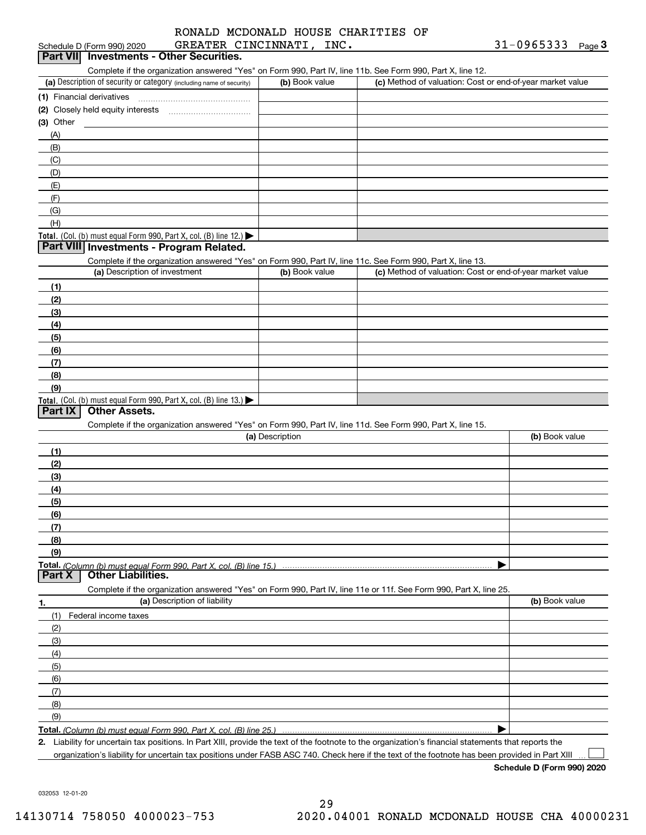### Schedule D (Form 990) 2020 GREATER CINCINNATI,INC. 3 $1\text{--}$  0965333 Page RONALD MCDONALD HOUSE CHARITIES OF

ichedule D (Form 990) 2020 GREATER CINCINNATI, INC.<br>**Part VII Investments - Other Securities.**<br>Complete if the organization answered "Yes" on Form 990, Part IV, line 11b. See Form 990, Part X, line 12.

| (a) Description of security or category (including name of security)                   | (b) Book value | (c) Method of valuation: Cost or end-of-year market value |
|----------------------------------------------------------------------------------------|----------------|-----------------------------------------------------------|
| (1) Financial derivatives                                                              |                |                                                           |
| (2) Closely held equity interests                                                      |                |                                                           |
| $(3)$ Other                                                                            |                |                                                           |
| (A)                                                                                    |                |                                                           |
| (B)                                                                                    |                |                                                           |
| (C)                                                                                    |                |                                                           |
| (D)                                                                                    |                |                                                           |
| (E)                                                                                    |                |                                                           |
| (F)                                                                                    |                |                                                           |
| (G)                                                                                    |                |                                                           |
| (H)                                                                                    |                |                                                           |
| Total. (Col. (b) must equal Form 990, Part X, col. (B) line 12.) $\blacktriangleright$ |                |                                                           |

### **Part VIII Investments - Program Related.**

Complete if the organization answered "Yes" on Form 990, Part IV, line 11c. See Form 990, Part X, line 13.

| (a) Description of investment                                                          | (b) Book value | (c) Method of valuation: Cost or end-of-year market value |
|----------------------------------------------------------------------------------------|----------------|-----------------------------------------------------------|
| (1)                                                                                    |                |                                                           |
| (2)                                                                                    |                |                                                           |
| $\frac{1}{2}$                                                                          |                |                                                           |
| (4)                                                                                    |                |                                                           |
| (5)                                                                                    |                |                                                           |
| (6)                                                                                    |                |                                                           |
| (7)                                                                                    |                |                                                           |
| (8)                                                                                    |                |                                                           |
| (9)                                                                                    |                |                                                           |
| Total. (Col. (b) must equal Form 990, Part X, col. (B) line 13.) $\blacktriangleright$ |                |                                                           |

### **Part IX Other Assets.**

Complete if the organization answered "Yes" on Form 990, Part IV, line 11d. See Form 990, Part X, line 15.

| (a) Description                                                                                                   | (b) Book value |
|-------------------------------------------------------------------------------------------------------------------|----------------|
| (1)                                                                                                               |                |
| (2)                                                                                                               |                |
| (3)                                                                                                               |                |
| (4)                                                                                                               |                |
| (5)                                                                                                               |                |
| (6)                                                                                                               |                |
| (7)                                                                                                               |                |
| (8)                                                                                                               |                |
| (9)                                                                                                               |                |
|                                                                                                                   |                |
| <b>Part X</b> Other Liabilities.                                                                                  |                |
| Complete if the organization answered "Yes" on Form 990, Part IV, line 11e or 11f. See Form 990, Part X, line 25. |                |

| 1.                  | (a) Description of liability                                                                                                                         | (b) Book value |
|---------------------|------------------------------------------------------------------------------------------------------------------------------------------------------|----------------|
| (1)                 | Federal income taxes                                                                                                                                 |                |
| (2)                 |                                                                                                                                                      |                |
| $\qquad \qquad$ (3) |                                                                                                                                                      |                |
| (4)                 |                                                                                                                                                      |                |
| (5)                 |                                                                                                                                                      |                |
| (6)                 |                                                                                                                                                      |                |
| (7)                 |                                                                                                                                                      |                |
| (8)                 |                                                                                                                                                      |                |
| (9)                 |                                                                                                                                                      |                |
|                     |                                                                                                                                                      |                |
|                     | 2. Liability for uncertain tax positions. In Part XIII, provide the text of the footnote to the organization's financial statements that reports the |                |

**2.**organization's liability for uncertain tax positions under FASB ASC 740. Check here if the text of the footnote has been provided in Part XIII

**Schedule D (Form 990) 2020**

 $\mathcal{L}^{\text{max}}$ 

032053 12-01-20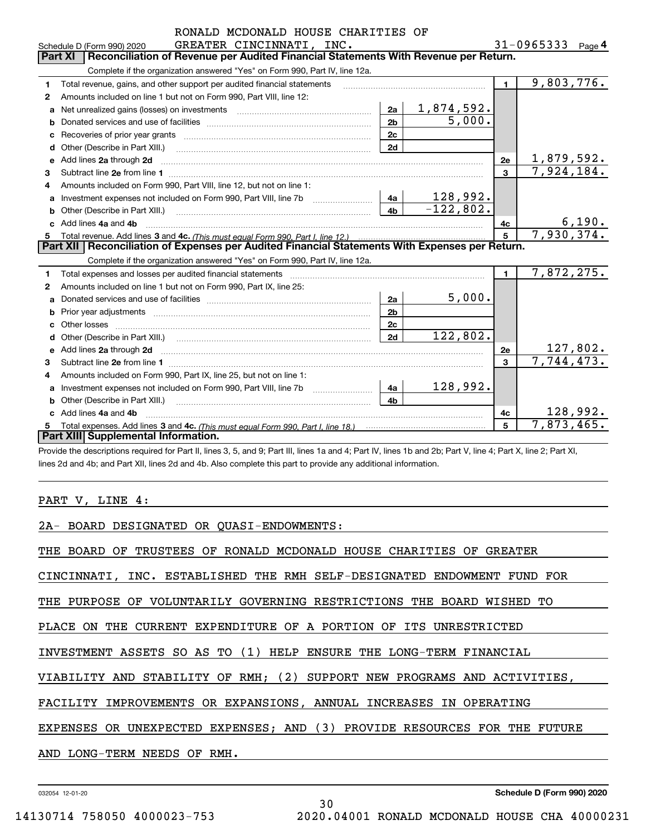|                    |       | RONALD MCDONALD HOUSE CHARITIES OF |  |
|--------------------|-------|------------------------------------|--|
| CRRAMED CINCINNAMI | ר דאד |                                    |  |

|    |         | Schedule D (Form 990) 2020                                                                                                                                                                                                          | GREATER CINCINNATI, INC. |                |                   |              | $31 - 0965333$            | Page 4   |
|----|---------|-------------------------------------------------------------------------------------------------------------------------------------------------------------------------------------------------------------------------------------|--------------------------|----------------|-------------------|--------------|---------------------------|----------|
|    | Part XI | Reconciliation of Revenue per Audited Financial Statements With Revenue per Return.                                                                                                                                                 |                          |                |                   |              |                           |          |
|    |         | Complete if the organization answered "Yes" on Form 990, Part IV, line 12a.                                                                                                                                                         |                          |                |                   |              |                           |          |
| 1  |         | Total revenue, gains, and other support per audited financial statements                                                                                                                                                            | $\blacksquare$           | 9,803,776.     |                   |              |                           |          |
| 2  |         | Amounts included on line 1 but not on Form 990, Part VIII, line 12:                                                                                                                                                                 |                          |                |                   |              |                           |          |
| a  |         |                                                                                                                                                                                                                                     |                          | 2a             | <u>1,874,592.</u> |              |                           |          |
| b  |         |                                                                                                                                                                                                                                     |                          | 2 <sub>b</sub> | 5,000.            |              |                           |          |
| c  |         | Recoveries of prior year grants [111] [12] matter contracts are prior year grants [11] matter contracts and a                                                                                                                       |                          | 2 <sub>c</sub> |                   |              |                           |          |
| d  |         | Other (Describe in Part XIII.)                                                                                                                                                                                                      |                          | 2d             |                   |              |                           |          |
| е  |         | Add lines 2a through 2d                                                                                                                                                                                                             |                          |                |                   | 2e           | 1,879,592.                |          |
| 3  |         |                                                                                                                                                                                                                                     |                          |                |                   | $\mathbf{a}$ | 7,924,184.                |          |
| 4  |         | Amounts included on Form 990, Part VIII, line 12, but not on line 1:                                                                                                                                                                |                          |                |                   |              |                           |          |
| a  |         | Investment expenses not included on Form 990, Part VIII, line 7b [100] [100] [100] [100] [100] [100] [100] [100] [100] [100] [100] [100] [100] [100] [100] [100] [100] [100] [100] [100] [100] [100] [100] [100] [100] [100] [      |                          | 4a             | 128,992.          |              |                           |          |
| b  |         |                                                                                                                                                                                                                                     |                          | 4 <sub>b</sub> | $-122,802.$       |              |                           |          |
|    |         | Add lines 4a and 4b                                                                                                                                                                                                                 |                          |                |                   | 4с           |                           | 6,190.   |
| 5. |         |                                                                                                                                                                                                                                     |                          |                |                   | 5            | 7,930,374.                |          |
|    |         | Part XII   Reconciliation of Expenses per Audited Financial Statements With Expenses per Return.                                                                                                                                    |                          |                |                   |              |                           |          |
|    |         | Complete if the organization answered "Yes" on Form 990, Part IV, line 12a.                                                                                                                                                         |                          |                |                   |              |                           |          |
| 1  |         | Total expenses and losses per audited financial statements                                                                                                                                                                          |                          |                |                   | $\mathbf{1}$ | 7,872,275.                |          |
| 2  |         | Amounts included on line 1 but not on Form 990, Part IX, line 25:                                                                                                                                                                   |                          |                |                   |              |                           |          |
| a  |         |                                                                                                                                                                                                                                     |                          | 2a             | 5,000.            |              |                           |          |
| b  |         |                                                                                                                                                                                                                                     |                          | 2 <sub>b</sub> |                   |              |                           |          |
|    |         |                                                                                                                                                                                                                                     |                          | 2c             |                   |              |                           |          |
| d  |         |                                                                                                                                                                                                                                     |                          | 2d             | 122,802.          |              |                           |          |
| e  |         | Add lines 2a through 2d <b>contained a contained a contained a contained a</b> contained a contained a contained a contained a contained a contained a contained a contained a contained a contained a contained a contained a cont |                          |                |                   | <b>2e</b>    |                           | 127,802. |
| 3  |         |                                                                                                                                                                                                                                     |                          |                |                   | 3            | 7,744,473.                |          |
| 4  |         | Amounts included on Form 990, Part IX, line 25, but not on line 1:                                                                                                                                                                  |                          |                |                   |              |                           |          |
| a  |         | Investment expenses not included on Form 990, Part VIII, line 7b [100] [100] [100] [100] [100] [100] [100] [100] [100] [100] [100] [100] [100] [100] [100] [100] [100] [100] [100] [100] [100] [100] [100] [100] [100] [100] [      |                          |                | 128,992.          |              |                           |          |
| b  |         | Other (Describe in Part XIII.) [2000] [2010] [2010] [2010] [2010] [2010] [2010] [2010] [2010] [2010] [2010] [2010] [2010] [2010] [2010] [2010] [2010] [2010] [2010] [2010] [2010] [2010] [2010] [2010] [2010] [2010] [2010] [2      |                          | 4 <sub>b</sub> |                   |              |                           |          |
|    |         | c Add lines 4a and 4b                                                                                                                                                                                                               |                          |                |                   | 4c           |                           | 128,992. |
|    |         |                                                                                                                                                                                                                                     |                          |                |                   | 5            | $\overline{7,873}$ , 465. |          |
|    |         | Part XIII Supplemental Information.                                                                                                                                                                                                 |                          |                |                   |              |                           |          |

**Part XIII| Supplemental Information.**<br>Provide the descriptions required for Part II, lines 3, 5, and 9; Part III, lines 1a and 4; Part IV, lines 1b and 2b; Part V, line 4; Part X, line 2; Part XI, lines 2d and 4b; and Part XII, lines 2d and 4b. Also complete this part to provide any additional information.

### PART V, LINE 4:

2A- BOARD DESIGNATED OR QUASI-ENDOWMENTS:

THE BOARD OF TRUSTEES OF RONALD MCDONALD HOUSE CHARITIES OF GREATER

CINCINNATI, INC. ESTABLISHED THE RMH SELF-DESIGNATED ENDOWMENT FUND FOR

THE PURPOSE OF VOLUNTARILY GOVERNING RESTRICTIONS THE BOARD WISHED TO

PLACE ON THE CURRENT EXPENDITURE OF A PORTION OF ITS UNRESTRICTED

INVESTMENT ASSETS SO AS TO (1) HELP ENSURE THE LONG-TERM FINANCIAL

VIABILITY AND STABILITY OF RMH; (2) SUPPORT NEW PROGRAMS AND ACTIVITIES,

FACILITY IMPROVEMENTS OR EXPANSIONS, ANNUAL INCREASES IN OPERATING

EXPENSES OR UNEXPECTED EXPENSES; AND (3) PROVIDE RESOURCES FOR THE FUTURE

30

AND LONG-TERM NEEDS OF RMH.

032054 12-01-20

**Schedule D (Form 990) 2020**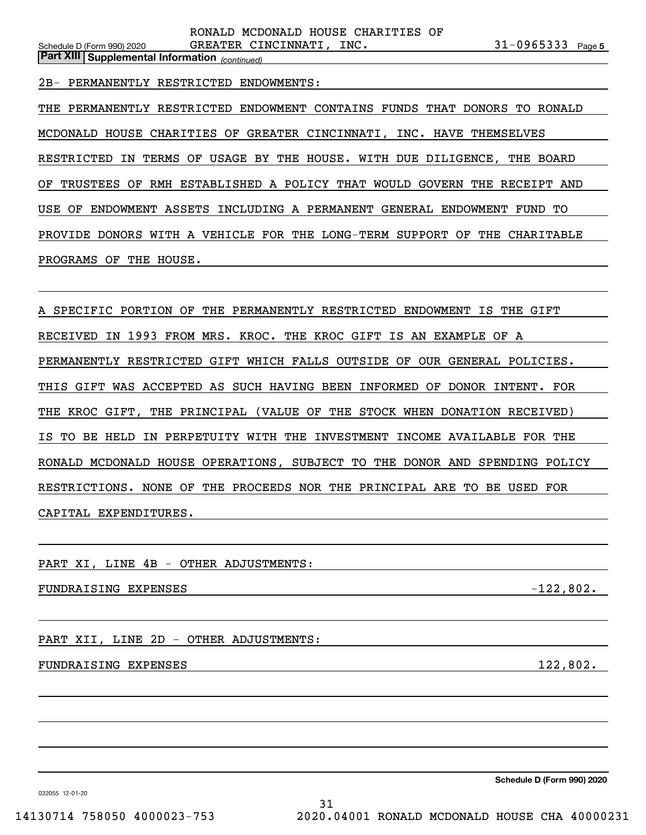*(continued)* **Part XIII Supplemental Information** 

2B- PERMANENTLY RESTRICTED ENDOWMENTS:

THE PERMANENTLY RESTRICTED ENDOWMENT CONTAINS FUNDS THAT DONORS TO RONALD MCDONALD HOUSE CHARITIES OF GREATER CINCINNATI, INC. HAVE THEMSELVES RESTRICTED IN TERMS OF USAGE BY THE HOUSE. WITH DUE DILIGENCE, THE BOARD OF TRUSTEES OF RMH ESTABLISHED A POLICY THAT WOULD GOVERN THE RECEIPT AND USE OF ENDOWMENT ASSETS INCLUDING A PERMANENT GENERAL ENDOWMENT FUND TO PROVIDE DONORS WITH A VEHICLE FOR THE LONG-TERM SUPPORT OF THE CHARITABLE PROGRAMS OF THE HOUSE.

A SPECIFIC PORTION OF THE PERMANENTLY RESTRICTED ENDOWMENT IS THE GIFT RECEIVED IN 1993 FROM MRS. KROC. THE KROC GIFT IS AN EXAMPLE OF A PERMANENTLY RESTRICTED GIFT WHICH FALLS OUTSIDE OF OUR GENERAL POLICIES. THIS GIFT WAS ACCEPTED AS SUCH HAVING BEEN INFORMED OF DONOR INTENT. FOR THE KROC GIFT, THE PRINCIPAL (VALUE OF THE STOCK WHEN DONATION RECEIVED) IS TO BE HELD IN PERPETUITY WITH THE INVESTMENT INCOME AVAILABLE FOR THE RONALD MCDONALD HOUSE OPERATIONS, SUBJECT TO THE DONOR AND SPENDING POLICY RESTRICTIONS. NONE OF THE PROCEEDS NOR THE PRINCIPAL ARE TO BE USED FOR CAPITAL EXPENDITURES.

PART XI, LINE 4B - OTHER ADJUSTMENTS:

FUNDRAISING EXPENSES -122,802.

PART XII, LINE 2D - OTHER ADJUSTMENTS:

### FUNDRAISING EXPENSES 122,802.

**Schedule D (Form 990) 2020**

032055 12-01-20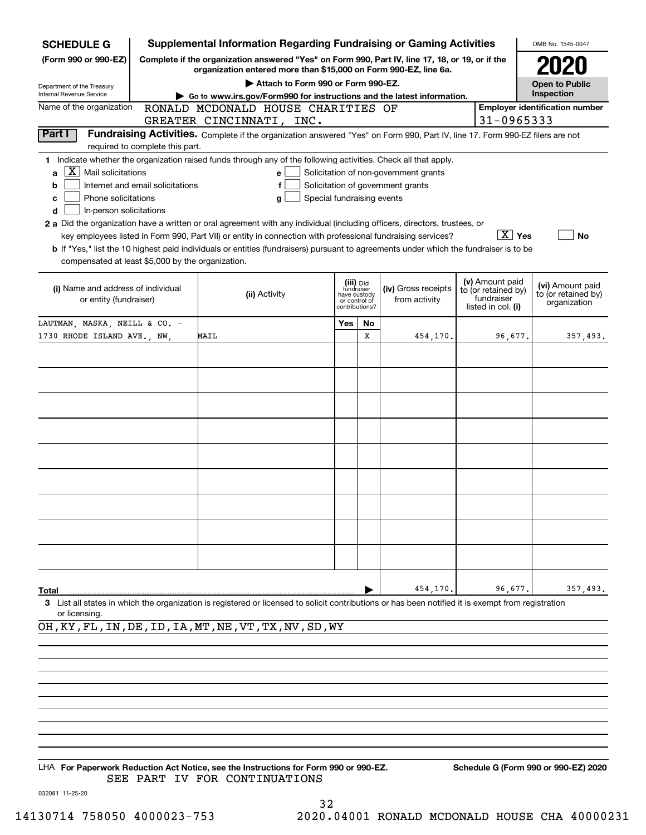| <b>SCHEDULE G</b>                                                                                                                                                                                                                                                                                                                                                                                                                                                                        |                                  |                                    |                                    |                            |                                                                            |    | <b>Supplemental Information Regarding Fundraising or Gaming Activities</b>                                                                                                                |                                                                            | OMB No. 1545-0047                                       |
|------------------------------------------------------------------------------------------------------------------------------------------------------------------------------------------------------------------------------------------------------------------------------------------------------------------------------------------------------------------------------------------------------------------------------------------------------------------------------------------|----------------------------------|------------------------------------|------------------------------------|----------------------------|----------------------------------------------------------------------------|----|-------------------------------------------------------------------------------------------------------------------------------------------------------------------------------------------|----------------------------------------------------------------------------|---------------------------------------------------------|
| (Form 990 or 990-EZ)                                                                                                                                                                                                                                                                                                                                                                                                                                                                     |                                  |                                    |                                    |                            |                                                                            |    | Complete if the organization answered "Yes" on Form 990, Part IV, line 17, 18, or 19, or if the<br>organization entered more than \$15,000 on Form 990-EZ, line 6a.                       |                                                                            |                                                         |
| Department of the Treasury                                                                                                                                                                                                                                                                                                                                                                                                                                                               |                                  |                                    | Attach to Form 990 or Form 990-EZ. |                            |                                                                            |    |                                                                                                                                                                                           |                                                                            | <b>Open to Public</b>                                   |
| Internal Revenue Service                                                                                                                                                                                                                                                                                                                                                                                                                                                                 |                                  |                                    |                                    |                            |                                                                            |    | Go to www.irs.gov/Form990 for instructions and the latest information.                                                                                                                    |                                                                            | Inspection                                              |
| Name of the organization                                                                                                                                                                                                                                                                                                                                                                                                                                                                 |                                  | RONALD MCDONALD HOUSE CHARITIES OF |                                    |                            |                                                                            |    |                                                                                                                                                                                           |                                                                            | <b>Employer identification number</b>                   |
|                                                                                                                                                                                                                                                                                                                                                                                                                                                                                          |                                  | GREATER CINCINNATI, INC.           |                                    |                            |                                                                            |    |                                                                                                                                                                                           | 31-0965333                                                                 |                                                         |
| Part I                                                                                                                                                                                                                                                                                                                                                                                                                                                                                   | required to complete this part.  |                                    |                                    |                            |                                                                            |    | Fundraising Activities. Complete if the organization answered "Yes" on Form 990, Part IV, line 17. Form 990-EZ filers are not                                                             |                                                                            |                                                         |
| 1 Indicate whether the organization raised funds through any of the following activities. Check all that apply.<br>ΧI<br>Mail solicitations<br>a<br>b<br>Phone solicitations<br>с<br>In-person solicitations<br>d<br>2 a Did the organization have a written or oral agreement with any individual (including officers, directors, trustees, or<br>b If "Yes," list the 10 highest paid individuals or entities (fundraisers) pursuant to agreements under which the fundraiser is to be | Internet and email solicitations |                                    | e<br>g                             | Special fundraising events |                                                                            |    | Solicitation of non-government grants<br>Solicitation of government grants<br>key employees listed in Form 990, Part VII) or entity in connection with professional fundraising services? | $\boxed{\text{X}}$ Yes                                                     | No                                                      |
| compensated at least \$5,000 by the organization.                                                                                                                                                                                                                                                                                                                                                                                                                                        |                                  |                                    |                                    |                            |                                                                            |    |                                                                                                                                                                                           |                                                                            |                                                         |
| (i) Name and address of individual<br>or entity (fundraiser)                                                                                                                                                                                                                                                                                                                                                                                                                             |                                  |                                    | (ii) Activity                      |                            | (iii) Did<br>fundraiser<br>have custody<br>or control of<br>contributions? |    | (iv) Gross receipts<br>from activity                                                                                                                                                      | (v) Amount paid<br>to (or retained by)<br>fundraiser<br>listed in col. (i) | (vi) Amount paid<br>to (or retained by)<br>organization |
| LAUTMAN, MASKA, NEILL & CO. -                                                                                                                                                                                                                                                                                                                                                                                                                                                            |                                  |                                    |                                    |                            | Yes                                                                        | No |                                                                                                                                                                                           |                                                                            |                                                         |
| 1730 RHODE ISLAND AVE. NW.                                                                                                                                                                                                                                                                                                                                                                                                                                                               |                                  | <b>MAIL</b>                        |                                    |                            |                                                                            | X  | 454,170.                                                                                                                                                                                  | 96,677.                                                                    | 357,493.                                                |
|                                                                                                                                                                                                                                                                                                                                                                                                                                                                                          |                                  |                                    |                                    |                            |                                                                            |    |                                                                                                                                                                                           |                                                                            |                                                         |
|                                                                                                                                                                                                                                                                                                                                                                                                                                                                                          |                                  |                                    |                                    |                            |                                                                            |    |                                                                                                                                                                                           |                                                                            |                                                         |
|                                                                                                                                                                                                                                                                                                                                                                                                                                                                                          |                                  |                                    |                                    |                            |                                                                            |    |                                                                                                                                                                                           |                                                                            |                                                         |
|                                                                                                                                                                                                                                                                                                                                                                                                                                                                                          |                                  |                                    |                                    |                            |                                                                            |    |                                                                                                                                                                                           |                                                                            |                                                         |
|                                                                                                                                                                                                                                                                                                                                                                                                                                                                                          |                                  |                                    |                                    |                            |                                                                            |    |                                                                                                                                                                                           |                                                                            |                                                         |
|                                                                                                                                                                                                                                                                                                                                                                                                                                                                                          |                                  |                                    |                                    |                            |                                                                            |    |                                                                                                                                                                                           |                                                                            |                                                         |
|                                                                                                                                                                                                                                                                                                                                                                                                                                                                                          |                                  |                                    |                                    |                            |                                                                            |    |                                                                                                                                                                                           |                                                                            |                                                         |
|                                                                                                                                                                                                                                                                                                                                                                                                                                                                                          |                                  |                                    |                                    |                            |                                                                            |    |                                                                                                                                                                                           |                                                                            |                                                         |
|                                                                                                                                                                                                                                                                                                                                                                                                                                                                                          |                                  |                                    |                                    |                            |                                                                            |    |                                                                                                                                                                                           |                                                                            |                                                         |
| <b>Total</b>                                                                                                                                                                                                                                                                                                                                                                                                                                                                             |                                  |                                    |                                    |                            |                                                                            |    | 454,170.                                                                                                                                                                                  | 96,677.                                                                    | 357,493.                                                |
| 3 List all states in which the organization is registered or licensed to solicit contributions or has been notified it is exempt from registration                                                                                                                                                                                                                                                                                                                                       |                                  |                                    |                                    |                            |                                                                            |    |                                                                                                                                                                                           |                                                                            |                                                         |
| or licensing.                                                                                                                                                                                                                                                                                                                                                                                                                                                                            |                                  |                                    |                                    |                            |                                                                            |    |                                                                                                                                                                                           |                                                                            |                                                         |

OH, KY, FL, IN, DE, ID, IA, MT, NE, VT, TX, NV, SD, WY

LHA For Paperwork Reduction Act Notice, see the Instructions for Form 990 or 990-EZ. Schedule G (Form 990 or 990-EZ) 2020 SEE PART IV FOR CONTINUATIONS

032081 11-25-20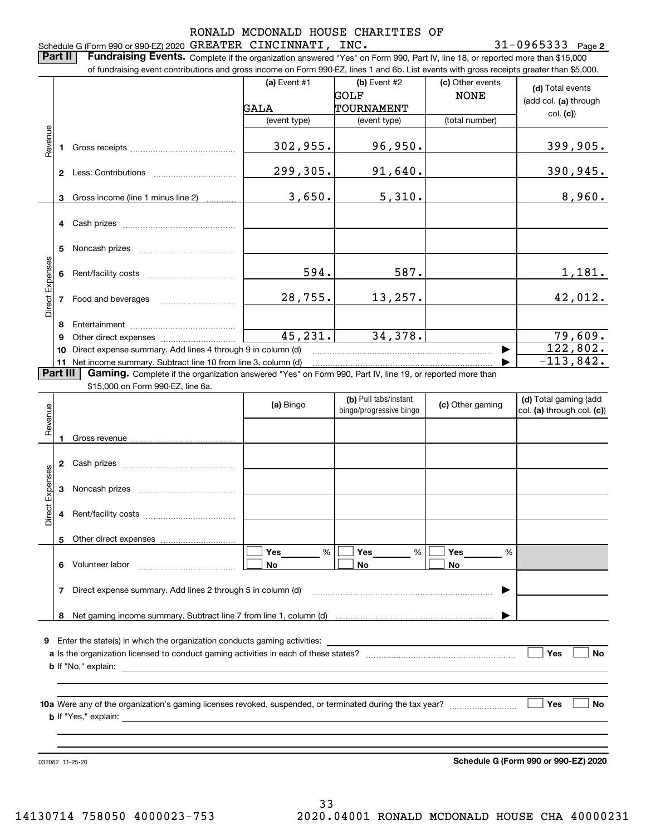### Schedule G (Form 990 or 990-EZ) 2020 Page GREATER CINCINNATI, INC. 31-0965333 RONALD MCDONALD HOUSE CHARITIES OF

### **2**

**Part II Fundraising Events.** Complete if the organization answered "Yes" on Form 990, Part IV, line 18, or reported more than \$15,000<br>15.000 of fundraising event contributions and gross income on Form 990-EZ. lines 1 an

|                 |    | of fundraising event contributions and gross income on Form 990-EZ, lines 1 and 6b. List events with gross receipts greater than \$5,000. |              |                         |                  |                                      |
|-----------------|----|-------------------------------------------------------------------------------------------------------------------------------------------|--------------|-------------------------|------------------|--------------------------------------|
|                 |    |                                                                                                                                           | (a) Event #1 | $(b)$ Event #2          | (c) Other events | (d) Total events                     |
|                 |    |                                                                                                                                           |              | GOLF                    | <b>NONE</b>      | (add col. (a) through                |
|                 |    |                                                                                                                                           | GALA         | TOURNAMENT              |                  | col. (c))                            |
|                 |    |                                                                                                                                           | (event type) | (event type)            | (total number)   |                                      |
|                 |    |                                                                                                                                           |              |                         |                  |                                      |
| Revenue         | 1. |                                                                                                                                           | 302,955.     | 96,950.                 |                  | 399,905.                             |
|                 |    |                                                                                                                                           | 299,305.     | 91,640.                 |                  | 390,945.                             |
|                 | 3  | Gross income (line 1 minus line 2)                                                                                                        | 3,650.       | 5,310.                  |                  | 8,960.                               |
|                 |    |                                                                                                                                           |              |                         |                  |                                      |
|                 | 5  |                                                                                                                                           |              |                         |                  |                                      |
|                 | 6  |                                                                                                                                           | 594.         | 587.                    |                  | <u>1,181.</u>                        |
| Direct Expenses | 7  |                                                                                                                                           | 28,755.      | 13,257.                 |                  | 42,012.                              |
|                 | 8  |                                                                                                                                           |              |                         |                  |                                      |
|                 | 9  |                                                                                                                                           | 45,231.      | 34,378.                 |                  | 79,609.                              |
|                 | 10 | Direct expense summary. Add lines 4 through 9 in column (d)                                                                               |              |                         |                  | 122,802.                             |
|                 |    | 11 Net income summary. Subtract line 10 from line 3, column (d)                                                                           |              |                         |                  | $-113,842.$                          |
| <b>Part III</b> |    | Gaming. Complete if the organization answered "Yes" on Form 990, Part IV, line 19, or reported more than                                  |              |                         |                  |                                      |
|                 |    | \$15,000 on Form 990-EZ, line 6a.                                                                                                         |              |                         |                  |                                      |
|                 |    |                                                                                                                                           |              | (b) Pull tabs/instant   |                  | (d) Total gaming (add                |
| Revenue         |    |                                                                                                                                           | (a) Bingo    | bingo/progressive bingo | (c) Other gaming | col. (a) through col. (c))           |
|                 |    |                                                                                                                                           |              |                         |                  |                                      |
|                 | 1  |                                                                                                                                           |              |                         |                  |                                      |
|                 |    |                                                                                                                                           |              |                         |                  |                                      |
| Direct Expenses | 3  |                                                                                                                                           |              |                         |                  |                                      |
|                 | 4  |                                                                                                                                           |              |                         |                  |                                      |
|                 |    |                                                                                                                                           |              |                         |                  |                                      |
|                 |    | 5 Other direct expenses                                                                                                                   |              |                         |                  |                                      |
|                 |    |                                                                                                                                           | $\%$<br>Yes  | %<br>Yes                | Yes<br>%         |                                      |
|                 |    | 6 Volunteer labor                                                                                                                         | No           | No                      | No               |                                      |
|                 | 7. | Direct expense summary. Add lines 2 through 5 in column (d)                                                                               |              |                         |                  |                                      |
|                 | 8  |                                                                                                                                           |              |                         |                  |                                      |
|                 |    |                                                                                                                                           |              |                         |                  |                                      |
| 9               |    | Enter the state(s) in which the organization conducts gaming activities:                                                                  |              |                         |                  |                                      |
|                 |    |                                                                                                                                           |              |                         |                  | Yes<br>No                            |
|                 |    |                                                                                                                                           |              |                         |                  |                                      |
|                 |    |                                                                                                                                           |              |                         |                  |                                      |
|                 |    |                                                                                                                                           |              |                         |                  | Yes<br>No                            |
|                 |    |                                                                                                                                           |              |                         |                  |                                      |
|                 |    |                                                                                                                                           |              |                         |                  |                                      |
|                 |    |                                                                                                                                           |              |                         |                  |                                      |
|                 |    |                                                                                                                                           |              |                         |                  |                                      |
|                 |    | 032082 11-25-20                                                                                                                           |              |                         |                  | Schedule G (Form 990 or 990-EZ) 2020 |

**Schedule G (Form 990 or 990-EZ) 2020**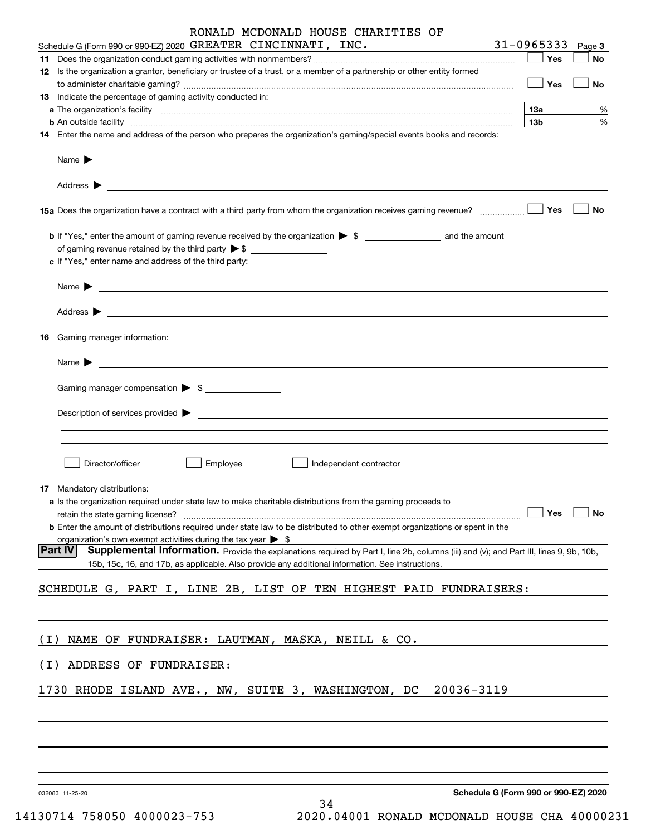|       | RONALD MCDONALD HOUSE CHARITIES OF                                                                                                                                                                                  |                 |           |
|-------|---------------------------------------------------------------------------------------------------------------------------------------------------------------------------------------------------------------------|-----------------|-----------|
|       | Schedule G (Form 990 or 990-EZ) 2020 GREATER CINCINNATI, INC.                                                                                                                                                       | $31 - 0965333$  | Page 3    |
|       |                                                                                                                                                                                                                     | Yes             | No        |
|       | 12 Is the organization a grantor, beneficiary or trustee of a trust, or a member of a partnership or other entity formed                                                                                            | Yes             | No        |
|       | 13 Indicate the percentage of gaming activity conducted in:                                                                                                                                                         |                 |           |
|       |                                                                                                                                                                                                                     | <b>13a</b>      | %         |
|       | <b>b</b> An outside facility <i>www.communicality www.communicality.communicality www.communicality www.communicality.com</i>                                                                                       | 13 <sub>b</sub> | %         |
|       | 14 Enter the name and address of the person who prepares the organization's gaming/special events books and records:                                                                                                |                 |           |
|       | Name $\triangleright$ $\underbrace{\phantom{aaaa}}$                                                                                                                                                                 |                 |           |
|       |                                                                                                                                                                                                                     |                 |           |
|       | 15a Does the organization have a contract with a third party from whom the organization receives gaming revenue?                                                                                                    | Yes             | No        |
|       |                                                                                                                                                                                                                     |                 |           |
|       |                                                                                                                                                                                                                     |                 |           |
|       | c If "Yes," enter name and address of the third party:                                                                                                                                                              |                 |           |
|       |                                                                                                                                                                                                                     |                 |           |
|       |                                                                                                                                                                                                                     |                 |           |
| 16    | Gaming manager information:                                                                                                                                                                                         |                 |           |
|       | $Name \rightarrow$                                                                                                                                                                                                  |                 |           |
|       | Gaming manager compensation > \$                                                                                                                                                                                    |                 |           |
|       |                                                                                                                                                                                                                     |                 |           |
|       |                                                                                                                                                                                                                     |                 |           |
|       |                                                                                                                                                                                                                     |                 |           |
|       | Director/officer<br>Employee<br>Independent contractor                                                                                                                                                              |                 |           |
|       | <b>17</b> Mandatory distributions:                                                                                                                                                                                  |                 |           |
|       | a Is the organization required under state law to make charitable distributions from the gaming proceeds to                                                                                                         |                 |           |
|       | retain the state gaming license?                                                                                                                                                                                    | Yes             | <b>No</b> |
|       | <b>b</b> Enter the amount of distributions required under state law to be distributed to other exempt organizations or spent in the<br>organization's own exempt activities during the tax year $\triangleright$ \$ |                 |           |
|       | <b>Part IV</b><br>Supplemental Information. Provide the explanations required by Part I, line 2b, columns (iii) and (v); and Part III, lines 9, 9b, 10b,                                                            |                 |           |
|       | 15b, 15c, 16, and 17b, as applicable. Also provide any additional information. See instructions.                                                                                                                    |                 |           |
|       | SCHEDULE G, PART I, LINE 2B, LIST OF TEN HIGHEST PAID FUNDRAISERS:                                                                                                                                                  |                 |           |
|       |                                                                                                                                                                                                                     |                 |           |
| ( I ) | NAME OF FUNDRAISER: LAUTMAN, MASKA, NEILL & CO.                                                                                                                                                                     |                 |           |
| ( I ) | ADDRESS OF FUNDRAISER:                                                                                                                                                                                              |                 |           |
|       |                                                                                                                                                                                                                     |                 |           |
|       | 20036-3119<br>1730 RHODE ISLAND AVE., NW, SUITE 3, WASHINGTON, DC                                                                                                                                                   |                 |           |
|       |                                                                                                                                                                                                                     |                 |           |
|       |                                                                                                                                                                                                                     |                 |           |
|       |                                                                                                                                                                                                                     |                 |           |
|       | Schedule G (Form 990 or 990-EZ) 2020<br>032083 11-25-20<br>ົາ 1                                                                                                                                                     |                 |           |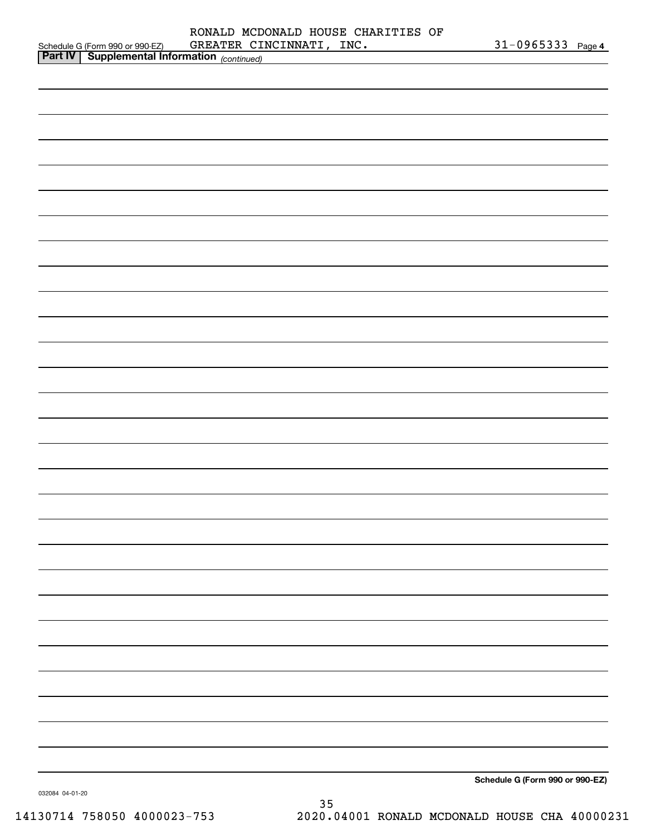|                 |                                                                                                    | GREATER CINCINNATI, INC. | $31 - 0965333$ Page 4           |  |
|-----------------|----------------------------------------------------------------------------------------------------|--------------------------|---------------------------------|--|
|                 | Schedule G (Form 990 or 990-EZ) GREATER CII<br><b>Part IV</b> Supplemental Information (continued) |                          |                                 |  |
|                 |                                                                                                    |                          |                                 |  |
|                 |                                                                                                    |                          |                                 |  |
|                 |                                                                                                    |                          |                                 |  |
|                 |                                                                                                    |                          |                                 |  |
|                 |                                                                                                    |                          |                                 |  |
|                 |                                                                                                    |                          |                                 |  |
|                 |                                                                                                    |                          |                                 |  |
|                 |                                                                                                    |                          |                                 |  |
|                 |                                                                                                    |                          |                                 |  |
|                 |                                                                                                    |                          |                                 |  |
|                 |                                                                                                    |                          |                                 |  |
|                 |                                                                                                    |                          |                                 |  |
|                 |                                                                                                    |                          |                                 |  |
|                 |                                                                                                    |                          |                                 |  |
|                 |                                                                                                    |                          |                                 |  |
|                 |                                                                                                    |                          |                                 |  |
|                 |                                                                                                    |                          |                                 |  |
|                 |                                                                                                    |                          |                                 |  |
|                 |                                                                                                    |                          |                                 |  |
|                 |                                                                                                    |                          |                                 |  |
|                 |                                                                                                    |                          |                                 |  |
|                 |                                                                                                    |                          |                                 |  |
|                 |                                                                                                    |                          |                                 |  |
|                 |                                                                                                    |                          |                                 |  |
|                 |                                                                                                    |                          |                                 |  |
|                 |                                                                                                    |                          |                                 |  |
|                 |                                                                                                    |                          |                                 |  |
|                 |                                                                                                    |                          |                                 |  |
|                 |                                                                                                    |                          |                                 |  |
|                 |                                                                                                    |                          |                                 |  |
|                 |                                                                                                    |                          |                                 |  |
|                 |                                                                                                    |                          |                                 |  |
|                 |                                                                                                    |                          |                                 |  |
|                 |                                                                                                    |                          |                                 |  |
|                 |                                                                                                    |                          |                                 |  |
|                 |                                                                                                    |                          |                                 |  |
|                 |                                                                                                    |                          |                                 |  |
|                 |                                                                                                    |                          |                                 |  |
|                 |                                                                                                    |                          |                                 |  |
|                 |                                                                                                    |                          |                                 |  |
|                 |                                                                                                    |                          |                                 |  |
|                 |                                                                                                    |                          |                                 |  |
|                 |                                                                                                    |                          |                                 |  |
|                 |                                                                                                    |                          |                                 |  |
|                 |                                                                                                    |                          |                                 |  |
|                 |                                                                                                    |                          |                                 |  |
|                 |                                                                                                    |                          |                                 |  |
|                 |                                                                                                    |                          |                                 |  |
|                 |                                                                                                    |                          |                                 |  |
|                 |                                                                                                    |                          |                                 |  |
|                 |                                                                                                    |                          |                                 |  |
|                 |                                                                                                    |                          |                                 |  |
|                 |                                                                                                    |                          |                                 |  |
|                 |                                                                                                    |                          |                                 |  |
|                 |                                                                                                    |                          |                                 |  |
|                 |                                                                                                    |                          |                                 |  |
|                 |                                                                                                    |                          |                                 |  |
|                 |                                                                                                    |                          |                                 |  |
|                 |                                                                                                    |                          |                                 |  |
|                 |                                                                                                    |                          | Schedule G (Form 990 or 990-EZ) |  |
| 032084 04-01-20 |                                                                                                    |                          |                                 |  |

032084 04-01-20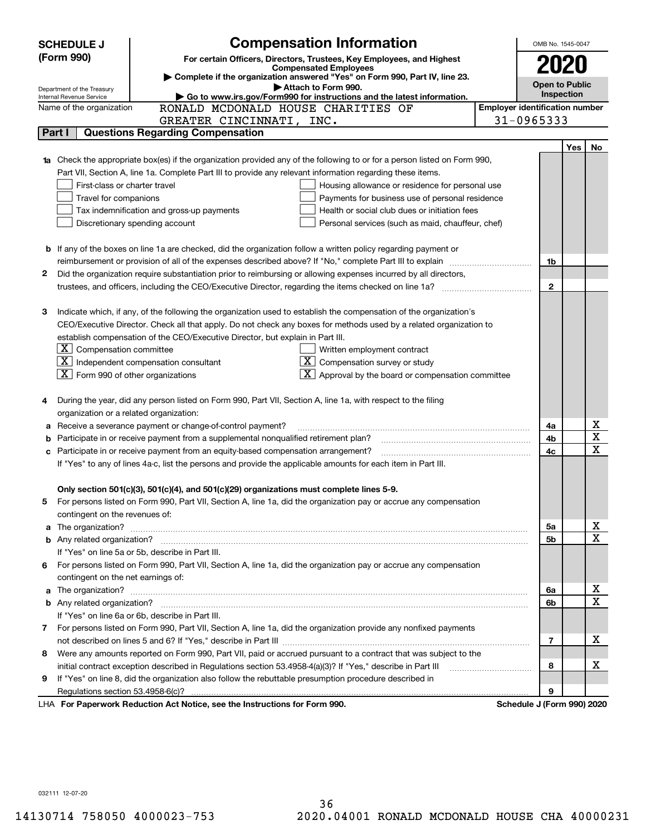|   | <b>SCHEDULE J</b>                                      | <b>Compensation Information</b>                                                                                                  |                                       | OMB No. 1545-0047     |     |                         |
|---|--------------------------------------------------------|----------------------------------------------------------------------------------------------------------------------------------|---------------------------------------|-----------------------|-----|-------------------------|
|   | (Form 990)                                             | For certain Officers, Directors, Trustees, Key Employees, and Highest                                                            |                                       |                       |     |                         |
|   |                                                        | <b>Compensated Employees</b>                                                                                                     |                                       |                       |     |                         |
|   |                                                        | Complete if the organization answered "Yes" on Form 990, Part IV, line 23.                                                       |                                       | <b>Open to Public</b> |     |                         |
|   | Department of the Treasury<br>Internal Revenue Service | Attach to Form 990.<br>Go to www.irs.gov/Form990 for instructions and the latest information.                                    |                                       | Inspection            |     |                         |
|   | Name of the organization                               | RONALD MCDONALD HOUSE CHARITIES OF                                                                                               | <b>Employer identification number</b> |                       |     |                         |
|   |                                                        | GREATER CINCINNATI, INC.                                                                                                         | 31-0965333                            |                       |     |                         |
|   | Part I                                                 | <b>Questions Regarding Compensation</b>                                                                                          |                                       |                       |     |                         |
|   |                                                        |                                                                                                                                  |                                       |                       | Yes | No                      |
|   |                                                        | <b>1a</b> Check the appropriate box(es) if the organization provided any of the following to or for a person listed on Form 990, |                                       |                       |     |                         |
|   |                                                        | Part VII, Section A, line 1a. Complete Part III to provide any relevant information regarding these items.                       |                                       |                       |     |                         |
|   | First-class or charter travel                          | Housing allowance or residence for personal use                                                                                  |                                       |                       |     |                         |
|   | Travel for companions                                  | Payments for business use of personal residence                                                                                  |                                       |                       |     |                         |
|   |                                                        | Tax indemnification and gross-up payments<br>Health or social club dues or initiation fees                                       |                                       |                       |     |                         |
|   |                                                        | Discretionary spending account<br>Personal services (such as maid, chauffeur, chef)                                              |                                       |                       |     |                         |
|   |                                                        |                                                                                                                                  |                                       |                       |     |                         |
|   |                                                        | <b>b</b> If any of the boxes on line 1a are checked, did the organization follow a written policy regarding payment or           |                                       |                       |     |                         |
|   |                                                        |                                                                                                                                  |                                       | 1b                    |     |                         |
| 2 |                                                        | Did the organization require substantiation prior to reimbursing or allowing expenses incurred by all directors,                 |                                       |                       |     |                         |
|   |                                                        |                                                                                                                                  |                                       | $\overline{2}$        |     |                         |
|   |                                                        |                                                                                                                                  |                                       |                       |     |                         |
| з |                                                        | Indicate which, if any, of the following the organization used to establish the compensation of the organization's               |                                       |                       |     |                         |
|   |                                                        | CEO/Executive Director. Check all that apply. Do not check any boxes for methods used by a related organization to               |                                       |                       |     |                         |
|   |                                                        | establish compensation of the CEO/Executive Director, but explain in Part III.                                                   |                                       |                       |     |                         |
|   | $ \mathbf{X} $ Compensation committee                  | Written employment contract                                                                                                      |                                       |                       |     |                         |
|   |                                                        | $X$ Independent compensation consultant<br>Compensation survey or study                                                          |                                       |                       |     |                         |
|   | $ \mathbf{X} $ Form 990 of other organizations         | Approval by the board or compensation committee                                                                                  |                                       |                       |     |                         |
|   |                                                        |                                                                                                                                  |                                       |                       |     |                         |
|   |                                                        | During the year, did any person listed on Form 990, Part VII, Section A, line 1a, with respect to the filing                     |                                       |                       |     |                         |
|   | organization or a related organization:                |                                                                                                                                  |                                       |                       |     |                         |
| а |                                                        | Receive a severance payment or change-of-control payment?                                                                        |                                       | 4a                    |     | x                       |
|   |                                                        | Participate in or receive payment from a supplemental nonqualified retirement plan?                                              |                                       | 4b                    |     | $\overline{\textbf{X}}$ |
|   |                                                        | c Participate in or receive payment from an equity-based compensation arrangement?                                               |                                       | 4c                    |     | $\overline{\mathbf{x}}$ |
|   |                                                        | If "Yes" to any of lines 4a-c, list the persons and provide the applicable amounts for each item in Part III.                    |                                       |                       |     |                         |
|   |                                                        |                                                                                                                                  |                                       |                       |     |                         |
|   |                                                        | Only section 501(c)(3), 501(c)(4), and 501(c)(29) organizations must complete lines 5-9.                                         |                                       |                       |     |                         |
| 5 |                                                        | For persons listed on Form 990, Part VII, Section A, line 1a, did the organization pay or accrue any compensation                |                                       |                       |     |                         |
|   | contingent on the revenues of:                         |                                                                                                                                  |                                       |                       |     |                         |
|   |                                                        |                                                                                                                                  |                                       | 5a                    |     | x                       |
|   |                                                        |                                                                                                                                  |                                       | 5b                    |     | $\overline{\mathbf{x}}$ |
|   |                                                        | If "Yes" on line 5a or 5b, describe in Part III.                                                                                 |                                       |                       |     |                         |
|   |                                                        | 6 For persons listed on Form 990, Part VII, Section A, line 1a, did the organization pay or accrue any compensation              |                                       |                       |     |                         |
|   | contingent on the net earnings of:                     |                                                                                                                                  |                                       |                       |     |                         |
|   |                                                        |                                                                                                                                  |                                       | 6a                    |     | x                       |
|   |                                                        |                                                                                                                                  |                                       | 6b                    |     | $\overline{\mathbf{x}}$ |
|   |                                                        | If "Yes" on line 6a or 6b, describe in Part III.                                                                                 |                                       |                       |     |                         |
|   |                                                        | 7 For persons listed on Form 990, Part VII, Section A, line 1a, did the organization provide any nonfixed payments               |                                       |                       |     |                         |
|   |                                                        |                                                                                                                                  |                                       | 7                     |     | х                       |
| 8 |                                                        | Were any amounts reported on Form 990, Part VII, paid or accrued pursuant to a contract that was subject to the                  |                                       |                       |     |                         |
|   |                                                        |                                                                                                                                  |                                       | 8                     |     | х                       |
| 9 |                                                        | If "Yes" on line 8, did the organization also follow the rebuttable presumption procedure described in                           |                                       |                       |     |                         |
|   |                                                        |                                                                                                                                  |                                       | 9                     |     |                         |
|   |                                                        | LHA For Paperwork Reduction Act Notice, see the Instructions for Form 990.                                                       | Schedule J (Form 990) 2020            |                       |     |                         |

032111 12-07-20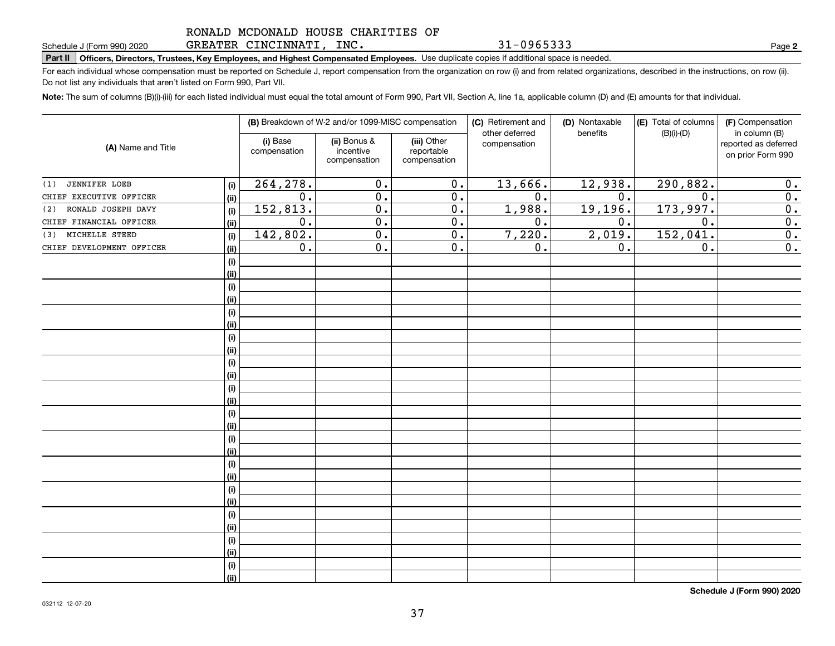GREATER CINCINNATI, INC.

**Part II Officers, Directors, Trustees, Key Employees, and Highest Compensated Employees.**  Schedule J (Form 990) 2020 Page Use duplicate copies if additional space is needed.

For each individual whose compensation must be reported on Schedule J, report compensation from the organization on row (i) and from related organizations, described in the instructions, on row (ii). Do not list any individuals that aren't listed on Form 990, Part VII.

**Note:**  The sum of columns (B)(i)-(iii) for each listed individual must equal the total amount of Form 990, Part VII, Section A, line 1a, applicable column (D) and (E) amounts for that individual.

|                           |            |                          | (B) Breakdown of W-2 and/or 1099-MISC compensation |                                           | (C) Retirement and             | (D) Nontaxable | (E) Total of columns | (F) Compensation                                           |
|---------------------------|------------|--------------------------|----------------------------------------------------|-------------------------------------------|--------------------------------|----------------|----------------------|------------------------------------------------------------|
| (A) Name and Title        |            | (i) Base<br>compensation | (ii) Bonus &<br>incentive<br>compensation          | (iii) Other<br>reportable<br>compensation | other deferred<br>compensation | benefits       | $(B)(i)-(D)$         | in column (B)<br>reported as deferred<br>on prior Form 990 |
| JENNIFER LOEB<br>(1)      | (i)        | 264,278.                 | 0.                                                 | 0.                                        | 13,666.                        | 12,938.        | 290,882.             | 0.                                                         |
| CHIEF EXECUTIVE OFFICER   | (ii)       | 0.                       | $\overline{0}$ .                                   | $\overline{0}$ .                          | $\overline{0}$ .               | 0.             | 0.                   | $\overline{0}$ .                                           |
| RONALD JOSEPH DAVY<br>(2) | (i)        | 152,813.                 | $\overline{0}$ .                                   | $\overline{0}$ .                          | 1,988.                         | 19,196.        | 173, 997.            | $\overline{0}$ .                                           |
| CHIEF FINANCIAL OFFICER   | (ii)       | $\overline{0}$ .         | $\overline{0}$ .                                   | $\overline{0}$ .                          | 0.                             | 0.             | 0.                   | $\overline{0}$ .                                           |
| MICHELLE STEED<br>(3)     | (i)        | 142,802.                 | $\overline{0}$ .                                   | $\overline{0}$ .                          | 7,220.                         | 2,019.         | 152,041.             | $\overline{0}$ .                                           |
| CHIEF DEVELOPMENT OFFICER | (ii)       | 0.                       | $\overline{0}$ .                                   | $\overline{0}$ .                          | $\overline{0}$ .               | 0.             | 0.                   | $\overline{0}$ .                                           |
|                           | (i)        |                          |                                                    |                                           |                                |                |                      |                                                            |
|                           | (ii)       |                          |                                                    |                                           |                                |                |                      |                                                            |
|                           | (i)        |                          |                                                    |                                           |                                |                |                      |                                                            |
|                           | (ii)       |                          |                                                    |                                           |                                |                |                      |                                                            |
|                           | (i)        |                          |                                                    |                                           |                                |                |                      |                                                            |
|                           | (ii)       |                          |                                                    |                                           |                                |                |                      |                                                            |
|                           | (i)        |                          |                                                    |                                           |                                |                |                      |                                                            |
|                           | (ii)       |                          |                                                    |                                           |                                |                |                      |                                                            |
|                           | $(\sf{i})$ |                          |                                                    |                                           |                                |                |                      |                                                            |
|                           | (ii)       |                          |                                                    |                                           |                                |                |                      |                                                            |
|                           | (i)        |                          |                                                    |                                           |                                |                |                      |                                                            |
|                           | (ii)       |                          |                                                    |                                           |                                |                |                      |                                                            |
|                           | (i)        |                          |                                                    |                                           |                                |                |                      |                                                            |
|                           | (ii)       |                          |                                                    |                                           |                                |                |                      |                                                            |
|                           | (i)        |                          |                                                    |                                           |                                |                |                      |                                                            |
|                           | (ii)       |                          |                                                    |                                           |                                |                |                      |                                                            |
|                           | (i)        |                          |                                                    |                                           |                                |                |                      |                                                            |
|                           | (ii)       |                          |                                                    |                                           |                                |                |                      |                                                            |
|                           | (i)        |                          |                                                    |                                           |                                |                |                      |                                                            |
|                           | (ii)       |                          |                                                    |                                           |                                |                |                      |                                                            |
|                           | (i)        |                          |                                                    |                                           |                                |                |                      |                                                            |
|                           | (ii)       |                          |                                                    |                                           |                                |                |                      |                                                            |
|                           | (i)        |                          |                                                    |                                           |                                |                |                      |                                                            |
|                           | (ii)       |                          |                                                    |                                           |                                |                |                      |                                                            |
|                           | (i)        |                          |                                                    |                                           |                                |                |                      |                                                            |
|                           | (ii)       |                          |                                                    |                                           |                                |                |                      |                                                            |

**Schedule J (Form 990) 2020**

**2**

31-0965333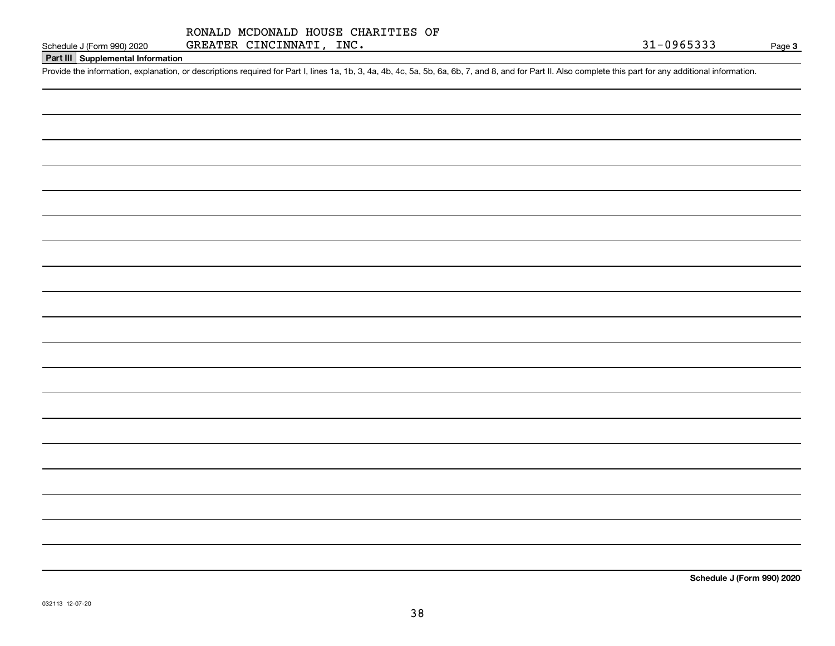### **Part III Supplemental Information**

Schedule J (Form 990) 2020 GREATER CINCINNATI, INC.<br>Part III Supplemental Information<br>Provide the information, explanation, or descriptions required for Part I, lines 1a, 1b, 3, 4a, 4b, 4c, 5a, 5b, 6a, 6b, 7, and 8, and fo

**Schedule J (Form 990) 2020**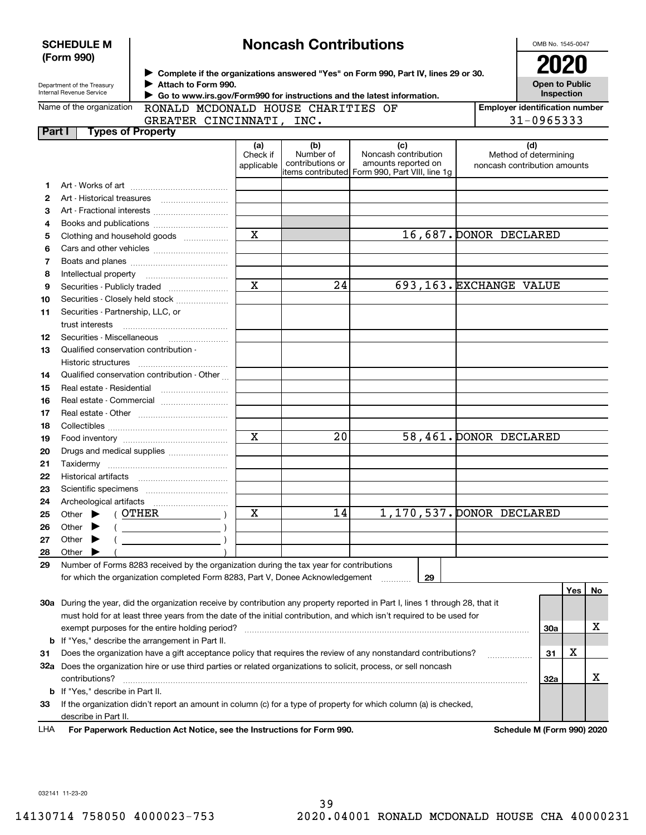|              | <b>SCHEDULE M</b><br>(Form 990)                        | <b>Noncash Contributions</b>                                                                  |                               |                                      |                                                                                                                                |                         |                                                              |            |    |  |
|--------------|--------------------------------------------------------|-----------------------------------------------------------------------------------------------|-------------------------------|--------------------------------------|--------------------------------------------------------------------------------------------------------------------------------|-------------------------|--------------------------------------------------------------|------------|----|--|
|              | Department of the Treasury<br>Internal Revenue Service | Attach to Form 990.<br>Go to www.irs.gov/Form990 for instructions and the latest information. |                               |                                      | > Complete if the organizations answered "Yes" on Form 990, Part IV, lines 29 or 30.                                           |                         | <b>ZUZU</b><br><b>Open to Public</b><br>Inspection           |            |    |  |
|              | Name of the organization                               | RONALD MCDONALD HOUSE CHARITIES OF                                                            |                               |                                      |                                                                                                                                |                         | <b>Employer identification number</b>                        |            |    |  |
|              |                                                        | GREATER CINCINNATI, INC.                                                                      |                               |                                      |                                                                                                                                |                         |                                                              | 31-0965333 |    |  |
| Part I       | <b>Types of Property</b>                               |                                                                                               |                               |                                      |                                                                                                                                |                         |                                                              |            |    |  |
|              |                                                        |                                                                                               | (a)<br>Check if<br>applicable | (b)<br>Number of<br>contributions or | (c)<br>Noncash contribution<br>amounts reported on<br>items contributed Form 990, Part VIII, line 1g                           |                         | (d)<br>Method of determining<br>noncash contribution amounts |            |    |  |
| 1            |                                                        |                                                                                               |                               |                                      |                                                                                                                                |                         |                                                              |            |    |  |
| $\mathbf{2}$ |                                                        |                                                                                               |                               |                                      |                                                                                                                                |                         |                                                              |            |    |  |
| 3            |                                                        | Art - Fractional interests                                                                    |                               |                                      |                                                                                                                                |                         |                                                              |            |    |  |
| 4            |                                                        |                                                                                               |                               |                                      |                                                                                                                                |                         |                                                              |            |    |  |
| 5            |                                                        | Clothing and household goods                                                                  | X                             |                                      |                                                                                                                                | 16,687. DONOR DECLARED  |                                                              |            |    |  |
| 6            |                                                        |                                                                                               |                               |                                      |                                                                                                                                |                         |                                                              |            |    |  |
| 7            |                                                        |                                                                                               |                               |                                      |                                                                                                                                |                         |                                                              |            |    |  |
| 8            |                                                        |                                                                                               |                               |                                      |                                                                                                                                |                         |                                                              |            |    |  |
| 9            |                                                        | Securities - Publicly traded                                                                  | $\mathbf x$                   | 24                                   |                                                                                                                                | 693,163. EXCHANGE VALUE |                                                              |            |    |  |
| 10           |                                                        | Securities - Closely held stock                                                               |                               |                                      |                                                                                                                                |                         |                                                              |            |    |  |
| 11           | Securities - Partnership, LLC, or                      |                                                                                               |                               |                                      |                                                                                                                                |                         |                                                              |            |    |  |
|              | trust interests                                        |                                                                                               |                               |                                      |                                                                                                                                |                         |                                                              |            |    |  |
| 12           | Securities - Miscellaneous                             |                                                                                               |                               |                                      |                                                                                                                                |                         |                                                              |            |    |  |
| 13           | Qualified conservation contribution -                  |                                                                                               |                               |                                      |                                                                                                                                |                         |                                                              |            |    |  |
|              | Historic structures                                    |                                                                                               |                               |                                      |                                                                                                                                |                         |                                                              |            |    |  |
| 14           |                                                        | Qualified conservation contribution - Other                                                   |                               |                                      |                                                                                                                                |                         |                                                              |            |    |  |
| 15           | Real estate - Residential                              |                                                                                               |                               |                                      |                                                                                                                                |                         |                                                              |            |    |  |
| 16           |                                                        | Real estate - Commercial                                                                      |                               |                                      |                                                                                                                                |                         |                                                              |            |    |  |
| 17           |                                                        |                                                                                               |                               |                                      |                                                                                                                                |                         |                                                              |            |    |  |
| 18           |                                                        |                                                                                               |                               |                                      |                                                                                                                                |                         |                                                              |            |    |  |
| 19           |                                                        |                                                                                               | X                             | 20                                   |                                                                                                                                | 58,461. DONOR DECLARED  |                                                              |            |    |  |
| 20           |                                                        | Drugs and medical supplies                                                                    |                               |                                      |                                                                                                                                |                         |                                                              |            |    |  |
| 21           |                                                        |                                                                                               |                               |                                      |                                                                                                                                |                         |                                                              |            |    |  |
| 22           |                                                        |                                                                                               |                               |                                      |                                                                                                                                |                         |                                                              |            |    |  |
| 23           |                                                        |                                                                                               |                               |                                      |                                                                                                                                |                         |                                                              |            |    |  |
| 24           |                                                        |                                                                                               |                               |                                      |                                                                                                                                |                         |                                                              |            |    |  |
| 25           | Other                                                  | <b>OTHER</b>                                                                                  | x                             | 14                                   | 1,170,537. DONOR DECLARED                                                                                                      |                         |                                                              |            |    |  |
| 26           | Other                                                  |                                                                                               |                               |                                      |                                                                                                                                |                         |                                                              |            |    |  |
| 27           | Other                                                  |                                                                                               |                               |                                      |                                                                                                                                |                         |                                                              |            |    |  |
| 28           | Other                                                  |                                                                                               |                               |                                      |                                                                                                                                |                         |                                                              |            |    |  |
| 29           |                                                        | Number of Forms 8283 received by the organization during the tax year for contributions       |                               |                                      |                                                                                                                                |                         |                                                              |            |    |  |
|              |                                                        | for which the organization completed Form 8283, Part V, Donee Acknowledgement                 |                               |                                      | 29                                                                                                                             |                         |                                                              |            |    |  |
|              |                                                        |                                                                                               |                               |                                      |                                                                                                                                |                         |                                                              | Yes        | No |  |
|              |                                                        |                                                                                               |                               |                                      | 30a During the year, did the organization receive by contribution any property reported in Part I, lines 1 through 28, that it |                         |                                                              |            |    |  |
|              |                                                        |                                                                                               |                               |                                      | must hold for at least three years from the date of the initial contribution, and which isn't required to be used for          |                         |                                                              |            |    |  |
|              |                                                        | exempt purposes for the entire holding period?                                                |                               |                                      |                                                                                                                                |                         | <b>30a</b>                                                   |            | x  |  |
| b            |                                                        | If "Yes," describe the arrangement in Part II.                                                |                               |                                      |                                                                                                                                |                         |                                                              |            |    |  |
| 31           |                                                        |                                                                                               |                               |                                      | Does the organization have a gift acceptance policy that requires the review of any nonstandard contributions?                 |                         | 31                                                           | X          |    |  |
|              | contributions?                                         |                                                                                               |                               |                                      | 32a Does the organization hire or use third parties or related organizations to solicit, process, or sell noncash              |                         | 32a                                                          |            | х  |  |
| b            | If "Yes," describe in Part II.                         |                                                                                               |                               |                                      |                                                                                                                                |                         |                                                              |            |    |  |
| 33           |                                                        |                                                                                               |                               |                                      | If the organization didn't report an amount in column (c) for a type of property for which column (a) is checked,              |                         |                                                              |            |    |  |
|              | describe in Part II.                                   |                                                                                               |                               |                                      |                                                                                                                                |                         |                                                              |            |    |  |
| LHA          |                                                        | For Paperwork Reduction Act Notice, see the Instructions for Form 990.                        |                               |                                      |                                                                                                                                |                         | Schedule M (Form 990) 2020                                   |            |    |  |
|              |                                                        |                                                                                               |                               |                                      |                                                                                                                                |                         |                                                              |            |    |  |

032141 11-23-20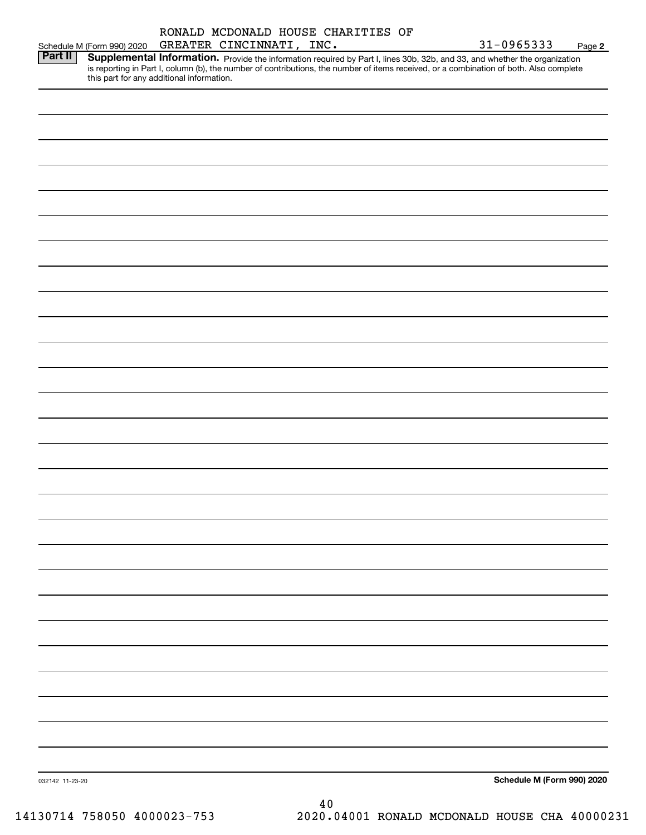| this part for any additional information. | Schedule M (Form 990) 2020 GREATER CINCINNATI, INC. | Supplemental Information. Provide the information required by Part I, lines 30b, 32b, and 33, and whether the organization<br>is reporting in Part I, column (b), the number of contributions, the number of items received, or a combination of both. Also complete |    | 31-0965333 | Page 2                                                                      |
|-------------------------------------------|-----------------------------------------------------|----------------------------------------------------------------------------------------------------------------------------------------------------------------------------------------------------------------------------------------------------------------------|----|------------|-----------------------------------------------------------------------------|
|                                           |                                                     |                                                                                                                                                                                                                                                                      |    |            |                                                                             |
|                                           |                                                     |                                                                                                                                                                                                                                                                      |    |            |                                                                             |
|                                           |                                                     |                                                                                                                                                                                                                                                                      |    |            |                                                                             |
|                                           |                                                     |                                                                                                                                                                                                                                                                      |    |            |                                                                             |
|                                           |                                                     |                                                                                                                                                                                                                                                                      |    |            |                                                                             |
|                                           |                                                     |                                                                                                                                                                                                                                                                      |    |            |                                                                             |
|                                           |                                                     |                                                                                                                                                                                                                                                                      |    |            |                                                                             |
|                                           |                                                     |                                                                                                                                                                                                                                                                      |    |            |                                                                             |
|                                           |                                                     |                                                                                                                                                                                                                                                                      |    |            |                                                                             |
|                                           |                                                     |                                                                                                                                                                                                                                                                      |    |            |                                                                             |
|                                           |                                                     |                                                                                                                                                                                                                                                                      |    |            |                                                                             |
|                                           |                                                     |                                                                                                                                                                                                                                                                      |    |            |                                                                             |
|                                           |                                                     |                                                                                                                                                                                                                                                                      |    |            |                                                                             |
|                                           |                                                     |                                                                                                                                                                                                                                                                      |    |            |                                                                             |
|                                           |                                                     |                                                                                                                                                                                                                                                                      |    |            |                                                                             |
|                                           |                                                     |                                                                                                                                                                                                                                                                      |    |            |                                                                             |
|                                           |                                                     |                                                                                                                                                                                                                                                                      |    |            |                                                                             |
|                                           |                                                     |                                                                                                                                                                                                                                                                      |    |            |                                                                             |
|                                           |                                                     |                                                                                                                                                                                                                                                                      |    |            |                                                                             |
|                                           |                                                     |                                                                                                                                                                                                                                                                      |    |            |                                                                             |
|                                           |                                                     |                                                                                                                                                                                                                                                                      |    |            |                                                                             |
|                                           |                                                     |                                                                                                                                                                                                                                                                      |    |            |                                                                             |
|                                           |                                                     |                                                                                                                                                                                                                                                                      |    |            |                                                                             |
|                                           |                                                     |                                                                                                                                                                                                                                                                      |    |            |                                                                             |
|                                           |                                                     |                                                                                                                                                                                                                                                                      |    |            |                                                                             |
|                                           |                                                     |                                                                                                                                                                                                                                                                      |    |            |                                                                             |
|                                           |                                                     |                                                                                                                                                                                                                                                                      |    |            |                                                                             |
|                                           |                                                     |                                                                                                                                                                                                                                                                      |    |            |                                                                             |
|                                           |                                                     |                                                                                                                                                                                                                                                                      |    |            |                                                                             |
|                                           |                                                     |                                                                                                                                                                                                                                                                      |    |            |                                                                             |
|                                           |                                                     |                                                                                                                                                                                                                                                                      |    |            |                                                                             |
|                                           |                                                     |                                                                                                                                                                                                                                                                      |    |            |                                                                             |
|                                           |                                                     |                                                                                                                                                                                                                                                                      |    |            |                                                                             |
|                                           |                                                     |                                                                                                                                                                                                                                                                      |    |            |                                                                             |
|                                           |                                                     |                                                                                                                                                                                                                                                                      |    |            |                                                                             |
|                                           |                                                     |                                                                                                                                                                                                                                                                      |    |            |                                                                             |
|                                           |                                                     |                                                                                                                                                                                                                                                                      |    |            |                                                                             |
|                                           |                                                     |                                                                                                                                                                                                                                                                      |    |            |                                                                             |
|                                           |                                                     |                                                                                                                                                                                                                                                                      |    |            |                                                                             |
|                                           |                                                     |                                                                                                                                                                                                                                                                      |    |            |                                                                             |
|                                           | 14130714 758050 4000023-753                         |                                                                                                                                                                                                                                                                      | 40 |            | Schedule M (Form 990) 2020<br>2020.04001 RONALD MCDONALD HOUSE CHA 40000231 |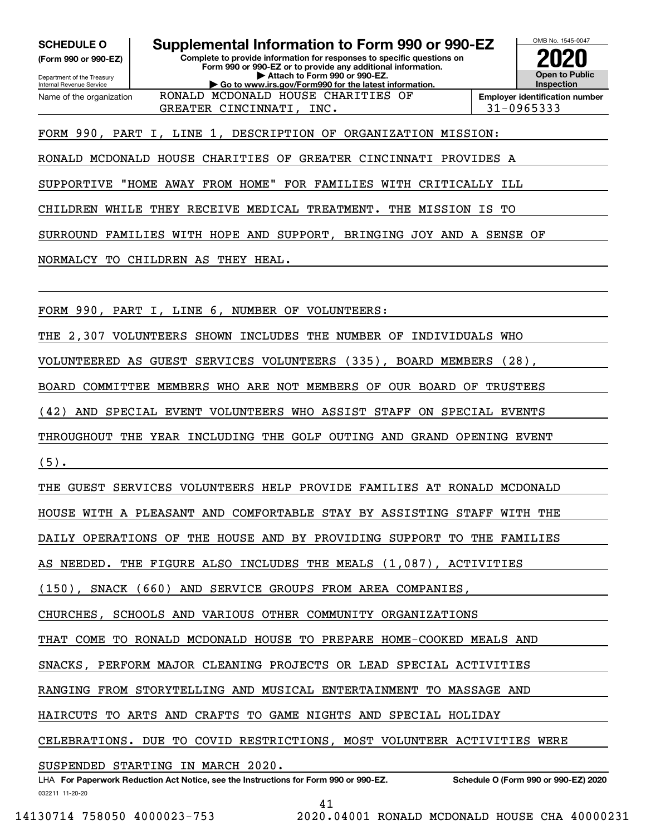**SCHEDULE O Supplemental Information to Form 990 or 990-EZ**

Internal Revenue Service

Department of the Treasury **(Form 990 or 990-EZ)** **Complete to provide information for responses to specific questions on Form 990 or 990-EZ or to provide any additional information. | Attach to Form 990 or 990-EZ. | Go to www.irs.gov/Form990 for the latest information.**



Name of the organization GREATER CINCINNATI, INC.  $\vert$  31-0965333 RONALD MCDONALD HOUSE CHARITIES OF

**Employer identification number**

FORM 990, PART I, LINE 1, DESCRIPTION OF ORGANIZATION MISSION:

RONALD MCDONALD HOUSE CHARITIES OF GREATER CINCINNATI PROVIDES A

SUPPORTIVE "HOME AWAY FROM HOME" FOR FAMILIES WITH CRITICALLY ILL

CHILDREN WHILE THEY RECEIVE MEDICAL TREATMENT. THE MISSION IS TO

SURROUND FAMILIES WITH HOPE AND SUPPORT, BRINGING JOY AND A SENSE OF

NORMALCY TO CHILDREN AS THEY HEAL.

FORM 990, PART I, LINE 6, NUMBER OF VOLUNTEERS:

THE 2,307 VOLUNTEERS SHOWN INCLUDES THE NUMBER OF INDIVIDUALS WHO

VOLUNTEERED AS GUEST SERVICES VOLUNTEERS (335), BOARD MEMBERS (28),

BOARD COMMITTEE MEMBERS WHO ARE NOT MEMBERS OF OUR BOARD OF TRUSTEES

(42) AND SPECIAL EVENT VOLUNTEERS WHO ASSIST STAFF ON SPECIAL EVENTS

THROUGHOUT THE YEAR INCLUDING THE GOLF OUTING AND GRAND OPENING EVENT

(5).

THE GUEST SERVICES VOLUNTEERS HELP PROVIDE FAMILIES AT RONALD MCDONALD

HOUSE WITH A PLEASANT AND COMFORTABLE STAY BY ASSISTING STAFF WITH THE

DAILY OPERATIONS OF THE HOUSE AND BY PROVIDING SUPPORT TO THE FAMILIES

AS NEEDED. THE FIGURE ALSO INCLUDES THE MEALS (1,087), ACTIVITIES

(150), SNACK (660) AND SERVICE GROUPS FROM AREA COMPANIES,

CHURCHES, SCHOOLS AND VARIOUS OTHER COMMUNITY ORGANIZATIONS

THAT COME TO RONALD MCDONALD HOUSE TO PREPARE HOME-COOKED MEALS AND

SNACKS, PERFORM MAJOR CLEANING PROJECTS OR LEAD SPECIAL ACTIVITIES

RANGING FROM STORYTELLING AND MUSICAL ENTERTAINMENT TO MASSAGE AND

HAIRCUTS TO ARTS AND CRAFTS TO GAME NIGHTS AND SPECIAL HOLIDAY

CELEBRATIONS. DUE TO COVID RESTRICTIONS, MOST VOLUNTEER ACTIVITIES WERE

SUSPENDED STARTING IN MARCH 2020.

032211 11-20-20 LHA For Paperwork Reduction Act Notice, see the Instructions for Form 990 or 990-EZ. Schedule O (Form 990 or 990-EZ) 2020

41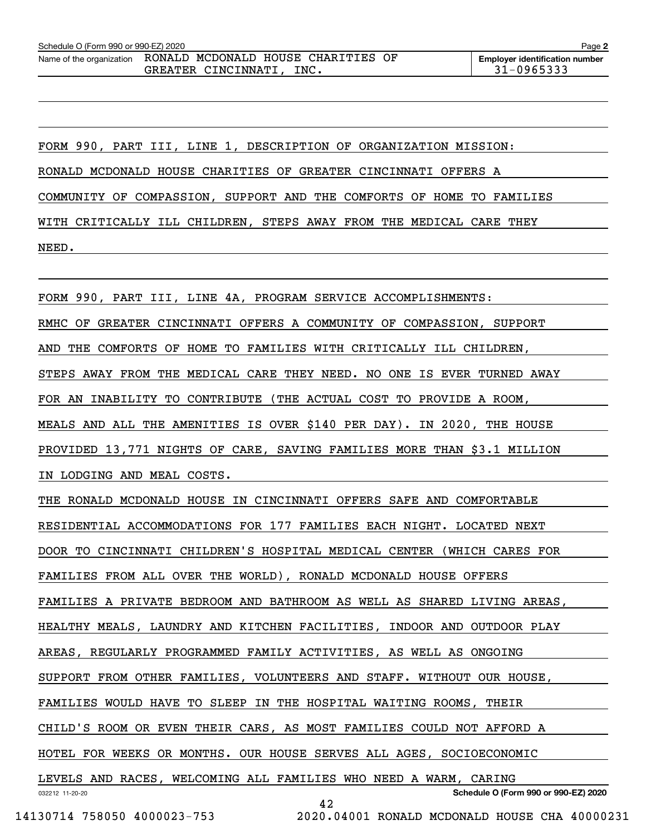FORM 990, PART III, LINE 1, DESCRIPTION OF ORGANIZATION MISSION: RONALD MCDONALD HOUSE CHARITIES OF GREATER CINCINNATI OFFERS A COMMUNITY OF COMPASSION, SUPPORT AND THE COMFORTS OF HOME TO FAMILIES WITH CRITICALLY ILL CHILDREN, STEPS AWAY FROM THE MEDICAL CARE THEY NEED.

032212 11-20-20 **Schedule O (Form 990 or 990-EZ) 2020** FORM 990, PART III, LINE 4A, PROGRAM SERVICE ACCOMPLISHMENTS: RMHC OF GREATER CINCINNATI OFFERS A COMMUNITY OF COMPASSION, SUPPORT AND THE COMFORTS OF HOME TO FAMILIES WITH CRITICALLY ILL CHILDREN, STEPS AWAY FROM THE MEDICAL CARE THEY NEED. NO ONE IS EVER TURNED AWAY FOR AN INABILITY TO CONTRIBUTE (THE ACTUAL COST TO PROVIDE A ROOM, MEALS AND ALL THE AMENITIES IS OVER \$140 PER DAY). IN 2020, THE HOUSE PROVIDED 13,771 NIGHTS OF CARE, SAVING FAMILIES MORE THAN \$3.1 MILLION IN LODGING AND MEAL COSTS. THE RONALD MCDONALD HOUSE IN CINCINNATI OFFERS SAFE AND COMFORTABLE RESIDENTIAL ACCOMMODATIONS FOR 177 FAMILIES EACH NIGHT. LOCATED NEXT DOOR TO CINCINNATI CHILDREN'S HOSPITAL MEDICAL CENTER (WHICH CARES FOR FAMILIES FROM ALL OVER THE WORLD), RONALD MCDONALD HOUSE OFFERS FAMILIES A PRIVATE BEDROOM AND BATHROOM AS WELL AS SHARED LIVING AREAS, HEALTHY MEALS, LAUNDRY AND KITCHEN FACILITIES, INDOOR AND OUTDOOR PLAY AREAS, REGULARLY PROGRAMMED FAMILY ACTIVITIES, AS WELL AS ONGOING SUPPORT FROM OTHER FAMILIES, VOLUNTEERS AND STAFF. WITHOUT OUR HOUSE, FAMILIES WOULD HAVE TO SLEEP IN THE HOSPITAL WAITING ROOMS, THEIR CHILD'S ROOM OR EVEN THEIR CARS, AS MOST FAMILIES COULD NOT AFFORD A HOTEL FOR WEEKS OR MONTHS. OUR HOUSE SERVES ALL AGES, SOCIOECONOMIC LEVELS AND RACES, WELCOMING ALL FAMILIES WHO NEED A WARM, CARING 42

 <sup>14130714 758050 4000023-753 2020.04001</sup> RONALD MCDONALD HOUSE CHA 40000231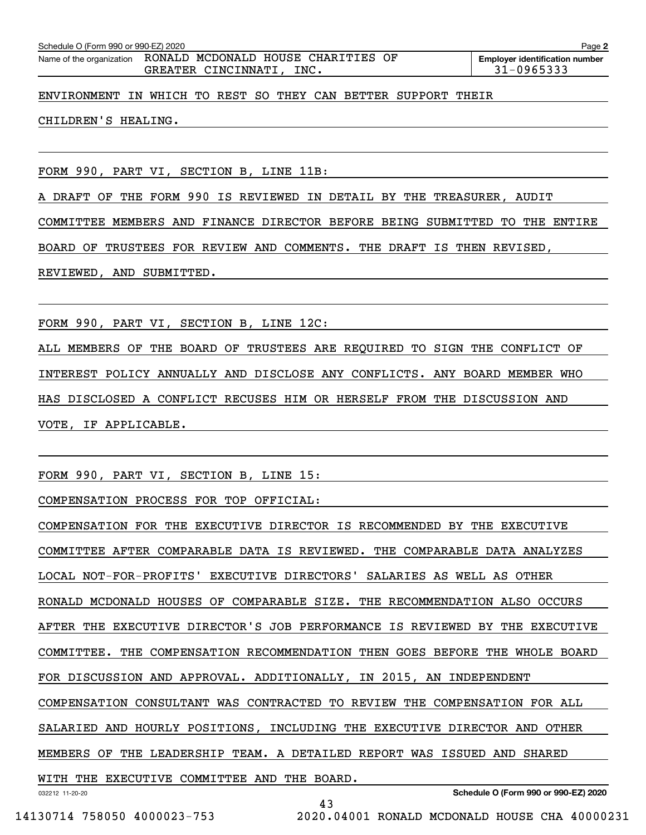| RONALD MCDONALD HOUSE CHARITIES OF<br>Name of the organization<br>GREATER CINCINNATI, INC. |  |  |  |  |  | <b>Employer identification number</b><br>$31 - 0965333$ |  |  |  |  |
|--------------------------------------------------------------------------------------------|--|--|--|--|--|---------------------------------------------------------|--|--|--|--|
| ENVIRONMENT IN WHICH TO REST SO THEY CAN BETTER SUPPORT THEIR                              |  |  |  |  |  |                                                         |  |  |  |  |
| CHILDREN'S HEALING.                                                                        |  |  |  |  |  |                                                         |  |  |  |  |

FORM 990, PART VI, SECTION B, LINE 11B:

A DRAFT OF THE FORM 990 IS REVIEWED IN DETAIL BY THE TREASURER, AUDIT

COMMITTEE MEMBERS AND FINANCE DIRECTOR BEFORE BEING SUBMITTED TO THE ENTIRE

BOARD OF TRUSTEES FOR REVIEW AND COMMENTS. THE DRAFT IS THEN REVISED,

REVIEWED, AND SUBMITTED.

FORM 990, PART VI, SECTION B, LINE 12C:

ALL MEMBERS OF THE BOARD OF TRUSTEES ARE REQUIRED TO SIGN THE CONFLICT OF INTEREST POLICY ANNUALLY AND DISCLOSE ANY CONFLICTS. ANY BOARD MEMBER WHO HAS DISCLOSED A CONFLICT RECUSES HIM OR HERSELF FROM THE DISCUSSION AND VOTE, IF APPLICABLE.

FORM 990, PART VI, SECTION B, LINE 15:

COMPENSATION PROCESS FOR TOP OFFICIAL:

032212 11-20-20 **Schedule O (Form 990 or 990-EZ) 2020** COMPENSATION FOR THE EXECUTIVE DIRECTOR IS RECOMMENDED BY THE EXECUTIVE COMMITTEE AFTER COMPARABLE DATA IS REVIEWED. THE COMPARABLE DATA ANALYZES LOCAL NOT-FOR-PROFITS' EXECUTIVE DIRECTORS' SALARIES AS WELL AS OTHER RONALD MCDONALD HOUSES OF COMPARABLE SIZE. THE RECOMMENDATION ALSO OCCURS AFTER THE EXECUTIVE DIRECTOR'S JOB PERFORMANCE IS REVIEWED BY THE EXECUTIVE COMMITTEE. THE COMPENSATION RECOMMENDATION THEN GOES BEFORE THE WHOLE BOARD FOR DISCUSSION AND APPROVAL. ADDITIONALLY, IN 2015, AN INDEPENDENT COMPENSATION CONSULTANT WAS CONTRACTED TO REVIEW THE COMPENSATION FOR ALL SALARIED AND HOURLY POSITIONS, INCLUDING THE EXECUTIVE DIRECTOR AND OTHER MEMBERS OF THE LEADERSHIP TEAM. A DETAILED REPORT WAS ISSUED AND SHARED WITH THE EXECUTIVE COMMITTEE AND THE BOARD.

43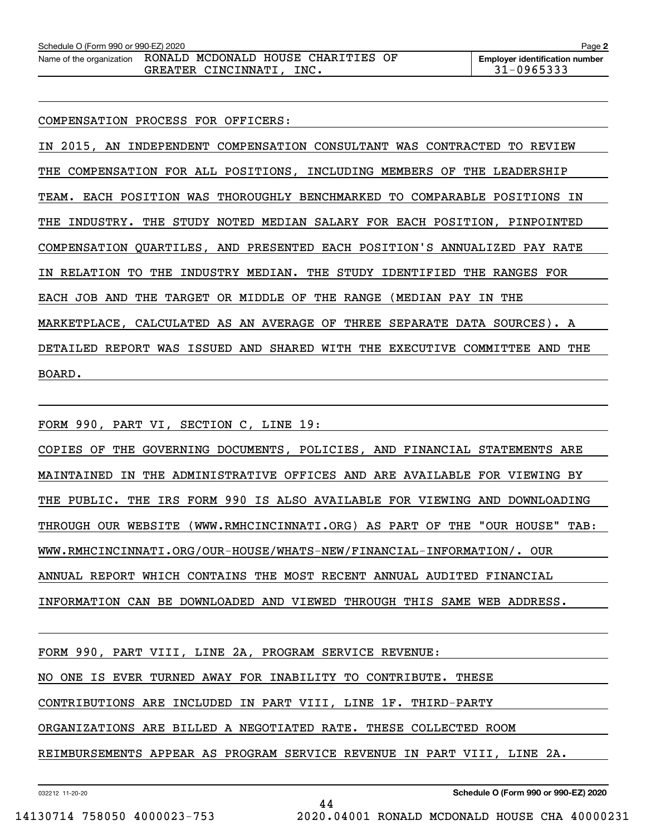| Schedule O (Form 990 or 990-EZ) 2020                             |                          |  | Page 2                                |
|------------------------------------------------------------------|--------------------------|--|---------------------------------------|
| Name of the organization  RONALD  MCDONALD  HOUSE  CHARITIES  OF |                          |  | <b>Employer identification number</b> |
|                                                                  | GREATER CINCINNATI, INC. |  | $31 - 0965333$                        |

COMPENSATION PROCESS FOR OFFICERS:

IN 2015, AN INDEPENDENT COMPENSATION CONSULTANT WAS CONTRACTED TO REVIEW THE COMPENSATION FOR ALL POSITIONS, INCLUDING MEMBERS OF THE LEADERSHIP TEAM. EACH POSITION WAS THOROUGHLY BENCHMARKED TO COMPARABLE POSITIONS IN THE INDUSTRY. THE STUDY NOTED MEDIAN SALARY FOR EACH POSITION, PINPOINTED COMPENSATION QUARTILES, AND PRESENTED EACH POSITION'S ANNUALIZED PAY RATE IN RELATION TO THE INDUSTRY MEDIAN. THE STUDY IDENTIFIED THE RANGES FOR EACH JOB AND THE TARGET OR MIDDLE OF THE RANGE (MEDIAN PAY IN THE MARKETPLACE, CALCULATED AS AN AVERAGE OF THREE SEPARATE DATA SOURCES). A DETAILED REPORT WAS ISSUED AND SHARED WITH THE EXECUTIVE COMMITTEE AND THE BOARD.

FORM 990, PART VI, SECTION C, LINE 19:

COPIES OF THE GOVERNING DOCUMENTS, POLICIES, AND FINANCIAL STATEMENTS ARE MAINTAINED IN THE ADMINISTRATIVE OFFICES AND ARE AVAILABLE FOR VIEWING BY THE PUBLIC. THE IRS FORM 990 IS ALSO AVAILABLE FOR VIEWING AND DOWNLOADING THROUGH OUR WEBSITE (WWW.RMHCINCINNATI.ORG) AS PART OF THE "OUR HOUSE" TAB: WWW.RMHCINCINNATI.ORG/OUR-HOUSE/WHATS-NEW/FINANCIAL-INFORMATION/. OUR ANNUAL REPORT WHICH CONTAINS THE MOST RECENT ANNUAL AUDITED FINANCIAL INFORMATION CAN BE DOWNLOADED AND VIEWED THROUGH THIS SAME WEB ADDRESS.

FORM 990, PART VIII, LINE 2A, PROGRAM SERVICE REVENUE: NO ONE IS EVER TURNED AWAY FOR INABILITY TO CONTRIBUTE. THESE CONTRIBUTIONS ARE INCLUDED IN PART VIII, LINE 1F. THIRD-PARTY ORGANIZATIONS ARE BILLED A NEGOTIATED RATE. THESE COLLECTED ROOM REIMBURSEMENTS APPEAR AS PROGRAM SERVICE REVENUE IN PART VIII, LINE 2A.

44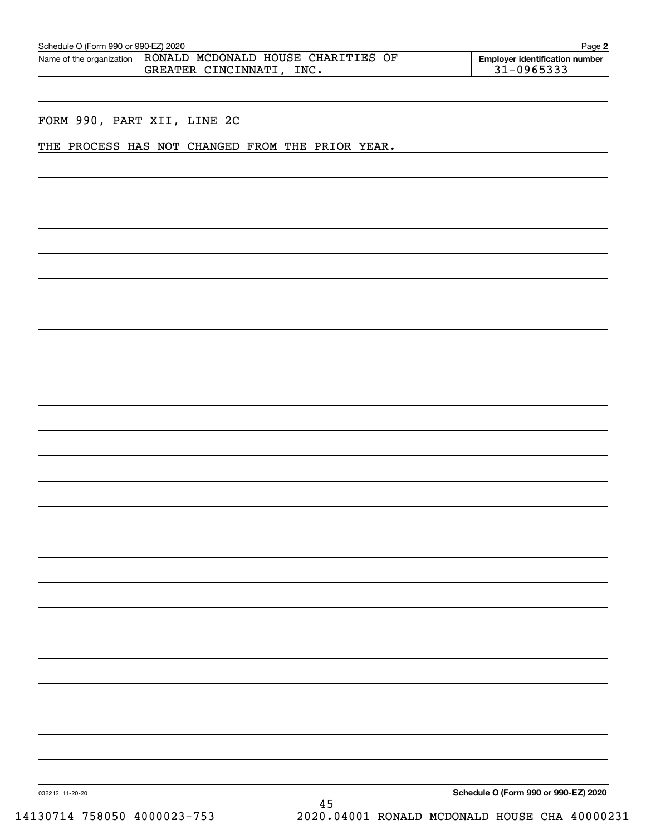| Schedule O (Form 990 or 990-EZ) 2020 |                     |                                    | Page 2                                |
|--------------------------------------|---------------------|------------------------------------|---------------------------------------|
| Name of the organization             |                     | RONALD MCDONALD HOUSE CHARITIES OF | <b>Employer identification number</b> |
|                                      | GREATER CINCINNATI. | INC.                               | $31 - 0965333$                        |

FORM 990, PART XII, LINE 2C

THE PROCESS HAS NOT CHANGED FROM THE PRIOR YEAR.

**Schedule O (Form 990 or 990-EZ) 2020**

032212 11-20-20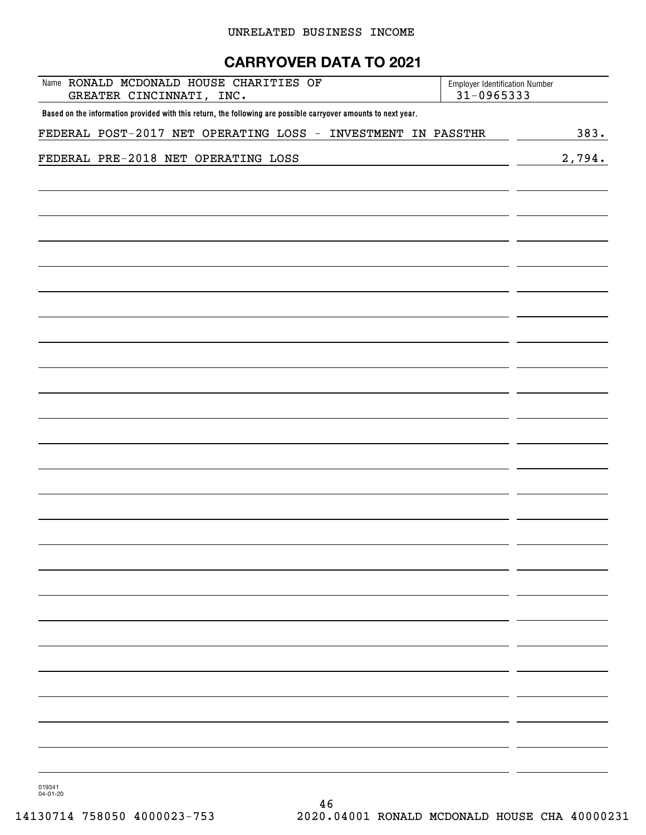### UNRELATED BUSINESS INCOME

## **CARRYOVER DATA TO 2021**

| Name RONALD MCDONALD HOUSE CHARITIES OF<br>GREATER CINCINNATI, INC.                                            | <b>Employer Identification Number</b><br>31-0965333 |        |
|----------------------------------------------------------------------------------------------------------------|-----------------------------------------------------|--------|
| Based on the information provided with this return, the following are possible carryover amounts to next year. |                                                     |        |
| FEDERAL POST-2017 NET OPERATING LOSS - INVESTMENT IN PASSTHR                                                   |                                                     | 383.   |
| FEDERAL PRE-2018 NET OPERATING LOSS                                                                            |                                                     | 2,794. |
|                                                                                                                |                                                     |        |
|                                                                                                                |                                                     |        |
|                                                                                                                |                                                     |        |
|                                                                                                                |                                                     |        |
|                                                                                                                |                                                     |        |
|                                                                                                                |                                                     |        |
|                                                                                                                |                                                     |        |
|                                                                                                                |                                                     |        |
|                                                                                                                |                                                     |        |
|                                                                                                                |                                                     |        |
|                                                                                                                |                                                     |        |
|                                                                                                                |                                                     |        |
|                                                                                                                |                                                     |        |
|                                                                                                                |                                                     |        |
|                                                                                                                |                                                     |        |
|                                                                                                                |                                                     |        |
|                                                                                                                |                                                     |        |
|                                                                                                                |                                                     |        |
|                                                                                                                |                                                     |        |
|                                                                                                                |                                                     |        |
|                                                                                                                |                                                     |        |
|                                                                                                                |                                                     |        |
|                                                                                                                |                                                     |        |
|                                                                                                                |                                                     |        |
|                                                                                                                |                                                     |        |
|                                                                                                                |                                                     |        |
|                                                                                                                |                                                     |        |
|                                                                                                                |                                                     |        |

019341 04-01-20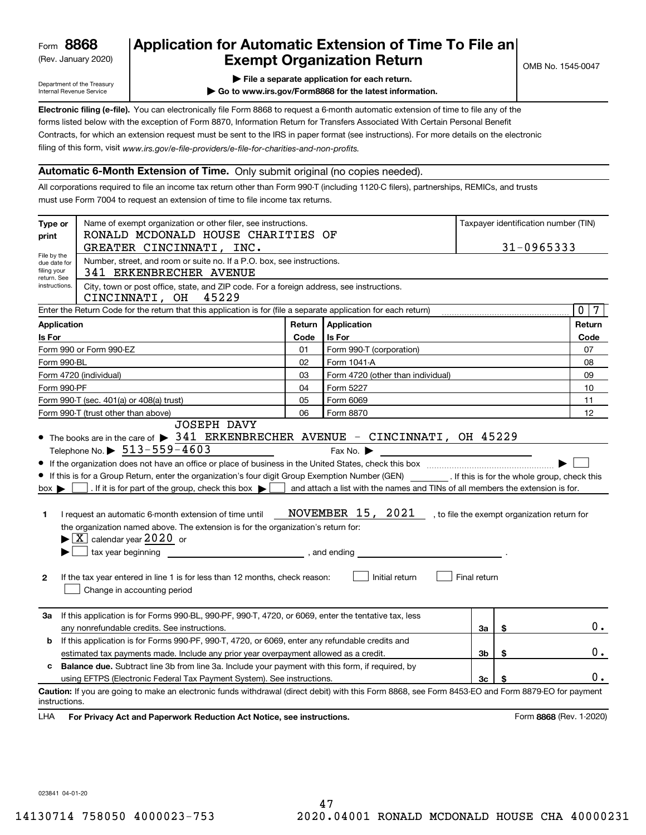(Rev. January 2020)

## **Application for Automatic Extension of Time To File an Exempt Organization Return**

Department of the Treasury Internal Revenue Service

**| File a separate application for each return.**

**| Go to www.irs.gov/Form8868 for the latest information.**

**Electronic filing (e-file).**  You can electronically file Form 8868 to request a 6-month automatic extension of time to file any of the filing of this form, visit www.irs.gov/e-file-providers/e-file-for-charities-and-non-profits. forms listed below with the exception of Form 8870, Information Return for Transfers Associated With Certain Personal Benefit Contracts, for which an extension request must be sent to the IRS in paper format (see instructions). For more details on the electronic

### **Automatic 6-Month Extension of Time.** Only submit original (no copies needed).

All corporations required to file an income tax return other than Form 990-T (including 1120-C filers), partnerships, REMICs, and trusts must use Form 7004 to request an extension of time to file income tax returns.

| Name of exempt organization or other filer, see instructions.<br>Type or<br>RONALD MCDONALD HOUSE CHARITIES OF<br>print           |                                                                                                                                                                                                                                                                                                                                                                                                                                                                                                                                                                        |        |                                                                                                                       |              |    | Taxpayer identification number (TIN)         |
|-----------------------------------------------------------------------------------------------------------------------------------|------------------------------------------------------------------------------------------------------------------------------------------------------------------------------------------------------------------------------------------------------------------------------------------------------------------------------------------------------------------------------------------------------------------------------------------------------------------------------------------------------------------------------------------------------------------------|--------|-----------------------------------------------------------------------------------------------------------------------|--------------|----|----------------------------------------------|
|                                                                                                                                   | GREATER CINCINNATI, INC.                                                                                                                                                                                                                                                                                                                                                                                                                                                                                                                                               |        |                                                                                                                       |              |    | 31-0965333                                   |
| File by the<br>due date for<br>filing your<br>return. See                                                                         | Number, street, and room or suite no. If a P.O. box, see instructions.<br>341 ERKENBRECHER AVENUE                                                                                                                                                                                                                                                                                                                                                                                                                                                                      |        |                                                                                                                       |              |    |                                              |
| City, town or post office, state, and ZIP code. For a foreign address, see instructions.<br>instructions.<br>CINCINNATI, OH 45229 |                                                                                                                                                                                                                                                                                                                                                                                                                                                                                                                                                                        |        |                                                                                                                       |              |    |                                              |
|                                                                                                                                   | Enter the Return Code for the return that this application is for (file a separate application for each return)                                                                                                                                                                                                                                                                                                                                                                                                                                                        |        |                                                                                                                       |              |    | $\overline{0}$<br>7                          |
| <b>Application</b>                                                                                                                |                                                                                                                                                                                                                                                                                                                                                                                                                                                                                                                                                                        | Return | <b>Application</b>                                                                                                    |              |    | Return                                       |
| Is For                                                                                                                            |                                                                                                                                                                                                                                                                                                                                                                                                                                                                                                                                                                        | Code   | <b>Is For</b>                                                                                                         | Code         |    |                                              |
|                                                                                                                                   | Form 990 or Form 990-EZ                                                                                                                                                                                                                                                                                                                                                                                                                                                                                                                                                | 01     | Form 990-T (corporation)                                                                                              |              |    | 07                                           |
| Form 990-BL                                                                                                                       |                                                                                                                                                                                                                                                                                                                                                                                                                                                                                                                                                                        | 02     | Form 1041-A                                                                                                           |              |    |                                              |
|                                                                                                                                   | Form 4720 (individual)                                                                                                                                                                                                                                                                                                                                                                                                                                                                                                                                                 | 03     | Form 4720 (other than individual)                                                                                     |              |    | 09                                           |
| Form 990-PF                                                                                                                       |                                                                                                                                                                                                                                                                                                                                                                                                                                                                                                                                                                        | 04     | Form 5227                                                                                                             |              |    | 10                                           |
|                                                                                                                                   | Form 990-T (sec. 401(a) or 408(a) trust)                                                                                                                                                                                                                                                                                                                                                                                                                                                                                                                               | 05     | Form 6069                                                                                                             |              |    | 11                                           |
|                                                                                                                                   | Form 990-T (trust other than above)<br><b>JOSEPH DAVY</b>                                                                                                                                                                                                                                                                                                                                                                                                                                                                                                              | 06     | Form 8870                                                                                                             |              |    | 12                                           |
| $box \blacktriangleright$  <br>1<br>2                                                                                             | If this is for a Group Return, enter the organization's four digit Group Exemption Number (GEN) _________. If this is for the whole group, check this<br>$\vert$ . If it is for part of the group, check this box $\blacktriangleright$<br>I request an automatic 6-month extension of time until<br>the organization named above. The extension is for the organization's return for:<br>$\blacktriangleright$ $\boxed{\text{X}}$ calendar year 2020 or<br>If the tax year entered in line 1 is for less than 12 months, check reason:<br>Change in accounting period |        | and attach a list with the names and TINs of all members the extension is for.<br>NOVEMBER 15, 2021<br>Initial return | Final return |    | , to file the exempt organization return for |
| За                                                                                                                                | If this application is for Forms 990-BL, 990-PF, 990-T, 4720, or 6069, enter the tentative tax, less<br>any nonrefundable credits. See instructions.                                                                                                                                                                                                                                                                                                                                                                                                                   |        |                                                                                                                       | За           | \$ | $0$ .                                        |
| b                                                                                                                                 | If this application is for Forms 990-PF, 990-T, 4720, or 6069, enter any refundable credits and                                                                                                                                                                                                                                                                                                                                                                                                                                                                        |        |                                                                                                                       |              |    |                                              |
|                                                                                                                                   | estimated tax payments made. Include any prior year overpayment allowed as a credit.                                                                                                                                                                                                                                                                                                                                                                                                                                                                                   |        |                                                                                                                       | Зb           | \$ | $0$ .                                        |
| <b>Balance due.</b> Subtract line 3b from line 3a. Include your payment with this form, if required, by<br>c                      |                                                                                                                                                                                                                                                                                                                                                                                                                                                                                                                                                                        |        |                                                                                                                       |              |    |                                              |
|                                                                                                                                   | 3c<br>using EFTPS (Electronic Federal Tax Payment System). See instructions.<br>\$                                                                                                                                                                                                                                                                                                                                                                                                                                                                                     |        |                                                                                                                       |              |    | 0.                                           |
| instructions.<br><b>LHA</b>                                                                                                       | Caution: If you are going to make an electronic funds withdrawal (direct debit) with this Form 8868, see Form 8453-EO and Form 8879-EO for payment<br>For Privacy Act and Paperwork Reduction Act Notice, see instructions.                                                                                                                                                                                                                                                                                                                                            |        |                                                                                                                       |              |    | Form 8868 (Rev. 1-2020)                      |

023841 04-01-20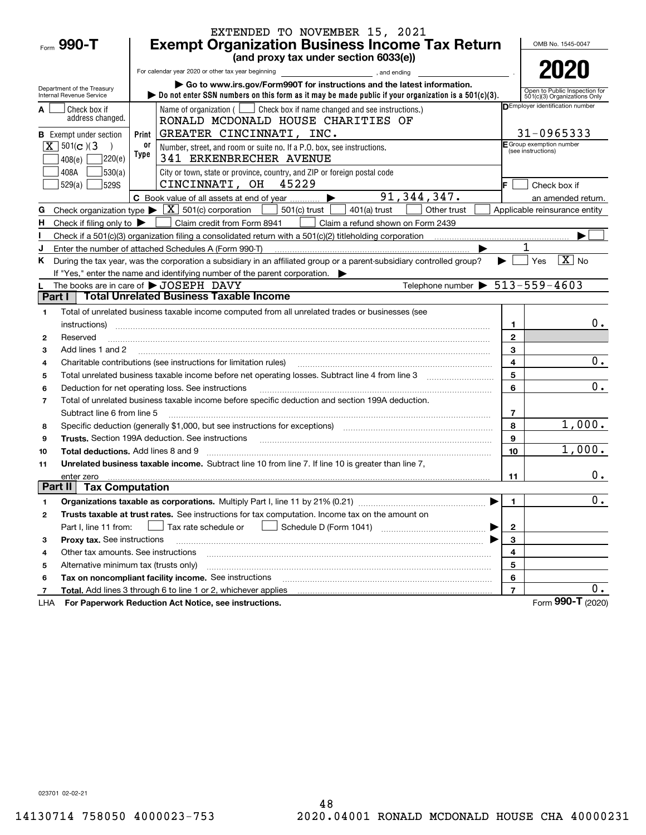|                |                                                        |       | EXTENDED TO NOVEMBER 15, 2021                                                                                                                                                                                                  |                |                                                               |
|----------------|--------------------------------------------------------|-------|--------------------------------------------------------------------------------------------------------------------------------------------------------------------------------------------------------------------------------|----------------|---------------------------------------------------------------|
|                | $F_{\text{form}}$ 990-T                                |       | <b>Exempt Organization Business Income Tax Return</b>                                                                                                                                                                          |                | OMB No. 1545-0047                                             |
|                |                                                        |       | (and proxy tax under section 6033(e))                                                                                                                                                                                          |                |                                                               |
|                |                                                        |       | For calendar year 2020 or other tax year beginning<br>and ending                                                                                                                                                               |                | 2020                                                          |
|                | Department of the Treasury<br>Internal Revenue Service |       | Go to www.irs.gov/Form990T for instructions and the latest information.<br>bo not enter SSN numbers on this form as it may be made public if your organization is a $501(c)(3)$ .                                              |                | Open to Public Inspection for<br>501(c)(3) Organizations Only |
|                | Check box if<br>address changed.                       |       | Name of organization $($ $\Box$ Check box if name changed and see instructions.)<br>RONALD MCDONALD HOUSE CHARITIES OF                                                                                                         |                | DEmployer identification number                               |
|                | <b>B</b> Exempt under section                          | Print | GREATER CINCINNATI, INC.                                                                                                                                                                                                       |                | 31-0965333                                                    |
|                | $\boxed{\mathbf{X}}$ 501(c)(3                          | or    | Number, street, and room or suite no. If a P.O. box, see instructions.                                                                                                                                                         |                | F Group exemption number<br>(see instructions)                |
|                | 220(e)<br>408(e)                                       | Type  | 341 ERKENBRECHER AVENUE                                                                                                                                                                                                        |                |                                                               |
|                | 530(a) <br>408A                                        |       | City or town, state or province, country, and ZIP or foreign postal code                                                                                                                                                       |                |                                                               |
|                | 529(a)<br>529S                                         |       | CINCINNATI, OH 45229                                                                                                                                                                                                           | lE.            | Check box if                                                  |
|                |                                                        |       | 91, 344, 347.<br>C Book value of all assets at end of year                                                                                                                                                                     |                | an amended return.                                            |
| G              | Check organization type $\blacktriangleright$          |       | $\boxed{\textbf{X}}$ 501(c) corporation<br>$501(c)$ trust<br>$401(a)$ trust<br>Other trust                                                                                                                                     |                | Applicable reinsurance entity                                 |
| н.             | Check if filing only to $\blacktriangleright$          |       | Claim credit from Form 8941<br>Claim a refund shown on Form 2439                                                                                                                                                               |                |                                                               |
|                |                                                        |       |                                                                                                                                                                                                                                |                |                                                               |
| J              |                                                        |       | Enter the number of attached Schedules A (Form 990-T)                                                                                                                                                                          |                |                                                               |
| Κ              |                                                        |       | During the tax year, was the corporation a subsidiary in an affiliated group or a parent-subsidiary controlled group?                                                                                                          |                | $\boxed{\text{X}}$ No<br>Yes                                  |
|                |                                                        |       | If "Yes," enter the name and identifying number of the parent corporation.                                                                                                                                                     |                |                                                               |
| Part I         |                                                        |       | Telephone number $\triangleright$ 513-559-4603<br>The books are in care of $\blacktriangleright$ JOSEPH DAVY<br><b>Total Unrelated Business Taxable Income</b>                                                                 |                |                                                               |
|                |                                                        |       |                                                                                                                                                                                                                                |                |                                                               |
| 1              |                                                        |       | Total of unrelated business taxable income computed from all unrelated trades or businesses (see                                                                                                                               |                |                                                               |
|                | instructions)                                          |       |                                                                                                                                                                                                                                | 1              | $0$ .                                                         |
| $\mathbf{2}$   | Reserved                                               |       |                                                                                                                                                                                                                                | $\mathbf{2}$   |                                                               |
| 3              | Add lines 1 and 2                                      |       |                                                                                                                                                                                                                                | 3<br>4         | $0$ .                                                         |
| 4              |                                                        |       | Charitable contributions (see instructions for limitation rules)                                                                                                                                                               | 5              |                                                               |
| 5<br>6         |                                                        |       | Deduction for net operating loss. See instructions                                                                                                                                                                             | 6              | 0.                                                            |
| $\overline{7}$ |                                                        |       | Total of unrelated business taxable income before specific deduction and section 199A deduction.                                                                                                                               |                |                                                               |
|                | Subtract line 6 from line 5                            |       |                                                                                                                                                                                                                                | $\overline{7}$ |                                                               |
| 8              |                                                        |       | Specific deduction (generally \$1,000, but see instructions for exceptions) manufactions and the substitution of                                                                                                               | 8              | 1,000.                                                        |
| 9              |                                                        |       | Trusts. Section 199A deduction. See instructions [11] material material material material material material material material material material material material material material material material material material materi | 9              |                                                               |
| 10             | Total deductions. Add lines 8 and 9                    |       |                                                                                                                                                                                                                                | 10             | 1,000.                                                        |
| 11             |                                                        |       | Unrelated business taxable income. Subtract line 10 from line 7. If line 10 is greater than line 7,                                                                                                                            |                |                                                               |
|                | enter zero                                             |       |                                                                                                                                                                                                                                | 11             | $0$ .                                                         |
| Part II        | <b>Tax Computation</b>                                 |       |                                                                                                                                                                                                                                |                |                                                               |
| 1              |                                                        |       |                                                                                                                                                                                                                                | 1.             | $\overline{\mathbf{0}}$ .                                     |
| 2              |                                                        |       | Trusts taxable at trust rates. See instructions for tax computation. Income tax on the amount on                                                                                                                               |                |                                                               |
|                | Part I, line 11 from:                                  |       | Tax rate schedule or                                                                                                                                                                                                           | $\mathbf{2}$   |                                                               |
| з              | Proxy tax. See instructions                            |       |                                                                                                                                                                                                                                | 3              |                                                               |
| 4              | Other tax amounts. See instructions                    |       |                                                                                                                                                                                                                                | 4              |                                                               |
| 5              | Alternative minimum tax (trusts only)                  |       |                                                                                                                                                                                                                                | 5              |                                                               |
| 6              |                                                        |       | Tax on noncompliant facility income. See instructions                                                                                                                                                                          | 6              |                                                               |
| 7              |                                                        |       | <b>Total.</b> Add lines 3 through 6 to line 1 or 2, whichever applies                                                                                                                                                          | $\overline{7}$ | 0.                                                            |
| LHA            |                                                        |       | For Paperwork Reduction Act Notice, see instructions.                                                                                                                                                                          |                | Form 990-T (2020)                                             |

023701 02-02-21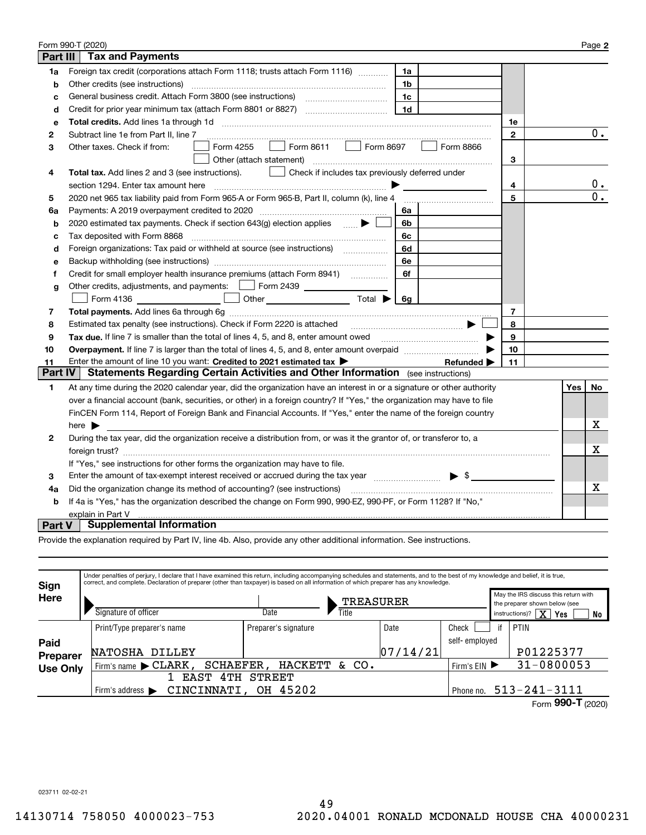|                 | Form 990-T (2020)                                                                                                       |              |  |     | Page 2           |  |
|-----------------|-------------------------------------------------------------------------------------------------------------------------|--------------|--|-----|------------------|--|
| <b>Part III</b> | <b>Tax and Payments</b>                                                                                                 |              |  |     |                  |  |
| 1a              | Foreign tax credit (corporations attach Form 1118; trusts attach Form 1116)<br>1a                                       |              |  |     |                  |  |
| b               | Other credits (see instructions)<br>1b                                                                                  |              |  |     |                  |  |
| C               | 1c                                                                                                                      |              |  |     |                  |  |
| d               | 1 <sub>d</sub>                                                                                                          |              |  |     |                  |  |
| е               | Total credits. Add lines 1a through 1d                                                                                  | 1e           |  |     |                  |  |
| 2               | Subtract line 1e from Part II, line 7                                                                                   | $\mathbf{2}$ |  |     | 0.               |  |
| 3               | Form 8611<br>Form 8697<br>Form 4255<br>Form 8866<br>Other taxes. Check if from:<br>$\mathbf{1}$                         |              |  |     |                  |  |
|                 | Other (attach statement)                                                                                                | 3            |  |     |                  |  |
| 4               | Check if includes tax previously deferred under<br>Total tax. Add lines 2 and 3 (see instructions).                     |              |  |     |                  |  |
|                 | section 1294. Enter tax amount here                                                                                     | 4            |  |     | 0.               |  |
| 5               | 2020 net 965 tax liability paid from Form 965-A or Form 965-B, Part II, column (k), line 4                              | 5            |  |     | $\overline{0}$ . |  |
| 6a              | Payments: A 2019 overpayment credited to 2020 [11] [11] maximum materials: A 2019 overpayment credited to 2020<br>6a    |              |  |     |                  |  |
| b               | 2020 estimated tax payments. Check if section 643(g) election applies $\qquad \qquad \bullet$<br>6b                     |              |  |     |                  |  |
| c               | Tax deposited with Form 8868<br>6c                                                                                      |              |  |     |                  |  |
| d               | Foreign organizations: Tax paid or withheld at source (see instructions) [<br>6d                                        |              |  |     |                  |  |
| e               | 6e                                                                                                                      |              |  |     |                  |  |
| f               | 6f                                                                                                                      |              |  |     |                  |  |
| g               | Other credits, adjustments, and payments:   Form 2439                                                                   |              |  |     |                  |  |
|                 | Other $\overline{\hspace{1cm}}$ Total $\blacktriangleright$ $\overline{\hspace{1cm}}$ 6g<br>Form 4136                   |              |  |     |                  |  |
| 7               |                                                                                                                         | 7            |  |     |                  |  |
| 8               | Estimated tax penalty (see instructions). Check if Form 2220 is attached                                                | 8            |  |     |                  |  |
| 9               | Tax due. If line 7 is smaller than the total of lines 4, 5, and 8, enter amount owed <b>Face and Conservers</b> in the  | 9            |  |     |                  |  |
| 10              |                                                                                                                         | 10           |  |     |                  |  |
| 11              | Enter the amount of line 10 you want: Credited to 2021 estimated tax<br>Refunded $\blacktriangleright$                  | 11           |  |     |                  |  |
| <b>Part IV</b>  | <b>Statements Regarding Certain Activities and Other Information</b> (see instructions)                                 |              |  |     |                  |  |
| 1               | At any time during the 2020 calendar year, did the organization have an interest in or a signature or other authority   |              |  | Yes | No               |  |
|                 | over a financial account (bank, securities, or other) in a foreign country? If "Yes," the organization may have to file |              |  |     |                  |  |
|                 | FinCEN Form 114, Report of Foreign Bank and Financial Accounts. If "Yes," enter the name of the foreign country         |              |  |     |                  |  |
|                 | here $\blacktriangleright$                                                                                              |              |  |     | х                |  |
| 2               | During the tax year, did the organization receive a distribution from, or was it the grantor of, or transferor to, a    |              |  |     |                  |  |
|                 |                                                                                                                         |              |  |     | X                |  |
|                 | If "Yes," see instructions for other forms the organization may have to file.                                           |              |  |     |                  |  |
| 3               | Enter the amount of tax-exempt interest received or accrued during the tax year manufactured $\blacktriangleright$ \$   |              |  |     |                  |  |
| 4a              | Did the organization change its method of accounting? (see instructions)                                                |              |  |     | x                |  |
| b               | If 4a is "Yes," has the organization described the change on Form 990, 990-EZ, 990-PF, or Form 1128? If "No,"           |              |  |     |                  |  |
|                 | explain in Part V                                                                                                       |              |  |     |                  |  |
| <b>Part V</b>   | <b>Supplemental Information</b>                                                                                         |              |  |     |                  |  |

Provide the explanation required by Part IV, line 4b. Also, provide any other additional information. See instructions.

| Sign            |                                                        | Under penalties of perjury, I declare that I have examined this return, including accompanying schedules and statements, and to the best of my knowledge and belief, it is true,<br>correct, and complete. Declaration of preparer (other than taxpayer) is based on all information of which preparer has any knowledge. |          |               |                                                                       |  |  |  |  |  |
|-----------------|--------------------------------------------------------|---------------------------------------------------------------------------------------------------------------------------------------------------------------------------------------------------------------------------------------------------------------------------------------------------------------------------|----------|---------------|-----------------------------------------------------------------------|--|--|--|--|--|
| Here            |                                                        | TREASURER                                                                                                                                                                                                                                                                                                                 |          |               | May the IRS discuss this return with<br>the preparer shown below (see |  |  |  |  |  |
|                 | Signature of officer                                   | Date<br>Title                                                                                                                                                                                                                                                                                                             |          |               | $\overline{\text{X}}$<br>instructions)?<br>Yes<br>No                  |  |  |  |  |  |
|                 | Print/Type preparer's name                             | Preparer's signature                                                                                                                                                                                                                                                                                                      | Date     | Check         | if<br>PTIN                                                            |  |  |  |  |  |
| Paid            |                                                        |                                                                                                                                                                                                                                                                                                                           |          | self-employed |                                                                       |  |  |  |  |  |
| Preparer        | NATOSHA<br>DILLEY                                      |                                                                                                                                                                                                                                                                                                                           | 07/14/21 |               | P01225377                                                             |  |  |  |  |  |
| <b>Use Only</b> | SCHAEFER,<br>Firm's name CLARK,                        | HACKETT<br>$\&$ CO.                                                                                                                                                                                                                                                                                                       |          | Firm's $EIN$  | 31-0800053                                                            |  |  |  |  |  |
|                 | 4 T H<br>EAST                                          | <b>STREET</b>                                                                                                                                                                                                                                                                                                             |          |               |                                                                       |  |  |  |  |  |
|                 | CINCINNATI, OH<br>Firm's address $\blacktriangleright$ | 45202                                                                                                                                                                                                                                                                                                                     |          |               | Phone no. 513-241-3111                                                |  |  |  |  |  |
|                 |                                                        |                                                                                                                                                                                                                                                                                                                           |          |               | 000T                                                                  |  |  |  |  |  |

Form (2020)  **990-T**

023711 02-02-21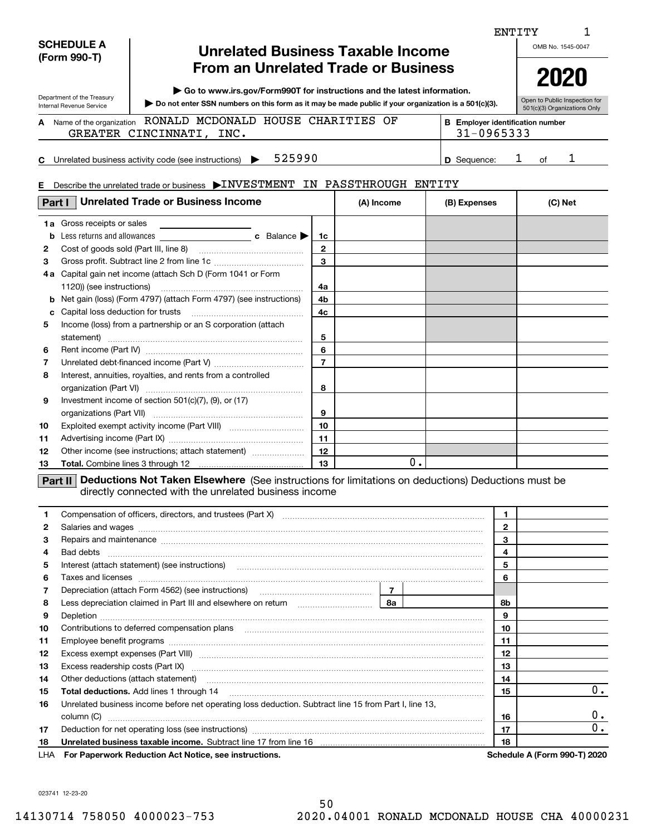### **SCHEDULE A (Form 990-T)**

Department of the Treasury Internal Revenue Service

**E**

## **Unrelated Business Taxable Income From an Unrelated Trade or Business**

**| Go to www.irs.gov/Form990T for instructions and the latest information.**

**Do not enter SSN numbers on this form as it may be made public if your organization is a 501(c)(3). |** 

Open to Public Inspection for 501(c)(3) Organizations Only

Name of the organization **RONALD MCDONALD HOUSE CHARITIES OF SALL B** Employer identification number **A**GREATER CINCINNATI, INC.  $\begin{array}{|c|c|c|c|c|c|c|c|c|} \hline \text{S1--0965333} \end{array}$ 

**BE**

**C** Unrelated business activity code (see instructions)  $\rightarrow$  525990 **D** Sequence: 1 of **D** Sequence: 1 of 1

# Describe the unrelated trade or business  $\blacktriangleright$  INVESTMENT IN PASSTHROUGH ENTITY

| Part I       | <b>Unrelated Trade or Business Income</b>                                                                                                                             |                  | (A) Income | (B) Expenses |   | (C) Net |
|--------------|-----------------------------------------------------------------------------------------------------------------------------------------------------------------------|------------------|------------|--------------|---|---------|
|              | <b>1a</b> Gross receipts or sales<br><u> 1980 - Jan Barbara Barbara, prima popula</u>                                                                                 |                  |            |              |   |         |
| b            |                                                                                                                                                                       | 1c               |            |              |   |         |
| $\mathbf{2}$ |                                                                                                                                                                       | $\mathbf{2}$     |            |              |   |         |
| 3            |                                                                                                                                                                       | 3                |            |              |   |         |
| 4а           | Capital gain net income (attach Sch D (Form 1041 or Form                                                                                                              |                  |            |              |   |         |
|              | 1120)) (see instructions)                                                                                                                                             | 4a               |            |              |   |         |
| b            | Net gain (loss) (Form 4797) (attach Form 4797) (see instructions)                                                                                                     | 4b               |            |              |   |         |
| с            | Capital loss deduction for trusts                                                                                                                                     | 4c               |            |              |   |         |
| 5            | Income (loss) from a partnership or an S corporation (attach                                                                                                          |                  |            |              |   |         |
|              |                                                                                                                                                                       | 5                |            |              |   |         |
| 6            |                                                                                                                                                                       | 6                |            |              |   |         |
| 7            |                                                                                                                                                                       | $\overline{7}$   |            |              |   |         |
| 8            | Interest, annuities, royalties, and rents from a controlled                                                                                                           |                  |            |              |   |         |
|              | organization (Part VI)                                                                                                                                                | 8                |            |              |   |         |
| 9            | Investment income of section 501(c)(7), (9), or (17)                                                                                                                  |                  |            |              |   |         |
|              | organizations (Part VII)                                                                                                                                              | 9                |            |              |   |         |
| 10           |                                                                                                                                                                       | 10 <sup>10</sup> |            |              |   |         |
| 11           |                                                                                                                                                                       | 11               |            |              |   |         |
| 12           | Other income (see instructions; attach statement)                                                                                                                     | 12               |            |              |   |         |
| 13           |                                                                                                                                                                       | 13               | 0.         |              |   |         |
|              | Part II   Deductions Not Taken Elsewhere (See instructions for limitations on deductions) Deductions must be<br>directly connected with the unrelated business income |                  |            |              |   |         |
| 1.           | Compensation of officers, directors, and trustees (Part X)                                                                                                            |                  |            |              | 1 |         |

|    | $1 \cup \Lambda$ . Ear Danarwark Daduation Act Nation, and instructions                                                                                                                                                                                                                         |              |   |    | Cohodulo A (Corm 000 T) 2020 |
|----|-------------------------------------------------------------------------------------------------------------------------------------------------------------------------------------------------------------------------------------------------------------------------------------------------|--------------|---|----|------------------------------|
| 18 |                                                                                                                                                                                                                                                                                                 |              |   | 18 |                              |
| 17 |                                                                                                                                                                                                                                                                                                 |              |   | 17 | 0.                           |
|    | $\begin{minipage}[c]{0.5\textwidth} \centering \begin{tabular}{p{0.5cm}p{0.5cm}p{0.5cm}p{0.5cm}p{0.5cm}p{0.5cm}p{0.5cm}p{0.5cm}p{0.5cm}p{0.5cm}p{0.5cm}p{0.5cm}p{0.5cm}p{0.5cm}p{0.5cm}p{0.5cm}p{0.5cm}p{0.5cm}p{0.5cm}p{0.5cm}p{0.5cm}p{0.5cm}p{0.5cm}p{0.5cm}p{0.5cm}p{0.5cm}p{0.5cm}p{0.5cm$ |              |   | 16 | 0.                           |
| 16 | Unrelated business income before net operating loss deduction. Subtract line 15 from Part I, line 13,                                                                                                                                                                                           |              |   |    |                              |
| 15 |                                                                                                                                                                                                                                                                                                 |              |   | 15 | 0.                           |
| 14 | Other deductions (attach statement) manufactured and continuum control of the deductions (attach statement)                                                                                                                                                                                     |              |   | 14 |                              |
| 13 | Excess readership costs (Part IX) [11] [2000] [2000] [3000] [3000] [3000] [3000] [3000] [3000] [3000] [3000] [                                                                                                                                                                                  |              |   | 13 |                              |
| 12 |                                                                                                                                                                                                                                                                                                 |              |   | 12 |                              |
| 11 |                                                                                                                                                                                                                                                                                                 |              |   | 11 |                              |
| 10 |                                                                                                                                                                                                                                                                                                 |              |   | 10 |                              |
| 9  |                                                                                                                                                                                                                                                                                                 |              |   | 9  |                              |
| 8  |                                                                                                                                                                                                                                                                                                 |              |   | 8b |                              |
| 7  |                                                                                                                                                                                                                                                                                                 |              |   |    |                              |
| 6  |                                                                                                                                                                                                                                                                                                 |              |   | 6  |                              |
| 5  | Interest (attach statement) (see instructions) www.communically.communically.communically.communically.communically                                                                                                                                                                             |              |   | 5  |                              |
| 4  |                                                                                                                                                                                                                                                                                                 |              |   | 4  |                              |
| 3  | Repairs and maintenance measurements are all and the contract of the contract of the contract of the contract of the contract of the contract of the contract of the contract of the contract of the contract of the contract                                                                   |              | 3 |    |                              |
| 2  |                                                                                                                                                                                                                                                                                                 | $\mathbf{2}$ |   |    |                              |
|    | Compensation of officers, directors, and trustees (Part X) <i>mand compensation of officers</i> , directors, and trustees                                                                                                                                                                       |              |   |    |                              |

**For Paperwork Reduction Act Notice, see instructions. Schedule A (Form 990-T) 2020** LHA

023741 12-23-20

ENTITY

OMB No. 1545-0047



1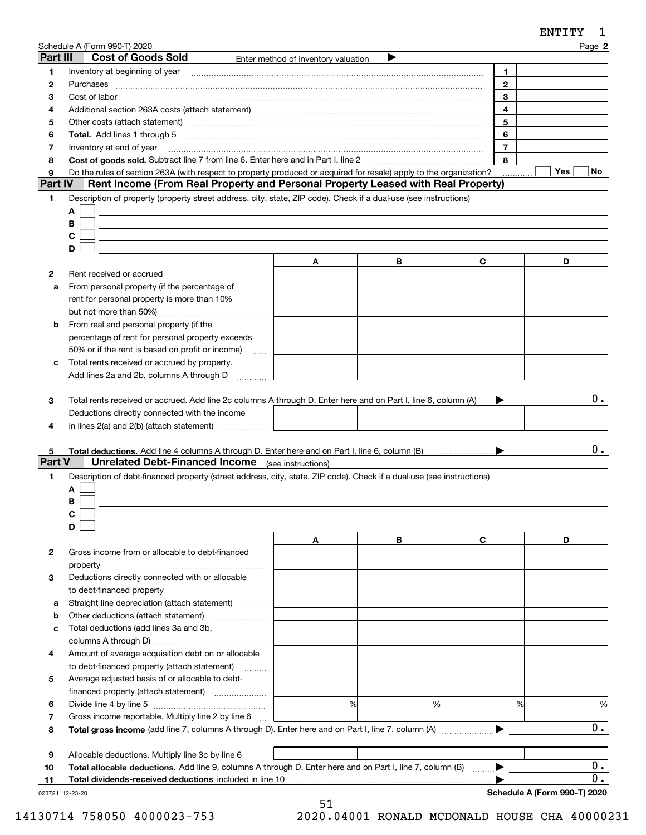|                | Schedule A (Form 990-T) 2020                                                                                                                                                                                                   |                                     |   |                | Page 2            |
|----------------|--------------------------------------------------------------------------------------------------------------------------------------------------------------------------------------------------------------------------------|-------------------------------------|---|----------------|-------------------|
| Part III       | <b>Cost of Goods Sold</b>                                                                                                                                                                                                      | Enter method of inventory valuation |   |                |                   |
| 1              | Inventory at beginning of year [11,2001] [2003] [2003] [2003] [3003] [3003] [3003] [3003] [3003] [3003] [3003] [3003] [3003] [3003] [3003] [3003] [3003] [3003] [3003] [3003] [3003] [3003] [3003] [3003] [3003] [3003] [3003] |                                     |   | 1              |                   |
| 2              | Purchases                                                                                                                                                                                                                      |                                     |   | $\mathbf{2}$   |                   |
| З              |                                                                                                                                                                                                                                |                                     |   | 3              |                   |
| 4              | Additional section 263A costs (attach statement) material contents and according to the Additional section 263A costs (attach statement)                                                                                       |                                     |   | 4              |                   |
| 5              | Other costs (attach statement) manufactured and contract and contract and contract and contract and contract and contract and contract and contract and contract and contract and contract and contract and contract and contr |                                     |   | 5              |                   |
| 6              |                                                                                                                                                                                                                                |                                     |   | 6              |                   |
| 7              | Inventory at end of year                                                                                                                                                                                                       |                                     |   | $\overline{7}$ |                   |
| 8              | Cost of goods sold. Subtract line 7 from line 6. Enter here and in Part I. line 2                                                                                                                                              |                                     |   | 8              |                   |
| 9              | Do the rules of section 263A (with respect to property produced or acquired for resale) apply to the organization?                                                                                                             |                                     |   |                | <b>Yes</b><br>No. |
| <b>Part IV</b> | Rent Income (From Real Property and Personal Property Leased with Real Property)                                                                                                                                               |                                     |   |                |                   |
| 1              | Description of property (property street address, city, state, ZIP code). Check if a dual-use (see instructions)                                                                                                               |                                     |   |                |                   |
|                | A                                                                                                                                                                                                                              |                                     |   |                |                   |
|                | B                                                                                                                                                                                                                              |                                     |   |                |                   |
|                | C                                                                                                                                                                                                                              |                                     |   |                |                   |
|                | D                                                                                                                                                                                                                              |                                     |   |                |                   |
|                |                                                                                                                                                                                                                                | Α                                   | В | C              | D                 |
| 2              | Rent received or accrued                                                                                                                                                                                                       |                                     |   |                |                   |
| a              | From personal property (if the percentage of                                                                                                                                                                                   |                                     |   |                |                   |
|                | rent for personal property is more than 10%                                                                                                                                                                                    |                                     |   |                |                   |
|                |                                                                                                                                                                                                                                |                                     |   |                |                   |
| b              | From real and personal property (if the                                                                                                                                                                                        |                                     |   |                |                   |
|                | percentage of rent for personal property exceeds                                                                                                                                                                               |                                     |   |                |                   |
|                | 50% or if the rent is based on profit or income)<br>$\ldots$                                                                                                                                                                   |                                     |   |                |                   |
| c              | Total rents received or accrued by property.                                                                                                                                                                                   |                                     |   |                |                   |
|                | Add lines 2a and 2b, columns A through D                                                                                                                                                                                       |                                     |   |                |                   |
| З              | Total rents received or accrued. Add line 2c columns A through D. Enter here and on Part I, line 6, column (A)                                                                                                                 |                                     |   |                | $0$ .             |
|                | Deductions directly connected with the income                                                                                                                                                                                  |                                     |   |                |                   |
| 4              |                                                                                                                                                                                                                                |                                     |   |                |                   |
|                |                                                                                                                                                                                                                                |                                     |   |                |                   |
| 5              |                                                                                                                                                                                                                                |                                     |   |                | 0.                |
| Part V         | <b>Unrelated Debt-Financed Income</b> (see instructions)                                                                                                                                                                       |                                     |   |                |                   |
| 1              | Description of debt-financed property (street address, city, state, ZIP code). Check if a dual-use (see instructions)                                                                                                          |                                     |   |                |                   |
|                | A                                                                                                                                                                                                                              |                                     |   |                |                   |
|                | В                                                                                                                                                                                                                              |                                     |   |                |                   |
|                |                                                                                                                                                                                                                                |                                     |   |                |                   |
|                | D                                                                                                                                                                                                                              |                                     |   |                |                   |
|                |                                                                                                                                                                                                                                | Α                                   | В | C              | D                 |
| 2              | Gross income from or allocable to debt-financed                                                                                                                                                                                |                                     |   |                |                   |
|                | property                                                                                                                                                                                                                       |                                     |   |                |                   |
| З              | Deductions directly connected with or allocable                                                                                                                                                                                |                                     |   |                |                   |
|                | to debt-financed property                                                                                                                                                                                                      |                                     |   |                |                   |
| а              | Straight line depreciation (attach statement)                                                                                                                                                                                  |                                     |   |                |                   |
| b              |                                                                                                                                                                                                                                |                                     |   |                |                   |
| c              | Total deductions (add lines 3a and 3b,                                                                                                                                                                                         |                                     |   |                |                   |
|                |                                                                                                                                                                                                                                |                                     |   |                |                   |
| 4              | Amount of average acquisition debt on or allocable                                                                                                                                                                             |                                     |   |                |                   |
|                | to debt-financed property (attach statement)                                                                                                                                                                                   |                                     |   |                |                   |
| 5              | Average adjusted basis of or allocable to debt-                                                                                                                                                                                |                                     |   |                |                   |
|                |                                                                                                                                                                                                                                |                                     |   |                |                   |
| 6              |                                                                                                                                                                                                                                | %                                   | % | %              | %                 |
| 7              | Gross income reportable. Multiply line 2 by line 6                                                                                                                                                                             |                                     |   |                |                   |
| 8              |                                                                                                                                                                                                                                |                                     |   |                | 0.                |
|                |                                                                                                                                                                                                                                |                                     |   |                |                   |
| 9              | Allocable deductions. Multiply line 3c by line 6                                                                                                                                                                               |                                     |   |                |                   |
| 10             | Total allocable deductions. Add line 9, columns A through D. Enter here and on Part I, line 7, column $(B)$                                                                                                                    |                                     |   |                | 0.                |
|                | financed property (attach statement)<br>Total dividends-received deductions included in line 10                                                                                                                                |                                     |   |                |                   |

| Total dividends-received deductions included in line 10 |  |
|---------------------------------------------------------|--|
| 023721 12-23-20                                         |  |

**Schedule A (Form 990-T) 2020** |

 $0.$ 

ENTITY <sup>1</sup>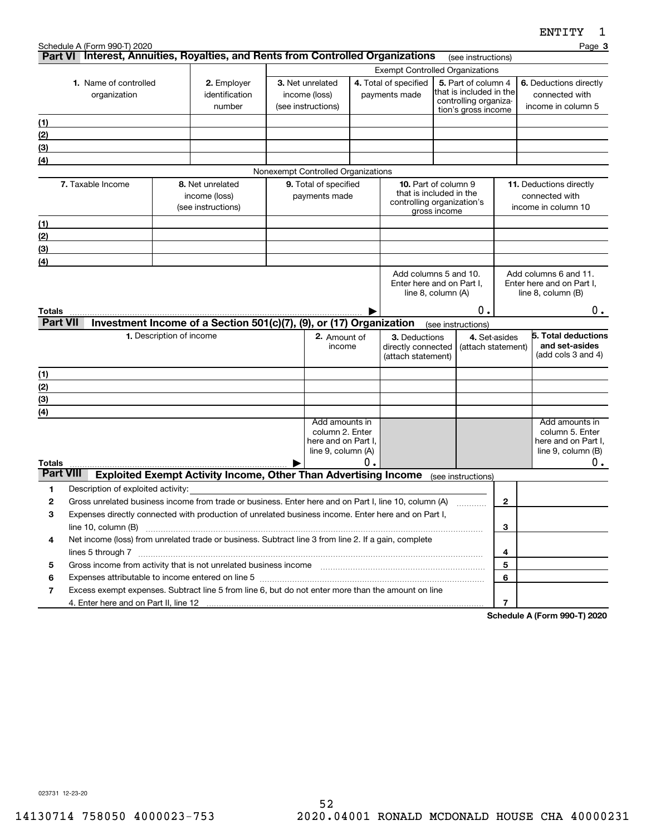(see instructions)

**3**

|                                         |                                                                                                                      |                                                                                    | <b>Exempt Controlled Organizations</b> |                                    |                                                 |                            |                                                  |                                                                  |                                                    |                                        |                               |
|-----------------------------------------|----------------------------------------------------------------------------------------------------------------------|------------------------------------------------------------------------------------|----------------------------------------|------------------------------------|-------------------------------------------------|----------------------------|--------------------------------------------------|------------------------------------------------------------------|----------------------------------------------------|----------------------------------------|-------------------------------|
| 1. Name of controlled                   |                                                                                                                      | 2. Employer                                                                        | 3. Net unrelated                       |                                    | 4. Total of specified                           |                            | 5. Part of column 4                              |                                                                  |                                                    |                                        | 6. Deductions directly        |
| organization                            |                                                                                                                      | identification                                                                     | income (loss)                          |                                    | payments made                                   |                            | that is included in the<br>controlling organiza- |                                                                  |                                                    | connected with                         |                               |
|                                         |                                                                                                                      | number                                                                             | (see instructions)                     |                                    |                                                 |                            | tion's gross income                              |                                                                  |                                                    | income in column 5                     |                               |
| (1)                                     |                                                                                                                      |                                                                                    |                                        |                                    |                                                 |                            |                                                  |                                                                  |                                                    |                                        |                               |
| (2)                                     |                                                                                                                      |                                                                                    |                                        |                                    |                                                 |                            |                                                  |                                                                  |                                                    |                                        |                               |
| (3)                                     |                                                                                                                      |                                                                                    |                                        |                                    |                                                 |                            |                                                  |                                                                  |                                                    |                                        |                               |
| (4)                                     |                                                                                                                      |                                                                                    |                                        |                                    |                                                 |                            |                                                  |                                                                  |                                                    |                                        |                               |
|                                         |                                                                                                                      |                                                                                    |                                        | Nonexempt Controlled Organizations |                                                 |                            |                                                  |                                                                  |                                                    |                                        |                               |
| 7. Taxable Income                       |                                                                                                                      | 8. Net unrelated<br>income (loss)                                                  | 9. Total of specified<br>payments made |                                    | 10. Part of column 9<br>that is included in the |                            |                                                  | 11. Deductions directly<br>connected with<br>income in column 10 |                                                    |                                        |                               |
|                                         | (see instructions)                                                                                                   |                                                                                    |                                        |                                    |                                                 | controlling organization's |                                                  |                                                                  |                                                    |                                        |                               |
|                                         |                                                                                                                      |                                                                                    |                                        |                                    |                                                 | gross income               |                                                  |                                                                  |                                                    |                                        |                               |
| (1)                                     |                                                                                                                      |                                                                                    |                                        |                                    |                                                 |                            |                                                  |                                                                  |                                                    |                                        |                               |
| (2)                                     |                                                                                                                      |                                                                                    |                                        |                                    |                                                 |                            |                                                  |                                                                  |                                                    |                                        |                               |
| (3)                                     |                                                                                                                      |                                                                                    |                                        |                                    |                                                 |                            |                                                  |                                                                  |                                                    |                                        |                               |
| (4)                                     |                                                                                                                      |                                                                                    |                                        |                                    |                                                 |                            |                                                  |                                                                  |                                                    |                                        |                               |
|                                         | Add columns 5 and 10.<br>Enter here and on Part I,                                                                   |                                                                                    |                                        |                                    |                                                 |                            |                                                  |                                                                  | Add columns 6 and 11.<br>Enter here and on Part I, |                                        |                               |
|                                         |                                                                                                                      |                                                                                    |                                        |                                    |                                                 | line 8, column (A)         |                                                  |                                                                  |                                                    |                                        | line 8, column (B)            |
| Totals                                  |                                                                                                                      |                                                                                    |                                        |                                    |                                                 |                            |                                                  | 0.                                                               | О.                                                 |                                        |                               |
| <b>Part VII</b>                         |                                                                                                                      | Investment Income of a Section 501(c)(7), (9), or (17) Organization                |                                        |                                    |                                                 |                            |                                                  | (see instructions)                                               |                                                    |                                        |                               |
|                                         | 1. Description of income                                                                                             |                                                                                    |                                        | 2. Amount of                       |                                                 | 3. Deductions              |                                                  | 4. Set-asides                                                    |                                                    |                                        | 5. Total deductions           |
| income<br>directly connected            |                                                                                                                      |                                                                                    |                                        |                                    |                                                 |                            | (attach statement)                               |                                                                  |                                                    | and set-asides                         |                               |
|                                         |                                                                                                                      |                                                                                    |                                        |                                    |                                                 | (attach statement)         |                                                  |                                                                  |                                                    |                                        | $(add cols 3 and 4))$         |
| (1)                                     |                                                                                                                      |                                                                                    |                                        |                                    |                                                 |                            |                                                  |                                                                  |                                                    |                                        |                               |
| (2)                                     |                                                                                                                      |                                                                                    |                                        |                                    |                                                 |                            |                                                  |                                                                  |                                                    |                                        |                               |
| (3)                                     |                                                                                                                      |                                                                                    |                                        |                                    |                                                 |                            |                                                  |                                                                  |                                                    |                                        |                               |
| (4)                                     |                                                                                                                      |                                                                                    |                                        |                                    |                                                 |                            |                                                  |                                                                  |                                                    |                                        |                               |
|                                         |                                                                                                                      |                                                                                    |                                        | Add amounts in                     |                                                 |                            |                                                  |                                                                  |                                                    |                                        | Add amounts in                |
|                                         |                                                                                                                      |                                                                                    | column 2. Enter<br>here and on Part I, |                                    |                                                 |                            |                                                  |                                                                  |                                                    | column 5. Enter<br>here and on Part I, |                               |
|                                         |                                                                                                                      |                                                                                    |                                        | line 9, column (A)                 |                                                 |                            |                                                  |                                                                  |                                                    |                                        | line 9, column (B)            |
| Totals                                  |                                                                                                                      |                                                                                    |                                        |                                    | 0.                                              |                            |                                                  |                                                                  |                                                    |                                        | 0.                            |
| <b>Part VIII</b>                        |                                                                                                                      | Exploited Exempt Activity Income, Other Than Advertising Income (see instructions) |                                        |                                    |                                                 |                            |                                                  |                                                                  |                                                    |                                        |                               |
| 1<br>Description of exploited activity: |                                                                                                                      |                                                                                    |                                        |                                    |                                                 |                            |                                                  |                                                                  |                                                    |                                        |                               |
| $\mathbf{2}$                            | Gross unrelated business income from trade or business. Enter here and on Part I, line 10, column (A)<br>.           |                                                                                    |                                        |                                    |                                                 |                            |                                                  |                                                                  | $\mathbf{2}$                                       |                                        |                               |
| 3                                       | Expenses directly connected with production of unrelated business income. Enter here and on Part I,                  |                                                                                    |                                        |                                    |                                                 |                            |                                                  |                                                                  |                                                    |                                        |                               |
|                                         |                                                                                                                      |                                                                                    |                                        |                                    |                                                 |                            |                                                  |                                                                  | 3                                                  |                                        |                               |
|                                         | Net income (loss) from unrelated trade or business. Subtract line 3 from line 2. If a gain, complete<br>4            |                                                                                    |                                        |                                    |                                                 |                            |                                                  |                                                                  |                                                    |                                        |                               |
|                                         | lines 5 through 7 www.communication.com/www.communication.com/www.communication.com/www.com/www.com                  |                                                                                    |                                        |                                    |                                                 |                            |                                                  |                                                                  | 4                                                  |                                        |                               |
| 5                                       |                                                                                                                      |                                                                                    |                                        |                                    |                                                 |                            |                                                  |                                                                  | 5                                                  |                                        |                               |
| 6                                       | $\overline{7}$<br>Excess exempt expenses. Subtract line 5 from line 6, but do not enter more than the amount on line |                                                                                    |                                        |                                    |                                                 |                            |                                                  | 6                                                                |                                                    |                                        |                               |
|                                         |                                                                                                                      |                                                                                    |                                        |                                    |                                                 |                            |                                                  |                                                                  |                                                    |                                        |                               |
| 4. Enter here and on Part II, line 12   |                                                                                                                      |                                                                                    |                                        |                                    |                                                 |                            |                                                  |                                                                  | 7                                                  |                                        | Cahadula A (Fauna 000 T) 0000 |

**Part VI Interest, Annuities, Royalties, and Rents from Controlled Organizations**

**Schedule A (Form 990-T) 2020**

023731 12-23-20

Schedule A (Form 990-T) 2020